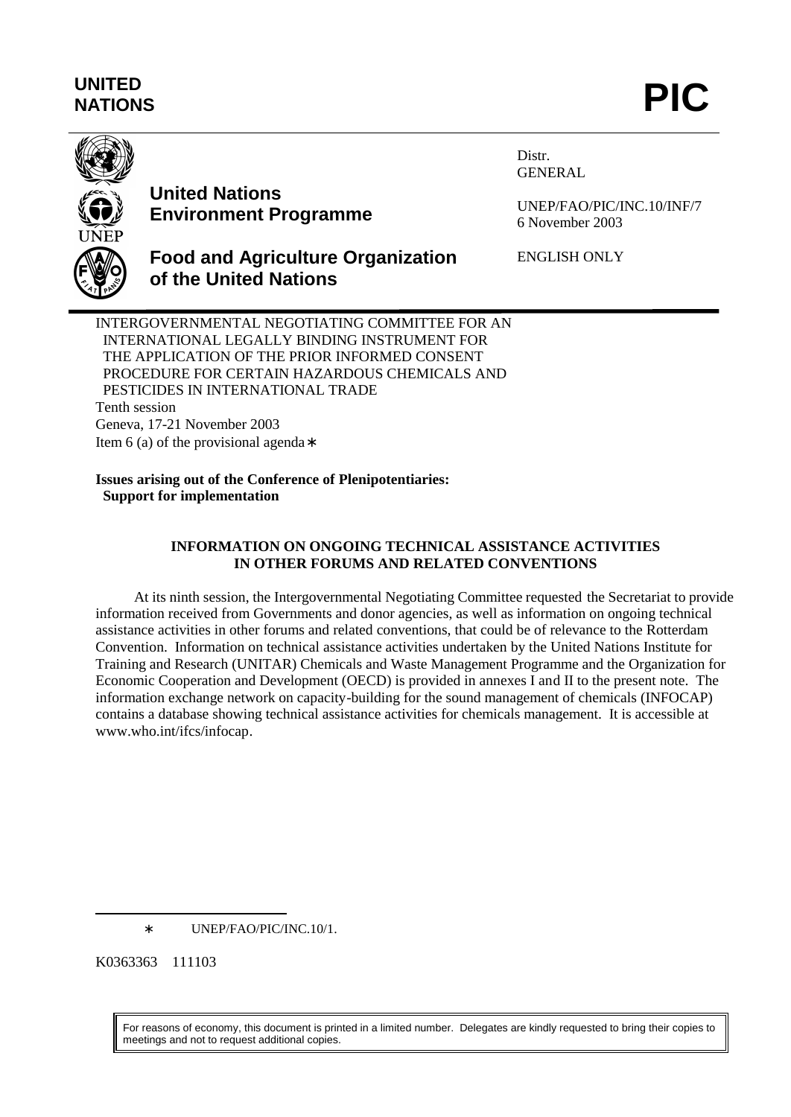# **UNITED** UNITED<br>NATIONS **PIC**



# **United Nations Environment Programme**

**of the United Nations**

Distr. GENERAL

UNEP/FAO/PIC/INC.10/INF/7 6 November 2003

ENGLISH ONLY

INTERGOVERNMENTAL NEGOTIATING COMMITTEE FOR AN INTERNATIONAL LEGALLY BINDING INSTRUMENT FOR THE APPLICATION OF THE PRIOR INFORMED CONSENT PROCEDURE FOR CERTAIN HAZARDOUS CHEMICALS AND PESTICIDES IN INTERNATIONAL TRADE Tenth session Geneva, 17-21 November 2003 Item 6 (a) of the provisional agenda∗

**Food and Agriculture Organization**

#### **Issues arising out of the Conference of Plenipotentiaries: Support for implementation**

# **INFORMATION ON ONGOING TECHNICAL ASSISTANCE ACTIVITIES IN OTHER FORUMS AND RELATED CONVENTIONS**

At its ninth session, the Intergovernmental Negotiating Committee requested the Secretariat to provide information received from Governments and donor agencies, as well as information on ongoing technical assistance activities in other forums and related conventions, that could be of relevance to the Rotterdam Convention. Information on technical assistance activities undertaken by the United Nations Institute for Training and Research (UNITAR) Chemicals and Waste Management Programme and the Organization for Economic Cooperation and Development (OECD) is provided in annexes I and II to the present note. The information exchange network on capacity-building for the sound management of chemicals (INFOCAP) contains a database showing technical assistance activities for chemicals management. It is accessible at www.who.int/ifcs/infocap.

∗ UNEP/FAO/PIC/INC.10/1.

K0363363 111103

 $\overline{\phantom{a}}$ 

For reasons of economy, this document is printed in a limited number. Delegates are kindly requested to bring their copies to meetings and not to request additional copies.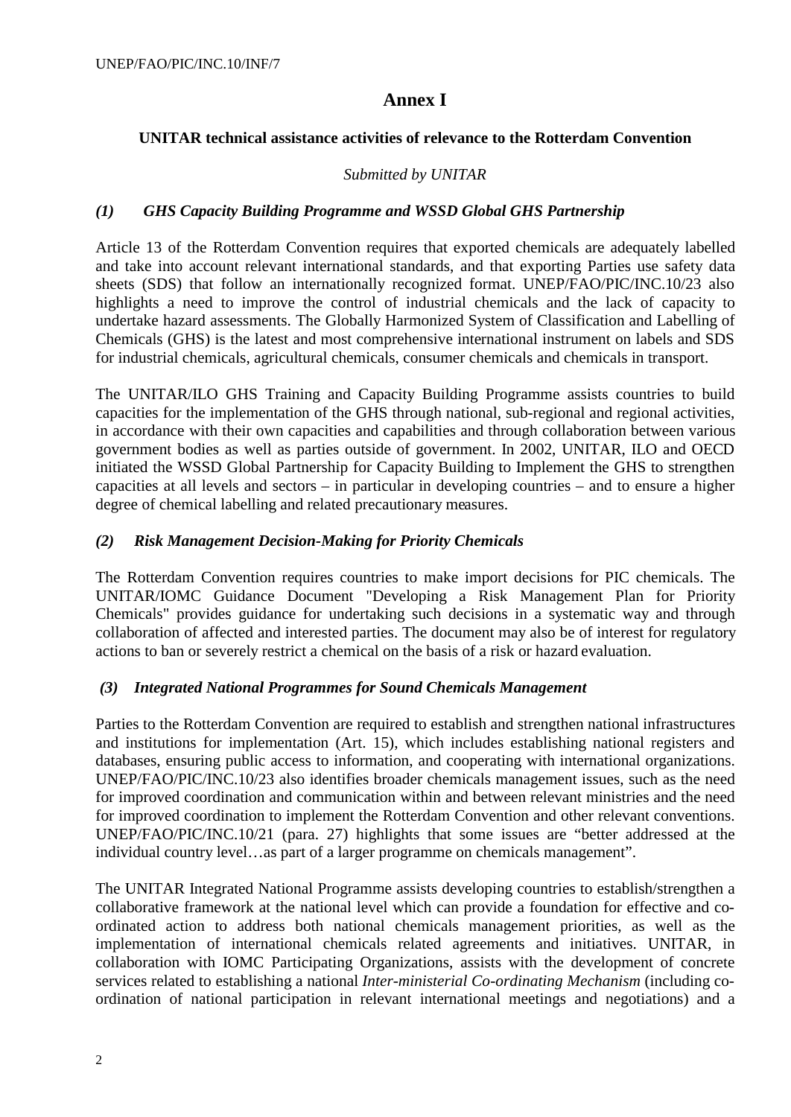# **Annex I**

# **UNITAR technical assistance activities of relevance to the Rotterdam Convention**

#### *Submitted by UNITAR*

#### *(1) GHS Capacity Building Programme and WSSD Global GHS Partnership*

Article 13 of the Rotterdam Convention requires that exported chemicals are adequately labelled and take into account relevant international standards, and that exporting Parties use safety data sheets (SDS) that follow an internationally recognized format. UNEP/FAO/PIC/INC.10/23 also highlights a need to improve the control of industrial chemicals and the lack of capacity to undertake hazard assessments. The Globally Harmonized System of Classification and Labelling of Chemicals (GHS) is the latest and most comprehensive international instrument on labels and SDS for industrial chemicals, agricultural chemicals, consumer chemicals and chemicals in transport.

The UNITAR/ILO GHS Training and Capacity Building Programme assists countries to build capacities for the implementation of the GHS through national, sub-regional and regional activities, in accordance with their own capacities and capabilities and through collaboration between various government bodies as well as parties outside of government. In 2002, UNITAR, ILO and OECD initiated the WSSD Global Partnership for Capacity Building to Implement the GHS to strengthen capacities at all levels and sectors – in particular in developing countries – and to ensure a higher degree of chemical labelling and related precautionary measures.

# *(2) Risk Management Decision-Making for Priority Chemicals*

The Rotterdam Convention requires countries to make import decisions for PIC chemicals. The UNITAR/IOMC Guidance Document "Developing a Risk Management Plan for Priority Chemicals" provides guidance for undertaking such decisions in a systematic way and through collaboration of affected and interested parties. The document may also be of interest for regulatory actions to ban or severely restrict a chemical on the basis of a risk or hazard evaluation.

# *(3) Integrated National Programmes for Sound Chemicals Management*

Parties to the Rotterdam Convention are required to establish and strengthen national infrastructures and institutions for implementation (Art. 15), which includes establishing national registers and databases, ensuring public access to information, and cooperating with international organizations. UNEP/FAO/PIC/INC.10/23 also identifies broader chemicals management issues, such as the need for improved coordination and communication within and between relevant ministries and the need for improved coordination to implement the Rotterdam Convention and other relevant conventions. UNEP/FAO/PIC/INC.10/21 (para. 27) highlights that some issues are "better addressed at the individual country level…as part of a larger programme on chemicals management".

The UNITAR Integrated National Programme assists developing countries to establish/strengthen a collaborative framework at the national level which can provide a foundation for effective and coordinated action to address both national chemicals management priorities, as well as the implementation of international chemicals related agreements and initiatives. UNITAR, in collaboration with IOMC Participating Organizations, assists with the development of concrete services related to establishing a national *Inter-ministerial Co-ordinating Mechanism* (including coordination of national participation in relevant international meetings and negotiations) and a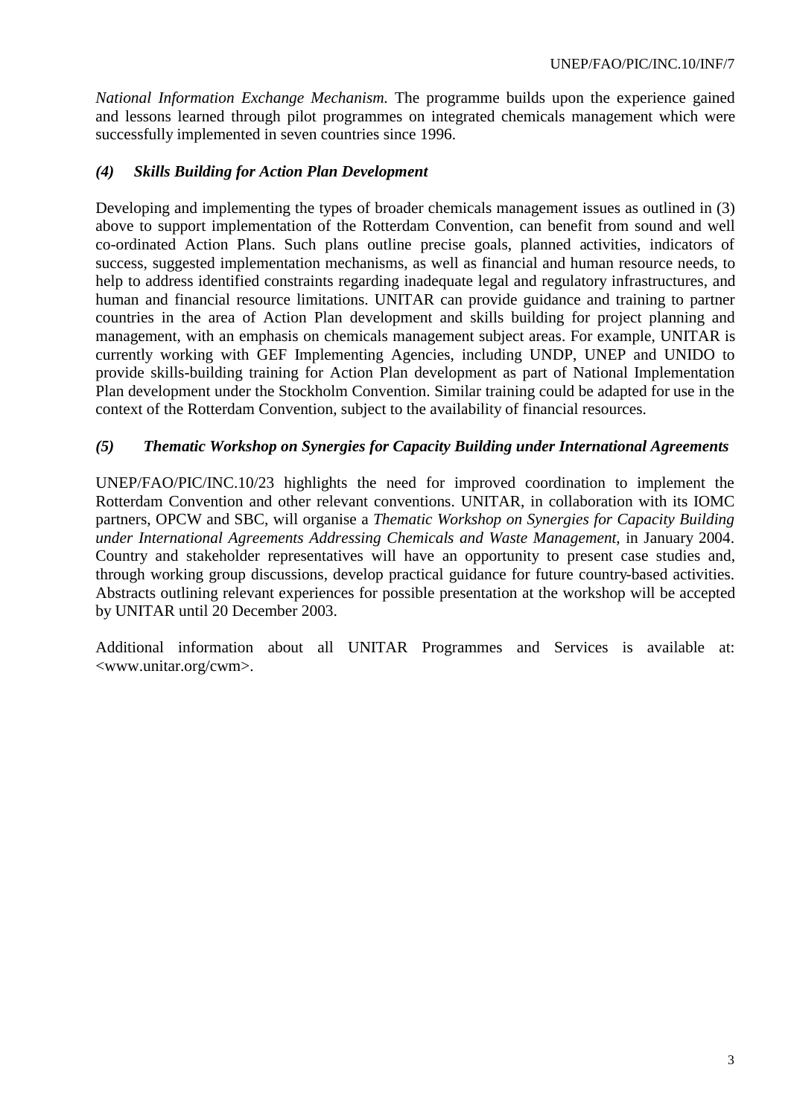*National Information Exchange Mechanism.* The programme builds upon the experience gained and lessons learned through pilot programmes on integrated chemicals management which were successfully implemented in seven countries since 1996.

# *(4) Skills Building for Action Plan Development*

Developing and implementing the types of broader chemicals management issues as outlined in (3) above to support implementation of the Rotterdam Convention, can benefit from sound and well co-ordinated Action Plans. Such plans outline precise goals, planned activities, indicators of success, suggested implementation mechanisms, as well as financial and human resource needs, to help to address identified constraints regarding inadequate legal and regulatory infrastructures, and human and financial resource limitations. UNITAR can provide guidance and training to partner countries in the area of Action Plan development and skills building for project planning and management, with an emphasis on chemicals management subject areas. For example, UNITAR is currently working with GEF Implementing Agencies, including UNDP, UNEP and UNIDO to provide skills-building training for Action Plan development as part of National Implementation Plan development under the Stockholm Convention. Similar training could be adapted for use in the context of the Rotterdam Convention, subject to the availability of financial resources.

# *(5) Thematic Workshop on Synergies for Capacity Building under International Agreements*

UNEP/FAO/PIC/INC.10/23 highlights the need for improved coordination to implement the Rotterdam Convention and other relevant conventions. UNITAR, in collaboration with its IOMC partners, OPCW and SBC, will organise a *Thematic Workshop on Synergies for Capacity Building under International Agreements Addressing Chemicals and Waste Management*, in January 2004. Country and stakeholder representatives will have an opportunity to present case studies and, through working group discussions, develop practical guidance for future country-based activities. Abstracts outlining relevant experiences for possible presentation at the workshop will be accepted by UNITAR until 20 December 2003.

Additional information about all UNITAR Programmes and Services is available at: <www.unitar.org/cwm>.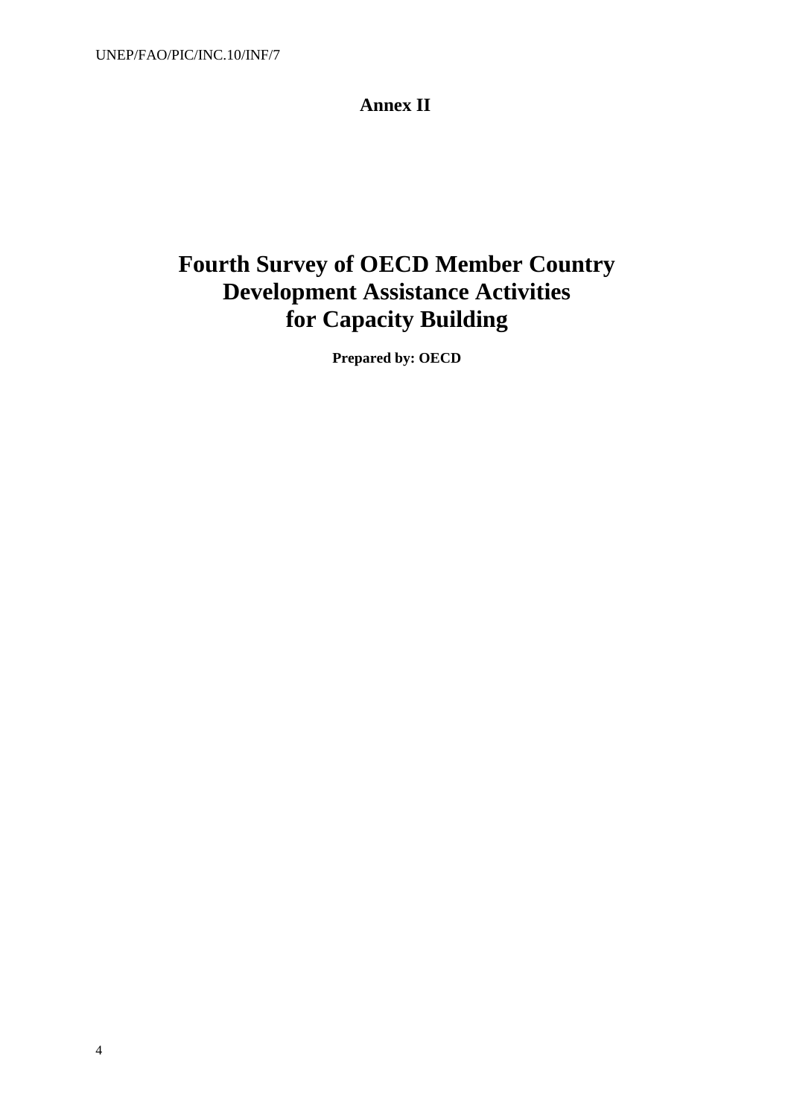# **Annex II**

# **Fourth Survey of OECD Member Country Development Assistance Activities for Capacity Building**

**Prepared by: OECD**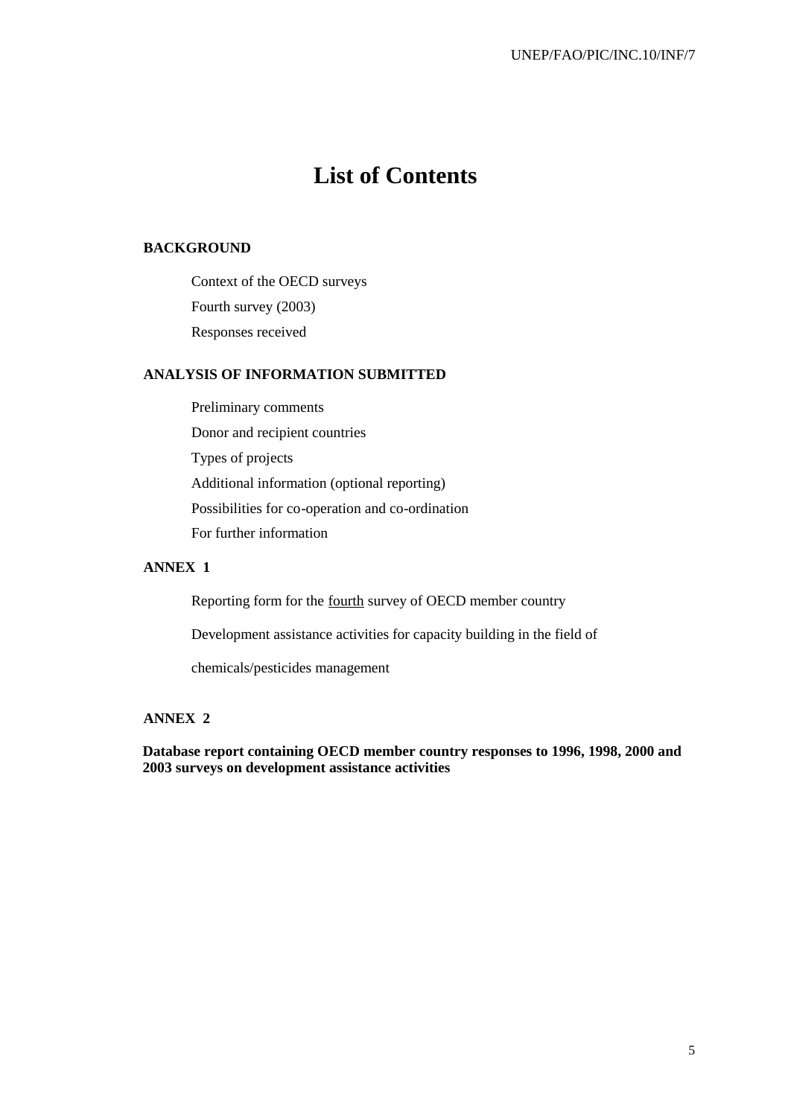# **List of Contents**

#### **BACKGROUND**

Context of the OECD surveys Fourth survey (2003) Responses received

#### **ANALYSIS OF INFORMATION SUBMITTED**

Preliminary comments Donor and recipient countries Types of projects Additional information (optional reporting) Possibilities for co-operation and co-ordination For further information

# **ANNEX 1**

Reporting form for the fourth survey of OECD member country

Development assistance activities for capacity building in the field of

chemicals/pesticides management

# **ANNEX 2**

**Database report containing OECD member country responses to 1996, 1998, 2000 and 2003 surveys on development assistance activities**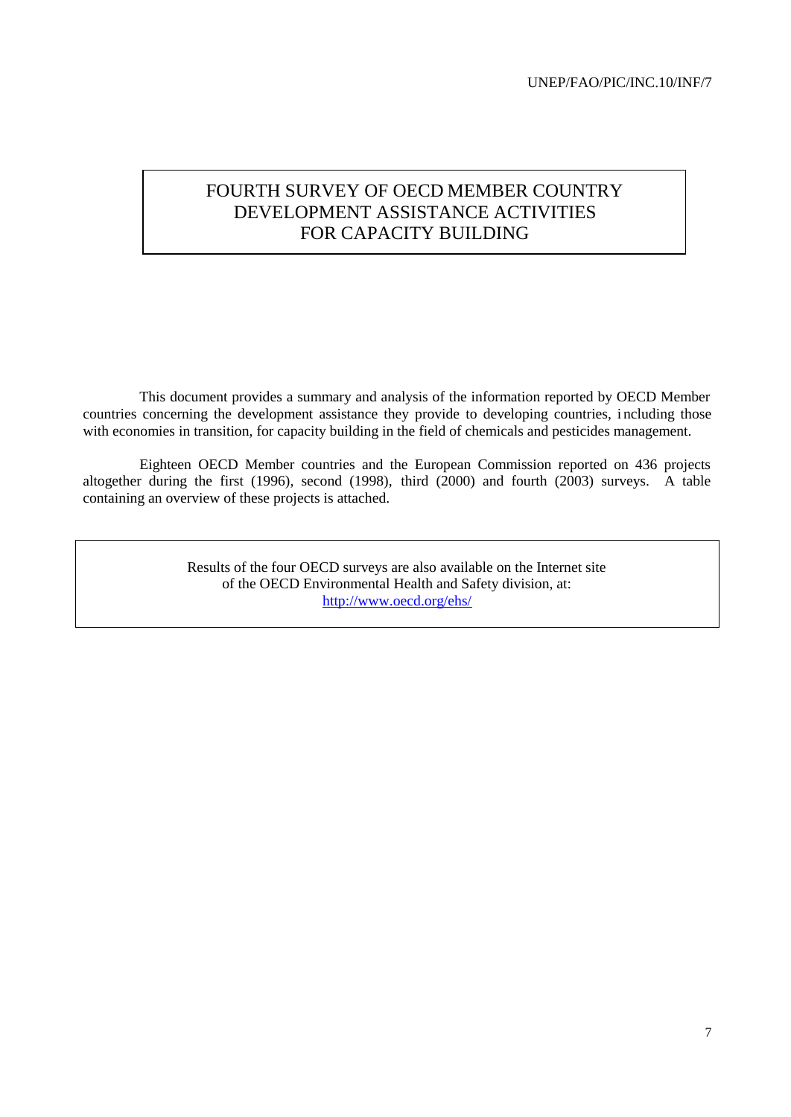# FOURTH SURVEY OF OECD MEMBER COUNTRY DEVELOPMENT ASSISTANCE ACTIVITIES FOR CAPACITY BUILDING

This document provides a summary and analysis of the information reported by OECD Member countries concerning the development assistance they provide to developing countries, i ncluding those with economies in transition, for capacity building in the field of chemicals and pesticides management.

Eighteen OECD Member countries and the European Commission reported on 436 projects altogether during the first (1996), second (1998), third (2000) and fourth (2003) surveys. A table containing an overview of these projects is attached.

> Results of the four OECD surveys are also available on the Internet site of the OECD Environmental Health and Safety division, at: http://www.oecd.org/ehs/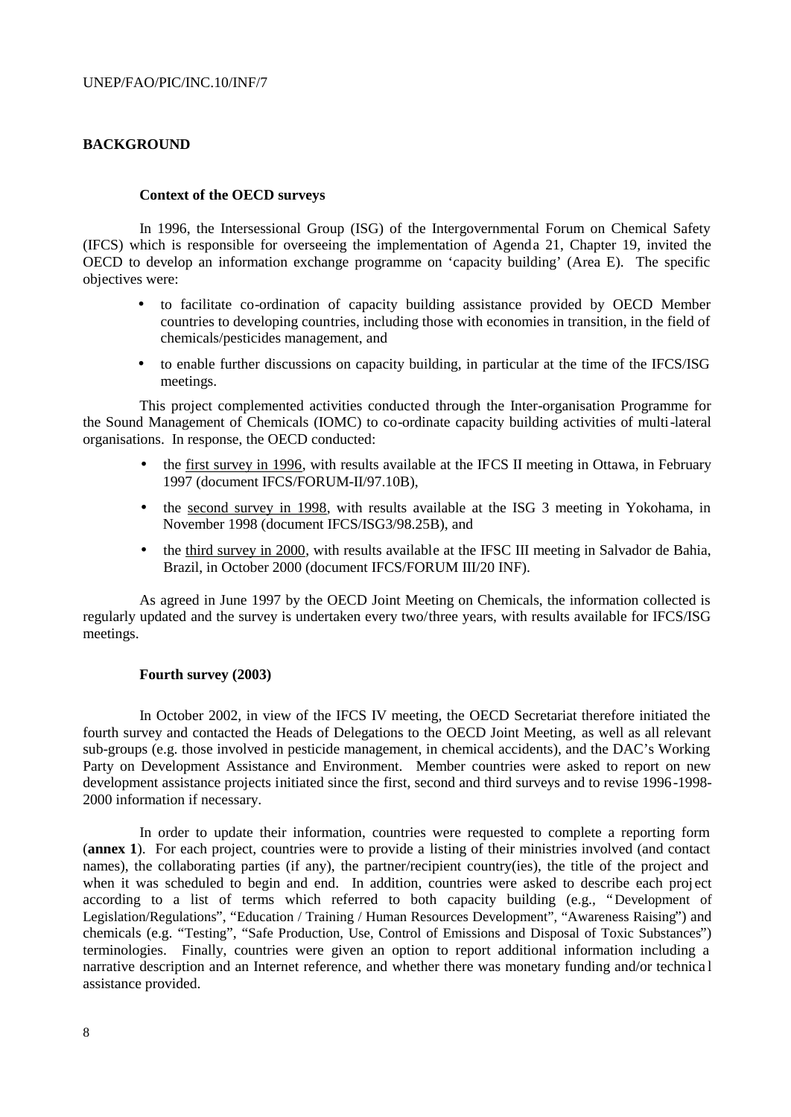#### **BACKGROUND**

#### **Context of the OECD surveys**

In 1996, the Intersessional Group (ISG) of the Intergovernmental Forum on Chemical Safety (IFCS) which is responsible for overseeing the implementation of Agenda 21, Chapter 19, invited the OECD to develop an information exchange programme on 'capacity building' (Area E). The specific objectives were:

- to facilitate co-ordination of capacity building assistance provided by OECD Member countries to developing countries, including those with economies in transition, in the field of chemicals/pesticides management, and
- to enable further discussions on capacity building, in particular at the time of the IFCS/ISG meetings.

This project complemented activities conducted through the Inter-organisation Programme for the Sound Management of Chemicals (IOMC) to co-ordinate capacity building activities of multi-lateral organisations. In response, the OECD conducted:

- the first survey in 1996, with results available at the IFCS II meeting in Ottawa, in February 1997 (document IFCS/FORUM-II/97.10B),
- the second survey in 1998, with results available at the ISG 3 meeting in Yokohama, in November 1998 (document IFCS/ISG3/98.25B), and
- the third survey in 2000, with results available at the IFSC III meeting in Salvador de Bahia, Brazil, in October 2000 (document IFCS/FORUM III/20 INF).

As agreed in June 1997 by the OECD Joint Meeting on Chemicals, the information collected is regularly updated and the survey is undertaken every two/three years, with results available for IFCS/ISG meetings.

#### **Fourth survey (2003)**

In October 2002, in view of the IFCS IV meeting, the OECD Secretariat therefore initiated the fourth survey and contacted the Heads of Delegations to the OECD Joint Meeting, as well as all relevant sub-groups (e.g. those involved in pesticide management, in chemical accidents), and the DAC's Working Party on Development Assistance and Environment. Member countries were asked to report on new development assistance projects initiated since the first, second and third surveys and to revise 1996-1998- 2000 information if necessary.

In order to update their information, countries were requested to complete a reporting form (**annex 1**). For each project, countries were to provide a listing of their ministries involved (and contact names), the collaborating parties (if any), the partner/recipient country(ies), the title of the project and when it was scheduled to begin and end. In addition, countries were asked to describe each project according to a list of terms which referred to both capacity building (e.g., "Development of Legislation/Regulations", "Education / Training / Human Resources Development", "Awareness Raising") and chemicals (e.g. "Testing", "Safe Production, Use, Control of Emissions and Disposal of Toxic Substances") terminologies. Finally, countries were given an option to report additional information including a narrative description and an Internet reference, and whether there was monetary funding and/or technica l assistance provided.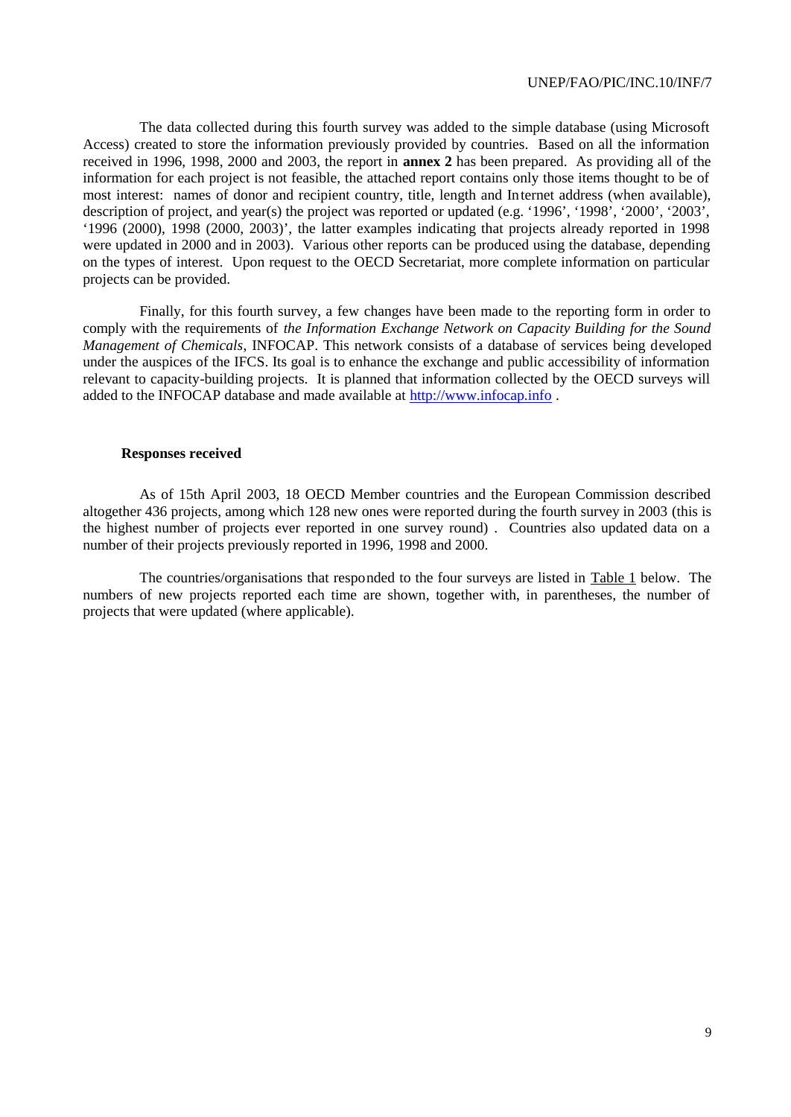The data collected during this fourth survey was added to the simple database (using Microsoft Access) created to store the information previously provided by countries. Based on all the information received in 1996, 1998, 2000 and 2003, the report in **annex 2** has been prepared. As providing all of the information for each project is not feasible, the attached report contains only those items thought to be of most interest: names of donor and recipient country, title, length and Internet address (when available), description of project, and year(s) the project was reported or updated (e.g. '1996', '1998', '2000', '2003', '1996 (2000), 1998 (2000, 2003)', the latter examples indicating that projects already reported in 1998 were updated in 2000 and in 2003). Various other reports can be produced using the database, depending on the types of interest. Upon request to the OECD Secretariat, more complete information on particular projects can be provided.

Finally, for this fourth survey, a few changes have been made to the reporting form in order to comply with the requirements of *the Information Exchange Network on Capacity Building for the Sound Management of Chemicals*, INFOCAP. This network consists of a database of services being developed under the auspices of the IFCS. Its goal is to enhance the exchange and public accessibility of information relevant to capacity-building projects. It is planned that information collected by the OECD surveys will added to the INFOCAP database and made available at http://www.infocap.info .

#### **Responses received**

As of 15th April 2003, 18 OECD Member countries and the European Commission described altogether 436 projects, among which 128 new ones were reported during the fourth survey in 2003 (this is the highest number of projects ever reported in one survey round) . Countries also updated data on a number of their projects previously reported in 1996, 1998 and 2000.

The countries/organisations that responded to the four surveys are listed in Table 1 below. The numbers of new projects reported each time are shown, together with, in parentheses, the number of projects that were updated (where applicable).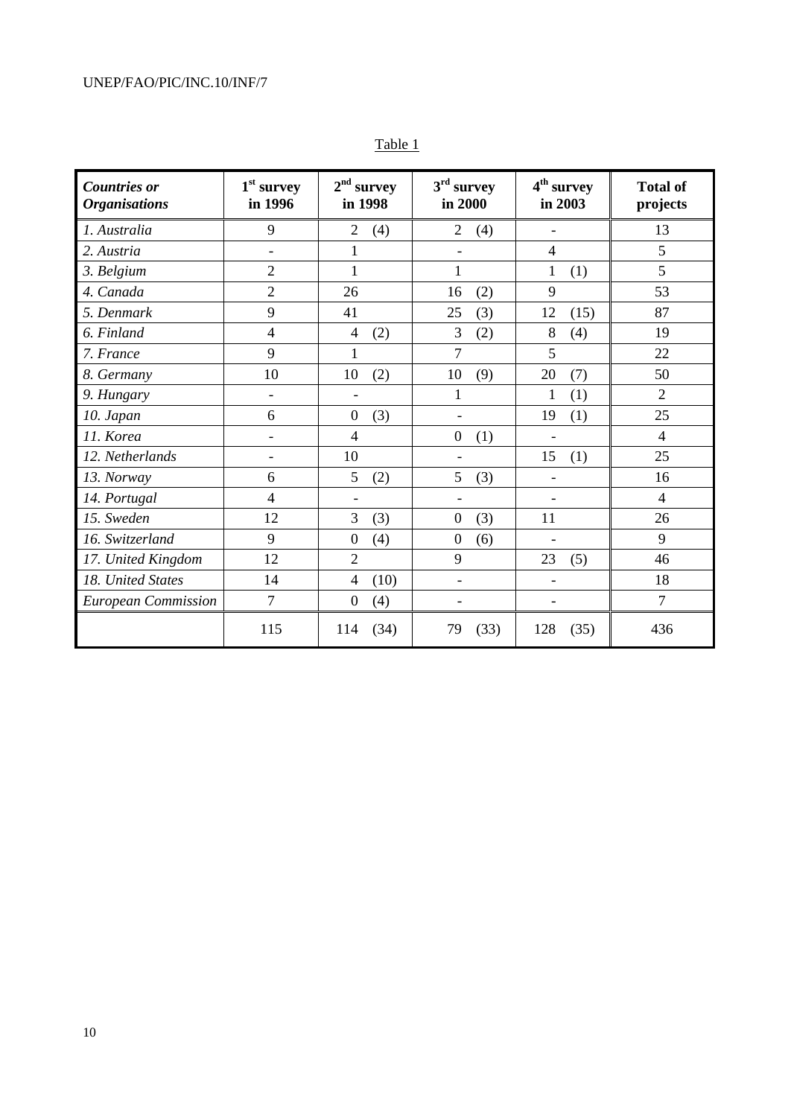| <b>Countries or</b><br><b>Organisations</b> | $1st$ survey<br>in 1996  | $2nd$ survey<br>in 1998  | $3rd$ survey<br>in 2000  | 4 <sup>th</sup> survey<br>in 2003 | <b>Total of</b><br>projects |
|---------------------------------------------|--------------------------|--------------------------|--------------------------|-----------------------------------|-----------------------------|
| 1. Australia                                | 9                        | $\overline{2}$<br>(4)    | $\overline{2}$<br>(4)    |                                   | 13                          |
| 2. Austria                                  | $\overline{\phantom{0}}$ | 1                        | $\overline{\phantom{0}}$ | $\overline{4}$                    | 5                           |
| 3. Belgium                                  | $\overline{2}$           | $\mathbf{1}$             | $\mathbf{1}$             | $\mathbf{1}$<br>(1)               | 5                           |
| 4. Canada                                   | $\overline{2}$           | 26                       | (2)<br>16                | 9                                 | 53                          |
| 5. Denmark                                  | 9                        | 41                       | 25<br>(3)                | 12<br>(15)                        | 87                          |
| 6. Finland                                  | $\overline{4}$           | $\overline{4}$<br>(2)    | 3<br>(2)                 | 8<br>(4)                          | 19                          |
| 7. France                                   | 9                        | $\mathbf{1}$             | 7                        | 5                                 | 22                          |
| 8. Germany                                  | 10                       | 10<br>(2)                | 10<br>(9)                | 20<br>(7)                         | 50                          |
| 9. Hungary                                  | $\overline{\phantom{a}}$ | $\overline{\phantom{a}}$ | $\mathbf{1}$             | (1)<br>1                          | $\overline{2}$              |
| 10. Japan                                   | 6                        | $\boldsymbol{0}$<br>(3)  | $\overline{\phantom{a}}$ | 19<br>(1)                         | 25                          |
| 11. Korea                                   | $\overline{\phantom{0}}$ | $\overline{4}$           | $\boldsymbol{0}$<br>(1)  | $\overline{a}$                    | $\overline{4}$              |
| 12. Netherlands                             |                          | 10                       |                          | 15<br>(1)                         | 25                          |
| 13. Norway                                  | 6                        | 5<br>(2)                 | 5<br>(3)                 | $\overline{\phantom{a}}$          | 16                          |
| 14. Portugal                                | $\overline{4}$           | $\overline{\phantom{a}}$ | $\overline{\phantom{a}}$ | $\overline{\phantom{a}}$          | $\overline{4}$              |
| 15. Sweden                                  | 12                       | 3<br>(3)                 | $\boldsymbol{0}$<br>(3)  | 11                                | 26                          |
| 16. Switzerland                             | 9                        | (4)<br>$\boldsymbol{0}$  | $\boldsymbol{0}$<br>(6)  | $\overline{\phantom{a}}$          | 9                           |
| 17. United Kingdom                          | 12                       | $\overline{2}$           | 9                        | 23<br>(5)                         | 46                          |
| 18. United States                           | 14                       | (10)<br>$\overline{4}$   | $\overline{\phantom{a}}$ | $\blacksquare$                    | 18                          |
| <b>European Commission</b>                  | 7                        | $\boldsymbol{0}$<br>(4)  | $\overline{\phantom{a}}$ | $\overline{\phantom{a}}$          | $\overline{7}$              |
|                                             | 115                      | (34)<br>114              | (33)<br>79               | (35)<br>128                       | 436                         |

Table 1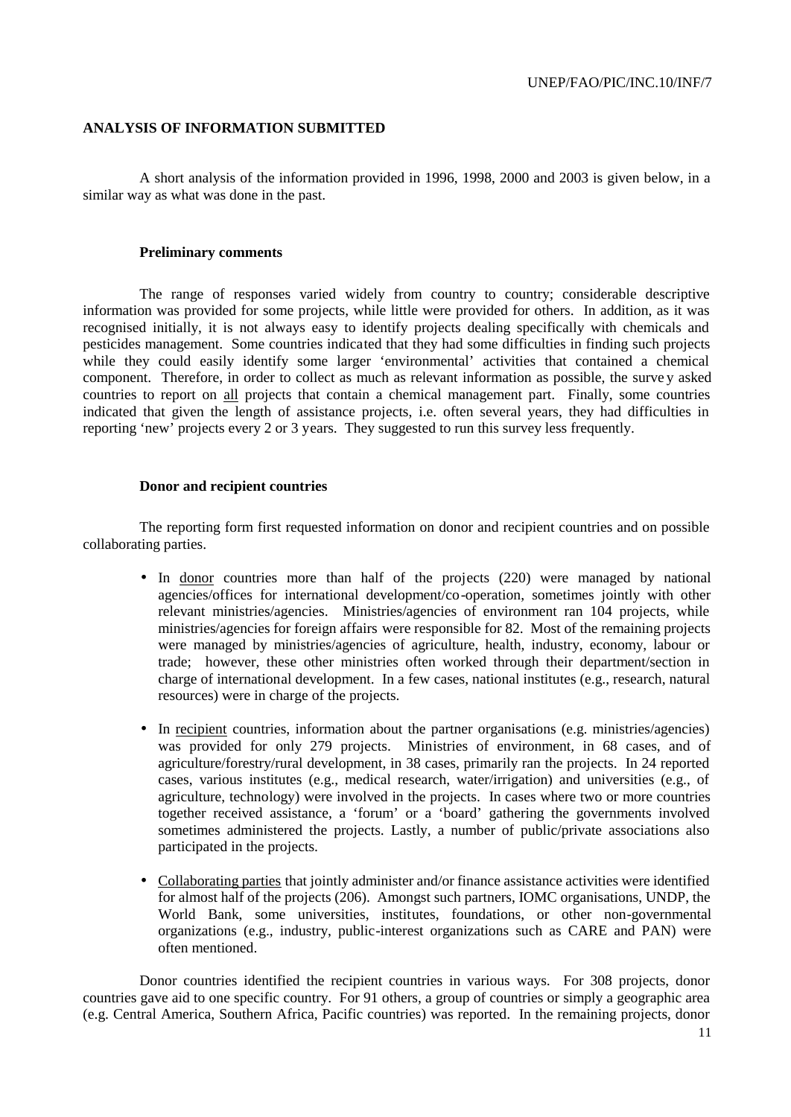#### **ANALYSIS OF INFORMATION SUBMITTED**

A short analysis of the information provided in 1996, 1998, 2000 and 2003 is given below, in a similar way as what was done in the past.

#### **Preliminary comments**

The range of responses varied widely from country to country; considerable descriptive information was provided for some projects, while little were provided for others. In addition, as it was recognised initially, it is not always easy to identify projects dealing specifically with chemicals and pesticides management. Some countries indicated that they had some difficulties in finding such projects while they could easily identify some larger 'environmental' activities that contained a chemical component. Therefore, in order to collect as much as relevant information as possible, the surve y asked countries to report on all projects that contain a chemical management part. Finally, some countries indicated that given the length of assistance projects, i.e. often several years, they had difficulties in reporting 'new' projects every 2 or 3 years. They suggested to run this survey less frequently.

#### **Donor and recipient countries**

The reporting form first requested information on donor and recipient countries and on possible collaborating parties.

- In donor countries more than half of the projects (220) were managed by national agencies/offices for international development/co-operation, sometimes jointly with other relevant ministries/agencies. Ministries/agencies of environment ran 104 projects, while ministries/agencies for foreign affairs were responsible for 82. Most of the remaining projects were managed by ministries/agencies of agriculture, health, industry, economy, labour or trade; however, these other ministries often worked through their department/section in charge of international development. In a few cases, national institutes (e.g., research, natural resources) were in charge of the projects.
- In recipient countries, information about the partner organisations (e.g. ministries/agencies) was provided for only 279 projects. Ministries of environment, in 68 cases, and of agriculture/forestry/rural development, in 38 cases, primarily ran the projects. In 24 reported cases, various institutes (e.g., medical research, water/irrigation) and universities (e.g., of agriculture, technology) were involved in the projects. In cases where two or more countries together received assistance, a 'forum' or a 'board' gathering the governments involved sometimes administered the projects. Lastly, a number of public/private associations also participated in the projects.
- Collaborating parties that jointly administer and/or finance assistance activities were identified for almost half of the projects (206). Amongst such partners, IOMC organisations, UNDP, the World Bank, some universities, institutes, foundations, or other non-governmental organizations (e.g., industry, public-interest organizations such as CARE and PAN) were often mentioned.

Donor countries identified the recipient countries in various ways. For 308 projects, donor countries gave aid to one specific country. For 91 others, a group of countries or simply a geographic area (e.g. Central America, Southern Africa, Pacific countries) was reported. In the remaining projects, donor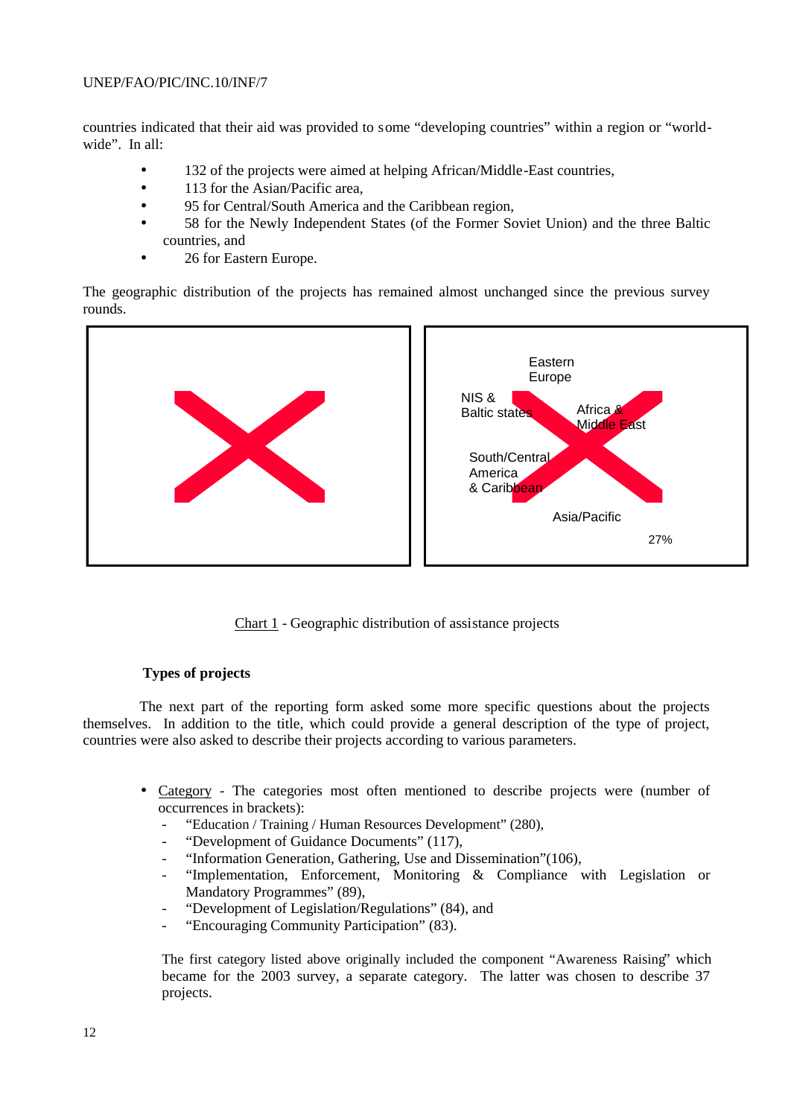countries indicated that their aid was provided to some "developing countries" within a region or "worldwide". In all:

- 132 of the projects were aimed at helping African/Middle-East countries,
- 113 for the Asian/Pacific area,
- 95 for Central/South America and the Caribbean region,
- 58 for the Newly Independent States (of the Former Soviet Union) and the three Baltic countries, and
- 26 for Eastern Europe.

The geographic distribution of the projects has remained almost unchanged since the previous survey rounds.



Chart 1 - Geographic distribution of assistance projects

#### **Types of projects**

The next part of the reporting form asked some more specific questions about the projects themselves. In addition to the title, which could provide a general description of the type of project, countries were also asked to describe their projects according to various parameters.

- Category The categories most often mentioned to describe projects were (number of occurrences in brackets):
	- "Education / Training / Human Resources Development" (280),
	- "Development of Guidance Documents" (117),
	- "Information Generation, Gathering, Use and Dissemination"(106),
	- "Implementation, Enforcement, Monitoring & Compliance with Legislation or Mandatory Programmes" (89),
	- "Development of Legislation/Regulations" (84), and
	- "Encouraging Community Participation" (83).

The first category listed above originally included the component "Awareness Raising" which became for the 2003 survey, a separate category. The latter was chosen to describe 37 projects.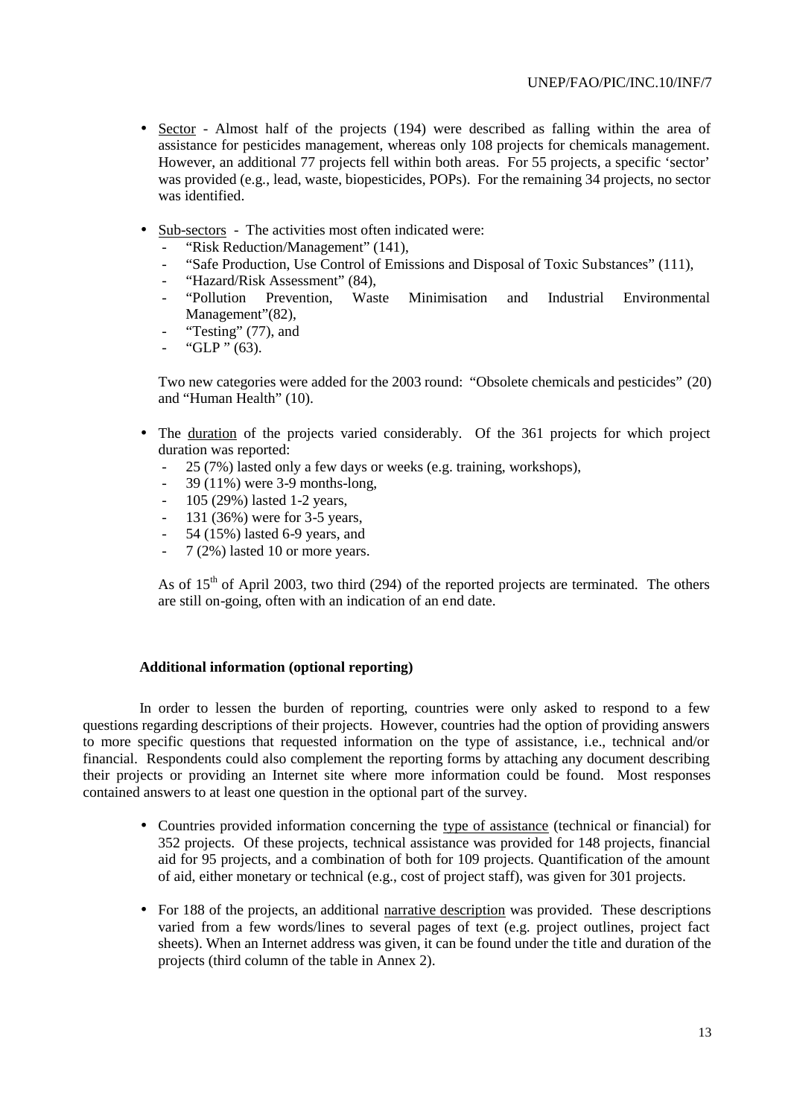- Sector Almost half of the projects (194) were described as falling within the area of assistance for pesticides management, whereas only 108 projects for chemicals management. However, an additional 77 projects fell within both areas. For 55 projects, a specific 'sector' was provided (e.g., lead, waste, biopesticides, POPs). For the remaining 34 projects, no sector was identified.
- Sub-sectors The activities most often indicated were:
	- "Risk Reduction/Management" (141),
	- "Safe Production, Use Control of Emissions and Disposal of Toxic Substances" (111),
	- "Hazard/Risk Assessment" (84),
	- "Pollution Prevention, Waste Minimisation and Industrial Environmental Management"(82),
	- "Testing" (77), and
	- " $GLP$ " (63).

Two new categories were added for the 2003 round: "Obsolete chemicals and pesticides" (20) and "Human Health" (10).

- The duration of the projects varied considerably. Of the 361 projects for which project duration was reported:
	- 25 (7%) lasted only a few days or weeks (e.g. training, workshops),
	- 39 (11%) were 3-9 months-long,
	- 105 (29%) lasted 1-2 years,
	- 131 (36%) were for 3-5 years,
	- 54 (15%) lasted 6-9 years, and
	- 7 (2%) lasted 10 or more years.

As of  $15<sup>th</sup>$  of April 2003, two third (294) of the reported projects are terminated. The others are still on-going, often with an indication of an end date.

#### **Additional information (optional reporting)**

In order to lessen the burden of reporting, countries were only asked to respond to a few questions regarding descriptions of their projects. However, countries had the option of providing answers to more specific questions that requested information on the type of assistance, i.e., technical and/or financial. Respondents could also complement the reporting forms by attaching any document describing their projects or providing an Internet site where more information could be found. Most responses contained answers to at least one question in the optional part of the survey.

- Countries provided information concerning the type of assistance (technical or financial) for 352 projects. Of these projects, technical assistance was provided for 148 projects, financial aid for 95 projects, and a combination of both for 109 projects. Quantification of the amount of aid, either monetary or technical (e.g., cost of project staff), was given for 301 projects.
- For 188 of the projects, an additional narrative description was provided. These descriptions varied from a few words/lines to several pages of text (e.g. project outlines, project fact sheets). When an Internet address was given, it can be found under the title and duration of the projects (third column of the table in Annex 2).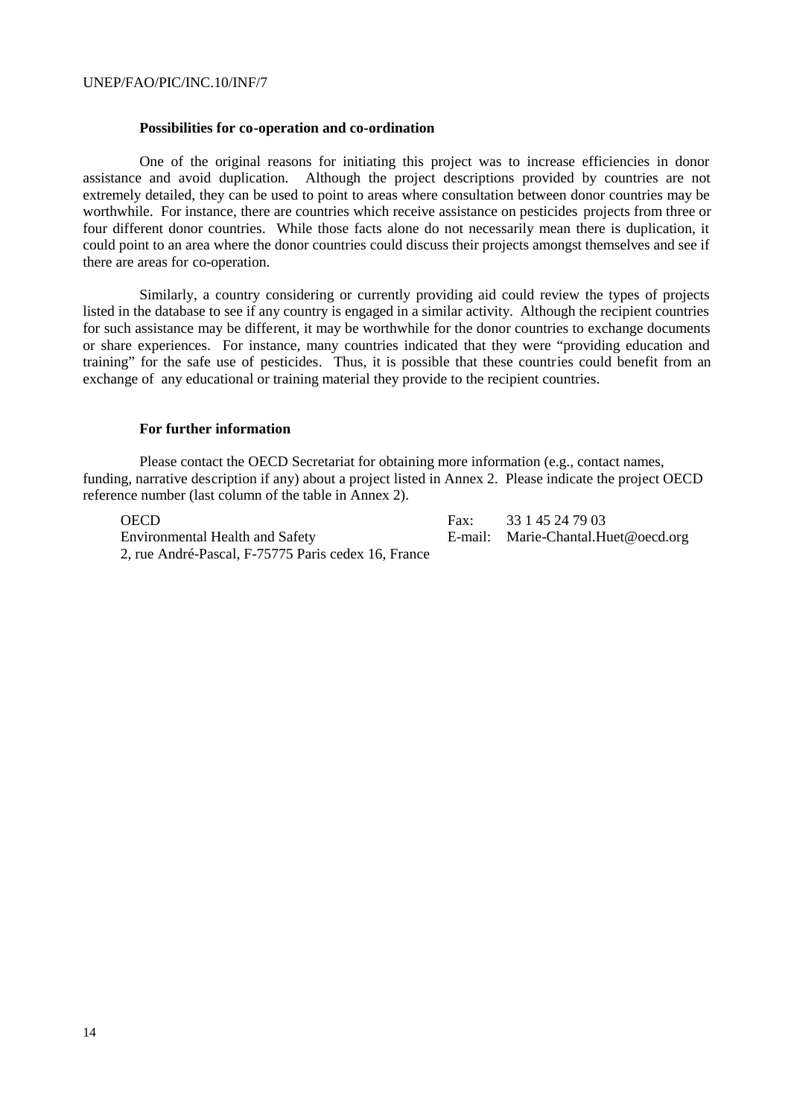#### **Possibilities for co-operation and co-ordination**

One of the original reasons for initiating this project was to increase efficiencies in donor assistance and avoid duplication. Although the project descriptions provided by countries are not extremely detailed, they can be used to point to areas where consultation between donor countries may be worthwhile. For instance, there are countries which receive assistance on pesticides projects from three or four different donor countries. While those facts alone do not necessarily mean there is duplication, it could point to an area where the donor countries could discuss their projects amongst themselves and see if there are areas for co-operation.

Similarly, a country considering or currently providing aid could review the types of projects listed in the database to see if any country is engaged in a similar activity. Although the recipient countries for such assistance may be different, it may be worthwhile for the donor countries to exchange documents or share experiences. For instance, many countries indicated that they were "providing education and training" for the safe use of pesticides. Thus, it is possible that these countries could benefit from an exchange of any educational or training material they provide to the recipient countries.

#### **For further information**

Please contact the OECD Secretariat for obtaining more information (e.g., contact names, funding, narrative description if any) about a project listed in Annex 2. Please indicate the project OECD reference number (last column of the table in Annex 2).

Environmental Health and Safety E-mail: Marie-Chantal.Huet@oecd.org 2, rue André-Pascal, F-75775 Paris cedex 16, France

OECD Fax: 33 1 45 24 79 03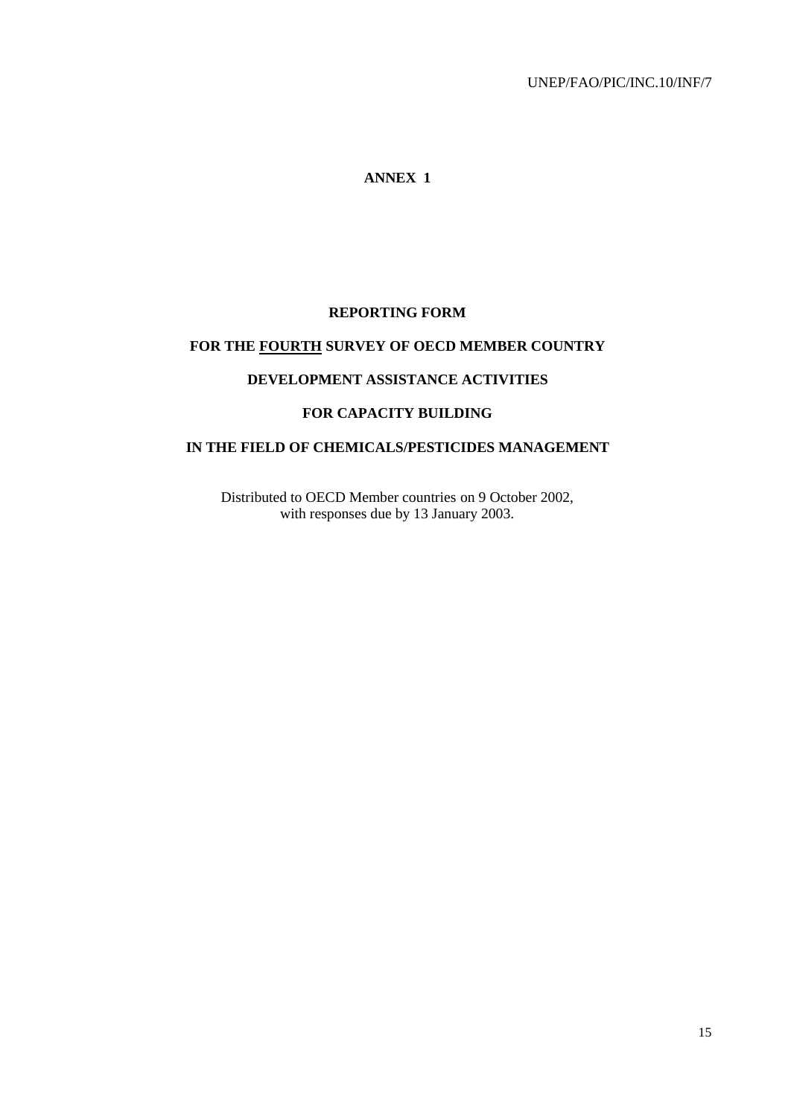# **ANNEX 1**

## **REPORTING FORM**

# **FOR THE FOURTH SURVEY OF OECD MEMBER COUNTRY**

## **DEVELOPMENT ASSISTANCE ACTIVITIES**

#### **FOR CAPACITY BUILDING**

# **IN THE FIELD OF CHEMICALS/PESTICIDES MANAGEMENT**

Distributed to OECD Member countries on 9 October 2002, with responses due by 13 January 2003.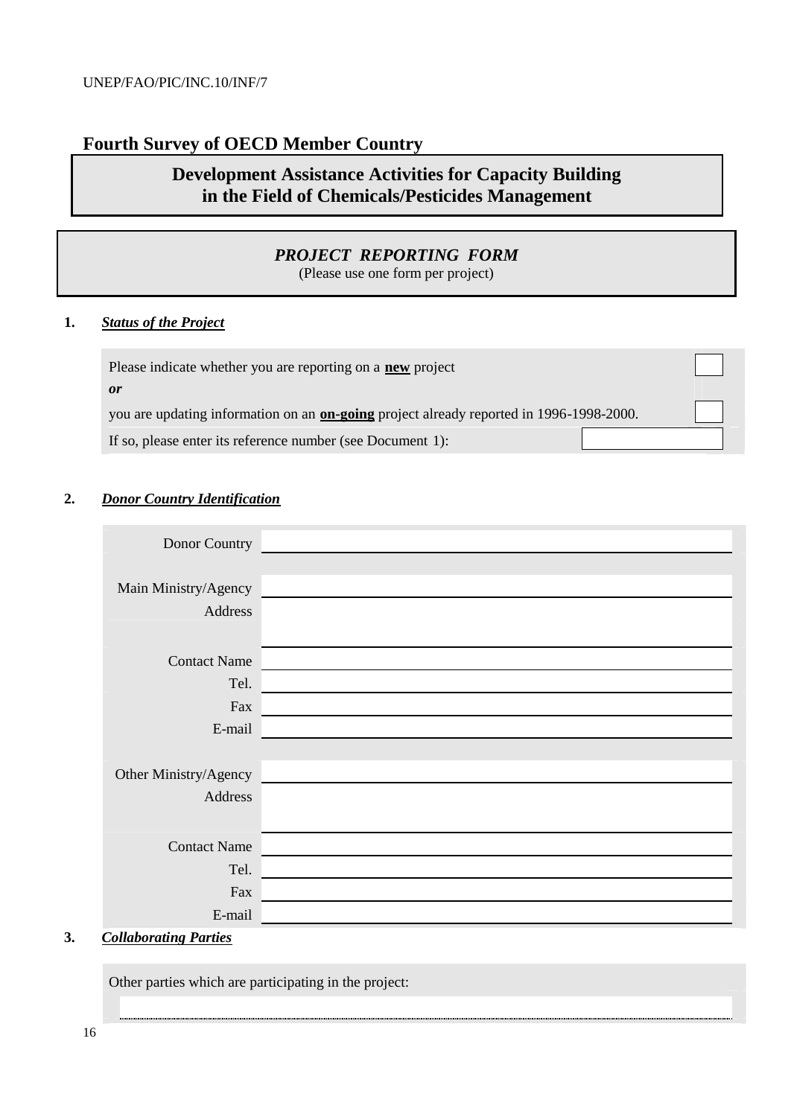# **Fourth Survey of OECD Member Country**

# **Development Assistance Activities for Capacity Building in the Field of Chemicals/Pesticides Management**

# *PROJECT REPORTING FORM*

(Please use one form per project)

# **1.** *Status of the Project*

| Please indicate whether you are reporting on a <b>new</b> project                              |  |
|------------------------------------------------------------------------------------------------|--|
| <sub>or</sub>                                                                                  |  |
| you are updating information on an <b>on-going</b> project already reported in 1996-1998-2000. |  |
| If so, please enter its reference number (see Document 1):                                     |  |

# **2.** *Donor Country Identification*

| Donor Country         |  |
|-----------------------|--|
|                       |  |
| Main Ministry/Agency  |  |
| Address               |  |
|                       |  |
| <b>Contact Name</b>   |  |
| Tel.                  |  |
| Fax                   |  |
| E-mail                |  |
|                       |  |
| Other Ministry/Agency |  |
| Address               |  |
|                       |  |
| <b>Contact Name</b>   |  |
| Tel.                  |  |
| Fax                   |  |
| E-mail                |  |

#### **3.** *Collaborating Parties*

Other parties which are participating in the project: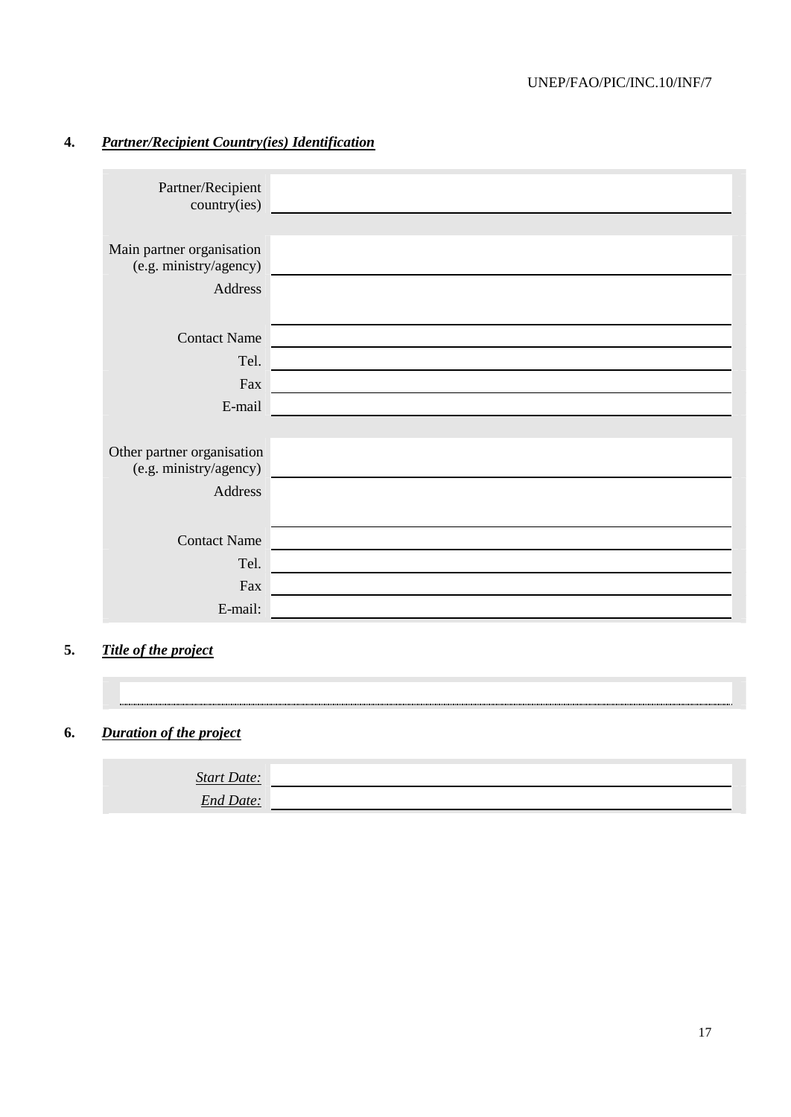# **4.** *Partner/Recipient Country(ies) Identification*

| Partner/Recipient<br>country(ies)                              |  |
|----------------------------------------------------------------|--|
| Main partner organisation<br>(e.g. ministry/agency)<br>Address |  |
| <b>Contact Name</b>                                            |  |
| Tel.                                                           |  |
| Fax                                                            |  |
| E-mail                                                         |  |
|                                                                |  |
| Other partner organisation<br>(e.g. ministry/agency)           |  |
| Address                                                        |  |
|                                                                |  |
| <b>Contact Name</b>                                            |  |
| Tel.                                                           |  |
| Fax                                                            |  |
| E-mail:                                                        |  |

# **5.** *Title of the project*

# **6.** *Duration of the project*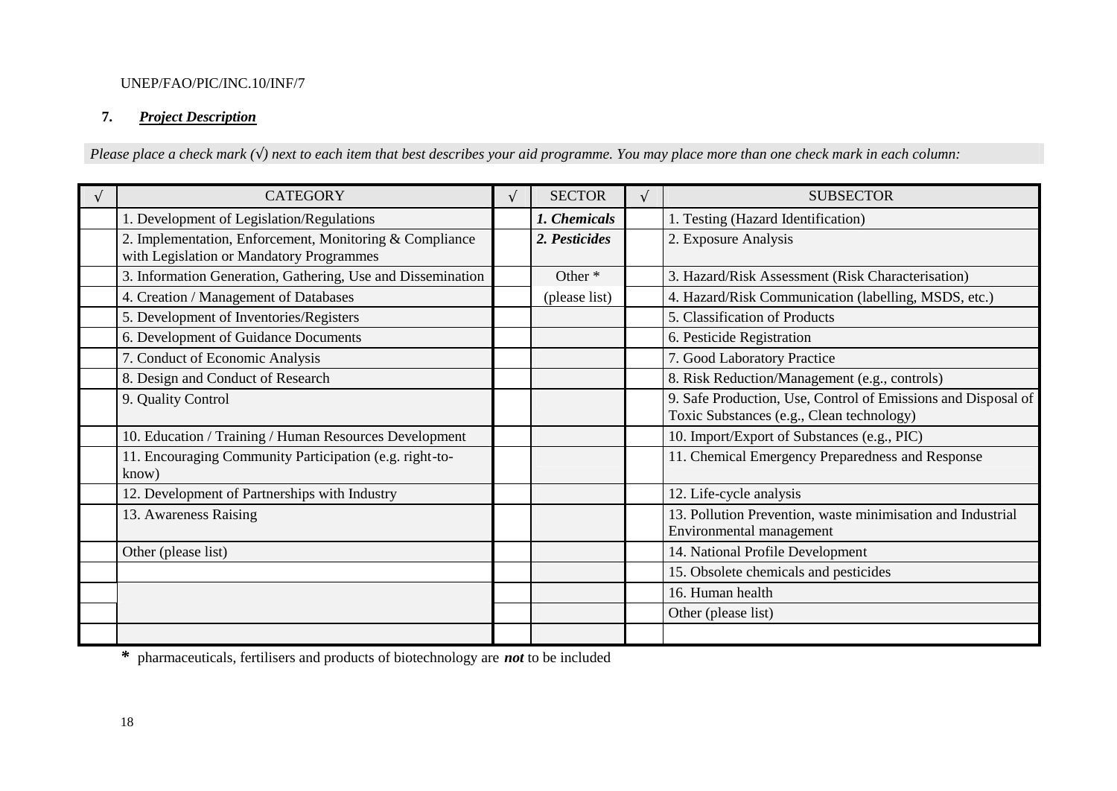# **7.** *Project Description*

*Please place a check mark (*√*) next to each item that best describes your aid programme. You may place more than one check mark in each column:*

| $\sqrt{ }$ | <b>CATEGORY</b>                                                                                     | $\mathcal{N}$ | <b>SECTOR</b> | <b>SUBSECTOR</b>                                                                                           |
|------------|-----------------------------------------------------------------------------------------------------|---------------|---------------|------------------------------------------------------------------------------------------------------------|
|            | 1. Development of Legislation/Regulations                                                           |               | 1. Chemicals  | 1. Testing (Hazard Identification)                                                                         |
|            | 2. Implementation, Enforcement, Monitoring & Compliance<br>with Legislation or Mandatory Programmes |               | 2. Pesticides | 2. Exposure Analysis                                                                                       |
|            | 3. Information Generation, Gathering, Use and Dissemination                                         |               | Other *       | 3. Hazard/Risk Assessment (Risk Characterisation)                                                          |
|            | 4. Creation / Management of Databases                                                               |               | (please list) | 4. Hazard/Risk Communication (labelling, MSDS, etc.)                                                       |
|            | 5. Development of Inventories/Registers                                                             |               |               | 5. Classification of Products                                                                              |
|            | 6. Development of Guidance Documents                                                                |               |               | 6. Pesticide Registration                                                                                  |
|            | 7. Conduct of Economic Analysis                                                                     |               |               | 7. Good Laboratory Practice                                                                                |
|            | 8. Design and Conduct of Research                                                                   |               |               | 8. Risk Reduction/Management (e.g., controls)                                                              |
|            | 9. Quality Control                                                                                  |               |               | 9. Safe Production, Use, Control of Emissions and Disposal of<br>Toxic Substances (e.g., Clean technology) |
|            | 10. Education / Training / Human Resources Development                                              |               |               | 10. Import/Export of Substances (e.g., PIC)                                                                |
|            | 11. Encouraging Community Participation (e.g. right-to-<br>know)                                    |               |               | 11. Chemical Emergency Preparedness and Response                                                           |
|            | 12. Development of Partnerships with Industry                                                       |               |               | 12. Life-cycle analysis                                                                                    |
|            | 13. Awareness Raising                                                                               |               |               | 13. Pollution Prevention, waste minimisation and Industrial<br>Environmental management                    |
|            | Other (please list)                                                                                 |               |               | 14. National Profile Development                                                                           |
|            |                                                                                                     |               |               | 15. Obsolete chemicals and pesticides                                                                      |
|            |                                                                                                     |               |               | 16. Human health                                                                                           |
|            |                                                                                                     |               |               | Other (please list)                                                                                        |
|            |                                                                                                     |               |               |                                                                                                            |

*\** pharmaceuticals, fertilisers and products of biotechnology are *not* to be included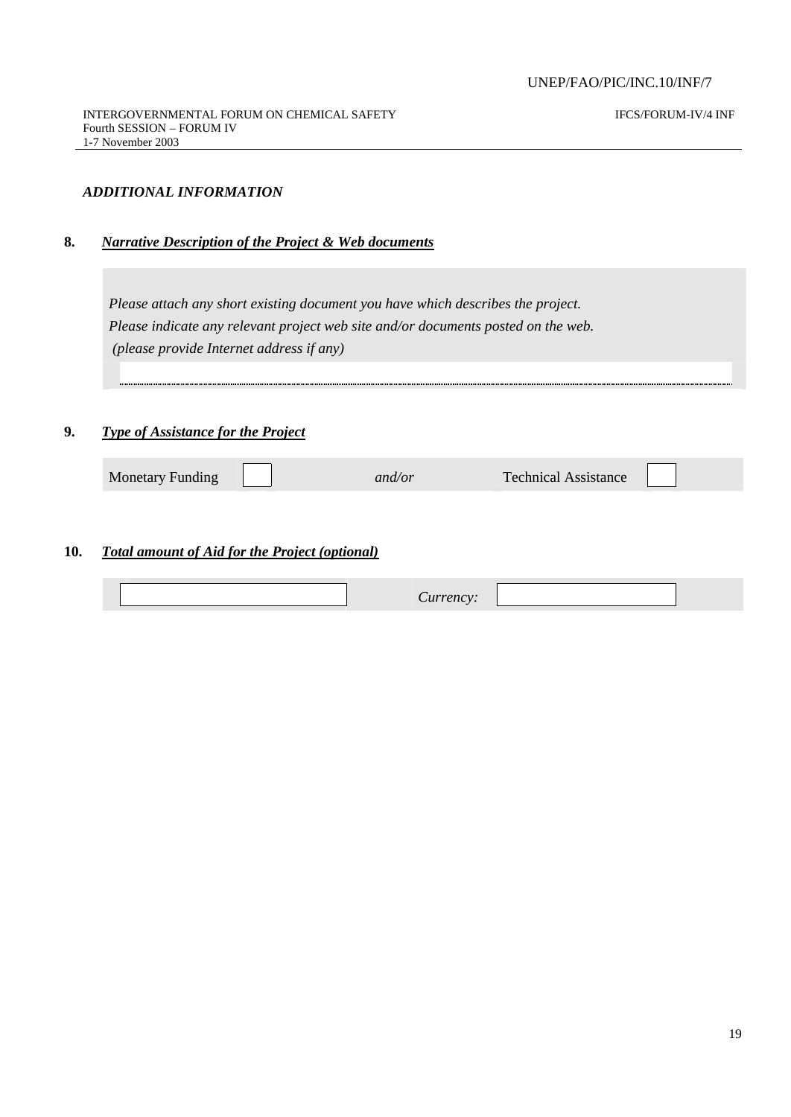IFCS/FORUM-IV/4 INF

#### *ADDITIONAL INFORMATION*

#### **8.** *Narrative Description of the Project & Web documents*

*Please attach any short existing document you have which describes the project. Please indicate any relevant project web site and/or documents posted on the web. (please provide Internet address if any)*

#### **9.** *Type of Assistance for the Project*

Monetary Funding **and/or** Technical Assistance

# **10.** *Total amount of Aid for the Project (optional)*

| , , , , , , , , <u>, , ,</u> |
|------------------------------|
|------------------------------|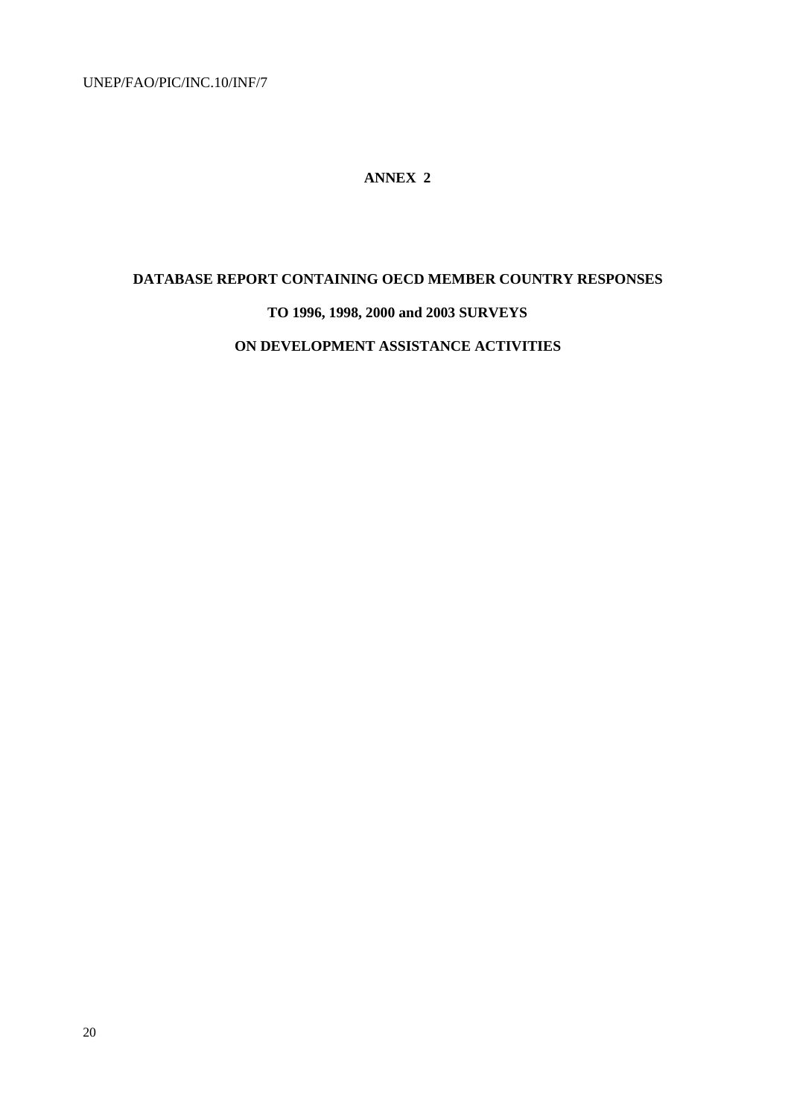#### **ANNEX 2**

#### **DATABASE REPORT CONTAINING OECD MEMBER COUNTRY RESPONSES**

# **TO 1996, 1998, 2000 and 2003 SURVEYS**

#### **ON DEVELOPMENT ASSISTANCE ACTIVITIES**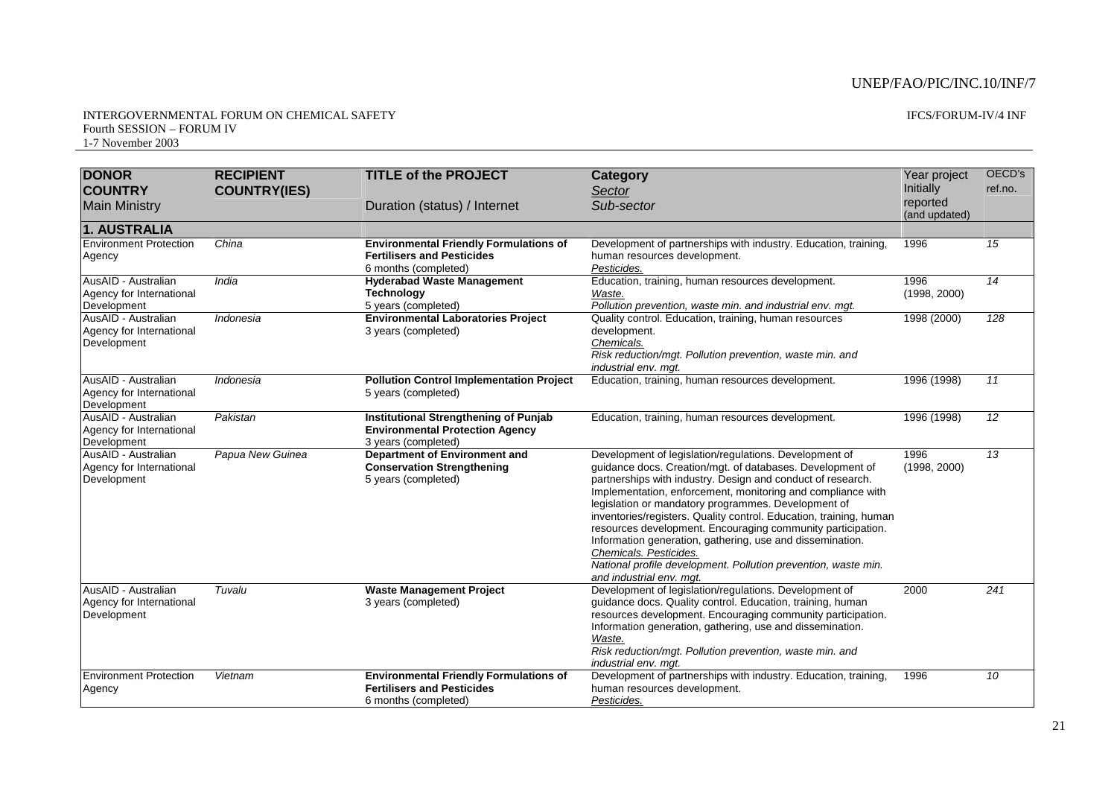#### INTERGOVERNMENTAL FORUM ON CHEMICAL SAFETY Fourth SESSION – FORUM IV 1-7 November 2003

#### IFCS/FORUM-IV/4 INF

| <b>DONOR</b>                                                   | <b>RECIPIENT</b>    | <b>TITLE of the PROJECT</b>                                                                                   | Category                                                                                                                                                                                                                                                                                                                                                                                                                                                                                                                                                                                                                           | Year project              | OECD's          |
|----------------------------------------------------------------|---------------------|---------------------------------------------------------------------------------------------------------------|------------------------------------------------------------------------------------------------------------------------------------------------------------------------------------------------------------------------------------------------------------------------------------------------------------------------------------------------------------------------------------------------------------------------------------------------------------------------------------------------------------------------------------------------------------------------------------------------------------------------------------|---------------------------|-----------------|
| <b>COUNTRY</b>                                                 | <b>COUNTRY(IES)</b> |                                                                                                               | Sector                                                                                                                                                                                                                                                                                                                                                                                                                                                                                                                                                                                                                             | Initially                 | ref.no.         |
| <b>Main Ministry</b>                                           |                     | Duration (status) / Internet                                                                                  | Sub-sector                                                                                                                                                                                                                                                                                                                                                                                                                                                                                                                                                                                                                         | reported<br>(and updated) |                 |
| 1. AUSTRALIA                                                   |                     |                                                                                                               |                                                                                                                                                                                                                                                                                                                                                                                                                                                                                                                                                                                                                                    |                           |                 |
| <b>Environment Protection</b><br>Agency                        | China               | <b>Environmental Friendly Formulations of</b><br><b>Fertilisers and Pesticides</b><br>6 months (completed)    | Development of partnerships with industry. Education, training,<br>human resources development.<br>Pesticides.                                                                                                                                                                                                                                                                                                                                                                                                                                                                                                                     | 1996                      | 15              |
| AusAID - Australian<br>Agency for International<br>Development | India               | <b>Hyderabad Waste Management</b><br><b>Technology</b><br>5 years (completed)                                 | Education, training, human resources development.<br>Waste.<br>Pollution prevention, waste min. and industrial env. mgt.                                                                                                                                                                                                                                                                                                                                                                                                                                                                                                           | 1996<br>(1998, 2000)      | 14              |
| AusAID - Australian<br>Agency for International<br>Development | Indonesia           | <b>Environmental Laboratories Project</b><br>3 years (completed)                                              | Quality control. Education, training, human resources<br>development.<br>Chemicals.<br>Risk reduction/mgt. Pollution prevention, waste min. and<br>industrial env. mgt.                                                                                                                                                                                                                                                                                                                                                                                                                                                            | 1998 (2000)               | 128             |
| AusAID - Australian<br>Agency for International<br>Development | Indonesia           | <b>Pollution Control Implementation Project</b><br>5 years (completed)                                        | Education, training, human resources development.                                                                                                                                                                                                                                                                                                                                                                                                                                                                                                                                                                                  | 1996 (1998)               | 11              |
| AusAID - Australian<br>Agency for International<br>Development | Pakistan            | <b>Institutional Strengthening of Punjab</b><br><b>Environmental Protection Agency</b><br>3 years (completed) | Education, training, human resources development.                                                                                                                                                                                                                                                                                                                                                                                                                                                                                                                                                                                  | 1996 (1998)               | 12              |
| AusAID - Australian<br>Agency for International<br>Development | Papua New Guinea    | Department of Environment and<br><b>Conservation Strengthening</b><br>5 years (completed)                     | Development of legislation/regulations. Development of<br>guidance docs. Creation/mgt. of databases. Development of<br>partnerships with industry. Design and conduct of research.<br>Implementation, enforcement, monitoring and compliance with<br>legislation or mandatory programmes. Development of<br>inventories/registers. Quality control. Education, training, human<br>resources development. Encouraging community participation.<br>Information generation, gathering, use and dissemination.<br>Chemicals, Pesticides,<br>National profile development. Pollution prevention, waste min.<br>and industrial env. mgt. | 1996<br>(1998, 2000)      | $\overline{13}$ |
| AusAID - Australian<br>Agency for International<br>Development | Tuvalu              | <b>Waste Management Project</b><br>3 years (completed)                                                        | Development of legislation/regulations. Development of<br>guidance docs. Quality control. Education, training, human<br>resources development. Encouraging community participation.<br>Information generation, gathering, use and dissemination.<br>Waste.<br>Risk reduction/mgt. Pollution prevention, waste min. and<br>industrial env. mgt.                                                                                                                                                                                                                                                                                     | 2000                      | 241             |
| <b>Environment Protection</b><br>Agency                        | Vietnam             | <b>Environmental Friendly Formulations of</b><br><b>Fertilisers and Pesticides</b><br>6 months (completed)    | Development of partnerships with industry. Education, training,<br>human resources development.<br>Pesticides.                                                                                                                                                                                                                                                                                                                                                                                                                                                                                                                     | 1996                      | 10              |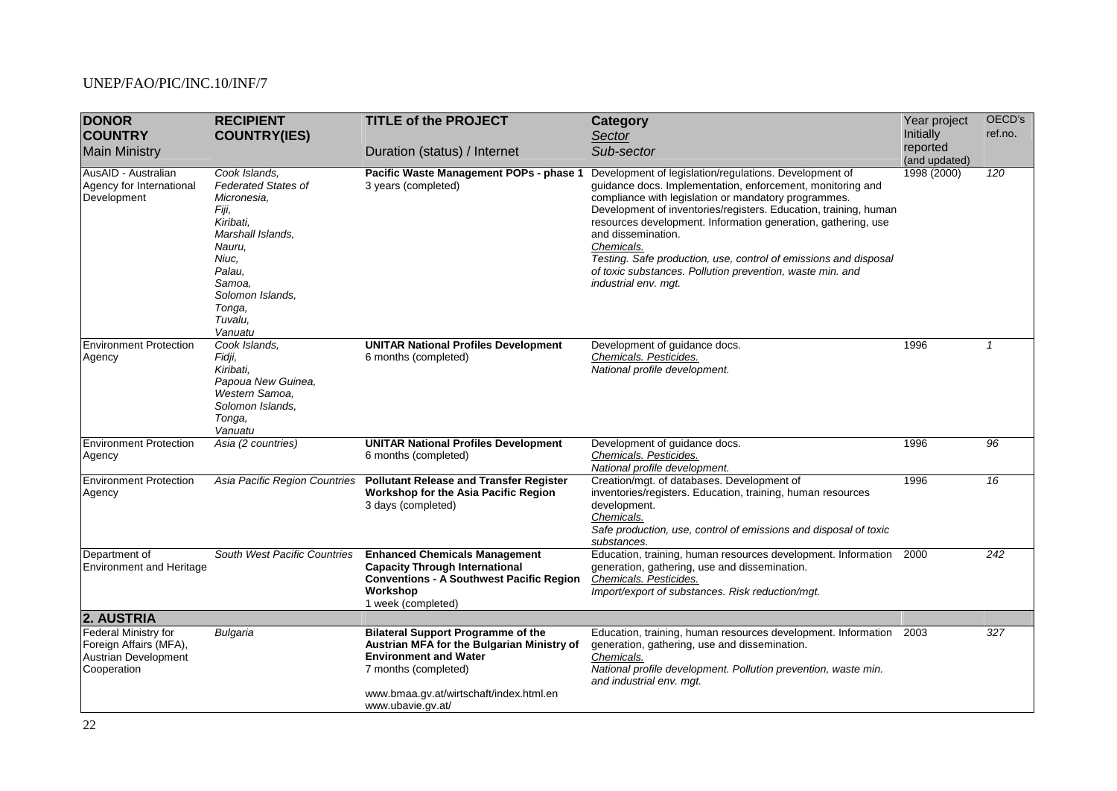| <b>DONOR</b><br><b>COUNTRY</b>                                                                      | <b>RECIPIENT</b><br><b>COUNTRY(IES)</b>                                                                                                                                                          | <b>TITLE of the PROJECT</b>                                                                                                                                                                                     | <b>Category</b><br>Sector                                                                                                                                                                                                                                                                                                                                                                                                                                                                                      | Year project<br>Initially<br>reported | OECD's<br>ref.no. |
|-----------------------------------------------------------------------------------------------------|--------------------------------------------------------------------------------------------------------------------------------------------------------------------------------------------------|-----------------------------------------------------------------------------------------------------------------------------------------------------------------------------------------------------------------|----------------------------------------------------------------------------------------------------------------------------------------------------------------------------------------------------------------------------------------------------------------------------------------------------------------------------------------------------------------------------------------------------------------------------------------------------------------------------------------------------------------|---------------------------------------|-------------------|
| <b>Main Ministry</b>                                                                                |                                                                                                                                                                                                  | Duration (status) / Internet                                                                                                                                                                                    | Sub-sector                                                                                                                                                                                                                                                                                                                                                                                                                                                                                                     | (and updated)                         |                   |
| AusAID - Australian<br>Agency for International<br>Development                                      | Cook Islands.<br><b>Federated States of</b><br>Micronesia,<br>Fiji,<br>Kiribati,<br>Marshall Islands,<br>Nauru,<br>Niuc,<br>Palau,<br>Samoa,<br>Solomon Islands,<br>Tonga,<br>Tuvalu,<br>Vanuatu | Pacific Waste Management POPs - phase 1<br>3 years (completed)                                                                                                                                                  | Development of legislation/regulations. Development of<br>guidance docs. Implementation, enforcement, monitoring and<br>compliance with legislation or mandatory programmes.<br>Development of inventories/registers. Education, training, human<br>resources development. Information generation, gathering, use<br>and dissemination.<br>Chemicals.<br>Testing. Safe production, use, control of emissions and disposal<br>of toxic substances. Pollution prevention, waste min. and<br>industrial env. mgt. | 1998 (2000)                           | 120               |
| <b>Environment Protection</b><br>Agency                                                             | Cook Islands,<br>Fidji,<br>Kiribati,<br>Papoua New Guinea,<br>Western Samoa,<br>Solomon Islands,<br>Tonga,<br>Vanuatu                                                                            | <b>UNITAR National Profiles Development</b><br>6 months (completed)                                                                                                                                             | Development of guidance docs.<br>Chemicals. Pesticides.<br>National profile development.                                                                                                                                                                                                                                                                                                                                                                                                                       | 1996                                  | $\mathbf{1}$      |
| <b>Environment Protection</b><br>Agency                                                             | Asia (2 countries)                                                                                                                                                                               | <b>UNITAR National Profiles Development</b><br>6 months (completed)                                                                                                                                             | Development of guidance docs.<br>Chemicals. Pesticides.<br>National profile development.                                                                                                                                                                                                                                                                                                                                                                                                                       | 1996                                  | 96                |
| <b>Environment Protection</b><br>Agency                                                             | Asia Pacific Region Countries                                                                                                                                                                    | <b>Pollutant Release and Transfer Register</b><br>Workshop for the Asia Pacific Region<br>3 days (completed)                                                                                                    | Creation/mgt. of databases. Development of<br>inventories/registers. Education, training, human resources<br>development.<br>Chemicals.<br>Safe production, use, control of emissions and disposal of toxic<br>substances.                                                                                                                                                                                                                                                                                     | 1996                                  | 16                |
| Department of<br><b>Environment and Heritage</b>                                                    | South West Pacific Countries                                                                                                                                                                     | <b>Enhanced Chemicals Management</b><br><b>Capacity Through International</b><br><b>Conventions - A Southwest Pacific Region</b><br>Workshop<br>1 week (completed)                                              | Education, training, human resources development. Information<br>generation, gathering, use and dissemination.<br>Chemicals. Pesticides.<br>Import/export of substances. Risk reduction/mgt.                                                                                                                                                                                                                                                                                                                   | 2000                                  | 242               |
| 2. AUSTRIA                                                                                          |                                                                                                                                                                                                  |                                                                                                                                                                                                                 |                                                                                                                                                                                                                                                                                                                                                                                                                                                                                                                |                                       |                   |
| <b>Federal Ministry for</b><br>Foreign Affairs (MFA),<br><b>Austrian Development</b><br>Cooperation | Bulgaria                                                                                                                                                                                         | <b>Bilateral Support Programme of the</b><br>Austrian MFA for the Bulgarian Ministry of<br><b>Environment and Water</b><br>7 months (completed)<br>www.bmaa.gv.at/wirtschaft/index.html.en<br>www.ubavie.gv.at/ | Education, training, human resources development. Information<br>generation, gathering, use and dissemination.<br>Chemicals.<br>National profile development. Pollution prevention, waste min.<br>and industrial env. mgt.                                                                                                                                                                                                                                                                                     | 2003                                  | 327               |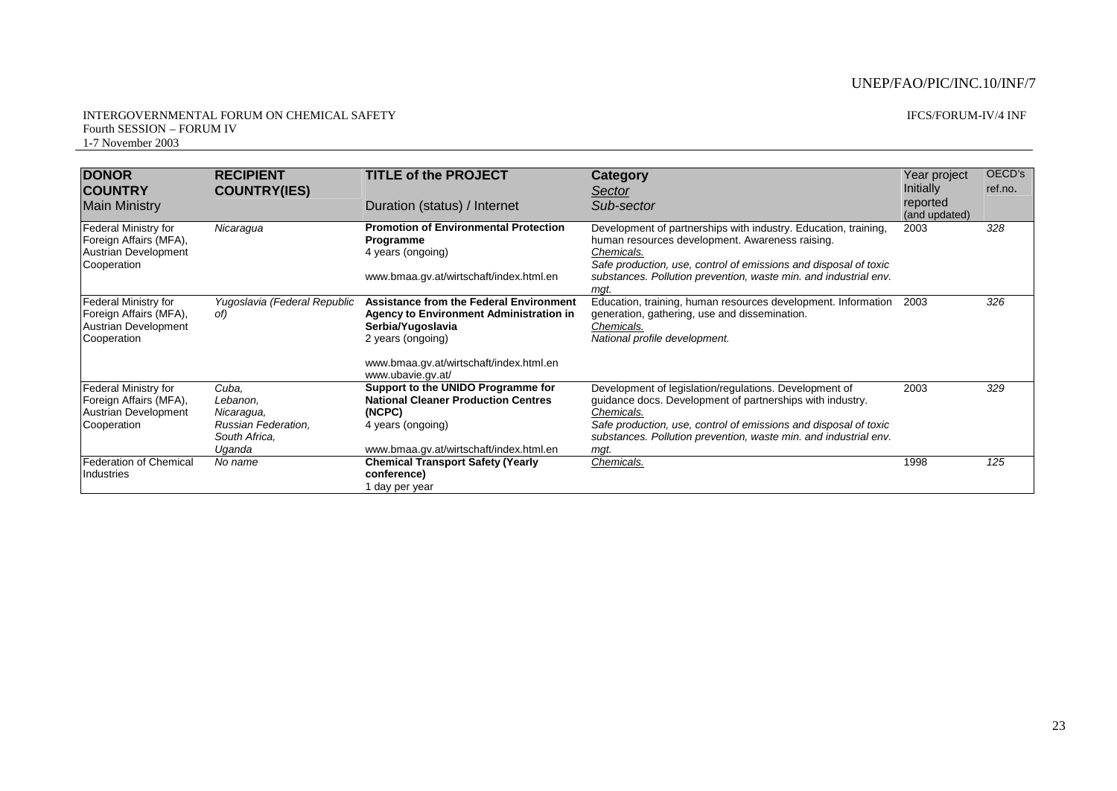#### INTERGOVERNMENTAL FORUM ON CHEMICAL SAFETY Fourth SESSION – FORUM IV 1-7 November 2003

#### IFCS/FORUM-IV/4 INF

| <b>DONOR</b><br><b>COUNTRY</b><br><b>Main Ministry</b>                                              | <b>RECIPIENT</b><br><b>COUNTRY(IES)</b>                                           | <b>TITLE of the PROJECT</b><br>Duration (status) / Internet                                                                                                                                                | Category<br>Sector<br>Sub-sector                                                                                                                                                                                                                                                  | Year project<br><b>Initially</b><br>reported<br>(and updated) | OECD's<br>ref.no. |
|-----------------------------------------------------------------------------------------------------|-----------------------------------------------------------------------------------|------------------------------------------------------------------------------------------------------------------------------------------------------------------------------------------------------------|-----------------------------------------------------------------------------------------------------------------------------------------------------------------------------------------------------------------------------------------------------------------------------------|---------------------------------------------------------------|-------------------|
| <b>Federal Ministry for</b><br>Foreign Affairs (MFA),<br><b>Austrian Development</b><br>Cooperation | Nicaragua                                                                         | <b>Promotion of Environmental Protection</b><br>Programme<br>4 years (ongoing)<br>www.bmaa.gv.at/wirtschaft/index.html.en                                                                                  | Development of partnerships with industry. Education, training,<br>human resources development. Awareness raising.<br>Chemicals.<br>Safe production, use, control of emissions and disposal of toxic<br>substances. Pollution prevention, waste min. and industrial env.<br>mgt.  | 2003                                                          | 328               |
| <b>Federal Ministry for</b><br>Foreign Affairs (MFA),<br><b>Austrian Development</b><br>Cooperation | Yugoslavia (Federal Republic<br>of)                                               | <b>Assistance from the Federal Environment</b><br><b>Agency to Environment Administration in</b><br>Serbia/Yugoslavia<br>2 years (ongoing)<br>www.bmaa.gv.at/wirtschaft/index.html.en<br>www.ubavie.gv.at/ | Education, training, human resources development. Information<br>generation, gathering, use and dissemination.<br>Chemicals.<br>National profile development.                                                                                                                     | 2003                                                          | 326               |
| Federal Ministry for<br>Foreign Affairs (MFA),<br><b>Austrian Development</b><br>Cooperation        | Cuba.<br>Lebanon,<br>Nicaragua,<br>Russian Federation,<br>South Africa.<br>Uqanda | Support to the UNIDO Programme for<br><b>National Cleaner Production Centres</b><br>(NCPC)<br>4 years (ongoing)<br>www.bmaa.gv.at/wirtschaft/index.html.en                                                 | Development of legislation/regulations. Development of<br>guidance docs. Development of partnerships with industry.<br>Chemicals.<br>Safe production, use, control of emissions and disposal of toxic<br>substances. Pollution prevention, waste min. and industrial env.<br>mgt. | 2003                                                          | 329               |
| <b>Federation of Chemical</b><br>Industries                                                         | No name                                                                           | <b>Chemical Transport Safety (Yearly</b><br>conference)<br>1 day per year                                                                                                                                  | Chemicals.                                                                                                                                                                                                                                                                        | 1998                                                          | 125               |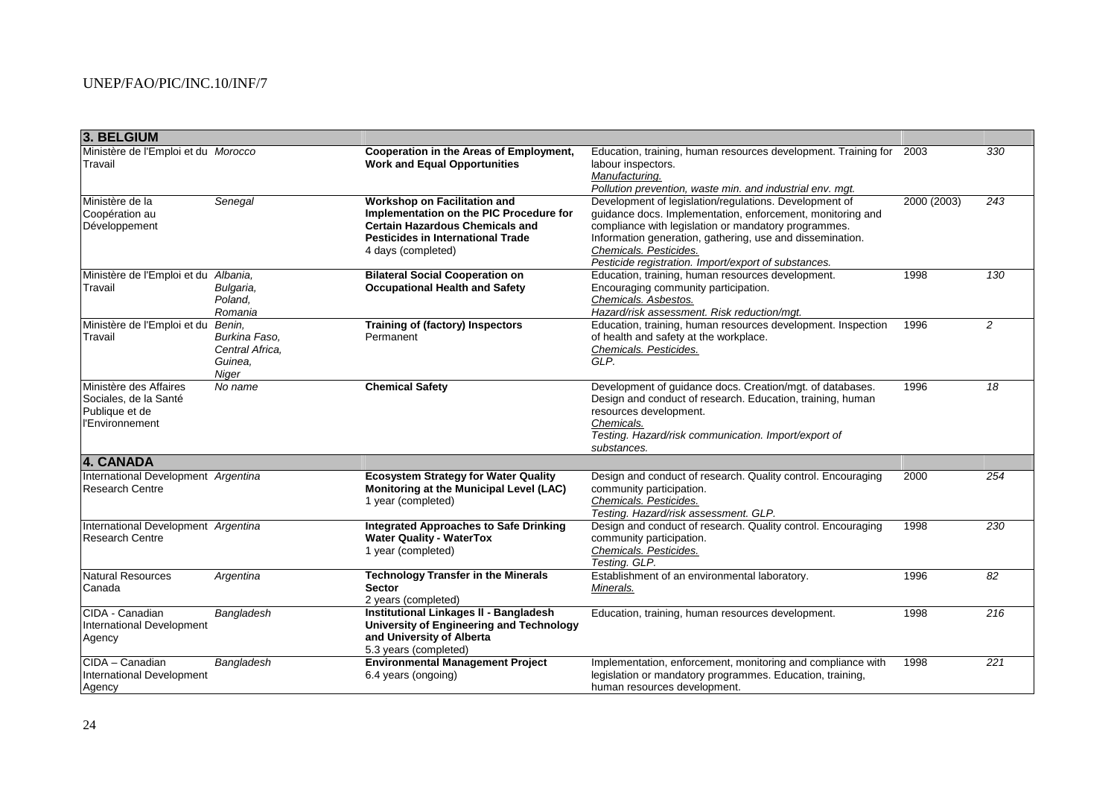| 3. BELGIUM                                                                           |                                                                |                                                                                                                                                                                            |                                                                                                                                                                                                                                                                                                                             |             |                  |
|--------------------------------------------------------------------------------------|----------------------------------------------------------------|--------------------------------------------------------------------------------------------------------------------------------------------------------------------------------------------|-----------------------------------------------------------------------------------------------------------------------------------------------------------------------------------------------------------------------------------------------------------------------------------------------------------------------------|-------------|------------------|
| Ministère de l'Emploi et du Morocco<br>Travail                                       |                                                                | Cooperation in the Areas of Employment,<br><b>Work and Equal Opportunities</b>                                                                                                             | Education, training, human resources development. Training for<br>labour inspectors.<br>Manufacturing.<br>Pollution prevention, waste min. and industrial env. mgt.                                                                                                                                                         | 2003        | 330              |
| Ministère de la<br>Coopération au<br>Développement                                   | Senegal                                                        | <b>Workshop on Facilitation and</b><br>Implementation on the PIC Procedure for<br><b>Certain Hazardous Chemicals and</b><br><b>Pesticides in International Trade</b><br>4 days (completed) | Development of legislation/regulations. Development of<br>guidance docs. Implementation, enforcement, monitoring and<br>compliance with legislation or mandatory programmes.<br>Information generation, gathering, use and dissemination.<br>Chemicals. Pesticides.<br>Pesticide registration. Import/export of substances. | 2000 (2003) | 243              |
| Ministère de l'Emploi et du Albania,<br>Travail                                      | Bulgaria,<br>Poland,<br>Romania                                | <b>Bilateral Social Cooperation on</b><br><b>Occupational Health and Safety</b>                                                                                                            | Education, training, human resources development.<br>Encouraging community participation.<br>Chemicals. Asbestos.<br>Hazard/risk assessment. Risk reduction/mqt.                                                                                                                                                            | 1998        | 130              |
| Ministère de l'Emploi et du<br>Travail                                               | Benin,<br>Burkina Faso.<br>Central Africa,<br>Guinea.<br>Niger | Training of (factory) Inspectors<br>Permanent                                                                                                                                              | Education, training, human resources development. Inspection<br>of health and safety at the workplace.<br>Chemicals. Pesticides.<br>GLP.                                                                                                                                                                                    | 1996        | $\overline{2}$   |
| Ministère des Affaires<br>Sociales, de la Santé<br>Publique et de<br>l'Environnement | No name                                                        | <b>Chemical Safety</b>                                                                                                                                                                     | Development of guidance docs. Creation/mgt. of databases.<br>Design and conduct of research. Education, training, human<br>resources development.<br>Chemicals.<br>Testing. Hazard/risk communication. Import/export of<br>substances.                                                                                      | 1996        | 18               |
| 4. CANADA                                                                            |                                                                |                                                                                                                                                                                            |                                                                                                                                                                                                                                                                                                                             |             |                  |
| International Development Argentina<br><b>Research Centre</b>                        |                                                                | <b>Ecosystem Strategy for Water Quality</b><br>Monitoring at the Municipal Level (LAC)<br>1 year (completed)                                                                               | Design and conduct of research. Quality control. Encouraging<br>community participation.<br>Chemicals. Pesticides.<br>Testing. Hazard/risk assessment. GLP.                                                                                                                                                                 | 2000        | 254              |
| International Development Argentina<br><b>Research Centre</b>                        |                                                                | <b>Integrated Approaches to Safe Drinking</b><br><b>Water Quality - WaterTox</b><br>1 year (completed)                                                                                     | Design and conduct of research. Quality control. Encouraging<br>community participation.<br>Chemicals. Pesticides.<br>Testing. GLP.                                                                                                                                                                                         | 1998        | 230              |
| Natural Resources<br>Canada                                                          | Argentina                                                      | <b>Technology Transfer in the Minerals</b><br><b>Sector</b><br>2 years (completed)                                                                                                         | Establishment of an environmental laboratory.<br>Minerals.                                                                                                                                                                                                                                                                  | 1996        | 82               |
| CIDA - Canadian<br>International Development<br>Agency                               | Bangladesh                                                     | Institutional Linkages II - Bangladesh<br>University of Engineering and Technology<br>and University of Alberta<br>5.3 years (completed)                                                   | Education, training, human resources development.                                                                                                                                                                                                                                                                           | 1998        | $\overline{216}$ |
| CIDA - Canadian<br>International Development<br>Agency                               | Bangladesh                                                     | <b>Environmental Management Project</b><br>6.4 years (ongoing)                                                                                                                             | Implementation, enforcement, monitoring and compliance with<br>legislation or mandatory programmes. Education, training,<br>human resources development.                                                                                                                                                                    | 1998        | 221              |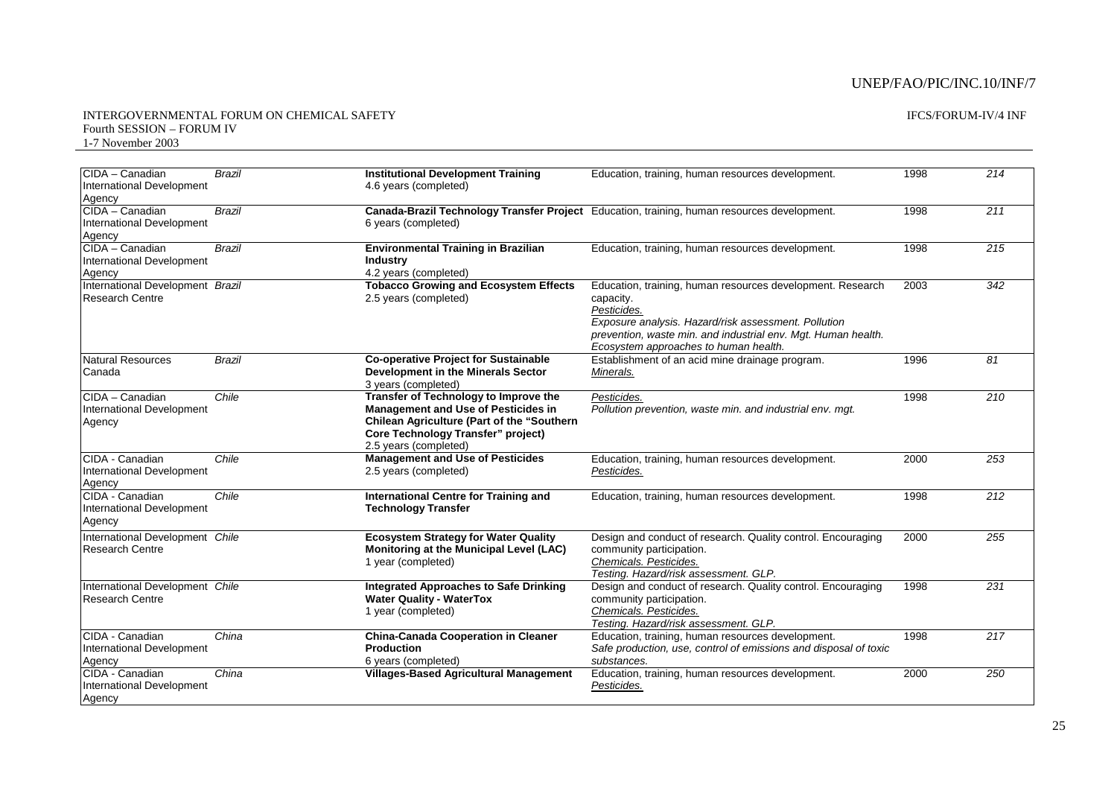#### INTERGOVERNMENTAL FORUM ON CHEMICAL SAFETY Fourth SESSION – FORUM IV 1-7 November 2003

#### IFCS/FORUM-IV/4 INF

| <b>ICIDA – Canadian</b><br>International Development<br>Agency | <b>Brazil</b> | <b>Institutional Development Training</b><br>4.6 years (completed)                                                                                                                                      | Education, training, human resources development.                                                                                                                                                                                                        | 1998 | 214              |
|----------------------------------------------------------------|---------------|---------------------------------------------------------------------------------------------------------------------------------------------------------------------------------------------------------|----------------------------------------------------------------------------------------------------------------------------------------------------------------------------------------------------------------------------------------------------------|------|------------------|
| CIDA - Canadian<br>International Development<br>Agency         | Brazil        | 6 years (completed)                                                                                                                                                                                     | Canada-Brazil Technology Transfer Project Education, training, human resources development.                                                                                                                                                              | 1998 | 211              |
| CIDA - Canadian<br>International Development<br>Agency         | Brazil        | <b>Environmental Training in Brazilian</b><br><b>Industry</b><br>4.2 years (completed)                                                                                                                  | Education, training, human resources development.                                                                                                                                                                                                        | 1998 | 215              |
| International Development Brazil<br><b>Research Centre</b>     |               | <b>Tobacco Growing and Ecosystem Effects</b><br>2.5 years (completed)                                                                                                                                   | Education, training, human resources development. Research<br>capacity.<br>Pesticides.<br>Exposure analysis. Hazard/risk assessment. Pollution<br>prevention, waste min. and industrial env. Mgt. Human health.<br>Ecosystem approaches to human health. | 2003 | 342              |
| <b>Natural Resources</b><br>Canada                             | <b>Brazil</b> | <b>Co-operative Project for Sustainable</b><br>Development in the Minerals Sector<br>3 years (completed)                                                                                                | Establishment of an acid mine drainage program.<br>Minerals.                                                                                                                                                                                             | 1996 | $\overline{81}$  |
| CIDA - Canadian<br>International Development<br>Agency         | Chile         | Transfer of Technology to Improve the<br><b>Management and Use of Pesticides in</b><br>Chilean Agriculture (Part of the "Southern<br><b>Core Technology Transfer" project)</b><br>2.5 years (completed) | Pesticides.<br>Pollution prevention, waste min. and industrial env. mgt.                                                                                                                                                                                 | 1998 | $\overline{210}$ |
| CIDA - Canadian<br>International Development<br>Agency         | Chile         | <b>Management and Use of Pesticides</b><br>2.5 years (completed)                                                                                                                                        | Education, training, human resources development.<br>Pesticides.                                                                                                                                                                                         | 2000 | 253              |
| CIDA - Canadian<br>International Development<br>Agency         | Chile         | International Centre for Training and<br><b>Technology Transfer</b>                                                                                                                                     | Education, training, human resources development.                                                                                                                                                                                                        | 1998 | 212              |
| International Development Chile<br><b>Research Centre</b>      |               | <b>Ecosystem Strategy for Water Quality</b><br>Monitoring at the Municipal Level (LAC)<br>1 year (completed)                                                                                            | Design and conduct of research. Quality control. Encouraging<br>community participation.<br>Chemicals. Pesticides.<br>Testing. Hazard/risk assessment. GLP.                                                                                              | 2000 | 255              |
| International Development Chile<br><b>Research Centre</b>      |               | <b>Integrated Approaches to Safe Drinking</b><br><b>Water Quality - WaterTox</b><br>1 year (completed)                                                                                                  | Design and conduct of research. Quality control. Encouraging<br>community participation.<br>Chemicals. Pesticides.<br>Testing. Hazard/risk assessment. GLP.                                                                                              | 1998 | 231              |
| CIDA - Canadian<br>International Development<br>Agency         | China         | <b>China-Canada Cooperation in Cleaner</b><br><b>Production</b><br>6 years (completed)                                                                                                                  | Education, training, human resources development.<br>Safe production, use, control of emissions and disposal of toxic<br>substances.                                                                                                                     | 1998 | $\overline{217}$ |
| CIDA - Canadian<br>International Development<br>Agency         | China         | <b>Villages-Based Agricultural Management</b>                                                                                                                                                           | Education, training, human resources development.<br>Pesticides.                                                                                                                                                                                         | 2000 | 250              |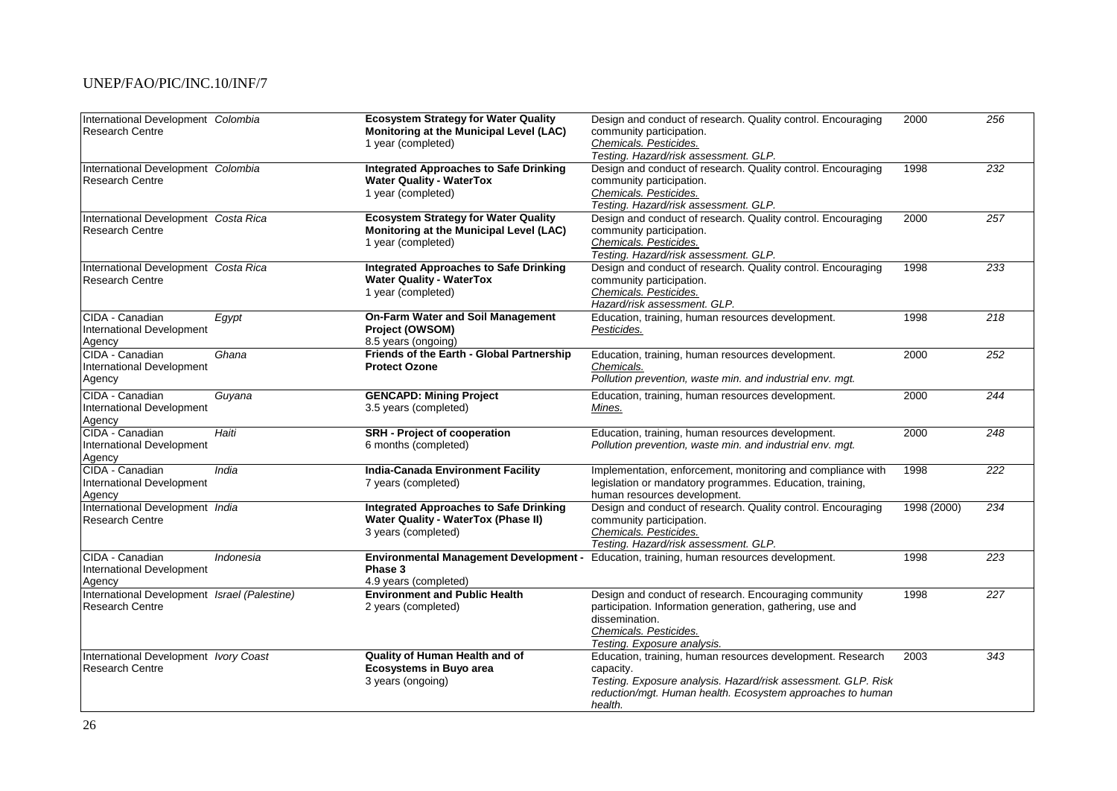| International Development Colombia<br><b>Research Centre</b>           |           | <b>Ecosystem Strategy for Water Quality</b><br>Monitoring at the Municipal Level (LAC)<br>1 year (completed)       | Design and conduct of research. Quality control. Encouraging<br>community participation.<br>Chemicals. Pesticides.<br>Testing. Hazard/risk assessment. GLP.                                                       | 2000        | 256              |
|------------------------------------------------------------------------|-----------|--------------------------------------------------------------------------------------------------------------------|-------------------------------------------------------------------------------------------------------------------------------------------------------------------------------------------------------------------|-------------|------------------|
| International Development Colombia<br><b>Research Centre</b>           |           | <b>Integrated Approaches to Safe Drinking</b><br><b>Water Quality - WaterTox</b><br>1 year (completed)             | Design and conduct of research. Quality control. Encouraging<br>community participation.<br>Chemicals. Pesticides.<br>Testing. Hazard/risk assessment. GLP.                                                       | 1998        | 232              |
| International Development Costa Rica<br><b>Research Centre</b>         |           | <b>Ecosystem Strategy for Water Quality</b><br>Monitoring at the Municipal Level (LAC)<br>1 year (completed)       | Design and conduct of research. Quality control. Encouraging<br>community participation.<br>Chemicals. Pesticides.<br>Testing. Hazard/risk assessment. GLP.                                                       | 2000        | 257              |
| International Development Costa Rica<br><b>Research Centre</b>         |           | <b>Integrated Approaches to Safe Drinking</b><br><b>Water Quality - WaterTox</b><br>1 year (completed)             | Design and conduct of research. Quality control. Encouraging<br>community participation.<br>Chemicals. Pesticides.<br>Hazard/risk assessment. GLP.                                                                | 1998        | 233              |
| CIDA - Canadian<br>International Development<br>Agency                 | Egypt     | On-Farm Water and Soil Management<br>Project (OWSOM)<br>8.5 years (ongoing)                                        | Education, training, human resources development.<br>Pesticides.                                                                                                                                                  | 1998        | 218              |
| CIDA - Canadian<br>International Development<br>Agency                 | Ghana     | Friends of the Earth - Global Partnership<br><b>Protect Ozone</b>                                                  | Education, training, human resources development.<br>Chemicals.<br>Pollution prevention, waste min. and industrial env. mgt.                                                                                      | 2000        | 252              |
| CIDA - Canadian<br>International Development<br>Agency                 | Guyana    | <b>GENCAPD: Mining Project</b><br>3.5 years (completed)                                                            | Education, training, human resources development.<br>Mines.                                                                                                                                                       | 2000        | 244              |
| CIDA - Canadian<br>International Development<br>Agency                 | Haiti     | <b>SRH</b> - Project of cooperation<br>6 months (completed)                                                        | Education, training, human resources development.<br>Pollution prevention, waste min. and industrial env. mgt.                                                                                                    | 2000        | 248              |
| CIDA - Canadian<br>International Development<br>Agency                 | India     | <b>India-Canada Environment Facility</b><br>7 years (completed)                                                    | Implementation, enforcement, monitoring and compliance with<br>legislation or mandatory programmes. Education, training,<br>human resources development.                                                          | 1998        | 222              |
| International Development India<br><b>Research Centre</b>              |           | <b>Integrated Approaches to Safe Drinking</b><br><b>Water Quality - WaterTox (Phase II)</b><br>3 years (completed) | Design and conduct of research. Quality control. Encouraging<br>community participation.<br>Chemicals. Pesticides.<br>Testing. Hazard/risk assessment. GLP.                                                       | 1998 (2000) | 234              |
| CIDA - Canadian<br>International Development<br>Agency                 | Indonesia | Phase 3<br>4.9 years (completed)                                                                                   | Environmental Management Development - Education, training, human resources development.                                                                                                                          | 1998        | 223              |
| International Development Israel (Palestine)<br><b>Research Centre</b> |           | <b>Environment and Public Health</b><br>2 years (completed)                                                        | Design and conduct of research. Encouraging community<br>participation. Information generation, gathering, use and<br>dissemination.<br>Chemicals. Pesticides.<br>Testing. Exposure analysis.                     | 1998        | $\overline{227}$ |
| International Development Ivory Coast<br><b>Research Centre</b>        |           | Quality of Human Health and of<br><b>Ecosystems in Buyo area</b><br>3 years (ongoing)                              | Education, training, human resources development. Research<br>capacity.<br>Testing. Exposure analysis. Hazard/risk assessment. GLP. Risk<br>reduction/mgt. Human health. Ecosystem approaches to human<br>health. | 2003        | 343              |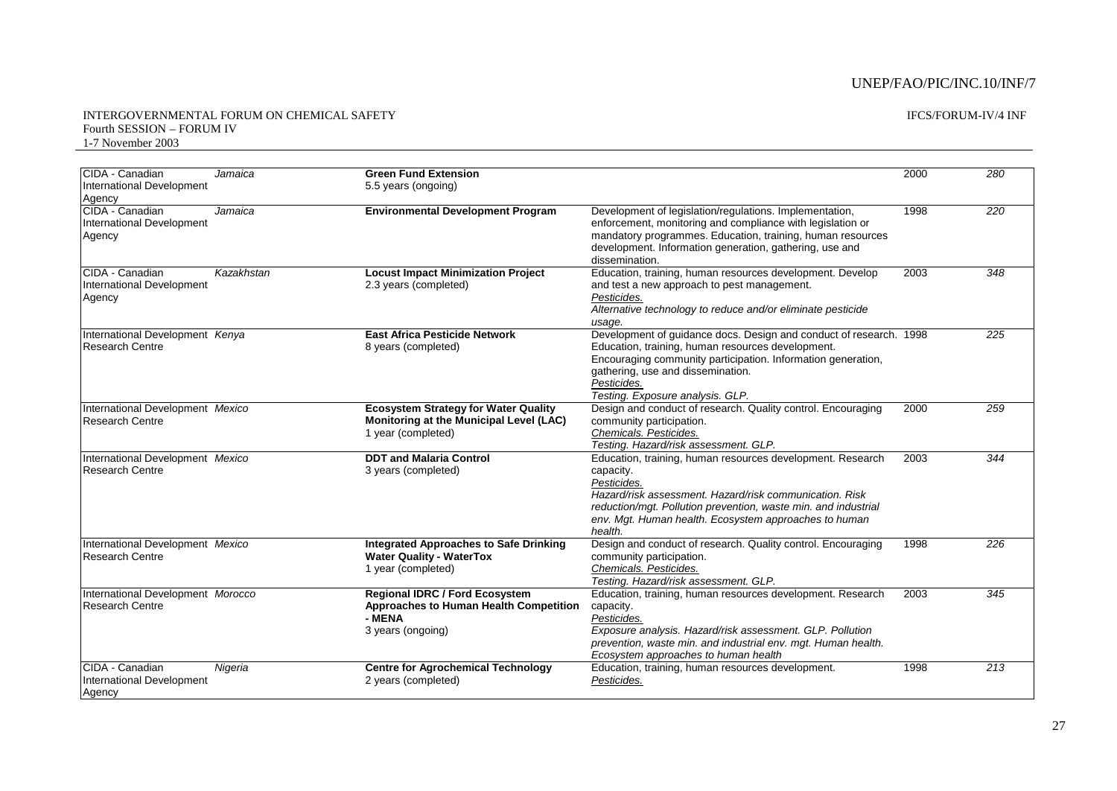#### IFCS/FORUM-IV/4 INF

#### INTERGOVERNMENTAL FORUM ON CHEMICAL SAFETY Fourth SESSION – FORUM IV 1-7 November 2003

| CIDA - Canadian<br><b>International Development</b><br>Agency | Jamaica    | <b>Green Fund Extension</b><br>5.5 years (ongoing)                                                             |                                                                                                                                                                                                                                                                                         | 2000 | 280 |
|---------------------------------------------------------------|------------|----------------------------------------------------------------------------------------------------------------|-----------------------------------------------------------------------------------------------------------------------------------------------------------------------------------------------------------------------------------------------------------------------------------------|------|-----|
| CIDA - Canadian<br>International Development<br>Agency        | Jamaica    | <b>Environmental Development Program</b>                                                                       | Development of legislation/regulations. Implementation,<br>enforcement, monitoring and compliance with legislation or<br>mandatory programmes. Education, training, human resources<br>development. Information generation, gathering, use and<br>dissemination.                        | 1998 | 220 |
| CIDA - Canadian<br>International Development<br>Agency        | Kazakhstan | <b>Locust Impact Minimization Project</b><br>2.3 years (completed)                                             | Education, training, human resources development. Develop<br>and test a new approach to pest management.<br>Pesticides.<br>Alternative technology to reduce and/or eliminate pesticide<br>usage.                                                                                        | 2003 | 348 |
| International Development Kenya<br><b>Research Centre</b>     |            | <b>East Africa Pesticide Network</b><br>8 years (completed)                                                    | Development of guidance docs. Design and conduct of research. 1998<br>Education, training, human resources development.<br>Encouraging community participation. Information generation,<br>gathering, use and dissemination.<br>Pesticides.<br>Testing. Exposure analysis. GLP.         |      | 225 |
| International Development Mexico<br><b>Research Centre</b>    |            | <b>Ecosystem Strategy for Water Quality</b><br>Monitoring at the Municipal Level (LAC)<br>1 year (completed)   | Design and conduct of research. Quality control. Encouraging<br>community participation.<br>Chemicals. Pesticides.<br>Testing. Hazard/risk assessment. GLP.                                                                                                                             | 2000 | 259 |
| International Development Mexico<br><b>Research Centre</b>    |            | <b>DDT and Malaria Control</b><br>3 years (completed)                                                          | Education, training, human resources development. Research<br>capacity.<br>Pesticides.<br>Hazard/risk assessment. Hazard/risk communication. Risk<br>reduction/mgt. Pollution prevention, waste min. and industrial<br>env. Mgt. Human health. Ecosystem approaches to human<br>health. | 2003 | 344 |
| International Development Mexico<br><b>Research Centre</b>    |            | <b>Integrated Approaches to Safe Drinking</b><br><b>Water Quality - WaterTox</b><br>1 year (completed)         | Design and conduct of research. Quality control. Encouraging<br>community participation.<br>Chemicals. Pesticides.<br>Testing. Hazard/risk assessment. GLP.                                                                                                                             | 1998 | 226 |
| International Development Morocco<br><b>Research Centre</b>   |            | <b>Regional IDRC / Ford Ecosystem</b><br>Approaches to Human Health Competition<br>- MENA<br>3 years (ongoing) | Education, training, human resources development. Research<br>capacity.<br>Pesticides.<br>Exposure analysis. Hazard/risk assessment. GLP. Pollution<br>prevention, waste min. and industrial env. mgt. Human health.<br>Ecosystem approaches to human health                            | 2003 | 345 |
| CIDA - Canadian<br>International Development<br>Agency        | Nigeria    | <b>Centre for Agrochemical Technology</b><br>2 years (completed)                                               | Education, training, human resources development.<br>Pesticides.                                                                                                                                                                                                                        | 1998 | 213 |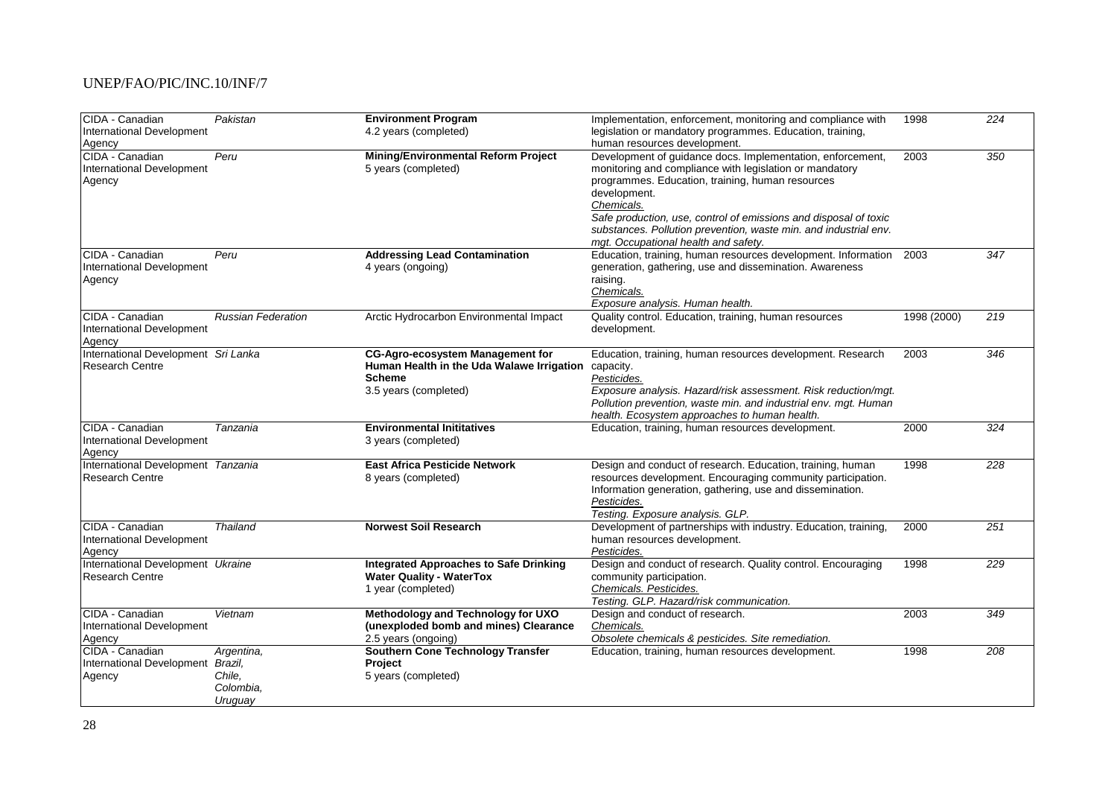| International Development<br>4.2 years (completed)<br>legislation or mandatory programmes. Education, training,<br>human resources development.<br>Agency<br>CIDA - Canadian<br>Peru<br><b>Mining/Environmental Reform Project</b><br>Development of guidance docs. Implementation, enforcement,<br>2003<br>350<br>International Development<br>5 years (completed)<br>monitoring and compliance with legislation or mandatory<br>programmes. Education, training, human resources<br>Agency<br>development.<br>Chemicals.<br>Safe production, use, control of emissions and disposal of toxic<br>substances. Pollution prevention, waste min. and industrial env.<br>mgt. Occupational health and safety.<br>CIDA - Canadian<br>Peru<br><b>Addressing Lead Contamination</b><br>Education, training, human resources development. Information<br>2003<br>347<br>International Development<br>generation, gathering, use and dissemination. Awareness<br>4 years (ongoing)<br>raising.<br>Agency<br>Chemicals.<br>Exposure analysis. Human health.<br>CIDA - Canadian<br><b>Russian Federation</b><br>Arctic Hydrocarbon Environmental Impact<br>Quality control. Education, training, human resources<br>1998 (2000)<br>219<br>development.<br>International Development<br>Agency<br>International Development Sri Lanka<br><b>CG-Agro-ecosystem Management for</b><br>2003<br>346<br>Education, training, human resources development. Research<br>Human Health in the Uda Walawe Irrigation capacity.<br><b>Research Centre</b><br>Pesticides.<br><b>Scheme</b><br>Exposure analysis. Hazard/risk assessment. Risk reduction/mgt.<br>3.5 years (completed)<br>Pollution prevention, waste min. and industrial env. mgt. Human<br>health. Ecosystem approaches to human health.<br>CIDA - Canadian<br>Education, training, human resources development.<br>2000<br>$\overline{324}$<br>Tanzania<br><b>Environmental Inititatives</b><br>International Development<br>3 years (completed)<br>Agency<br>International Development Tanzania<br><b>East Africa Pesticide Network</b><br>Design and conduct of research. Education, training, human<br>1998<br>228<br><b>Research Centre</b><br>resources development. Encouraging community participation.<br>8 years (completed)<br>Information generation, gathering, use and dissemination.<br>Pesticides.<br>Testing. Exposure analysis. GLP.<br><b>Norwest Soil Research</b><br>Development of partnerships with industry. Education, training,<br>251<br>CIDA - Canadian<br>Thailand<br>2000<br>International Development<br>human resources development.<br>Pesticides.<br>Agency<br>International Development Ukraine<br><b>Integrated Approaches to Safe Drinking</b><br>Design and conduct of research. Quality control. Encouraging<br>1998<br>229<br><b>Water Quality - WaterTox</b><br><b>Research Centre</b><br>community participation.<br>Chemicals. Pesticides.<br>1 year (completed)<br>Testing. GLP. Hazard/risk communication.<br>CIDA - Canadian<br>Design and conduct of research.<br>2003<br>349<br>Vietnam<br>Methodology and Technology for UXO<br>(unexploded bomb and mines) Clearance<br>International Development<br>Chemicals.<br>2.5 years (ongoing)<br>Obsolete chemicals & pesticides. Site remediation.<br>Agency<br>CIDA - Canadian<br><b>Southern Cone Technology Transfer</b><br>1998<br>208<br>Argentina,<br>Education, training, human resources development.<br>International Development Brazil,<br>Project<br>Chile,<br>5 years (completed)<br>Agency<br>Colombia,<br>Uruguay | CIDA - Canadian | Pakistan | <b>Environment Program</b> | Implementation, enforcement, monitoring and compliance with | 1998 | 224 |
|------------------------------------------------------------------------------------------------------------------------------------------------------------------------------------------------------------------------------------------------------------------------------------------------------------------------------------------------------------------------------------------------------------------------------------------------------------------------------------------------------------------------------------------------------------------------------------------------------------------------------------------------------------------------------------------------------------------------------------------------------------------------------------------------------------------------------------------------------------------------------------------------------------------------------------------------------------------------------------------------------------------------------------------------------------------------------------------------------------------------------------------------------------------------------------------------------------------------------------------------------------------------------------------------------------------------------------------------------------------------------------------------------------------------------------------------------------------------------------------------------------------------------------------------------------------------------------------------------------------------------------------------------------------------------------------------------------------------------------------------------------------------------------------------------------------------------------------------------------------------------------------------------------------------------------------------------------------------------------------------------------------------------------------------------------------------------------------------------------------------------------------------------------------------------------------------------------------------------------------------------------------------------------------------------------------------------------------------------------------------------------------------------------------------------------------------------------------------------------------------------------------------------------------------------------------------------------------------------------------------------------------------------------------------------------------------------------------------------------------------------------------------------------------------------------------------------------------------------------------------------------------------------------------------------------------------------------------------------------------------------------------------------------------------------------------------------------------------------------------------------------------------------------------------------------------------------------------------------------------------------------------------------------------------------------------------------------------------------------------------------------------------------------------------------------------------------------------------------------------------------------------------------------------------------------------------|-----------------|----------|----------------------------|-------------------------------------------------------------|------|-----|
|                                                                                                                                                                                                                                                                                                                                                                                                                                                                                                                                                                                                                                                                                                                                                                                                                                                                                                                                                                                                                                                                                                                                                                                                                                                                                                                                                                                                                                                                                                                                                                                                                                                                                                                                                                                                                                                                                                                                                                                                                                                                                                                                                                                                                                                                                                                                                                                                                                                                                                                                                                                                                                                                                                                                                                                                                                                                                                                                                                                                                                                                                                                                                                                                                                                                                                                                                                                                                                                                                                                                                                        |                 |          |                            |                                                             |      |     |
|                                                                                                                                                                                                                                                                                                                                                                                                                                                                                                                                                                                                                                                                                                                                                                                                                                                                                                                                                                                                                                                                                                                                                                                                                                                                                                                                                                                                                                                                                                                                                                                                                                                                                                                                                                                                                                                                                                                                                                                                                                                                                                                                                                                                                                                                                                                                                                                                                                                                                                                                                                                                                                                                                                                                                                                                                                                                                                                                                                                                                                                                                                                                                                                                                                                                                                                                                                                                                                                                                                                                                                        |                 |          |                            |                                                             |      |     |
|                                                                                                                                                                                                                                                                                                                                                                                                                                                                                                                                                                                                                                                                                                                                                                                                                                                                                                                                                                                                                                                                                                                                                                                                                                                                                                                                                                                                                                                                                                                                                                                                                                                                                                                                                                                                                                                                                                                                                                                                                                                                                                                                                                                                                                                                                                                                                                                                                                                                                                                                                                                                                                                                                                                                                                                                                                                                                                                                                                                                                                                                                                                                                                                                                                                                                                                                                                                                                                                                                                                                                                        |                 |          |                            |                                                             |      |     |
|                                                                                                                                                                                                                                                                                                                                                                                                                                                                                                                                                                                                                                                                                                                                                                                                                                                                                                                                                                                                                                                                                                                                                                                                                                                                                                                                                                                                                                                                                                                                                                                                                                                                                                                                                                                                                                                                                                                                                                                                                                                                                                                                                                                                                                                                                                                                                                                                                                                                                                                                                                                                                                                                                                                                                                                                                                                                                                                                                                                                                                                                                                                                                                                                                                                                                                                                                                                                                                                                                                                                                                        |                 |          |                            |                                                             |      |     |
|                                                                                                                                                                                                                                                                                                                                                                                                                                                                                                                                                                                                                                                                                                                                                                                                                                                                                                                                                                                                                                                                                                                                                                                                                                                                                                                                                                                                                                                                                                                                                                                                                                                                                                                                                                                                                                                                                                                                                                                                                                                                                                                                                                                                                                                                                                                                                                                                                                                                                                                                                                                                                                                                                                                                                                                                                                                                                                                                                                                                                                                                                                                                                                                                                                                                                                                                                                                                                                                                                                                                                                        |                 |          |                            |                                                             |      |     |
|                                                                                                                                                                                                                                                                                                                                                                                                                                                                                                                                                                                                                                                                                                                                                                                                                                                                                                                                                                                                                                                                                                                                                                                                                                                                                                                                                                                                                                                                                                                                                                                                                                                                                                                                                                                                                                                                                                                                                                                                                                                                                                                                                                                                                                                                                                                                                                                                                                                                                                                                                                                                                                                                                                                                                                                                                                                                                                                                                                                                                                                                                                                                                                                                                                                                                                                                                                                                                                                                                                                                                                        |                 |          |                            |                                                             |      |     |
|                                                                                                                                                                                                                                                                                                                                                                                                                                                                                                                                                                                                                                                                                                                                                                                                                                                                                                                                                                                                                                                                                                                                                                                                                                                                                                                                                                                                                                                                                                                                                                                                                                                                                                                                                                                                                                                                                                                                                                                                                                                                                                                                                                                                                                                                                                                                                                                                                                                                                                                                                                                                                                                                                                                                                                                                                                                                                                                                                                                                                                                                                                                                                                                                                                                                                                                                                                                                                                                                                                                                                                        |                 |          |                            |                                                             |      |     |
|                                                                                                                                                                                                                                                                                                                                                                                                                                                                                                                                                                                                                                                                                                                                                                                                                                                                                                                                                                                                                                                                                                                                                                                                                                                                                                                                                                                                                                                                                                                                                                                                                                                                                                                                                                                                                                                                                                                                                                                                                                                                                                                                                                                                                                                                                                                                                                                                                                                                                                                                                                                                                                                                                                                                                                                                                                                                                                                                                                                                                                                                                                                                                                                                                                                                                                                                                                                                                                                                                                                                                                        |                 |          |                            |                                                             |      |     |
|                                                                                                                                                                                                                                                                                                                                                                                                                                                                                                                                                                                                                                                                                                                                                                                                                                                                                                                                                                                                                                                                                                                                                                                                                                                                                                                                                                                                                                                                                                                                                                                                                                                                                                                                                                                                                                                                                                                                                                                                                                                                                                                                                                                                                                                                                                                                                                                                                                                                                                                                                                                                                                                                                                                                                                                                                                                                                                                                                                                                                                                                                                                                                                                                                                                                                                                                                                                                                                                                                                                                                                        |                 |          |                            |                                                             |      |     |
|                                                                                                                                                                                                                                                                                                                                                                                                                                                                                                                                                                                                                                                                                                                                                                                                                                                                                                                                                                                                                                                                                                                                                                                                                                                                                                                                                                                                                                                                                                                                                                                                                                                                                                                                                                                                                                                                                                                                                                                                                                                                                                                                                                                                                                                                                                                                                                                                                                                                                                                                                                                                                                                                                                                                                                                                                                                                                                                                                                                                                                                                                                                                                                                                                                                                                                                                                                                                                                                                                                                                                                        |                 |          |                            |                                                             |      |     |
|                                                                                                                                                                                                                                                                                                                                                                                                                                                                                                                                                                                                                                                                                                                                                                                                                                                                                                                                                                                                                                                                                                                                                                                                                                                                                                                                                                                                                                                                                                                                                                                                                                                                                                                                                                                                                                                                                                                                                                                                                                                                                                                                                                                                                                                                                                                                                                                                                                                                                                                                                                                                                                                                                                                                                                                                                                                                                                                                                                                                                                                                                                                                                                                                                                                                                                                                                                                                                                                                                                                                                                        |                 |          |                            |                                                             |      |     |
|                                                                                                                                                                                                                                                                                                                                                                                                                                                                                                                                                                                                                                                                                                                                                                                                                                                                                                                                                                                                                                                                                                                                                                                                                                                                                                                                                                                                                                                                                                                                                                                                                                                                                                                                                                                                                                                                                                                                                                                                                                                                                                                                                                                                                                                                                                                                                                                                                                                                                                                                                                                                                                                                                                                                                                                                                                                                                                                                                                                                                                                                                                                                                                                                                                                                                                                                                                                                                                                                                                                                                                        |                 |          |                            |                                                             |      |     |
|                                                                                                                                                                                                                                                                                                                                                                                                                                                                                                                                                                                                                                                                                                                                                                                                                                                                                                                                                                                                                                                                                                                                                                                                                                                                                                                                                                                                                                                                                                                                                                                                                                                                                                                                                                                                                                                                                                                                                                                                                                                                                                                                                                                                                                                                                                                                                                                                                                                                                                                                                                                                                                                                                                                                                                                                                                                                                                                                                                                                                                                                                                                                                                                                                                                                                                                                                                                                                                                                                                                                                                        |                 |          |                            |                                                             |      |     |
|                                                                                                                                                                                                                                                                                                                                                                                                                                                                                                                                                                                                                                                                                                                                                                                                                                                                                                                                                                                                                                                                                                                                                                                                                                                                                                                                                                                                                                                                                                                                                                                                                                                                                                                                                                                                                                                                                                                                                                                                                                                                                                                                                                                                                                                                                                                                                                                                                                                                                                                                                                                                                                                                                                                                                                                                                                                                                                                                                                                                                                                                                                                                                                                                                                                                                                                                                                                                                                                                                                                                                                        |                 |          |                            |                                                             |      |     |
|                                                                                                                                                                                                                                                                                                                                                                                                                                                                                                                                                                                                                                                                                                                                                                                                                                                                                                                                                                                                                                                                                                                                                                                                                                                                                                                                                                                                                                                                                                                                                                                                                                                                                                                                                                                                                                                                                                                                                                                                                                                                                                                                                                                                                                                                                                                                                                                                                                                                                                                                                                                                                                                                                                                                                                                                                                                                                                                                                                                                                                                                                                                                                                                                                                                                                                                                                                                                                                                                                                                                                                        |                 |          |                            |                                                             |      |     |
|                                                                                                                                                                                                                                                                                                                                                                                                                                                                                                                                                                                                                                                                                                                                                                                                                                                                                                                                                                                                                                                                                                                                                                                                                                                                                                                                                                                                                                                                                                                                                                                                                                                                                                                                                                                                                                                                                                                                                                                                                                                                                                                                                                                                                                                                                                                                                                                                                                                                                                                                                                                                                                                                                                                                                                                                                                                                                                                                                                                                                                                                                                                                                                                                                                                                                                                                                                                                                                                                                                                                                                        |                 |          |                            |                                                             |      |     |
|                                                                                                                                                                                                                                                                                                                                                                                                                                                                                                                                                                                                                                                                                                                                                                                                                                                                                                                                                                                                                                                                                                                                                                                                                                                                                                                                                                                                                                                                                                                                                                                                                                                                                                                                                                                                                                                                                                                                                                                                                                                                                                                                                                                                                                                                                                                                                                                                                                                                                                                                                                                                                                                                                                                                                                                                                                                                                                                                                                                                                                                                                                                                                                                                                                                                                                                                                                                                                                                                                                                                                                        |                 |          |                            |                                                             |      |     |
|                                                                                                                                                                                                                                                                                                                                                                                                                                                                                                                                                                                                                                                                                                                                                                                                                                                                                                                                                                                                                                                                                                                                                                                                                                                                                                                                                                                                                                                                                                                                                                                                                                                                                                                                                                                                                                                                                                                                                                                                                                                                                                                                                                                                                                                                                                                                                                                                                                                                                                                                                                                                                                                                                                                                                                                                                                                                                                                                                                                                                                                                                                                                                                                                                                                                                                                                                                                                                                                                                                                                                                        |                 |          |                            |                                                             |      |     |
|                                                                                                                                                                                                                                                                                                                                                                                                                                                                                                                                                                                                                                                                                                                                                                                                                                                                                                                                                                                                                                                                                                                                                                                                                                                                                                                                                                                                                                                                                                                                                                                                                                                                                                                                                                                                                                                                                                                                                                                                                                                                                                                                                                                                                                                                                                                                                                                                                                                                                                                                                                                                                                                                                                                                                                                                                                                                                                                                                                                                                                                                                                                                                                                                                                                                                                                                                                                                                                                                                                                                                                        |                 |          |                            |                                                             |      |     |
|                                                                                                                                                                                                                                                                                                                                                                                                                                                                                                                                                                                                                                                                                                                                                                                                                                                                                                                                                                                                                                                                                                                                                                                                                                                                                                                                                                                                                                                                                                                                                                                                                                                                                                                                                                                                                                                                                                                                                                                                                                                                                                                                                                                                                                                                                                                                                                                                                                                                                                                                                                                                                                                                                                                                                                                                                                                                                                                                                                                                                                                                                                                                                                                                                                                                                                                                                                                                                                                                                                                                                                        |                 |          |                            |                                                             |      |     |
|                                                                                                                                                                                                                                                                                                                                                                                                                                                                                                                                                                                                                                                                                                                                                                                                                                                                                                                                                                                                                                                                                                                                                                                                                                                                                                                                                                                                                                                                                                                                                                                                                                                                                                                                                                                                                                                                                                                                                                                                                                                                                                                                                                                                                                                                                                                                                                                                                                                                                                                                                                                                                                                                                                                                                                                                                                                                                                                                                                                                                                                                                                                                                                                                                                                                                                                                                                                                                                                                                                                                                                        |                 |          |                            |                                                             |      |     |
|                                                                                                                                                                                                                                                                                                                                                                                                                                                                                                                                                                                                                                                                                                                                                                                                                                                                                                                                                                                                                                                                                                                                                                                                                                                                                                                                                                                                                                                                                                                                                                                                                                                                                                                                                                                                                                                                                                                                                                                                                                                                                                                                                                                                                                                                                                                                                                                                                                                                                                                                                                                                                                                                                                                                                                                                                                                                                                                                                                                                                                                                                                                                                                                                                                                                                                                                                                                                                                                                                                                                                                        |                 |          |                            |                                                             |      |     |
|                                                                                                                                                                                                                                                                                                                                                                                                                                                                                                                                                                                                                                                                                                                                                                                                                                                                                                                                                                                                                                                                                                                                                                                                                                                                                                                                                                                                                                                                                                                                                                                                                                                                                                                                                                                                                                                                                                                                                                                                                                                                                                                                                                                                                                                                                                                                                                                                                                                                                                                                                                                                                                                                                                                                                                                                                                                                                                                                                                                                                                                                                                                                                                                                                                                                                                                                                                                                                                                                                                                                                                        |                 |          |                            |                                                             |      |     |
|                                                                                                                                                                                                                                                                                                                                                                                                                                                                                                                                                                                                                                                                                                                                                                                                                                                                                                                                                                                                                                                                                                                                                                                                                                                                                                                                                                                                                                                                                                                                                                                                                                                                                                                                                                                                                                                                                                                                                                                                                                                                                                                                                                                                                                                                                                                                                                                                                                                                                                                                                                                                                                                                                                                                                                                                                                                                                                                                                                                                                                                                                                                                                                                                                                                                                                                                                                                                                                                                                                                                                                        |                 |          |                            |                                                             |      |     |
|                                                                                                                                                                                                                                                                                                                                                                                                                                                                                                                                                                                                                                                                                                                                                                                                                                                                                                                                                                                                                                                                                                                                                                                                                                                                                                                                                                                                                                                                                                                                                                                                                                                                                                                                                                                                                                                                                                                                                                                                                                                                                                                                                                                                                                                                                                                                                                                                                                                                                                                                                                                                                                                                                                                                                                                                                                                                                                                                                                                                                                                                                                                                                                                                                                                                                                                                                                                                                                                                                                                                                                        |                 |          |                            |                                                             |      |     |
|                                                                                                                                                                                                                                                                                                                                                                                                                                                                                                                                                                                                                                                                                                                                                                                                                                                                                                                                                                                                                                                                                                                                                                                                                                                                                                                                                                                                                                                                                                                                                                                                                                                                                                                                                                                                                                                                                                                                                                                                                                                                                                                                                                                                                                                                                                                                                                                                                                                                                                                                                                                                                                                                                                                                                                                                                                                                                                                                                                                                                                                                                                                                                                                                                                                                                                                                                                                                                                                                                                                                                                        |                 |          |                            |                                                             |      |     |
|                                                                                                                                                                                                                                                                                                                                                                                                                                                                                                                                                                                                                                                                                                                                                                                                                                                                                                                                                                                                                                                                                                                                                                                                                                                                                                                                                                                                                                                                                                                                                                                                                                                                                                                                                                                                                                                                                                                                                                                                                                                                                                                                                                                                                                                                                                                                                                                                                                                                                                                                                                                                                                                                                                                                                                                                                                                                                                                                                                                                                                                                                                                                                                                                                                                                                                                                                                                                                                                                                                                                                                        |                 |          |                            |                                                             |      |     |
|                                                                                                                                                                                                                                                                                                                                                                                                                                                                                                                                                                                                                                                                                                                                                                                                                                                                                                                                                                                                                                                                                                                                                                                                                                                                                                                                                                                                                                                                                                                                                                                                                                                                                                                                                                                                                                                                                                                                                                                                                                                                                                                                                                                                                                                                                                                                                                                                                                                                                                                                                                                                                                                                                                                                                                                                                                                                                                                                                                                                                                                                                                                                                                                                                                                                                                                                                                                                                                                                                                                                                                        |                 |          |                            |                                                             |      |     |
|                                                                                                                                                                                                                                                                                                                                                                                                                                                                                                                                                                                                                                                                                                                                                                                                                                                                                                                                                                                                                                                                                                                                                                                                                                                                                                                                                                                                                                                                                                                                                                                                                                                                                                                                                                                                                                                                                                                                                                                                                                                                                                                                                                                                                                                                                                                                                                                                                                                                                                                                                                                                                                                                                                                                                                                                                                                                                                                                                                                                                                                                                                                                                                                                                                                                                                                                                                                                                                                                                                                                                                        |                 |          |                            |                                                             |      |     |
|                                                                                                                                                                                                                                                                                                                                                                                                                                                                                                                                                                                                                                                                                                                                                                                                                                                                                                                                                                                                                                                                                                                                                                                                                                                                                                                                                                                                                                                                                                                                                                                                                                                                                                                                                                                                                                                                                                                                                                                                                                                                                                                                                                                                                                                                                                                                                                                                                                                                                                                                                                                                                                                                                                                                                                                                                                                                                                                                                                                                                                                                                                                                                                                                                                                                                                                                                                                                                                                                                                                                                                        |                 |          |                            |                                                             |      |     |
|                                                                                                                                                                                                                                                                                                                                                                                                                                                                                                                                                                                                                                                                                                                                                                                                                                                                                                                                                                                                                                                                                                                                                                                                                                                                                                                                                                                                                                                                                                                                                                                                                                                                                                                                                                                                                                                                                                                                                                                                                                                                                                                                                                                                                                                                                                                                                                                                                                                                                                                                                                                                                                                                                                                                                                                                                                                                                                                                                                                                                                                                                                                                                                                                                                                                                                                                                                                                                                                                                                                                                                        |                 |          |                            |                                                             |      |     |
|                                                                                                                                                                                                                                                                                                                                                                                                                                                                                                                                                                                                                                                                                                                                                                                                                                                                                                                                                                                                                                                                                                                                                                                                                                                                                                                                                                                                                                                                                                                                                                                                                                                                                                                                                                                                                                                                                                                                                                                                                                                                                                                                                                                                                                                                                                                                                                                                                                                                                                                                                                                                                                                                                                                                                                                                                                                                                                                                                                                                                                                                                                                                                                                                                                                                                                                                                                                                                                                                                                                                                                        |                 |          |                            |                                                             |      |     |
|                                                                                                                                                                                                                                                                                                                                                                                                                                                                                                                                                                                                                                                                                                                                                                                                                                                                                                                                                                                                                                                                                                                                                                                                                                                                                                                                                                                                                                                                                                                                                                                                                                                                                                                                                                                                                                                                                                                                                                                                                                                                                                                                                                                                                                                                                                                                                                                                                                                                                                                                                                                                                                                                                                                                                                                                                                                                                                                                                                                                                                                                                                                                                                                                                                                                                                                                                                                                                                                                                                                                                                        |                 |          |                            |                                                             |      |     |
|                                                                                                                                                                                                                                                                                                                                                                                                                                                                                                                                                                                                                                                                                                                                                                                                                                                                                                                                                                                                                                                                                                                                                                                                                                                                                                                                                                                                                                                                                                                                                                                                                                                                                                                                                                                                                                                                                                                                                                                                                                                                                                                                                                                                                                                                                                                                                                                                                                                                                                                                                                                                                                                                                                                                                                                                                                                                                                                                                                                                                                                                                                                                                                                                                                                                                                                                                                                                                                                                                                                                                                        |                 |          |                            |                                                             |      |     |
|                                                                                                                                                                                                                                                                                                                                                                                                                                                                                                                                                                                                                                                                                                                                                                                                                                                                                                                                                                                                                                                                                                                                                                                                                                                                                                                                                                                                                                                                                                                                                                                                                                                                                                                                                                                                                                                                                                                                                                                                                                                                                                                                                                                                                                                                                                                                                                                                                                                                                                                                                                                                                                                                                                                                                                                                                                                                                                                                                                                                                                                                                                                                                                                                                                                                                                                                                                                                                                                                                                                                                                        |                 |          |                            |                                                             |      |     |
|                                                                                                                                                                                                                                                                                                                                                                                                                                                                                                                                                                                                                                                                                                                                                                                                                                                                                                                                                                                                                                                                                                                                                                                                                                                                                                                                                                                                                                                                                                                                                                                                                                                                                                                                                                                                                                                                                                                                                                                                                                                                                                                                                                                                                                                                                                                                                                                                                                                                                                                                                                                                                                                                                                                                                                                                                                                                                                                                                                                                                                                                                                                                                                                                                                                                                                                                                                                                                                                                                                                                                                        |                 |          |                            |                                                             |      |     |
|                                                                                                                                                                                                                                                                                                                                                                                                                                                                                                                                                                                                                                                                                                                                                                                                                                                                                                                                                                                                                                                                                                                                                                                                                                                                                                                                                                                                                                                                                                                                                                                                                                                                                                                                                                                                                                                                                                                                                                                                                                                                                                                                                                                                                                                                                                                                                                                                                                                                                                                                                                                                                                                                                                                                                                                                                                                                                                                                                                                                                                                                                                                                                                                                                                                                                                                                                                                                                                                                                                                                                                        |                 |          |                            |                                                             |      |     |
|                                                                                                                                                                                                                                                                                                                                                                                                                                                                                                                                                                                                                                                                                                                                                                                                                                                                                                                                                                                                                                                                                                                                                                                                                                                                                                                                                                                                                                                                                                                                                                                                                                                                                                                                                                                                                                                                                                                                                                                                                                                                                                                                                                                                                                                                                                                                                                                                                                                                                                                                                                                                                                                                                                                                                                                                                                                                                                                                                                                                                                                                                                                                                                                                                                                                                                                                                                                                                                                                                                                                                                        |                 |          |                            |                                                             |      |     |
|                                                                                                                                                                                                                                                                                                                                                                                                                                                                                                                                                                                                                                                                                                                                                                                                                                                                                                                                                                                                                                                                                                                                                                                                                                                                                                                                                                                                                                                                                                                                                                                                                                                                                                                                                                                                                                                                                                                                                                                                                                                                                                                                                                                                                                                                                                                                                                                                                                                                                                                                                                                                                                                                                                                                                                                                                                                                                                                                                                                                                                                                                                                                                                                                                                                                                                                                                                                                                                                                                                                                                                        |                 |          |                            |                                                             |      |     |
|                                                                                                                                                                                                                                                                                                                                                                                                                                                                                                                                                                                                                                                                                                                                                                                                                                                                                                                                                                                                                                                                                                                                                                                                                                                                                                                                                                                                                                                                                                                                                                                                                                                                                                                                                                                                                                                                                                                                                                                                                                                                                                                                                                                                                                                                                                                                                                                                                                                                                                                                                                                                                                                                                                                                                                                                                                                                                                                                                                                                                                                                                                                                                                                                                                                                                                                                                                                                                                                                                                                                                                        |                 |          |                            |                                                             |      |     |
|                                                                                                                                                                                                                                                                                                                                                                                                                                                                                                                                                                                                                                                                                                                                                                                                                                                                                                                                                                                                                                                                                                                                                                                                                                                                                                                                                                                                                                                                                                                                                                                                                                                                                                                                                                                                                                                                                                                                                                                                                                                                                                                                                                                                                                                                                                                                                                                                                                                                                                                                                                                                                                                                                                                                                                                                                                                                                                                                                                                                                                                                                                                                                                                                                                                                                                                                                                                                                                                                                                                                                                        |                 |          |                            |                                                             |      |     |
|                                                                                                                                                                                                                                                                                                                                                                                                                                                                                                                                                                                                                                                                                                                                                                                                                                                                                                                                                                                                                                                                                                                                                                                                                                                                                                                                                                                                                                                                                                                                                                                                                                                                                                                                                                                                                                                                                                                                                                                                                                                                                                                                                                                                                                                                                                                                                                                                                                                                                                                                                                                                                                                                                                                                                                                                                                                                                                                                                                                                                                                                                                                                                                                                                                                                                                                                                                                                                                                                                                                                                                        |                 |          |                            |                                                             |      |     |
|                                                                                                                                                                                                                                                                                                                                                                                                                                                                                                                                                                                                                                                                                                                                                                                                                                                                                                                                                                                                                                                                                                                                                                                                                                                                                                                                                                                                                                                                                                                                                                                                                                                                                                                                                                                                                                                                                                                                                                                                                                                                                                                                                                                                                                                                                                                                                                                                                                                                                                                                                                                                                                                                                                                                                                                                                                                                                                                                                                                                                                                                                                                                                                                                                                                                                                                                                                                                                                                                                                                                                                        |                 |          |                            |                                                             |      |     |
|                                                                                                                                                                                                                                                                                                                                                                                                                                                                                                                                                                                                                                                                                                                                                                                                                                                                                                                                                                                                                                                                                                                                                                                                                                                                                                                                                                                                                                                                                                                                                                                                                                                                                                                                                                                                                                                                                                                                                                                                                                                                                                                                                                                                                                                                                                                                                                                                                                                                                                                                                                                                                                                                                                                                                                                                                                                                                                                                                                                                                                                                                                                                                                                                                                                                                                                                                                                                                                                                                                                                                                        |                 |          |                            |                                                             |      |     |
|                                                                                                                                                                                                                                                                                                                                                                                                                                                                                                                                                                                                                                                                                                                                                                                                                                                                                                                                                                                                                                                                                                                                                                                                                                                                                                                                                                                                                                                                                                                                                                                                                                                                                                                                                                                                                                                                                                                                                                                                                                                                                                                                                                                                                                                                                                                                                                                                                                                                                                                                                                                                                                                                                                                                                                                                                                                                                                                                                                                                                                                                                                                                                                                                                                                                                                                                                                                                                                                                                                                                                                        |                 |          |                            |                                                             |      |     |
|                                                                                                                                                                                                                                                                                                                                                                                                                                                                                                                                                                                                                                                                                                                                                                                                                                                                                                                                                                                                                                                                                                                                                                                                                                                                                                                                                                                                                                                                                                                                                                                                                                                                                                                                                                                                                                                                                                                                                                                                                                                                                                                                                                                                                                                                                                                                                                                                                                                                                                                                                                                                                                                                                                                                                                                                                                                                                                                                                                                                                                                                                                                                                                                                                                                                                                                                                                                                                                                                                                                                                                        |                 |          |                            |                                                             |      |     |
|                                                                                                                                                                                                                                                                                                                                                                                                                                                                                                                                                                                                                                                                                                                                                                                                                                                                                                                                                                                                                                                                                                                                                                                                                                                                                                                                                                                                                                                                                                                                                                                                                                                                                                                                                                                                                                                                                                                                                                                                                                                                                                                                                                                                                                                                                                                                                                                                                                                                                                                                                                                                                                                                                                                                                                                                                                                                                                                                                                                                                                                                                                                                                                                                                                                                                                                                                                                                                                                                                                                                                                        |                 |          |                            |                                                             |      |     |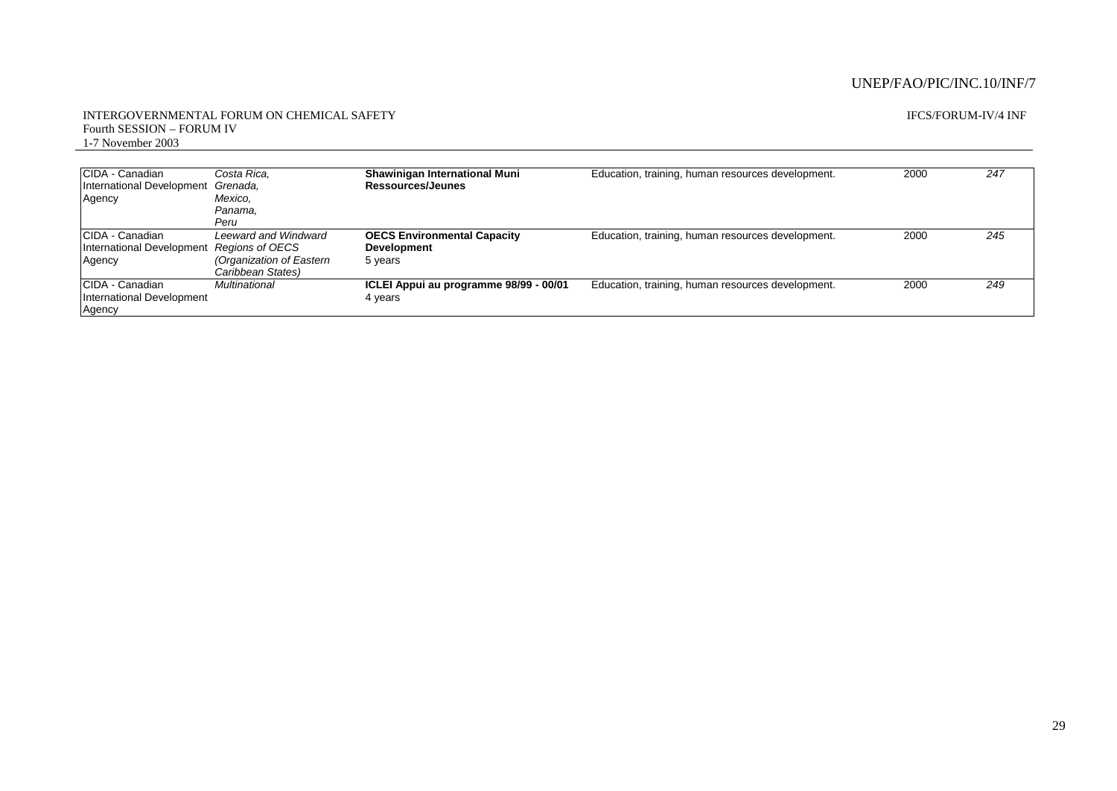#### INTERGOVERNMENTAL FORUM ON CHEMICAL SAFETY Fourth SESSION – FORUM IV 1-7 November 2003

#### IFCS/FORUM-IV/4 INF

| CIDA - Canadian<br>International Development<br>Agency | Costa Rica.<br>Grenada.<br>Mexico,<br>Panama,<br>Peru                                           | Shawinigan International Muni<br>Ressources/Jeunes                  | Education, training, human resources development. | 2000 | 247 |
|--------------------------------------------------------|-------------------------------------------------------------------------------------------------|---------------------------------------------------------------------|---------------------------------------------------|------|-----|
| CIDA - Canadian<br>International Development<br>Agency | <b>Leeward and Windward</b><br>Regions of OECS<br>(Organization of Eastern<br>Caribbean States) | <b>OECS Environmental Capacity</b><br><b>Development</b><br>5 years | Education, training, human resources development. | 2000 | 245 |
| CIDA - Canadian<br>International Development<br>Agency | Multinational                                                                                   | ICLEI Appui au programme 98/99 - 00/01<br>4 years                   | Education, training, human resources development. | 2000 | 249 |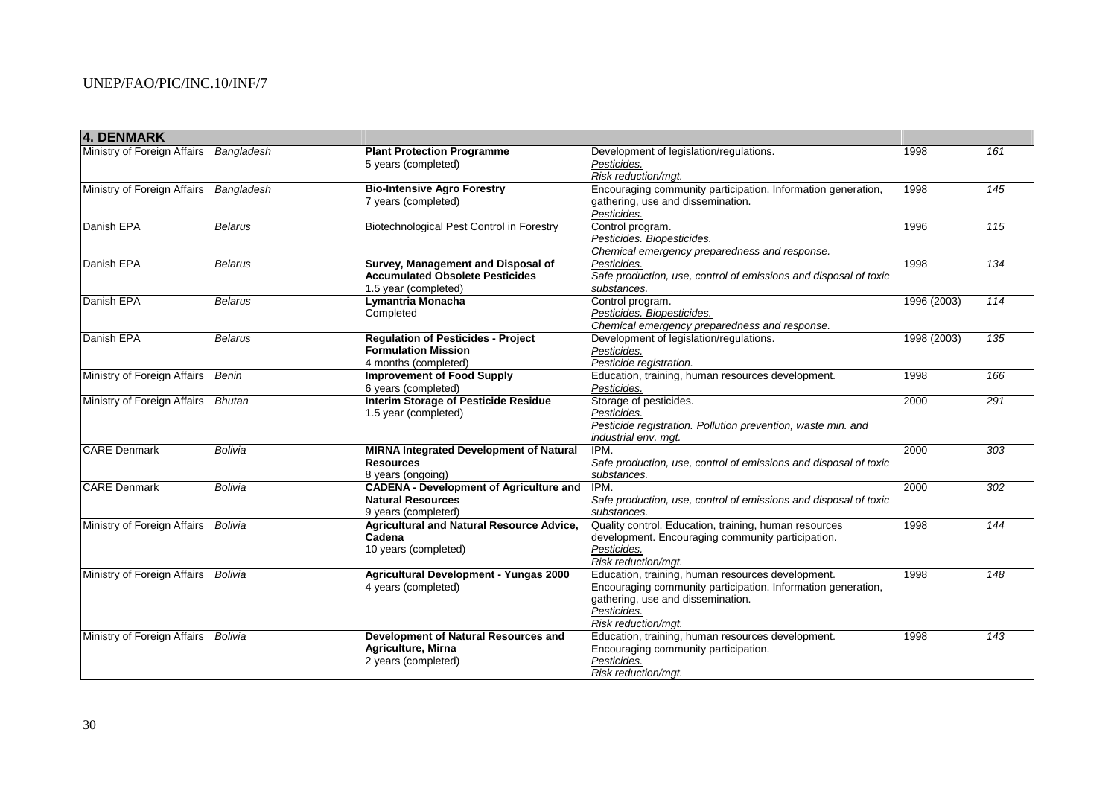| 4. DENMARK                             |                |                                                |                                                                  |             |     |
|----------------------------------------|----------------|------------------------------------------------|------------------------------------------------------------------|-------------|-----|
| Ministry of Foreign Affairs Bangladesh |                | <b>Plant Protection Programme</b>              | Development of legislation/regulations.                          | 1998        | 161 |
|                                        |                | 5 years (completed)                            | Pesticides.                                                      |             |     |
|                                        |                |                                                | Risk reduction/mgt.                                              |             |     |
| Ministry of Foreign Affairs Bangladesh |                | <b>Bio-Intensive Agro Forestry</b>             | Encouraging community participation. Information generation,     | 1998        | 145 |
|                                        |                | 7 years (completed)                            | gathering, use and dissemination.                                |             |     |
|                                        |                |                                                | Pesticides.                                                      |             |     |
| Danish EPA                             | <b>Belarus</b> | Biotechnological Pest Control in Forestry      | Control program.                                                 | 1996        | 115 |
|                                        |                |                                                | Pesticides. Biopesticides.                                       |             |     |
|                                        |                |                                                | Chemical emergency preparedness and response.                    |             |     |
| Danish EPA                             | <b>Belarus</b> | Survey, Management and Disposal of             | Pesticides.                                                      | 1998        | 134 |
|                                        |                | <b>Accumulated Obsolete Pesticides</b>         | Safe production, use, control of emissions and disposal of toxic |             |     |
|                                        |                | 1.5 year (completed)                           | substances.                                                      |             |     |
| Danish EPA                             | <b>Belarus</b> | Lymantria Monacha                              | Control program.                                                 | 1996 (2003) | 114 |
|                                        |                | Completed                                      | Pesticides. Biopesticides.                                       |             |     |
|                                        |                |                                                | Chemical emergency preparedness and response.                    |             |     |
| Danish EPA                             | <b>Belarus</b> | <b>Regulation of Pesticides - Project</b>      | Development of legislation/regulations.                          | 1998 (2003) | 135 |
|                                        |                | <b>Formulation Mission</b>                     | Pesticides.                                                      |             |     |
|                                        |                | 4 months (completed)                           | Pesticide registration.                                          |             |     |
| Ministry of Foreign Affairs            | Benin          | <b>Improvement of Food Supply</b>              | Education, training, human resources development.                | 1998        | 166 |
|                                        |                | 6 years (completed)                            | Pesticides.                                                      |             |     |
| Ministry of Foreign Affairs Bhutan     |                | <b>Interim Storage of Pesticide Residue</b>    | Storage of pesticides.                                           | 2000        | 291 |
|                                        |                | 1.5 year (completed)                           | Pesticides.                                                      |             |     |
|                                        |                |                                                | Pesticide registration. Pollution prevention, waste min. and     |             |     |
|                                        |                |                                                | industrial env. mgt.                                             |             |     |
| <b>CARE Denmark</b>                    | <b>Bolivia</b> | <b>MIRNA Integrated Development of Natural</b> | IPM.                                                             | 2000        | 303 |
|                                        |                | <b>Resources</b>                               | Safe production, use, control of emissions and disposal of toxic |             |     |
|                                        |                | 8 years (ongoing)                              | substances.                                                      |             |     |
| <b>CARE Denmark</b>                    | Bolivia        | <b>CADENA - Development of Agriculture and</b> | IPM.                                                             | 2000        | 302 |
|                                        |                | <b>Natural Resources</b>                       | Safe production, use, control of emissions and disposal of toxic |             |     |
|                                        |                | 9 years (completed)                            | substances.                                                      |             |     |
| Ministry of Foreign Affairs            | Bolivia        | Agricultural and Natural Resource Advice,      | Quality control. Education, training, human resources            | 1998        | 144 |
|                                        |                | Cadena                                         | development. Encouraging community participation.                |             |     |
|                                        |                | 10 years (completed)                           | Pesticides.                                                      |             |     |
|                                        |                |                                                | Risk reduction/mgt.                                              |             |     |
| Ministry of Foreign Affairs Bolivia    |                | <b>Agricultural Development - Yungas 2000</b>  | Education, training, human resources development.                | 1998        | 148 |
|                                        |                | 4 years (completed)                            | Encouraging community participation. Information generation,     |             |     |
|                                        |                |                                                | gathering, use and dissemination.                                |             |     |
|                                        |                |                                                | Pesticides.                                                      |             |     |
|                                        |                |                                                | Risk reduction/mgt.                                              |             |     |
| Ministry of Foreign Affairs Bolivia    |                | Development of Natural Resources and           | Education, training, human resources development.                | 1998        | 143 |
|                                        |                | Agriculture, Mirna                             | Encouraging community participation.                             |             |     |
|                                        |                | 2 years (completed)                            | Pesticides.                                                      |             |     |
|                                        |                |                                                | Risk reduction/mgt.                                              |             |     |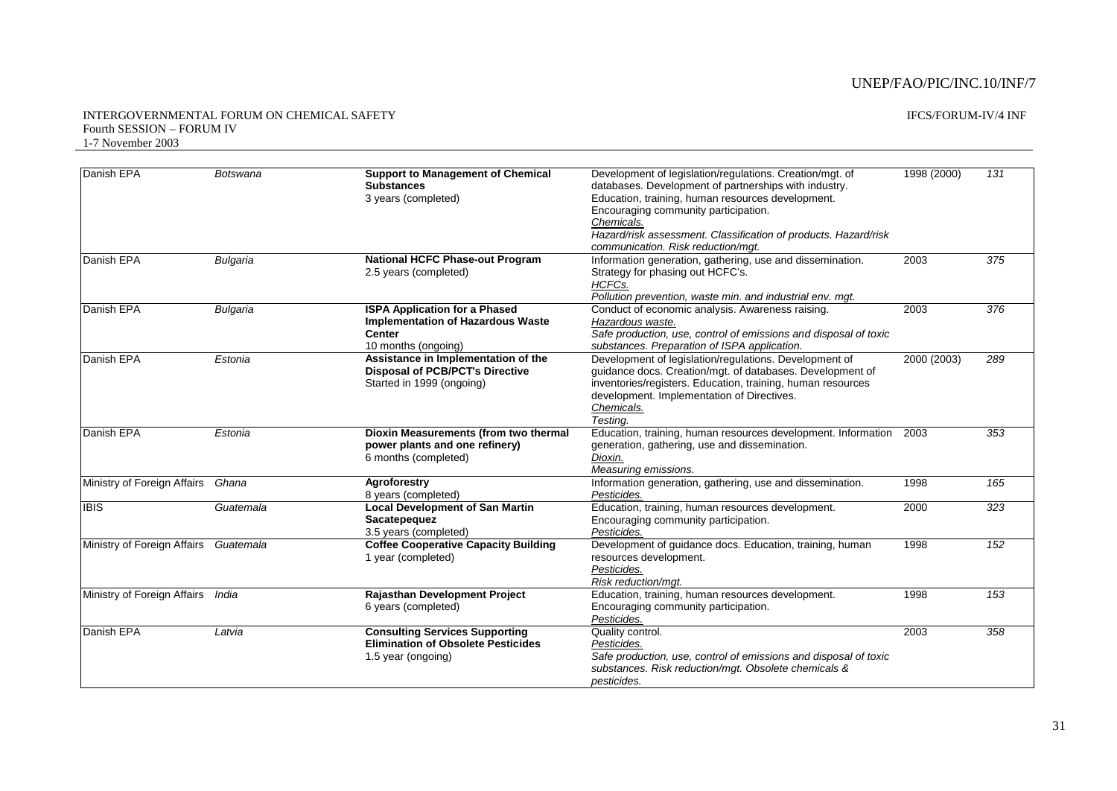#### INTERGOVERNMENTAL FORUM ON CHEMICAL SAFETY Fourth SESSION – FORUM IV 1-7 November 2003

| Danish EPA                        | <b>Botswana</b> | <b>Support to Management of Chemical</b>    | Development of legislation/regulations. Creation/mgt. of         | 1998 (2000) | 131 |
|-----------------------------------|-----------------|---------------------------------------------|------------------------------------------------------------------|-------------|-----|
|                                   |                 | <b>Substances</b>                           | databases. Development of partnerships with industry.            |             |     |
|                                   |                 | 3 years (completed)                         | Education, training, human resources development.                |             |     |
|                                   |                 |                                             | Encouraging community participation.                             |             |     |
|                                   |                 |                                             | Chemicals.                                                       |             |     |
|                                   |                 |                                             | Hazard/risk assessment. Classification of products. Hazard/risk  |             |     |
|                                   |                 |                                             | communication. Risk reduction/mat.                               |             |     |
| Danish EPA                        | Bulgaria        | <b>National HCFC Phase-out Program</b>      | Information generation, gathering, use and dissemination.        | 2003        | 375 |
|                                   |                 | 2.5 years (completed)                       | Strategy for phasing out HCFC's.                                 |             |     |
|                                   |                 |                                             | HCFCs.                                                           |             |     |
|                                   |                 |                                             | Pollution prevention, waste min. and industrial env. mgt.        |             |     |
| Danish EPA                        | <b>Bulgaria</b> | <b>ISPA Application for a Phased</b>        | Conduct of economic analysis. Awareness raising.                 | 2003        | 376 |
|                                   |                 | <b>Implementation of Hazardous Waste</b>    | Hazardous waste.                                                 |             |     |
|                                   |                 | <b>Center</b>                               | Safe production, use, control of emissions and disposal of toxic |             |     |
|                                   |                 | 10 months (ongoing)                         | substances. Preparation of ISPA application.                     |             |     |
| Danish EPA                        | Estonia         | Assistance in Implementation of the         | Development of legislation/regulations. Development of           | 2000 (2003) | 289 |
|                                   |                 | <b>Disposal of PCB/PCT's Directive</b>      | guidance docs. Creation/mgt. of databases. Development of        |             |     |
|                                   |                 | Started in 1999 (ongoing)                   | inventories/registers. Education, training, human resources      |             |     |
|                                   |                 |                                             | development. Implementation of Directives.                       |             |     |
|                                   |                 |                                             | Chemicals.                                                       |             |     |
|                                   |                 |                                             | Testing.                                                         |             |     |
| Danish EPA                        | Estonia         | Dioxin Measurements (from two thermal       | Education, training, human resources development. Information    | 2003        | 353 |
|                                   |                 | power plants and one refinery)              | generation, gathering, use and dissemination.                    |             |     |
|                                   |                 | 6 months (completed)                        | Dioxin.                                                          |             |     |
|                                   |                 |                                             | Measuring emissions.                                             |             |     |
| Ministry of Foreign Affairs       | Ghana           | Agroforestry                                | Information generation, gathering, use and dissemination.        | 1998        | 165 |
|                                   |                 | 8 years (completed)                         | Pesticides.                                                      |             |     |
| <b>IBIS</b>                       | Guatemala       | <b>Local Development of San Martin</b>      | Education, training, human resources development.                | 2000        | 323 |
|                                   |                 | Sacatepequez                                | Encouraging community participation.                             |             |     |
|                                   |                 | 3.5 years (completed)                       | Pesticides.                                                      |             |     |
| Ministry of Foreign Affairs       | Guatemala       | <b>Coffee Cooperative Capacity Building</b> | Development of guidance docs. Education, training, human         | 1998        | 152 |
|                                   |                 | 1 year (completed)                          | resources development.                                           |             |     |
|                                   |                 |                                             | Pesticides.                                                      |             |     |
|                                   |                 |                                             | Risk reduction/mgt.                                              |             |     |
| Ministry of Foreign Affairs India |                 | Rajasthan Development Project               | Education, training, human resources development.                | 1998        | 153 |
|                                   |                 | 6 years (completed)                         | Encouraging community participation.                             |             |     |
|                                   |                 |                                             | Pesticides.                                                      |             |     |
| Danish EPA                        | Latvia          | <b>Consulting Services Supporting</b>       | Quality control.                                                 | 2003        | 358 |
|                                   |                 | <b>Elimination of Obsolete Pesticides</b>   | Pesticides.                                                      |             |     |
|                                   |                 | 1.5 year (ongoing)                          | Safe production, use, control of emissions and disposal of toxic |             |     |
|                                   |                 |                                             | substances. Risk reduction/mgt. Obsolete chemicals &             |             |     |
|                                   |                 |                                             | pesticides.                                                      |             |     |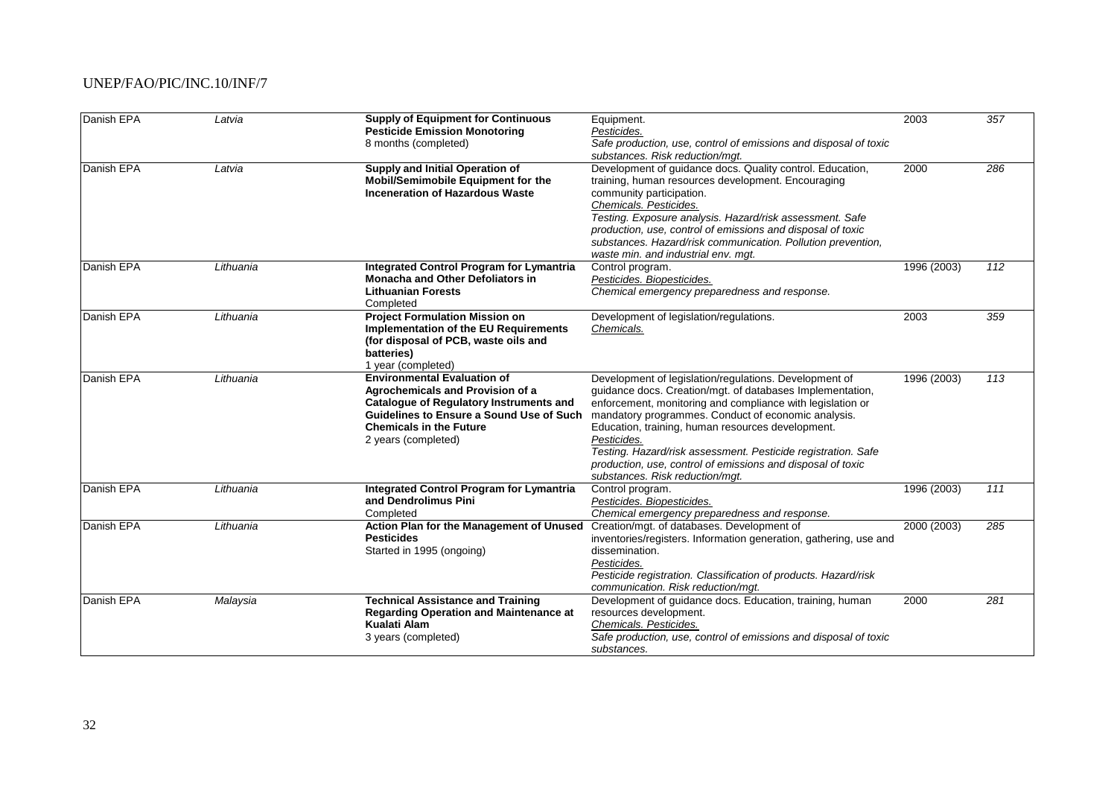| Danish EPA | Latvia    | <b>Supply of Equipment for Continuous</b><br><b>Pesticide Emission Monotoring</b><br>8 months (completed)                                                                                                                     | Equipment.<br>Pesticides.<br>Safe production, use, control of emissions and disposal of toxic                                                                                                                                                                                                                                                                                                                                                                                   | 2003        | 357 |
|------------|-----------|-------------------------------------------------------------------------------------------------------------------------------------------------------------------------------------------------------------------------------|---------------------------------------------------------------------------------------------------------------------------------------------------------------------------------------------------------------------------------------------------------------------------------------------------------------------------------------------------------------------------------------------------------------------------------------------------------------------------------|-------------|-----|
| Danish EPA | Latvia    | Supply and Initial Operation of<br>Mobil/Semimobile Equipment for the<br><b>Inceneration of Hazardous Waste</b>                                                                                                               | substances. Risk reduction/mgt.<br>Development of guidance docs. Quality control. Education,<br>training, human resources development. Encouraging<br>community participation.<br>Chemicals. Pesticides.<br>Testing. Exposure analysis. Hazard/risk assessment. Safe<br>production, use, control of emissions and disposal of toxic<br>substances. Hazard/risk communication. Pollution prevention,<br>waste min. and industrial env. mgt.                                      | 2000        | 286 |
| Danish EPA | Lithuania | <b>Integrated Control Program for Lymantria</b><br><b>Monacha and Other Defoliators in</b><br><b>Lithuanian Forests</b><br>Completed                                                                                          | Control program.<br>Pesticides. Biopesticides.<br>Chemical emergency preparedness and response.                                                                                                                                                                                                                                                                                                                                                                                 | 1996 (2003) | 112 |
| Danish EPA | Lithuania | <b>Project Formulation Mission on</b><br>Implementation of the EU Requirements<br>(for disposal of PCB, waste oils and<br>batteries)<br>1 year (completed)                                                                    | Development of legislation/regulations.<br>Chemicals.                                                                                                                                                                                                                                                                                                                                                                                                                           | 2003        | 359 |
| Danish EPA | Lithuania | <b>Environmental Evaluation of</b><br>Agrochemicals and Provision of a<br><b>Catalogue of Regulatory Instruments and</b><br>Guidelines to Ensure a Sound Use of Such<br><b>Chemicals in the Future</b><br>2 years (completed) | Development of legislation/regulations. Development of<br>quidance docs. Creation/mgt. of databases Implementation,<br>enforcement, monitoring and compliance with legislation or<br>mandatory programmes. Conduct of economic analysis.<br>Education, training, human resources development.<br>Pesticides.<br>Testing. Hazard/risk assessment. Pesticide registration. Safe<br>production, use, control of emissions and disposal of toxic<br>substances. Risk reduction/mqt. | 1996 (2003) | 113 |
| Danish EPA | Lithuania | <b>Integrated Control Program for Lymantria</b><br>and Dendrolimus Pini<br>Completed                                                                                                                                          | Control program.<br>Pesticides. Biopesticides.<br>Chemical emergency preparedness and response.                                                                                                                                                                                                                                                                                                                                                                                 | 1996 (2003) | 111 |
| Danish EPA | Lithuania | Action Plan for the Management of Unused<br><b>Pesticides</b><br>Started in 1995 (ongoing)                                                                                                                                    | Creation/mgt. of databases. Development of<br>inventories/registers. Information generation, gathering, use and<br>dissemination.<br>Pesticides.<br>Pesticide registration. Classification of products. Hazard/risk<br>communication. Risk reduction/mqt.                                                                                                                                                                                                                       | 2000 (2003) | 285 |
| Danish EPA | Malaysia  | <b>Technical Assistance and Training</b><br><b>Regarding Operation and Maintenance at</b><br>Kualati Alam<br>3 years (completed)                                                                                              | Development of guidance docs. Education, training, human<br>resources development.<br>Chemicals. Pesticides.<br>Safe production, use, control of emissions and disposal of toxic<br>substances.                                                                                                                                                                                                                                                                                 | 2000        | 281 |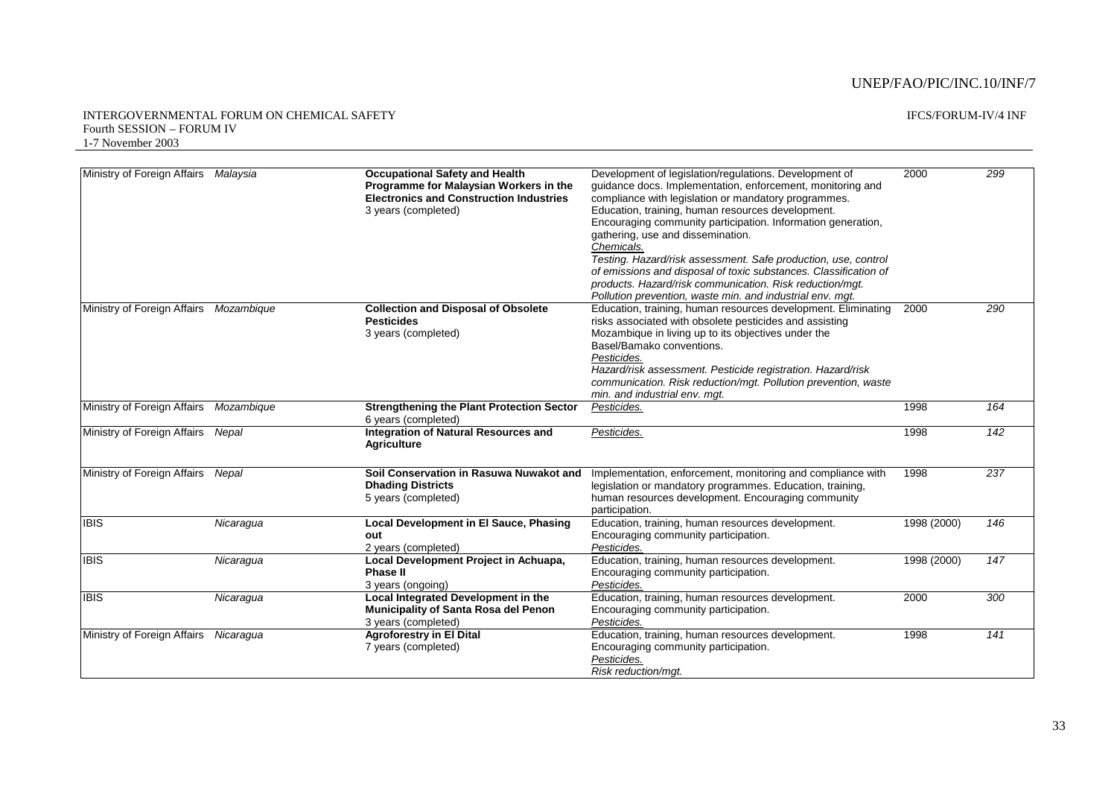#### INTERGOVERNMENTAL FORUM ON CHEMICAL SAFETY Fourth SESSION – FORUM IV 1-7 November 2003

| Ministry of Foreign Affairs            | Malaysia   | <b>Occupational Safety and Health</b>                                   | Development of legislation/regulations. Development of           | 2000        | 299 |
|----------------------------------------|------------|-------------------------------------------------------------------------|------------------------------------------------------------------|-------------|-----|
|                                        |            | Programme for Malaysian Workers in the                                  | quidance docs. Implementation, enforcement, monitoring and       |             |     |
|                                        |            | <b>Electronics and Construction Industries</b>                          | compliance with legislation or mandatory programmes.             |             |     |
|                                        |            | 3 years (completed)                                                     | Education, training, human resources development.                |             |     |
|                                        |            |                                                                         | Encouraging community participation. Information generation,     |             |     |
|                                        |            |                                                                         | gathering, use and dissemination.                                |             |     |
|                                        |            |                                                                         | Chemicals.                                                       |             |     |
|                                        |            |                                                                         | Testing. Hazard/risk assessment. Safe production, use, control   |             |     |
|                                        |            |                                                                         | of emissions and disposal of toxic substances. Classification of |             |     |
|                                        |            |                                                                         | products. Hazard/risk communication. Risk reduction/mqt.         |             |     |
|                                        |            |                                                                         | Pollution prevention, waste min. and industrial env. mgt.        |             |     |
| Ministry of Foreign Affairs Mozambique |            | <b>Collection and Disposal of Obsolete</b>                              | Education, training, human resources development. Eliminating    | 2000        | 290 |
|                                        |            | <b>Pesticides</b>                                                       | risks associated with obsolete pesticides and assisting          |             |     |
|                                        |            | 3 years (completed)                                                     | Mozambique in living up to its objectives under the              |             |     |
|                                        |            |                                                                         | Basel/Bamako conventions.                                        |             |     |
|                                        |            |                                                                         | Pesticides.                                                      |             |     |
|                                        |            |                                                                         | Hazard/risk assessment. Pesticide registration. Hazard/risk      |             |     |
|                                        |            |                                                                         | communication. Risk reduction/mgt. Pollution prevention, waste   |             |     |
|                                        |            |                                                                         | min, and industrial env. mat.                                    |             |     |
| Ministry of Foreign Affairs            | Mozambique | <b>Strengthening the Plant Protection Sector</b><br>6 years (completed) | Pesticides.                                                      | 1998        | 164 |
| Ministry of Foreign Affairs            | Nepal      | <b>Integration of Natural Resources and</b>                             | Pesticides.                                                      | 1998        | 142 |
|                                        |            | <b>Agriculture</b>                                                      |                                                                  |             |     |
| Ministry of Foreign Affairs            | Nepal      | Soil Conservation in Rasuwa Nuwakot and                                 | Implementation, enforcement, monitoring and compliance with      | 1998        | 237 |
|                                        |            | <b>Dhading Districts</b>                                                | legislation or mandatory programmes. Education, training,        |             |     |
|                                        |            | 5 years (completed)                                                     | human resources development. Encouraging community               |             |     |
|                                        |            |                                                                         | participation.                                                   |             |     |
| <b>IBIS</b>                            | Nicaragua  | <b>Local Development in El Sauce, Phasing</b>                           | Education, training, human resources development.                | 1998 (2000) | 146 |
|                                        |            | out                                                                     | Encouraging community participation.                             |             |     |
|                                        |            | 2 years (completed)                                                     | Pesticides.                                                      |             |     |
| <b>IBIS</b>                            | Nicaragua  | Local Development Project in Achuapa,                                   | Education, training, human resources development.                | 1998 (2000) | 147 |
|                                        |            | <b>Phase II</b>                                                         | Encouraging community participation.                             |             |     |
|                                        |            | 3 years (ongoing)                                                       | Pesticides.                                                      |             |     |
| <b>IBIS</b>                            | Nicaragua  | Local Integrated Development in the                                     | Education, training, human resources development.                | 2000        | 300 |
|                                        |            | Municipality of Santa Rosa del Penon                                    | Encouraging community participation.                             |             |     |
|                                        |            | 3 years (completed)                                                     | Pesticides.                                                      |             |     |
| Ministry of Foreign Affairs            | Nicaragua  | <b>Agroforestry in El Dital</b>                                         | Education, training, human resources development.                | 1998        | 141 |
|                                        |            | 7 years (completed)                                                     | Encouraging community participation.                             |             |     |
|                                        |            |                                                                         | Pesticides.                                                      |             |     |
|                                        |            |                                                                         | Risk reduction/mgt.                                              |             |     |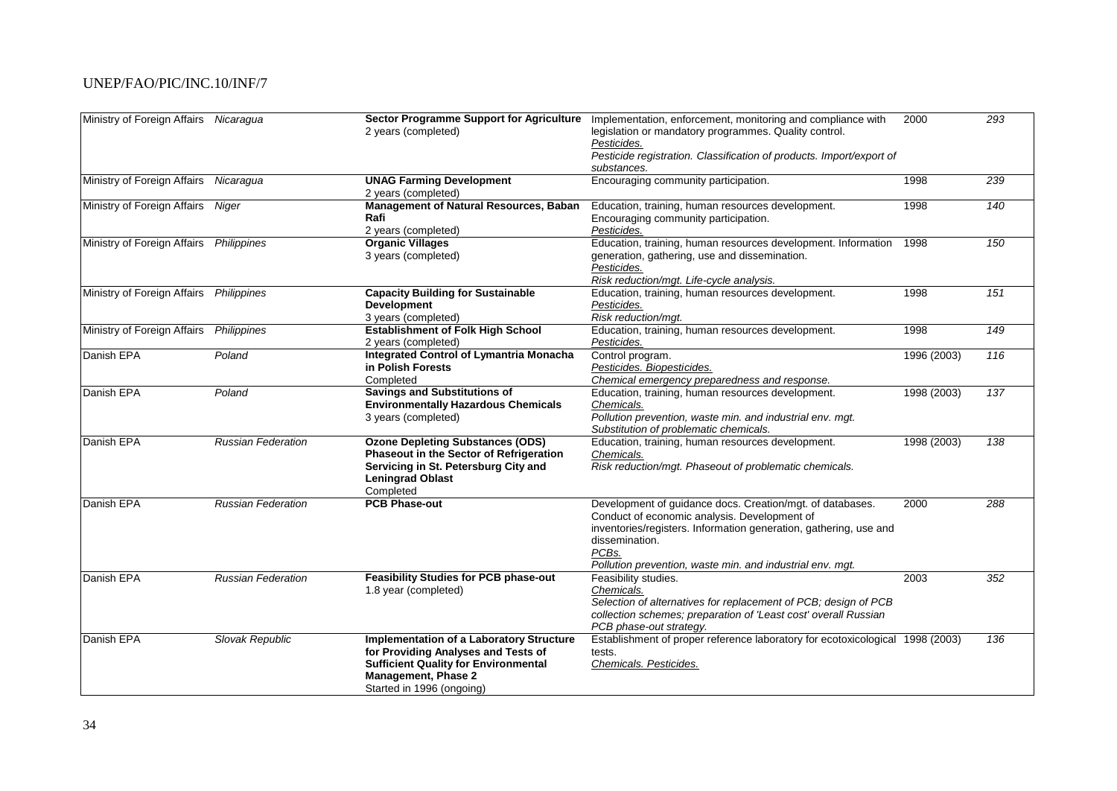| Ministry of Foreign Affairs Nicaragua   |                           | <b>Sector Programme Support for Agriculture</b> | Implementation, enforcement, monitoring and compliance with                                   | 2000        | 293 |
|-----------------------------------------|---------------------------|-------------------------------------------------|-----------------------------------------------------------------------------------------------|-------------|-----|
|                                         |                           | 2 years (completed)                             | legislation or mandatory programmes. Quality control.                                         |             |     |
|                                         |                           |                                                 | Pesticides.                                                                                   |             |     |
|                                         |                           |                                                 | Pesticide registration. Classification of products. Import/export of                          |             |     |
|                                         |                           |                                                 | substances.                                                                                   |             |     |
| Ministry of Foreign Affairs Nicaragua   |                           | <b>UNAG Farming Development</b>                 | Encouraging community participation.                                                          | 1998        | 239 |
|                                         |                           | 2 years (completed)                             |                                                                                               |             |     |
| Ministry of Foreign Affairs             | Niger                     | Management of Natural Resources, Baban          | Education, training, human resources development.                                             | 1998        | 140 |
|                                         |                           | Rafi                                            | Encouraging community participation.                                                          |             |     |
|                                         |                           | 2 years (completed)                             | Pesticides.                                                                                   |             |     |
| Ministry of Foreign Affairs Philippines |                           | <b>Organic Villages</b>                         | Education, training, human resources development. Information                                 | 1998        | 150 |
|                                         |                           | 3 years (completed)                             | generation, gathering, use and dissemination.<br>Pesticides.                                  |             |     |
|                                         |                           |                                                 |                                                                                               |             |     |
| Ministry of Foreign Affairs Philippines |                           | <b>Capacity Building for Sustainable</b>        | Risk reduction/mgt. Life-cycle analysis.<br>Education, training, human resources development. | 1998        | 151 |
|                                         |                           | Development                                     | Pesticides.                                                                                   |             |     |
|                                         |                           | 3 years (completed)                             | Risk reduction/mgt.                                                                           |             |     |
| Ministry of Foreign Affairs Philippines |                           | <b>Establishment of Folk High School</b>        | Education, training, human resources development.                                             | 1998        | 149 |
|                                         |                           | 2 years (completed)                             | Pesticides.                                                                                   |             |     |
| Danish EPA                              | Poland                    | <b>Integrated Control of Lymantria Monacha</b>  | Control program.                                                                              | 1996 (2003) | 116 |
|                                         |                           | in Polish Forests                               | Pesticides. Biopesticides.                                                                    |             |     |
|                                         |                           | Completed                                       | Chemical emergency preparedness and response.                                                 |             |     |
| Danish EPA                              | Poland                    | <b>Savings and Substitutions of</b>             | Education, training, human resources development.                                             | 1998 (2003) | 137 |
|                                         |                           | <b>Environmentally Hazardous Chemicals</b>      | Chemicals.                                                                                    |             |     |
|                                         |                           | 3 years (completed)                             | Pollution prevention, waste min. and industrial env. mgt.                                     |             |     |
|                                         |                           |                                                 | Substitution of problematic chemicals.                                                        |             |     |
| Danish EPA                              | <b>Russian Federation</b> | <b>Ozone Depleting Substances (ODS)</b>         | Education, training, human resources development.                                             | 1998 (2003) | 138 |
|                                         |                           | <b>Phaseout in the Sector of Refrigeration</b>  | Chemicals.                                                                                    |             |     |
|                                         |                           | Servicing in St. Petersburg City and            | Risk reduction/mgt. Phaseout of problematic chemicals.                                        |             |     |
|                                         |                           | <b>Leningrad Oblast</b>                         |                                                                                               |             |     |
|                                         |                           | Completed                                       |                                                                                               |             |     |
| Danish EPA                              | <b>Russian Federation</b> | <b>PCB Phase-out</b>                            | Development of guidance docs. Creation/mgt. of databases.                                     | 2000        | 288 |
|                                         |                           |                                                 | Conduct of economic analysis. Development of                                                  |             |     |
|                                         |                           |                                                 | inventories/registers. Information generation, gathering, use and                             |             |     |
|                                         |                           |                                                 | dissemination.                                                                                |             |     |
|                                         |                           |                                                 | PCBs.                                                                                         |             |     |
| Danish EPA                              |                           |                                                 | Pollution prevention, waste min. and industrial env. mgt.                                     | 2003        |     |
|                                         | <b>Russian Federation</b> | <b>Feasibility Studies for PCB phase-out</b>    | Feasibility studies.                                                                          |             | 352 |
|                                         |                           | 1.8 year (completed)                            | Chemicals.<br>Selection of alternatives for replacement of PCB; design of PCB                 |             |     |
|                                         |                           |                                                 | collection schemes; preparation of 'Least cost' overall Russian                               |             |     |
|                                         |                           |                                                 | PCB phase-out strategy.                                                                       |             |     |
| Danish EPA                              | Slovak Republic           | <b>Implementation of a Laboratory Structure</b> | Establishment of proper reference laboratory for ecotoxicological 1998 (2003)                 |             | 136 |
|                                         |                           | for Providing Analyses and Tests of             | tests.                                                                                        |             |     |
|                                         |                           | <b>Sufficient Quality for Environmental</b>     | Chemicals. Pesticides.                                                                        |             |     |
|                                         |                           | <b>Management, Phase 2</b>                      |                                                                                               |             |     |
|                                         |                           | Started in 1996 (ongoing)                       |                                                                                               |             |     |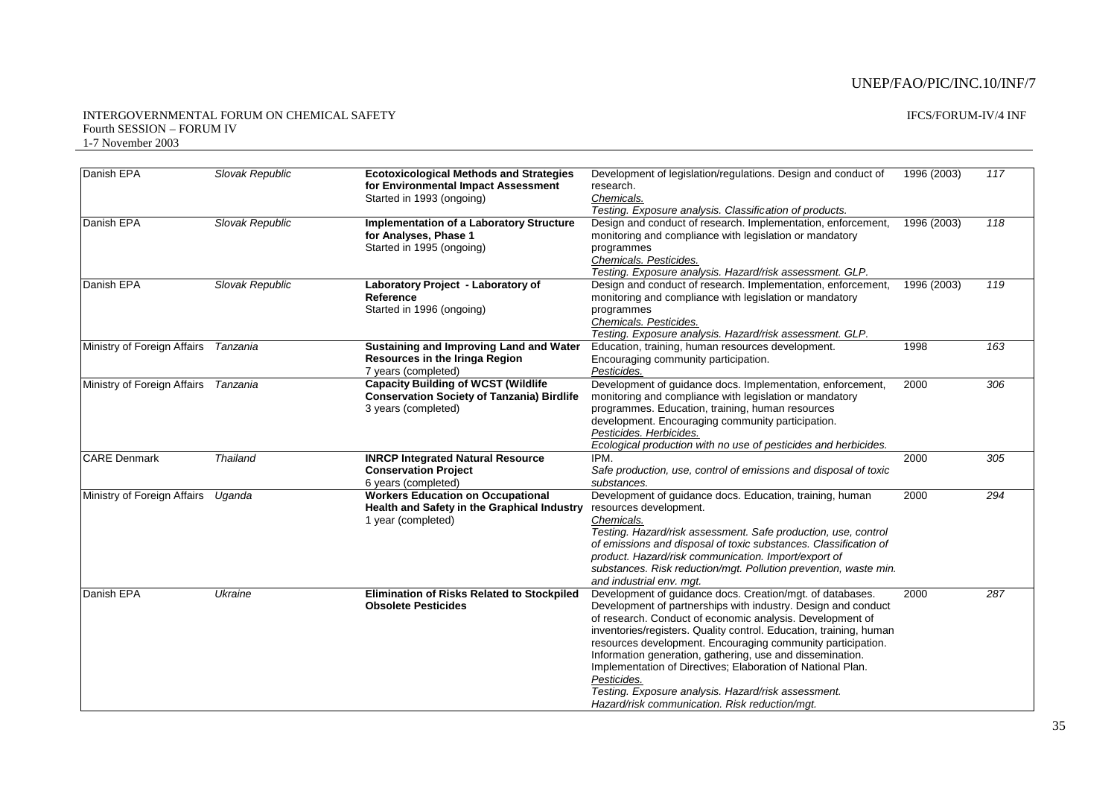#### INTERGOVERNMENTAL FORUM ON CHEMICAL SAFETY Fourth SESSION – FORUM IV 1-7 November 2003

| <b>IFCS/FORUM-IV/4 INF</b> |  |
|----------------------------|--|
|----------------------------|--|

| Danish EPA                  | Slovak Republic | <b>Ecotoxicological Methods and Strategies</b><br>for Environmental Impact Assessment<br>Started in 1993 (ongoing)     | Development of legislation/regulations. Design and conduct of<br>research.<br>Chemicals.<br>Testing. Exposure analysis. Classification of products.                                                                                                                                                                                                                                                                                                                                                                                                                              | 1996 (2003) | 117 |
|-----------------------------|-----------------|------------------------------------------------------------------------------------------------------------------------|----------------------------------------------------------------------------------------------------------------------------------------------------------------------------------------------------------------------------------------------------------------------------------------------------------------------------------------------------------------------------------------------------------------------------------------------------------------------------------------------------------------------------------------------------------------------------------|-------------|-----|
| Danish EPA                  | Slovak Republic | <b>Implementation of a Laboratory Structure</b><br>for Analyses, Phase 1<br>Started in 1995 (ongoing)                  | Design and conduct of research. Implementation, enforcement,<br>monitoring and compliance with legislation or mandatory<br>programmes<br>Chemicals. Pesticides.<br>Testing. Exposure analysis. Hazard/risk assessment. GLP.                                                                                                                                                                                                                                                                                                                                                      | 1996 (2003) | 118 |
| Danish EPA                  | Slovak Republic | Laboratory Project - Laboratory of<br>Reference<br>Started in 1996 (ongoing)                                           | Design and conduct of research. Implementation, enforcement,<br>monitoring and compliance with legislation or mandatory<br>programmes<br>Chemicals. Pesticides.<br>Testing. Exposure analysis. Hazard/risk assessment. GLP.                                                                                                                                                                                                                                                                                                                                                      | 1996 (2003) | 119 |
| Ministry of Foreign Affairs | Tanzania        | Sustaining and Improving Land and Water<br><b>Resources in the Iringa Region</b><br>7 years (completed)                | Education, training, human resources development.<br>Encouraging community participation.<br>Pesticides.                                                                                                                                                                                                                                                                                                                                                                                                                                                                         | 1998        | 163 |
| Ministry of Foreign Affairs | Tanzania        | <b>Capacity Building of WCST (Wildlife</b><br><b>Conservation Society of Tanzania) Birdlife</b><br>3 years (completed) | Development of guidance docs. Implementation, enforcement,<br>monitoring and compliance with legislation or mandatory<br>programmes. Education, training, human resources<br>development. Encouraging community participation.<br>Pesticides. Herbicides.<br>Ecological production with no use of pesticides and herbicides.                                                                                                                                                                                                                                                     | 2000        | 306 |
| <b>CARE Denmark</b>         | <b>Thailand</b> | <b>INRCP Integrated Natural Resource</b><br><b>Conservation Project</b><br>6 years (completed)                         | IPM.<br>Safe production, use, control of emissions and disposal of toxic<br>substances.                                                                                                                                                                                                                                                                                                                                                                                                                                                                                          | 2000        | 305 |
| Ministry of Foreign Affairs | Uganda          | <b>Workers Education on Occupational</b><br>Health and Safety in the Graphical Industry<br>1 year (completed)          | Development of guidance docs. Education, training, human<br>resources development.<br>Chemicals.<br>Testing. Hazard/risk assessment. Safe production, use, control<br>of emissions and disposal of toxic substances. Classification of<br>product. Hazard/risk communication. Import/export of<br>substances. Risk reduction/mgt. Pollution prevention, waste min.<br>and industrial env. mgt.                                                                                                                                                                                   | 2000        | 294 |
| Danish EPA                  | Ukraine         | <b>Elimination of Risks Related to Stockpiled</b><br><b>Obsolete Pesticides</b>                                        | Development of guidance docs. Creation/mgt. of databases.<br>Development of partnerships with industry. Design and conduct<br>of research. Conduct of economic analysis. Development of<br>inventories/registers. Quality control. Education, training, human<br>resources development. Encouraging community participation.<br>Information generation, gathering, use and dissemination.<br>Implementation of Directives; Elaboration of National Plan.<br>Pesticides.<br>Testing. Exposure analysis. Hazard/risk assessment.<br>Hazard/risk communication. Risk reduction/mgt. | 2000        | 287 |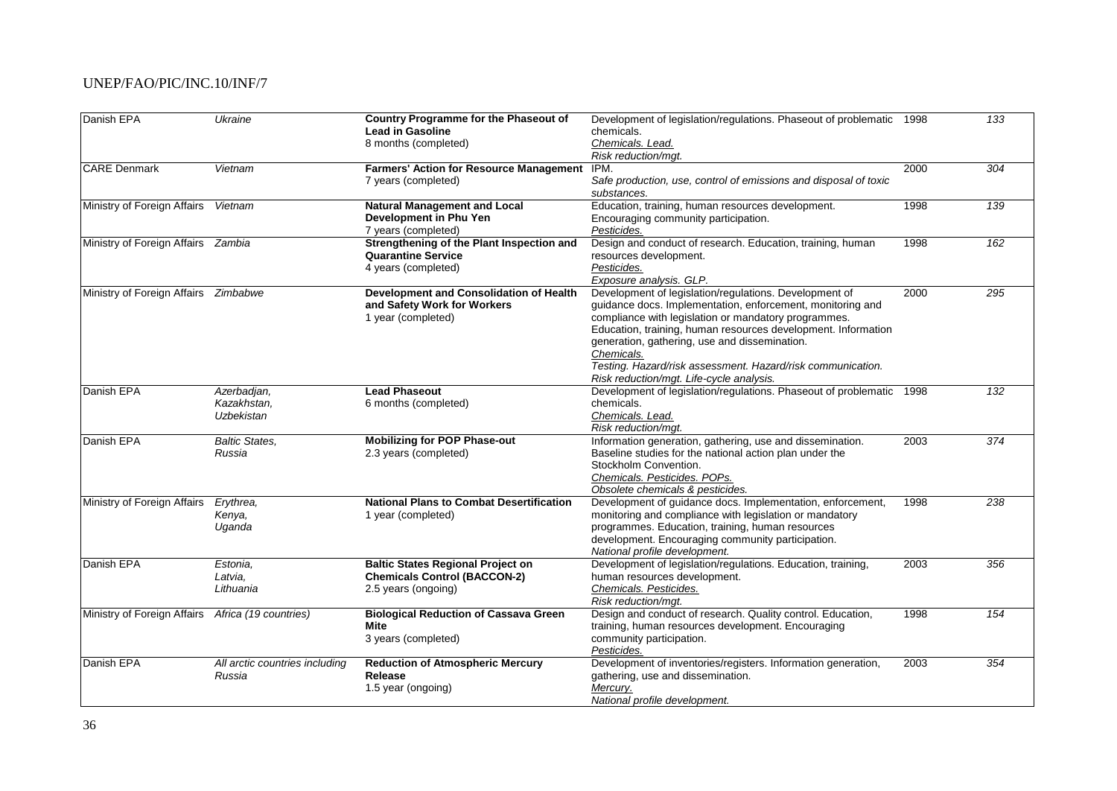| Danish EPA                            | Ukraine                        | <b>Country Programme for the Phaseout of</b><br><b>Lead in Gasoline</b>         | Development of legislation/regulations. Phaseout of problematic 1998<br>chemicals. |      | 133              |
|---------------------------------------|--------------------------------|---------------------------------------------------------------------------------|------------------------------------------------------------------------------------|------|------------------|
|                                       |                                | 8 months (completed)                                                            | Chemicals. Lead.<br>Risk reduction/mgt.                                            |      |                  |
| <b>CARE</b> Denmark                   | Vietnam                        | <b>Farmers' Action for Resource Management</b>                                  | IPM.                                                                               | 2000 | $\overline{304}$ |
|                                       |                                | 7 years (completed)                                                             | Safe production, use, control of emissions and disposal of toxic                   |      |                  |
|                                       |                                |                                                                                 | substances.                                                                        |      |                  |
| Ministry of Foreign Affairs           | Vietnam                        | <b>Natural Management and Local</b>                                             | Education, training, human resources development.                                  | 1998 | 139              |
|                                       |                                | Development in Phu Yen                                                          | Encouraging community participation.                                               |      |                  |
|                                       |                                | 7 years (completed)                                                             | Pesticides.                                                                        |      |                  |
| Ministry of Foreign Affairs Zambia    |                                | Strengthening of the Plant Inspection and                                       | Design and conduct of research. Education, training, human                         | 1998 | 162              |
|                                       |                                | <b>Quarantine Service</b>                                                       | resources development.                                                             |      |                  |
|                                       |                                | 4 years (completed)                                                             | Pesticides.                                                                        |      |                  |
|                                       |                                |                                                                                 | Exposure analysis. GLP.                                                            |      |                  |
| Ministry of Foreign Affairs  Zimbabwe |                                | <b>Development and Consolidation of Health</b>                                  | Development of legislation/regulations. Development of                             | 2000 | 295              |
|                                       |                                | and Safety Work for Workers                                                     | quidance docs. Implementation, enforcement, monitoring and                         |      |                  |
|                                       |                                | 1 year (completed)                                                              | compliance with legislation or mandatory programmes.                               |      |                  |
|                                       |                                |                                                                                 | Education, training, human resources development. Information                      |      |                  |
|                                       |                                |                                                                                 | generation, gathering, use and dissemination.                                      |      |                  |
|                                       |                                |                                                                                 | Chemicals.                                                                         |      |                  |
|                                       |                                |                                                                                 | Testing. Hazard/risk assessment. Hazard/risk communication.                        |      |                  |
|                                       |                                |                                                                                 | Risk reduction/mgt. Life-cycle analysis.                                           |      |                  |
| Danish EPA                            | Azerbadjan,                    | <b>Lead Phaseout</b>                                                            | Development of legislation/regulations. Phaseout of problematic                    | 1998 | 132              |
|                                       | Kazakhstan,                    | 6 months (completed)                                                            | chemicals.                                                                         |      |                  |
|                                       | Uzbekistan                     |                                                                                 | Chemicals. Lead.                                                                   |      |                  |
|                                       |                                |                                                                                 | Risk reduction/mgt.                                                                |      |                  |
| Danish EPA                            | <b>Baltic States.</b>          | <b>Mobilizing for POP Phase-out</b>                                             | Information generation, gathering, use and dissemination.                          | 2003 | $\overline{374}$ |
|                                       | Russia                         | 2.3 years (completed)                                                           | Baseline studies for the national action plan under the                            |      |                  |
|                                       |                                |                                                                                 | Stockholm Convention.                                                              |      |                  |
|                                       |                                |                                                                                 | Chemicals. Pesticides. POPs.                                                       |      |                  |
|                                       |                                |                                                                                 | Obsolete chemicals & pesticides.                                                   |      |                  |
| Ministry of Foreign Affairs           | Erythrea,                      | <b>National Plans to Combat Desertification</b>                                 | Development of guidance docs. Implementation, enforcement,                         | 1998 | 238              |
|                                       | Kenya,                         | 1 year (completed)                                                              | monitoring and compliance with legislation or mandatory                            |      |                  |
|                                       | Uganda                         |                                                                                 | programmes. Education, training, human resources                                   |      |                  |
|                                       |                                |                                                                                 | development. Encouraging community participation.<br>National profile development. |      |                  |
| Danish EPA                            |                                |                                                                                 | Development of legislation/regulations. Education, training,                       | 2003 | 356              |
|                                       | Estonia.<br>Latvia,            | <b>Baltic States Regional Project on</b><br><b>Chemicals Control (BACCON-2)</b> | human resources development.                                                       |      |                  |
|                                       | Lithuania                      | 2.5 years (ongoing)                                                             | Chemicals. Pesticides.                                                             |      |                  |
|                                       |                                |                                                                                 | Risk reduction/mgt.                                                                |      |                  |
| Ministry of Foreign Affairs           | Africa (19 countries)          | <b>Biological Reduction of Cassava Green</b>                                    | Design and conduct of research. Quality control. Education,                        | 1998 | 154              |
|                                       |                                | Mite                                                                            | training, human resources development. Encouraging                                 |      |                  |
|                                       |                                | 3 years (completed)                                                             | community participation.                                                           |      |                  |
|                                       |                                |                                                                                 | Pesticides.                                                                        |      |                  |
| Danish EPA                            | All arctic countries including | <b>Reduction of Atmospheric Mercury</b>                                         | Development of inventories/registers. Information generation,                      | 2003 | 354              |
|                                       | Russia                         | Release                                                                         | gathering, use and dissemination.                                                  |      |                  |
|                                       |                                | 1.5 year (ongoing)                                                              | Mercury.                                                                           |      |                  |
|                                       |                                |                                                                                 | National profile development.                                                      |      |                  |
|                                       |                                |                                                                                 |                                                                                    |      |                  |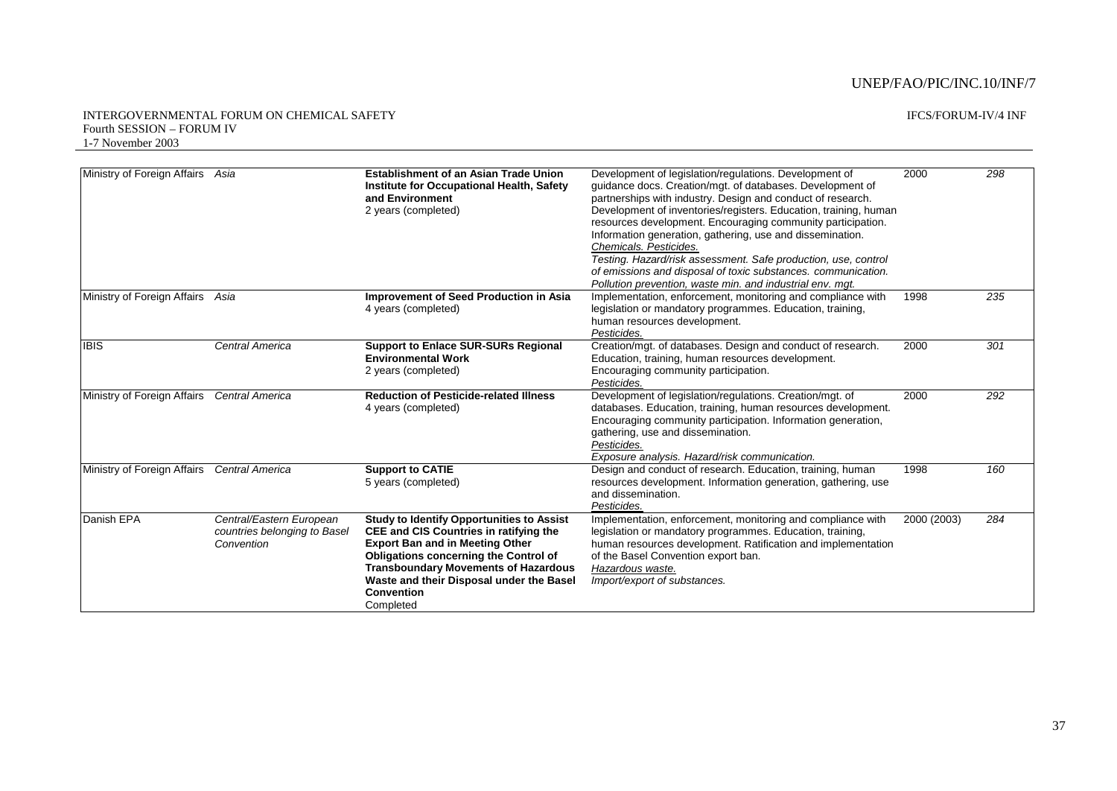| Ministry of Foreign Affairs Asia |                                                                        | <b>Establishment of an Asian Trade Union</b><br>Institute for Occupational Health, Safety<br>and Environment<br>2 years (completed)                                                                                                                                                                                      | Development of legislation/regulations. Development of<br>guidance docs. Creation/mgt. of databases. Development of<br>partnerships with industry. Design and conduct of research.<br>Development of inventories/registers. Education, training, human<br>resources development. Encouraging community participation.<br>Information generation, gathering, use and dissemination.<br>Chemicals, Pesticides,<br>Testing. Hazard/risk assessment. Safe production, use, control | 2000        | 298 |
|----------------------------------|------------------------------------------------------------------------|--------------------------------------------------------------------------------------------------------------------------------------------------------------------------------------------------------------------------------------------------------------------------------------------------------------------------|--------------------------------------------------------------------------------------------------------------------------------------------------------------------------------------------------------------------------------------------------------------------------------------------------------------------------------------------------------------------------------------------------------------------------------------------------------------------------------|-------------|-----|
|                                  |                                                                        |                                                                                                                                                                                                                                                                                                                          | of emissions and disposal of toxic substances. communication.                                                                                                                                                                                                                                                                                                                                                                                                                  |             |     |
| Ministry of Foreign Affairs Asia |                                                                        | <b>Improvement of Seed Production in Asia</b><br>4 years (completed)                                                                                                                                                                                                                                                     | Pollution prevention, waste min. and industrial env. mgt.<br>Implementation, enforcement, monitoring and compliance with<br>legislation or mandatory programmes. Education, training,<br>human resources development.<br>Pesticides.                                                                                                                                                                                                                                           | 1998        | 235 |
| <b>IBIS</b>                      | Central America                                                        | <b>Support to Enlace SUR-SURs Regional</b><br><b>Environmental Work</b><br>2 years (completed)                                                                                                                                                                                                                           | Creation/mgt. of databases. Design and conduct of research.<br>Education, training, human resources development.<br>Encouraging community participation.<br>Pesticides.                                                                                                                                                                                                                                                                                                        | 2000        | 301 |
| Ministry of Foreign Affairs      | Central America                                                        | <b>Reduction of Pesticide-related Illness</b><br>4 years (completed)                                                                                                                                                                                                                                                     | Development of legislation/regulations. Creation/mgt. of<br>databases. Education, training, human resources development.<br>Encouraging community participation. Information generation,<br>gathering, use and dissemination.<br>Pesticides.<br>Exposure analysis. Hazard/risk communication.                                                                                                                                                                                  | 2000        | 292 |
| Ministry of Foreign Affairs      | Central America                                                        | <b>Support to CATIE</b><br>5 years (completed)                                                                                                                                                                                                                                                                           | Design and conduct of research. Education, training, human<br>resources development. Information generation, gathering, use<br>and dissemination.<br>Pesticides.                                                                                                                                                                                                                                                                                                               | 1998        | 160 |
| Danish EPA                       | Central/Eastern European<br>countries belonging to Basel<br>Convention | <b>Study to Identify Opportunities to Assist</b><br><b>CEE and CIS Countries in ratifying the</b><br><b>Export Ban and in Meeting Other</b><br><b>Obligations concerning the Control of</b><br><b>Transboundary Movements of Hazardous</b><br>Waste and their Disposal under the Basel<br><b>Convention</b><br>Completed | Implementation, enforcement, monitoring and compliance with<br>legislation or mandatory programmes. Education, training,<br>human resources development. Ratification and implementation<br>of the Basel Convention export ban.<br>Hazardous waste.<br>Import/export of substances.                                                                                                                                                                                            | 2000 (2003) | 284 |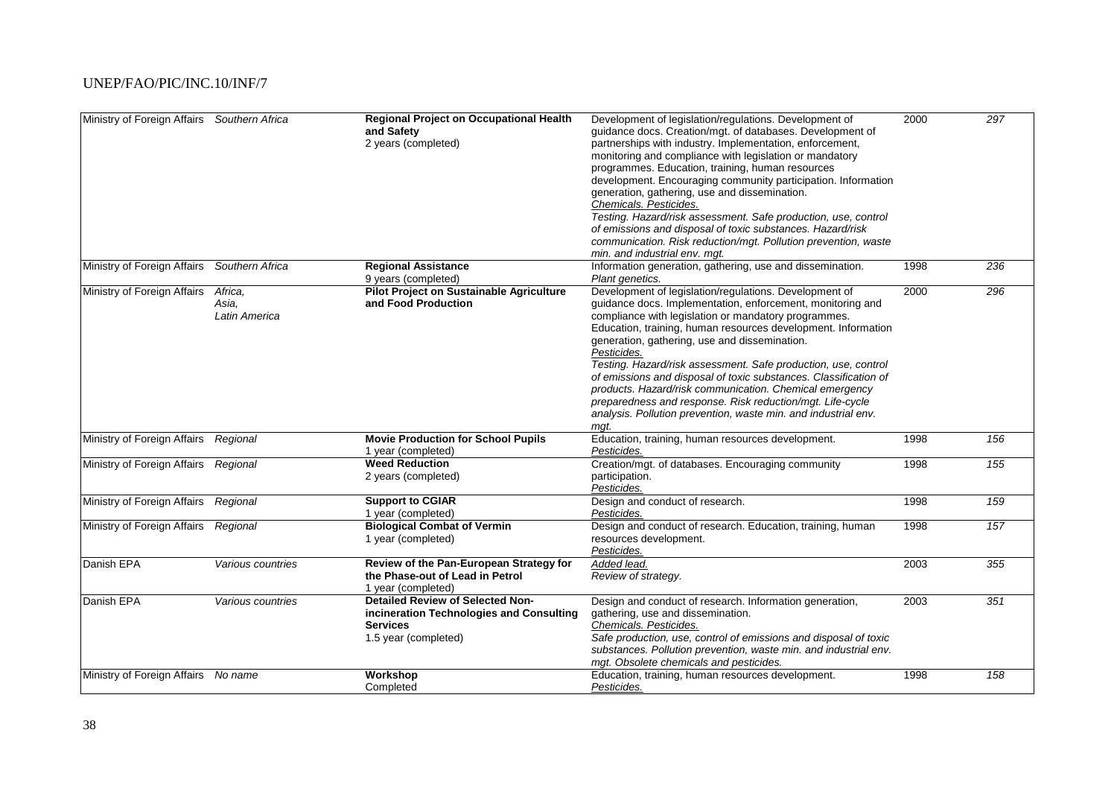| Ministry of Foreign Affairs Southern Africa       |                                   | <b>Regional Project on Occupational Health</b><br>and Safety<br>2 years (completed)                                                        | Development of legislation/regulations. Development of<br>quidance docs. Creation/mgt. of databases. Development of<br>partnerships with industry. Implementation, enforcement,<br>monitoring and compliance with legislation or mandatory<br>programmes. Education, training, human resources<br>development. Encouraging community participation. Information<br>generation, gathering, use and dissemination.<br>Chemicals. Pesticides.<br>Testing. Hazard/risk assessment. Safe production, use, control<br>of emissions and disposal of toxic substances. Hazard/risk<br>communication. Risk reduction/mgt. Pollution prevention, waste<br>min, and industrial env. mat. | 2000         | 297        |
|---------------------------------------------------|-----------------------------------|--------------------------------------------------------------------------------------------------------------------------------------------|-------------------------------------------------------------------------------------------------------------------------------------------------------------------------------------------------------------------------------------------------------------------------------------------------------------------------------------------------------------------------------------------------------------------------------------------------------------------------------------------------------------------------------------------------------------------------------------------------------------------------------------------------------------------------------|--------------|------------|
| Ministry of Foreign Affairs                       | Southern Africa                   | <b>Regional Assistance</b><br>9 years (completed)                                                                                          | Information generation, gathering, use and dissemination.<br>Plant genetics.                                                                                                                                                                                                                                                                                                                                                                                                                                                                                                                                                                                                  | 1998         | 236        |
| Ministry of Foreign Affairs                       | Africa,<br>Asia.<br>Latin America | <b>Pilot Project on Sustainable Agriculture</b><br>and Food Production                                                                     | Development of legislation/regulations. Development of<br>quidance docs. Implementation, enforcement, monitoring and<br>compliance with legislation or mandatory programmes.<br>Education, training, human resources development. Information<br>generation, gathering, use and dissemination.<br>Pesticides.<br>Testing. Hazard/risk assessment. Safe production, use, control<br>of emissions and disposal of toxic substances. Classification of<br>products. Hazard/risk communication. Chemical emergency<br>preparedness and response. Risk reduction/mgt. Life-cycle<br>analysis. Pollution prevention, waste min. and industrial env.<br>mqt.                         | 2000         | 296        |
| Ministry of Foreign Affairs                       | Regional                          | <b>Movie Production for School Pupils</b><br>1 year (completed)                                                                            | Education, training, human resources development.<br>Pesticides.                                                                                                                                                                                                                                                                                                                                                                                                                                                                                                                                                                                                              | 1998         | 156        |
| Ministry of Foreign Affairs Regional              |                                   | <b>Weed Reduction</b><br>2 years (completed)                                                                                               | Creation/mgt. of databases. Encouraging community<br>participation.<br>Pesticides.                                                                                                                                                                                                                                                                                                                                                                                                                                                                                                                                                                                            | 1998         | 155        |
| Ministry of Foreign Affairs                       | Regional                          | <b>Support to CGIAR</b><br>1 year (completed)                                                                                              | Design and conduct of research.<br>Pesticides.                                                                                                                                                                                                                                                                                                                                                                                                                                                                                                                                                                                                                                | 1998         | 159        |
| Ministry of Foreign Affairs Regional              |                                   | <b>Biological Combat of Vermin</b><br>1 year (completed)                                                                                   | Design and conduct of research. Education, training, human<br>resources development.<br>Pesticides.                                                                                                                                                                                                                                                                                                                                                                                                                                                                                                                                                                           | 1998         | 157        |
| Danish EPA                                        | Various countries                 | Review of the Pan-European Strategy for<br>the Phase-out of Lead in Petrol<br>1 year (completed)                                           | Added lead.<br>Review of strategy.                                                                                                                                                                                                                                                                                                                                                                                                                                                                                                                                                                                                                                            | 2003         | 355        |
| Danish EPA<br>Ministry of Foreign Affairs No name | Various countries                 | <b>Detailed Review of Selected Non-</b><br>incineration Technologies and Consulting<br><b>Services</b><br>1.5 year (completed)<br>Workshop | Design and conduct of research. Information generation,<br>gathering, use and dissemination.<br>Chemicals. Pesticides.<br>Safe production, use, control of emissions and disposal of toxic<br>substances. Pollution prevention, waste min. and industrial env.<br>mgt. Obsolete chemicals and pesticides.<br>Education, training, human resources development.                                                                                                                                                                                                                                                                                                                | 2003<br>1998 | 351<br>158 |
|                                                   |                                   | Completed                                                                                                                                  | Pesticides.                                                                                                                                                                                                                                                                                                                                                                                                                                                                                                                                                                                                                                                                   |              |            |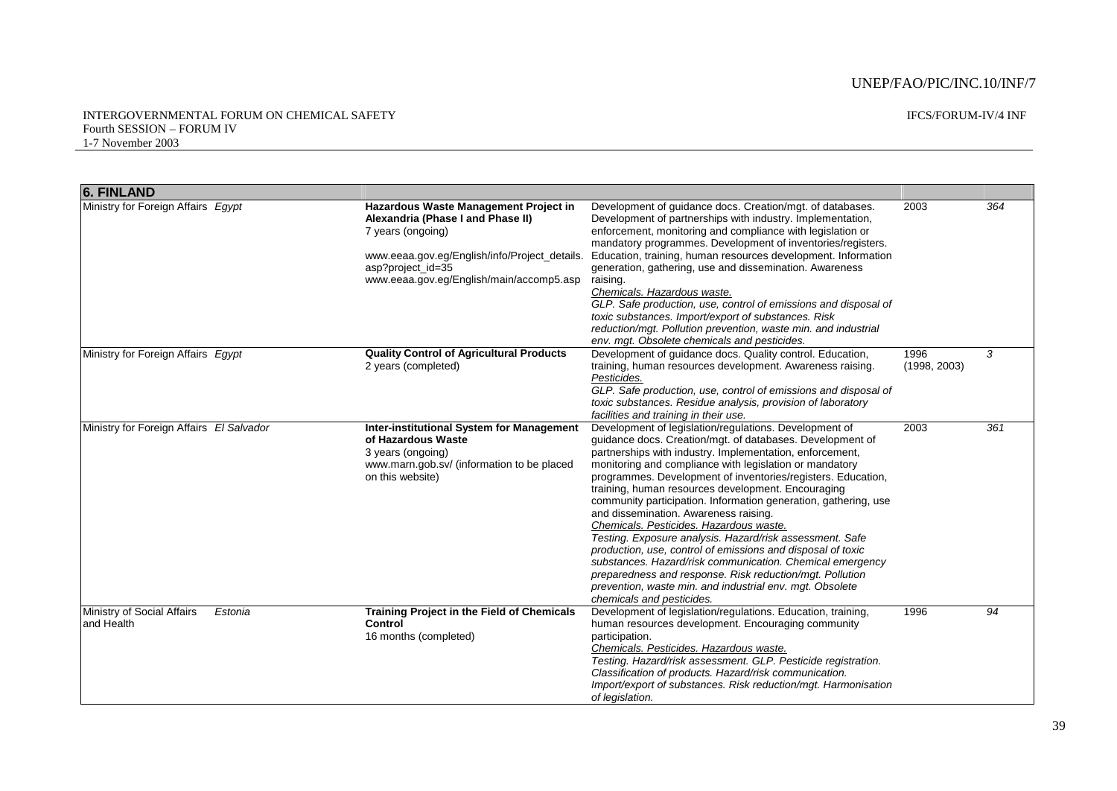#### INTERGOVERNMENTAL FORUM ON CHEMICAL SAFETY Fourth SESSION – FORUM IV 1-7 November 2003

IFCS/FORUM-IV/4 INF

| <b>6. FINLAND</b>                         |         |                                                                                                                                                                                                                   |                                                                                                                                                                                                                                                                                                                                                                                                                                                                                                                                                                                                                                                                                                                                                                                                                                                                      |                      |     |
|-------------------------------------------|---------|-------------------------------------------------------------------------------------------------------------------------------------------------------------------------------------------------------------------|----------------------------------------------------------------------------------------------------------------------------------------------------------------------------------------------------------------------------------------------------------------------------------------------------------------------------------------------------------------------------------------------------------------------------------------------------------------------------------------------------------------------------------------------------------------------------------------------------------------------------------------------------------------------------------------------------------------------------------------------------------------------------------------------------------------------------------------------------------------------|----------------------|-----|
| Ministry for Foreign Affairs Egypt        |         | Hazardous Waste Management Project in<br>Alexandria (Phase I and Phase II)<br>7 years (ongoing)<br>www.eeaa.gov.eg/English/info/Project_details.<br>asp?project_id=35<br>www.eeaa.gov.eg/English/main/accomp5.asp | Development of quidance docs. Creation/mgt. of databases.<br>Development of partnerships with industry. Implementation,<br>enforcement, monitoring and compliance with legislation or<br>mandatory programmes. Development of inventories/registers.<br>Education, training, human resources development. Information<br>generation, gathering, use and dissemination. Awareness<br>raising.<br>Chemicals. Hazardous waste.<br>GLP. Safe production, use, control of emissions and disposal of<br>toxic substances. Import/export of substances. Risk<br>reduction/mgt. Pollution prevention, waste min. and industrial<br>env. mgt. Obsolete chemicals and pesticides.                                                                                                                                                                                              | 2003                 | 364 |
| Ministry for Foreign Affairs Egypt        |         | <b>Quality Control of Agricultural Products</b><br>2 years (completed)                                                                                                                                            | Development of guidance docs. Quality control. Education,<br>training, human resources development. Awareness raising.<br>Pesticides.<br>GLP. Safe production, use, control of emissions and disposal of<br>toxic substances. Residue analysis, provision of laboratory<br>facilities and training in their use.                                                                                                                                                                                                                                                                                                                                                                                                                                                                                                                                                     | 1996<br>(1998, 2003) | 3   |
| Ministry for Foreign Affairs El Salvador  |         | Inter-institutional System for Management<br>of Hazardous Waste<br>3 years (ongoing)<br>www.marn.gob.sv/ (information to be placed<br>on this website)                                                            | Development of legislation/regulations. Development of<br>guidance docs. Creation/mgt. of databases. Development of<br>partnerships with industry. Implementation, enforcement,<br>monitoring and compliance with legislation or mandatory<br>programmes. Development of inventories/registers. Education,<br>training, human resources development. Encouraging<br>community participation. Information generation, gathering, use<br>and dissemination. Awareness raising.<br>Chemicals. Pesticides. Hazardous waste.<br>Testing. Exposure analysis. Hazard/risk assessment. Safe<br>production, use, control of emissions and disposal of toxic<br>substances. Hazard/risk communication. Chemical emergency<br>preparedness and response. Risk reduction/mgt. Pollution<br>prevention, waste min. and industrial env. mgt. Obsolete<br>chemicals and pesticides. | 2003                 | 361 |
| Ministry of Social Affairs<br>land Health | Estonia | <b>Training Project in the Field of Chemicals</b><br>Control<br>16 months (completed)                                                                                                                             | Development of legislation/regulations. Education, training,<br>human resources development. Encouraging community<br>participation.<br>Chemicals. Pesticides. Hazardous waste.<br>Testing. Hazard/risk assessment. GLP. Pesticide registration.<br>Classification of products. Hazard/risk communication.<br>Import/export of substances. Risk reduction/mgt. Harmonisation<br>of legislation.                                                                                                                                                                                                                                                                                                                                                                                                                                                                      | 1996                 | 94  |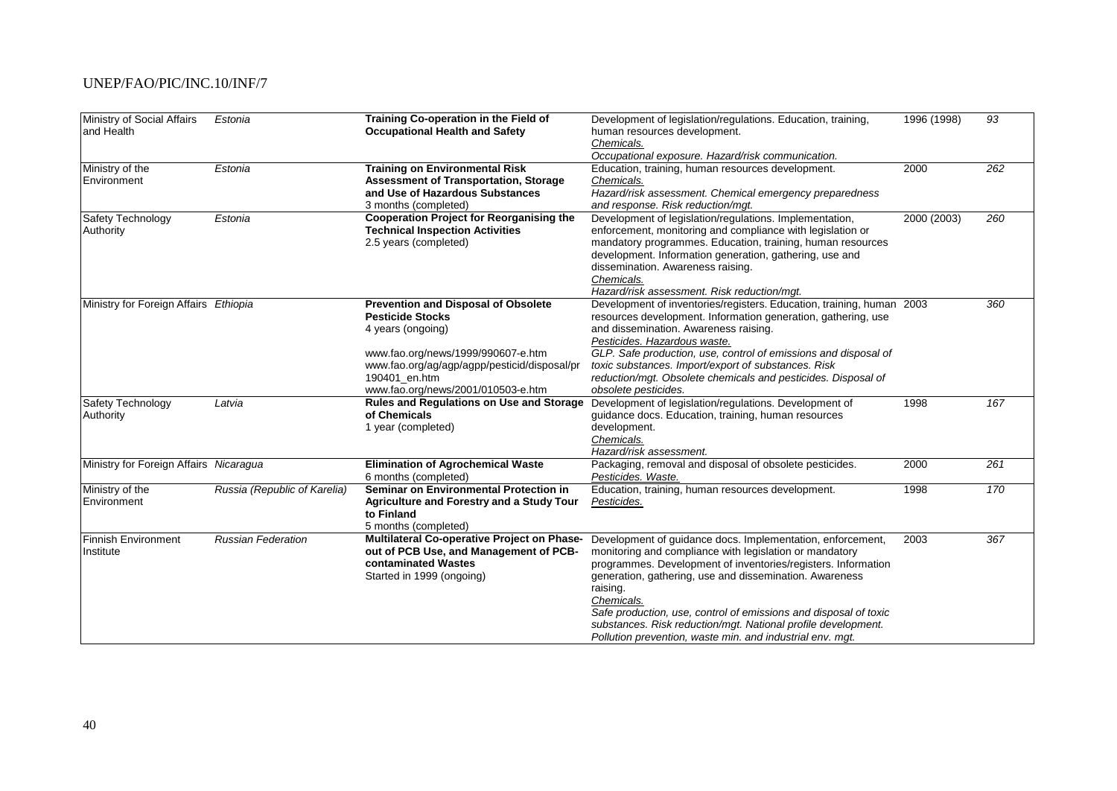| Ministry of Social Affairs<br>and Health | Estonia                      | Training Co-operation in the Field of<br><b>Occupational Health and Safety</b>        | Development of legislation/regulations. Education, training,<br>human resources development. | 1996 (1998) | 93  |
|------------------------------------------|------------------------------|---------------------------------------------------------------------------------------|----------------------------------------------------------------------------------------------|-------------|-----|
|                                          |                              |                                                                                       | Chemicals.                                                                                   |             |     |
|                                          |                              |                                                                                       | Occupational exposure. Hazard/risk communication.                                            | 2000        | 262 |
| Ministry of the                          | Estonia                      | <b>Training on Environmental Risk</b><br><b>Assessment of Transportation, Storage</b> | Education, training, human resources development.                                            |             |     |
| Environment                              |                              | and Use of Hazardous Substances                                                       | Chemicals.                                                                                   |             |     |
|                                          |                              |                                                                                       | Hazard/risk assessment. Chemical emergency preparedness                                      |             |     |
|                                          |                              | 3 months (completed)<br><b>Cooperation Project for Reorganising the</b>               | and response. Risk reduction/mgt.<br>Development of legislation/regulations. Implementation, |             |     |
| Safety Technology                        | Estonia                      | <b>Technical Inspection Activities</b>                                                | enforcement, monitoring and compliance with legislation or                                   | 2000 (2003) | 260 |
| Authority                                |                              |                                                                                       |                                                                                              |             |     |
|                                          |                              | 2.5 years (completed)                                                                 | mandatory programmes. Education, training, human resources                                   |             |     |
|                                          |                              |                                                                                       | development. Information generation, gathering, use and                                      |             |     |
|                                          |                              |                                                                                       | dissemination. Awareness raising.                                                            |             |     |
|                                          |                              |                                                                                       | Chemicals.<br>Hazard/risk assessment. Risk reduction/mgt.                                    |             |     |
| Ministry for Foreign Affairs Ethiopia    |                              | <b>Prevention and Disposal of Obsolete</b>                                            | Development of inventories/registers. Education, training, human 2003                        |             | 360 |
|                                          |                              | <b>Pesticide Stocks</b>                                                               | resources development. Information generation, gathering, use                                |             |     |
|                                          |                              | 4 years (ongoing)                                                                     | and dissemination. Awareness raising.                                                        |             |     |
|                                          |                              |                                                                                       | Pesticides. Hazardous waste.                                                                 |             |     |
|                                          |                              | www.fao.org/news/1999/990607-e.htm                                                    | GLP. Safe production, use, control of emissions and disposal of                              |             |     |
|                                          |                              | www.fao.org/ag/agp/agpp/pesticid/disposal/pr                                          | toxic substances. Import/export of substances. Risk                                          |             |     |
|                                          |                              | 190401_en.htm                                                                         | reduction/mgt. Obsolete chemicals and pesticides. Disposal of                                |             |     |
|                                          |                              | www.fao.org/news/2001/010503-e.htm                                                    | obsolete pesticides.                                                                         |             |     |
| Safety Technology                        | Latvia                       | Rules and Regulations on Use and Storage                                              | Development of legislation/regulations. Development of                                       | 1998        | 167 |
| Authority                                |                              | of Chemicals                                                                          | guidance docs. Education, training, human resources                                          |             |     |
|                                          |                              | 1 year (completed)                                                                    | development.                                                                                 |             |     |
|                                          |                              |                                                                                       | Chemicals.                                                                                   |             |     |
|                                          |                              |                                                                                       | Hazard/risk assessment.                                                                      |             |     |
| Ministry for Foreign Affairs Nicaragua   |                              | <b>Elimination of Agrochemical Waste</b>                                              | Packaging, removal and disposal of obsolete pesticides.                                      | 2000        | 261 |
|                                          |                              | 6 months (completed)                                                                  | Pesticides. Waste.                                                                           |             |     |
| Ministry of the                          | Russia (Republic of Karelia) | Seminar on Environmental Protection in                                                | Education, training, human resources development.                                            | 1998        | 170 |
| Environment                              |                              | <b>Agriculture and Forestry and a Study Tour</b>                                      | Pesticides.                                                                                  |             |     |
|                                          |                              | to Finland                                                                            |                                                                                              |             |     |
|                                          |                              | 5 months (completed)                                                                  |                                                                                              |             |     |
| <b>Finnish Environment</b>               | <b>Russian Federation</b>    | Multilateral Co-operative Project on Phase-                                           | Development of guidance docs. Implementation, enforcement,                                   | 2003        | 367 |
| Institute                                |                              | out of PCB Use, and Management of PCB-                                                | monitoring and compliance with legislation or mandatory                                      |             |     |
|                                          |                              | contaminated Wastes                                                                   | programmes. Development of inventories/registers. Information                                |             |     |
|                                          |                              | Started in 1999 (ongoing)                                                             | generation, gathering, use and dissemination. Awareness                                      |             |     |
|                                          |                              |                                                                                       | raising.                                                                                     |             |     |
|                                          |                              |                                                                                       | Chemicals.                                                                                   |             |     |
|                                          |                              |                                                                                       | Safe production, use, control of emissions and disposal of toxic                             |             |     |
|                                          |                              |                                                                                       | substances. Risk reduction/mgt. National profile development.                                |             |     |
|                                          |                              |                                                                                       | Pollution prevention, waste min. and industrial env. mgt.                                    |             |     |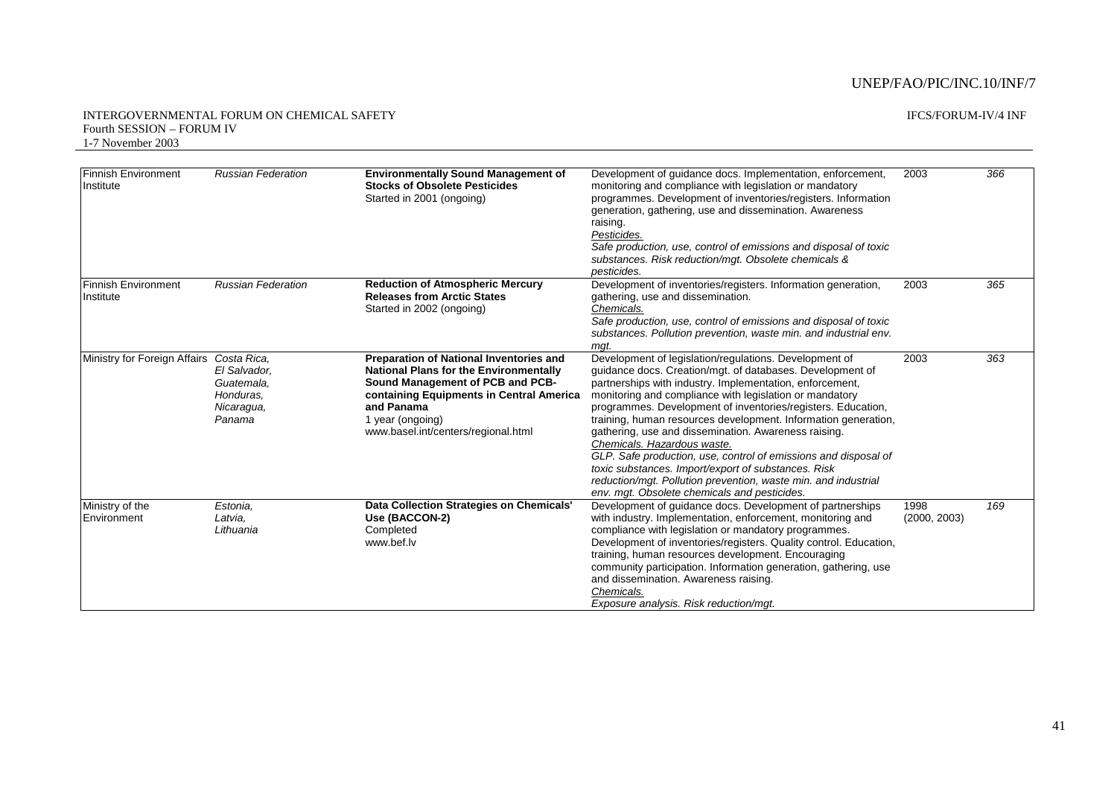| <b>Finnish Environment</b><br>Institute  | <b>Russian Federation</b>                                       | <b>Environmentally Sound Management of</b><br><b>Stocks of Obsolete Pesticides</b><br>Started in 2001 (ongoing)                                                                                                                                          | Development of guidance docs. Implementation, enforcement,<br>monitoring and compliance with legislation or mandatory<br>programmes. Development of inventories/registers. Information<br>generation, gathering, use and dissemination. Awareness<br>raising.<br>Pesticides.                                                                                                                                                                                                                                                                                                                                                                                                                                    | 2003                 | 366 |
|------------------------------------------|-----------------------------------------------------------------|----------------------------------------------------------------------------------------------------------------------------------------------------------------------------------------------------------------------------------------------------------|-----------------------------------------------------------------------------------------------------------------------------------------------------------------------------------------------------------------------------------------------------------------------------------------------------------------------------------------------------------------------------------------------------------------------------------------------------------------------------------------------------------------------------------------------------------------------------------------------------------------------------------------------------------------------------------------------------------------|----------------------|-----|
|                                          |                                                                 |                                                                                                                                                                                                                                                          | Safe production, use, control of emissions and disposal of toxic<br>substances. Risk reduction/mgt. Obsolete chemicals &<br>pesticides.                                                                                                                                                                                                                                                                                                                                                                                                                                                                                                                                                                         |                      |     |
| <b>Finnish Environment</b><br>Institute  | <b>Russian Federation</b>                                       | <b>Reduction of Atmospheric Mercury</b><br><b>Releases from Arctic States</b><br>Started in 2002 (ongoing)                                                                                                                                               | Development of inventories/registers. Information generation,<br>gathering, use and dissemination.<br>Chemicals.<br>Safe production, use, control of emissions and disposal of toxic<br>substances. Pollution prevention, waste min. and industrial env.<br>mat.                                                                                                                                                                                                                                                                                                                                                                                                                                                | 2003                 | 365 |
| Ministry for Foreign Affairs Costa Rica, | El Salvador,<br>Guatemala.<br>Honduras.<br>Nicaragua,<br>Panama | <b>Preparation of National Inventories and</b><br><b>National Plans for the Environmentally</b><br>Sound Management of PCB and PCB-<br>containing Equipments in Central America<br>and Panama<br>1 year (ongoing)<br>www.basel.int/centers/regional.html | Development of legislation/regulations. Development of<br>quidance docs. Creation/mgt. of databases. Development of<br>partnerships with industry. Implementation, enforcement,<br>monitoring and compliance with legislation or mandatory<br>programmes. Development of inventories/registers. Education,<br>training, human resources development. Information generation,<br>gathering, use and dissemination. Awareness raising.<br>Chemicals. Hazardous waste.<br>GLP. Safe production, use, control of emissions and disposal of<br>toxic substances. Import/export of substances. Risk<br>reduction/mgt. Pollution prevention, waste min. and industrial<br>env. mgt. Obsolete chemicals and pesticides. | 2003                 | 363 |
| Ministry of the<br>Environment           | Estonia.<br>Latvia.<br>Lithuania                                | Data Collection Strategies on Chemicals'<br>Use (BACCON-2)<br>Completed<br>www.bef.lv                                                                                                                                                                    | Development of quidance docs. Development of partnerships<br>with industry. Implementation, enforcement, monitoring and<br>compliance with legislation or mandatory programmes.<br>Development of inventories/registers. Quality control. Education,<br>training, human resources development. Encouraging<br>community participation. Information generation, gathering, use<br>and dissemination. Awareness raising.<br>Chemicals.<br>Exposure analysis. Risk reduction/mgt.                                                                                                                                                                                                                                  | 1998<br>(2000, 2003) | 169 |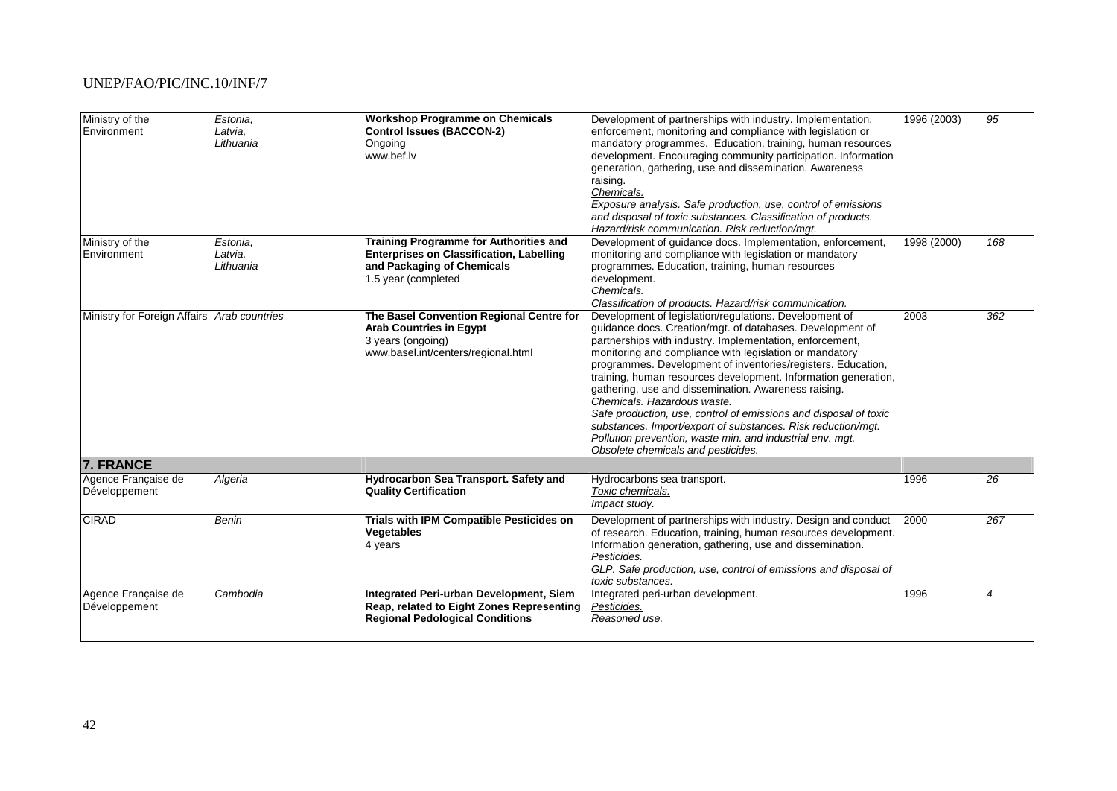| Ministry of the<br>Environment              | Estonia,<br>Latvia,<br>Lithuania | <b>Workshop Programme on Chemicals</b><br><b>Control Issues (BACCON-2)</b><br>Ongoing<br>www.bef.lv                                            | Development of partnerships with industry. Implementation,<br>enforcement, monitoring and compliance with legislation or<br>mandatory programmes. Education, training, human resources<br>development. Encouraging community participation. Information<br>generation, gathering, use and dissemination. Awareness<br>raising.<br>Chemicals.<br>Exposure analysis. Safe production, use, control of emissions<br>and disposal of toxic substances. Classification of products.<br>Hazard/risk communication. Risk reduction/mgt.                                                                                                                                                                           | 1996 (2003) | 95             |
|---------------------------------------------|----------------------------------|------------------------------------------------------------------------------------------------------------------------------------------------|------------------------------------------------------------------------------------------------------------------------------------------------------------------------------------------------------------------------------------------------------------------------------------------------------------------------------------------------------------------------------------------------------------------------------------------------------------------------------------------------------------------------------------------------------------------------------------------------------------------------------------------------------------------------------------------------------------|-------------|----------------|
| Ministry of the<br>Environment              | Estonia.<br>Latvia,<br>Lithuania | Training Programme for Authorities and<br><b>Enterprises on Classification, Labelling</b><br>and Packaging of Chemicals<br>1.5 year (completed | Development of guidance docs. Implementation, enforcement,<br>monitoring and compliance with legislation or mandatory<br>programmes. Education, training, human resources<br>development.<br>Chemicals.<br>Classification of products. Hazard/risk communication.                                                                                                                                                                                                                                                                                                                                                                                                                                          | 1998 (2000) | 168            |
| Ministry for Foreign Affairs Arab countries |                                  | The Basel Convention Regional Centre for<br><b>Arab Countries in Egypt</b><br>3 years (ongoing)<br>www.basel.int/centers/regional.html         | Development of legislation/regulations. Development of<br>guidance docs. Creation/mgt. of databases. Development of<br>partnerships with industry. Implementation, enforcement,<br>monitoring and compliance with legislation or mandatory<br>programmes. Development of inventories/registers. Education,<br>training, human resources development. Information generation,<br>gathering, use and dissemination. Awareness raising.<br>Chemicals. Hazardous waste.<br>Safe production, use, control of emissions and disposal of toxic<br>substances. Import/export of substances. Risk reduction/mgt.<br>Pollution prevention, waste min. and industrial env. mgt.<br>Obsolete chemicals and pesticides. | 2003        | 362            |
| <b>7. FRANCE</b>                            |                                  |                                                                                                                                                |                                                                                                                                                                                                                                                                                                                                                                                                                                                                                                                                                                                                                                                                                                            |             |                |
| Agence Française de<br>Développement        | Algeria                          | Hydrocarbon Sea Transport. Safety and<br><b>Quality Certification</b>                                                                          | Hydrocarbons sea transport.<br>Toxic chemicals.<br>Impact study.                                                                                                                                                                                                                                                                                                                                                                                                                                                                                                                                                                                                                                           | 1996        | 26             |
| <b>CIRAD</b>                                | <b>Benin</b>                     | Trials with IPM Compatible Pesticides on<br>Vegetables<br>4 years                                                                              | Development of partnerships with industry. Design and conduct<br>of research. Education, training, human resources development.<br>Information generation, gathering, use and dissemination.<br>Pesticides.<br>GLP. Safe production, use, control of emissions and disposal of<br>toxic substances.                                                                                                                                                                                                                                                                                                                                                                                                        | 2000        | 267            |
| Agence Française de<br>Développement        | Cambodia                         | Integrated Peri-urban Development, Siem<br>Reap, related to Eight Zones Representing<br><b>Regional Pedological Conditions</b>                 | Integrated peri-urban development.<br>Pesticides.<br>Reasoned use.                                                                                                                                                                                                                                                                                                                                                                                                                                                                                                                                                                                                                                         | 1996        | $\overline{4}$ |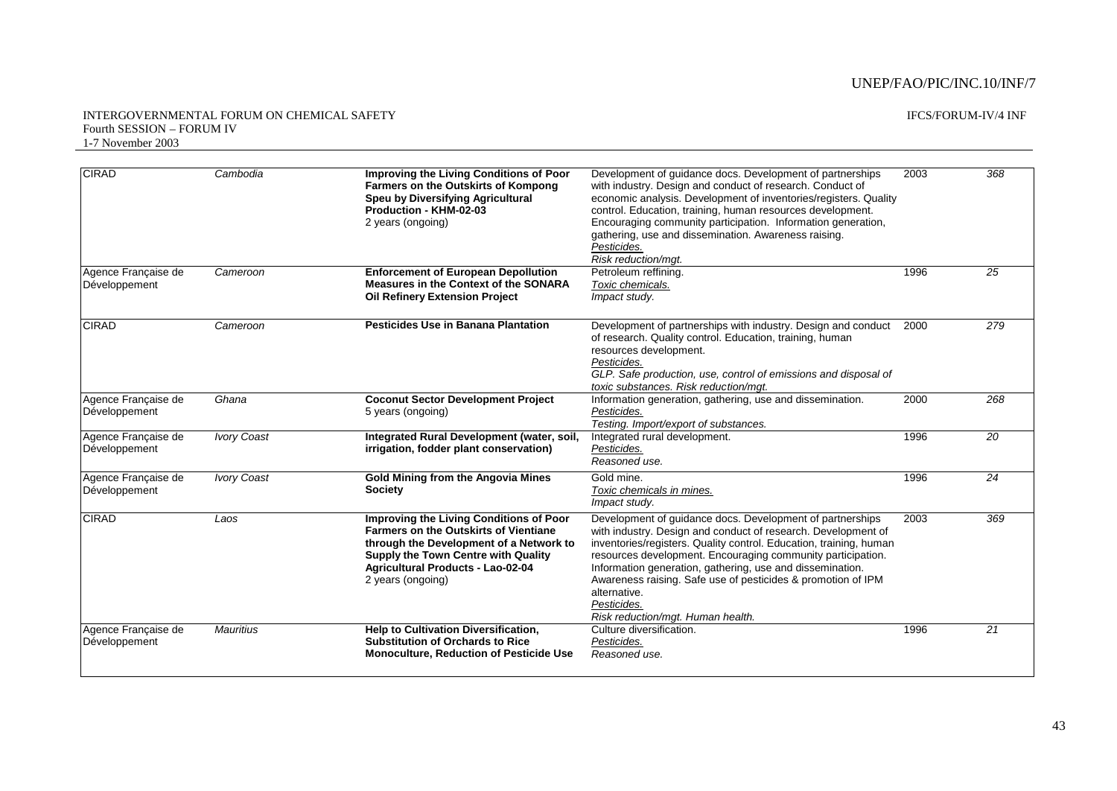| <b>CIRAD</b>                         | Cambodia           | <b>Improving the Living Conditions of Poor</b><br>Farmers on the Outskirts of Kompong<br>Speu by Diversifying Agricultural<br>Production - KHM-02-03<br>2 years (ongoing)                                                                         | Development of guidance docs. Development of partnerships<br>with industry. Design and conduct of research. Conduct of<br>economic analysis. Development of inventories/registers. Quality<br>control. Education, training, human resources development.<br>Encouraging community participation. Information generation,<br>gathering, use and dissemination. Awareness raising.<br>Pesticides.                                                                  | 2003 | 368             |
|--------------------------------------|--------------------|---------------------------------------------------------------------------------------------------------------------------------------------------------------------------------------------------------------------------------------------------|------------------------------------------------------------------------------------------------------------------------------------------------------------------------------------------------------------------------------------------------------------------------------------------------------------------------------------------------------------------------------------------------------------------------------------------------------------------|------|-----------------|
| Agence Française de<br>Développement | Cameroon           | <b>Enforcement of European Depollution</b><br>Measures in the Context of the SONARA<br><b>Oil Refinery Extension Project</b>                                                                                                                      | Risk reduction/mgt.<br>Petroleum reffining.<br>Toxic chemicals.<br>Impact study.                                                                                                                                                                                                                                                                                                                                                                                 | 1996 | 25              |
| <b>CIRAD</b>                         | Cameroon           | <b>Pesticides Use in Banana Plantation</b>                                                                                                                                                                                                        | Development of partnerships with industry. Design and conduct<br>of research. Quality control. Education, training, human<br>resources development.<br>Pesticides.<br>GLP. Safe production, use, control of emissions and disposal of<br>toxic substances. Risk reduction/mgt.                                                                                                                                                                                   | 2000 | 279             |
| Agence Francaise de<br>Développement | Ghana              | <b>Coconut Sector Development Project</b><br>5 years (ongoing)                                                                                                                                                                                    | Information generation, gathering, use and dissemination.<br>Pesticides.<br>Testing. Import/export of substances.                                                                                                                                                                                                                                                                                                                                                | 2000 | 268             |
| Agence Française de<br>Développement | <b>Ivory Coast</b> | Integrated Rural Development (water, soil,<br>irrigation, fodder plant conservation)                                                                                                                                                              | Integrated rural development.<br>Pesticides.<br>Reasoned use.                                                                                                                                                                                                                                                                                                                                                                                                    | 1996 | 20              |
| Agence Francaise de<br>Développement | <b>Ivory Coast</b> | <b>Gold Mining from the Angovia Mines</b><br><b>Society</b>                                                                                                                                                                                       | Gold mine.<br>Toxic chemicals in mines.<br>Impact study.                                                                                                                                                                                                                                                                                                                                                                                                         | 1996 | 24              |
| <b>CIRAD</b>                         | Laos               | <b>Improving the Living Conditions of Poor</b><br><b>Farmers on the Outskirts of Vientiane</b><br>through the Development of a Network to<br><b>Supply the Town Centre with Quality</b><br>Agricultural Products - Lao-02-04<br>2 years (ongoing) | Development of quidance docs. Development of partnerships<br>with industry. Design and conduct of research. Development of<br>inventories/registers. Quality control. Education, training, human<br>resources development. Encouraging community participation.<br>Information generation, gathering, use and dissemination.<br>Awareness raising. Safe use of pesticides & promotion of IPM<br>alternative.<br>Pesticides.<br>Risk reduction/mgt. Human health. | 2003 | 369             |
| Agence Française de<br>Développement | <b>Mauritius</b>   | <b>Help to Cultivation Diversification.</b><br><b>Substitution of Orchards to Rice</b><br><b>Monoculture, Reduction of Pesticide Use</b>                                                                                                          | Culture diversification.<br>Pesticides.<br>Reasoned use.                                                                                                                                                                                                                                                                                                                                                                                                         | 1996 | $\overline{21}$ |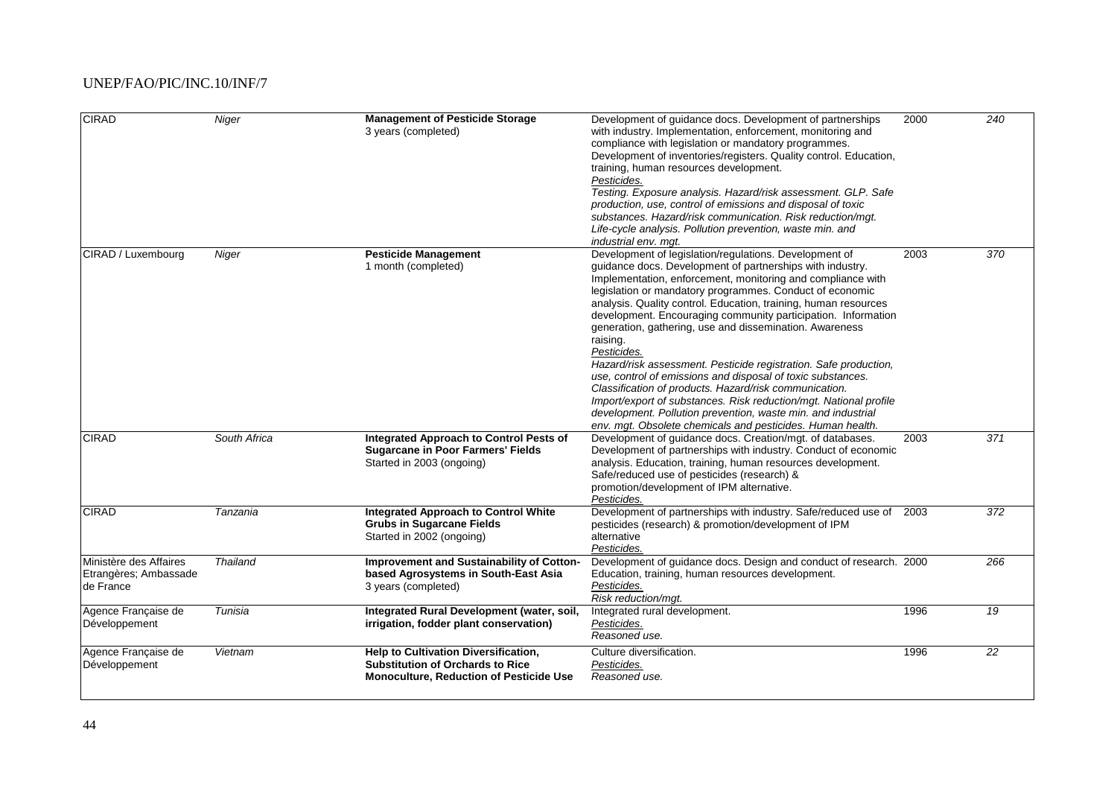| <b>CIRAD</b>                                                 | Niger           | <b>Management of Pesticide Storage</b><br>3 years (completed)                                                                     | Development of guidance docs. Development of partnerships<br>with industry. Implementation, enforcement, monitoring and<br>compliance with legislation or mandatory programmes.<br>Development of inventories/registers. Quality control. Education,<br>training, human resources development.<br>Pesticides.<br>Testing. Exposure analysis. Hazard/risk assessment. GLP. Safe<br>production, use, control of emissions and disposal of toxic<br>substances. Hazard/risk communication. Risk reduction/mqt.<br>Life-cycle analysis. Pollution prevention, waste min. and<br>industrial env. mqt.                                                                                                                                                                                                                                                                         | 2000 | 240             |
|--------------------------------------------------------------|-----------------|-----------------------------------------------------------------------------------------------------------------------------------|--------------------------------------------------------------------------------------------------------------------------------------------------------------------------------------------------------------------------------------------------------------------------------------------------------------------------------------------------------------------------------------------------------------------------------------------------------------------------------------------------------------------------------------------------------------------------------------------------------------------------------------------------------------------------------------------------------------------------------------------------------------------------------------------------------------------------------------------------------------------------|------|-----------------|
| CIRAD / Luxembourg                                           | Niger           | <b>Pesticide Management</b><br>1 month (completed)                                                                                | Development of legislation/regulations. Development of<br>quidance docs. Development of partnerships with industry.<br>Implementation, enforcement, monitoring and compliance with<br>legislation or mandatory programmes. Conduct of economic<br>analysis. Quality control. Education, training, human resources<br>development. Encouraging community participation. Information<br>generation, gathering, use and dissemination. Awareness<br>raising.<br>Pesticides.<br>Hazard/risk assessment. Pesticide registration. Safe production,<br>use, control of emissions and disposal of toxic substances.<br>Classification of products. Hazard/risk communication.<br>Import/export of substances. Risk reduction/mgt. National profile<br>development. Pollution prevention, waste min. and industrial<br>env. mgt. Obsolete chemicals and pesticides. Human health. | 2003 | 370             |
| <b>CIRAD</b>                                                 | South Africa    | Integrated Approach to Control Pests of<br><b>Sugarcane in Poor Farmers' Fields</b><br>Started in 2003 (ongoing)                  | Development of guidance docs. Creation/mgt. of databases.<br>Development of partnerships with industry. Conduct of economic<br>analysis. Education, training, human resources development.<br>Safe/reduced use of pesticides (research) &<br>promotion/development of IPM alternative.<br>Pesticides.                                                                                                                                                                                                                                                                                                                                                                                                                                                                                                                                                                    | 2003 | 371             |
| <b>CIRAD</b>                                                 | Tanzania        | <b>Integrated Approach to Control White</b><br><b>Grubs in Sugarcane Fields</b><br>Started in 2002 (ongoing)                      | Development of partnerships with industry. Safe/reduced use of<br>pesticides (research) & promotion/development of IPM<br>alternative<br>Pesticides.                                                                                                                                                                                                                                                                                                                                                                                                                                                                                                                                                                                                                                                                                                                     | 2003 | 372             |
| Ministère des Affaires<br>Etrangères; Ambassade<br>de France | <b>Thailand</b> | Improvement and Sustainability of Cotton-<br>based Agrosystems in South-East Asia<br>3 years (completed)                          | Development of guidance docs. Design and conduct of research. 2000<br>Education, training, human resources development.<br>Pesticides.<br>Risk reduction/mgt.                                                                                                                                                                                                                                                                                                                                                                                                                                                                                                                                                                                                                                                                                                            |      | 266             |
| Agence Française de<br>Développement                         | Tunisia         | Integrated Rural Development (water, soil,<br>irrigation, fodder plant conservation)                                              | Integrated rural development.<br>Pesticides.<br>Reasoned use.                                                                                                                                                                                                                                                                                                                                                                                                                                                                                                                                                                                                                                                                                                                                                                                                            | 1996 | $\overline{19}$ |
| Agence Française de<br>Développement                         | Vietnam         | Help to Cultivation Diversification,<br><b>Substitution of Orchards to Rice</b><br><b>Monoculture, Reduction of Pesticide Use</b> | Culture diversification.<br>Pesticides.<br>Reasoned use.                                                                                                                                                                                                                                                                                                                                                                                                                                                                                                                                                                                                                                                                                                                                                                                                                 | 1996 | 22              |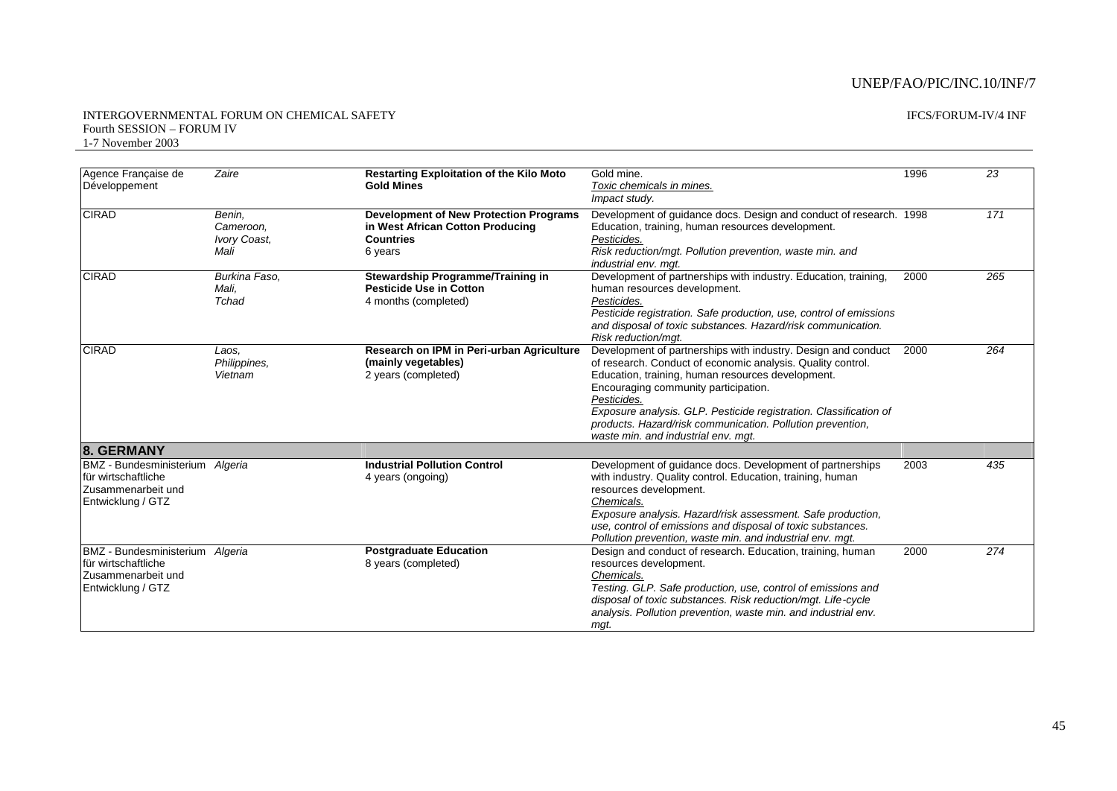#### INTERGOVERNMENTAL FORUM ON CHEMICAL SAFETY Fourth SESSION – FORUM IV 1-7 November 2003

| Agence Française de                                                                               | Zaire                                       | <b>Restarting Exploitation of the Kilo Moto</b>                                                                  | Gold mine.                                                                                                                                                                                                                                                                                                                                                                                                         | 1996 | 23  |
|---------------------------------------------------------------------------------------------------|---------------------------------------------|------------------------------------------------------------------------------------------------------------------|--------------------------------------------------------------------------------------------------------------------------------------------------------------------------------------------------------------------------------------------------------------------------------------------------------------------------------------------------------------------------------------------------------------------|------|-----|
| Développement                                                                                     |                                             | <b>Gold Mines</b>                                                                                                | Toxic chemicals in mines.<br>Impact study.                                                                                                                                                                                                                                                                                                                                                                         |      |     |
| <b>CIRAD</b>                                                                                      | Benin,<br>Cameroon.<br>Ivory Coast,<br>Mali | <b>Development of New Protection Programs</b><br>in West African Cotton Producing<br><b>Countries</b><br>6 years | Development of guidance docs. Design and conduct of research. 1998<br>Education, training, human resources development.<br>Pesticides.<br>Risk reduction/mgt. Pollution prevention, waste min. and<br>industrial env. mqt.                                                                                                                                                                                         |      | 171 |
| <b>CIRAD</b>                                                                                      | Burkina Faso,<br>Mali,<br>Tchad             | Stewardship Programme/Training in<br><b>Pesticide Use in Cotton</b><br>4 months (completed)                      | Development of partnerships with industry. Education, training,<br>human resources development.<br>Pesticides.<br>Pesticide registration. Safe production, use, control of emissions<br>and disposal of toxic substances. Hazard/risk communication.<br>Risk reduction/mgt.                                                                                                                                        | 2000 | 265 |
| <b>CIRAD</b>                                                                                      | Laos.<br>Philippines,<br>Vietnam            | Research on IPM in Peri-urban Agriculture<br>(mainly vegetables)<br>2 years (completed)                          | Development of partnerships with industry. Design and conduct<br>of research. Conduct of economic analysis. Quality control.<br>Education, training, human resources development.<br>Encouraging community participation.<br>Pesticides.<br>Exposure analysis. GLP. Pesticide registration. Classification of<br>products. Hazard/risk communication. Pollution prevention,<br>waste min. and industrial env. mqt. | 2000 | 264 |
| 8. GERMANY                                                                                        |                                             |                                                                                                                  |                                                                                                                                                                                                                                                                                                                                                                                                                    |      |     |
| <b>BMZ</b> - Bundesministerium<br>für wirtschaftliche<br>Zusammenarbeit und<br>Entwicklung / GTZ  | Algeria                                     | <b>Industrial Pollution Control</b><br>4 years (ongoing)                                                         | Development of guidance docs. Development of partnerships<br>with industry. Quality control. Education, training, human<br>resources development.<br>Chemicals.<br>Exposure analysis. Hazard/risk assessment. Safe production,<br>use, control of emissions and disposal of toxic substances.<br>Pollution prevention, waste min. and industrial env. mgt.                                                         | 2003 | 435 |
| BMZ - Bundesministerium Algeria<br>für wirtschaftliche<br>Zusammenarbeit und<br>Entwicklung / GTZ |                                             | <b>Postgraduate Education</b><br>8 years (completed)                                                             | Design and conduct of research. Education, training, human<br>resources development.<br>Chemicals.<br>Testing. GLP. Safe production, use, control of emissions and<br>disposal of toxic substances. Risk reduction/mgt. Life-cycle<br>analysis. Pollution prevention, waste min. and industrial env.<br>mgt.                                                                                                       | 2000 | 274 |

#### IFCS/FORUM-IV/4 INF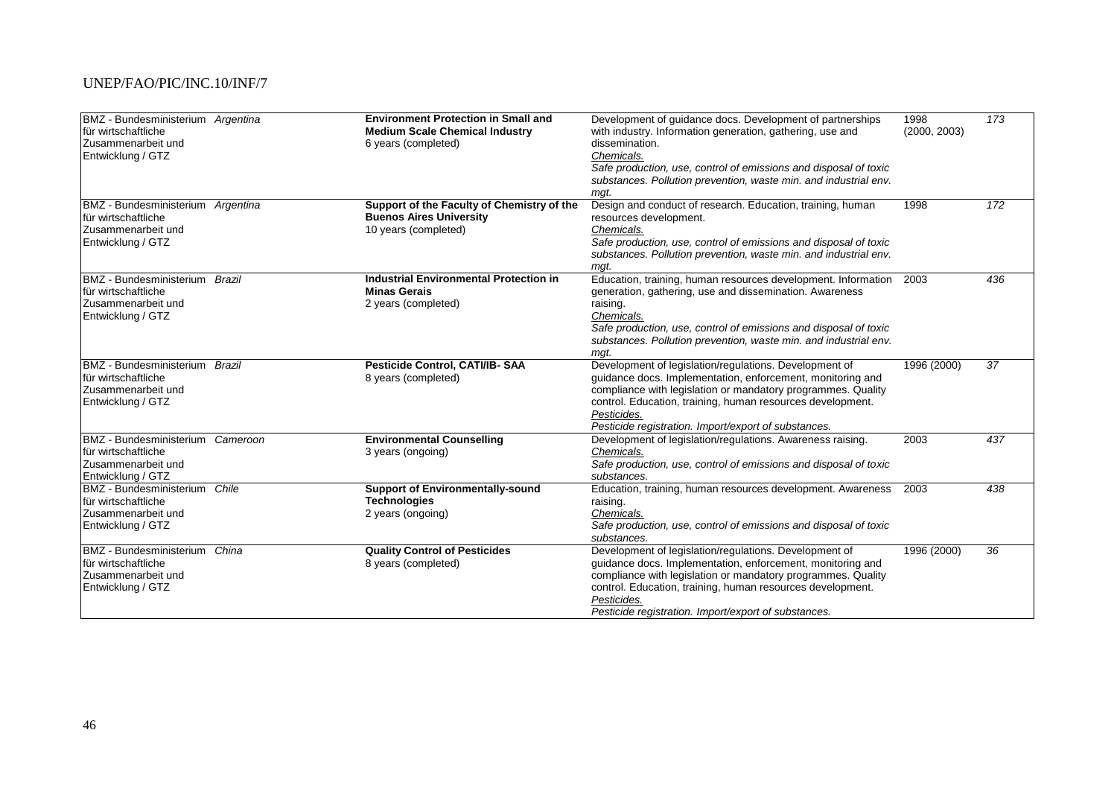| BMZ - Bundesministerium Argentina<br>für wirtschaftliche<br>Zusammenarbeit und<br>Entwicklung / GTZ |          | <b>Environment Protection in Small and</b><br><b>Medium Scale Chemical Industry</b><br>6 years (completed) | Development of guidance docs. Development of partnerships<br>with industry. Information generation, gathering, use and<br>dissemination.<br>Chemicals.<br>Safe production, use, control of emissions and disposal of toxic<br>substances. Pollution prevention, waste min. and industrial env.<br>mgt.                    | 1998<br>(2000, 2003) | 173 |
|-----------------------------------------------------------------------------------------------------|----------|------------------------------------------------------------------------------------------------------------|---------------------------------------------------------------------------------------------------------------------------------------------------------------------------------------------------------------------------------------------------------------------------------------------------------------------------|----------------------|-----|
| BMZ - Bundesministerium Argentina<br>für wirtschaftliche<br>Zusammenarbeit und<br>Entwicklung / GTZ |          | Support of the Faculty of Chemistry of the<br><b>Buenos Aires University</b><br>10 years (completed)       | Design and conduct of research. Education, training, human<br>resources development.<br>Chemicals.<br>Safe production, use, control of emissions and disposal of toxic<br>substances. Pollution prevention, waste min. and industrial env.<br>mat.                                                                        | 1998                 | 172 |
| BMZ - Bundesministerium Brazil<br>für wirtschaftliche<br>Zusammenarbeit und<br>Entwicklung / GTZ    |          | <b>Industrial Environmental Protection in</b><br><b>Minas Gerais</b><br>2 years (completed)                | Education, training, human resources development. Information<br>generation, gathering, use and dissemination. Awareness<br>raising.<br>Chemicals.<br>Safe production, use, control of emissions and disposal of toxic<br>substances. Pollution prevention, waste min. and industrial env.<br>mqt.                        | 2003                 | 436 |
| <b>BMZ</b> - Bundesministerium<br>für wirtschaftliche<br>Zusammenarbeit und<br>Entwicklung / GTZ    | Brazil   | Pesticide Control, CATI/IB-SAA<br>8 years (completed)                                                      | Development of legislation/regulations. Development of<br>quidance docs. Implementation, enforcement, monitoring and<br>compliance with legislation or mandatory programmes. Quality<br>control. Education, training, human resources development.<br>Pesticides.<br>Pesticide registration. Import/export of substances. | 1996 (2000)          | 37  |
| <b>BMZ</b> - Bundesministerium<br>für wirtschaftliche<br>Zusammenarbeit und<br>Entwicklung / GTZ    | Cameroon | <b>Environmental Counselling</b><br>3 years (ongoing)                                                      | Development of legislation/regulations. Awareness raising.<br>Chemicals.<br>Safe production, use, control of emissions and disposal of toxic<br>substances.                                                                                                                                                               | 2003                 | 437 |
| <b>BMZ</b> - Bundesministerium<br>für wirtschaftliche<br>Zusammenarbeit und<br>Entwicklung / GTZ    | Chile    | <b>Support of Environmentally-sound</b><br><b>Technologies</b><br>2 years (ongoing)                        | Education, training, human resources development. Awareness<br>raising.<br>Chemicals.<br>Safe production, use, control of emissions and disposal of toxic<br>substances.                                                                                                                                                  | 2003                 | 438 |
| BMZ - Bundesministerium China<br>für wirtschaftliche<br>Zusammenarbeit und<br>Entwicklung / GTZ     |          | <b>Quality Control of Pesticides</b><br>8 years (completed)                                                | Development of legislation/regulations. Development of<br>quidance docs. Implementation, enforcement, monitoring and<br>compliance with legislation or mandatory programmes. Quality<br>control. Education, training, human resources development.<br>Pesticides.<br>Pesticide registration. Import/export of substances. | 1996 (2000)          | 36  |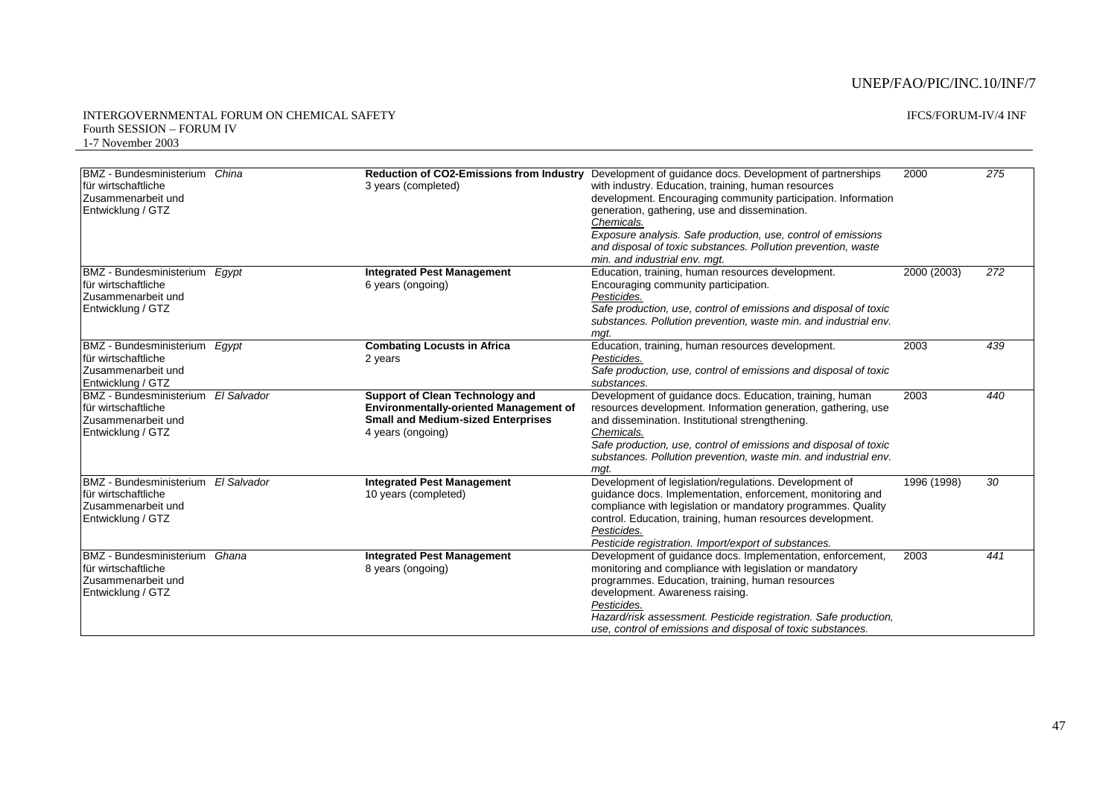| BMZ - Bundesministerium<br>für wirtschaftliche<br>Zusammenarbeit und<br>Entwicklung / GTZ         | China       | <b>Reduction of CO2-Emissions from Industry</b><br>3 years (completed)                                                                                    | Development of quidance docs. Development of partnerships<br>with industry. Education, training, human resources<br>development. Encouraging community participation. Information<br>generation, gathering, use and dissemination.<br>Chemicals.<br>Exposure analysis. Safe production, use, control of emissions<br>and disposal of toxic substances. Pollution prevention, waste<br>min. and industrial env. mgt. | 2000        | 275 |
|---------------------------------------------------------------------------------------------------|-------------|-----------------------------------------------------------------------------------------------------------------------------------------------------------|---------------------------------------------------------------------------------------------------------------------------------------------------------------------------------------------------------------------------------------------------------------------------------------------------------------------------------------------------------------------------------------------------------------------|-------------|-----|
| <b>BMZ</b> - Bundesministerium<br>für wirtschaftliche<br>Zusammenarbeit und<br>Entwicklung / GTZ  | Egypt       | <b>Integrated Pest Management</b><br>6 years (ongoing)                                                                                                    | Education, training, human resources development.<br>Encouraging community participation.<br>Pesticides.<br>Safe production, use, control of emissions and disposal of toxic<br>substances. Pollution prevention, waste min. and industrial env.<br>mgt.                                                                                                                                                            | 2000 (2003) | 272 |
| <b>BMZ</b> - Bundesministerium<br>für wirtschaftliche<br>Zusammenarbeit und<br>Entwicklung / GTZ  | Egypt       | <b>Combating Locusts in Africa</b><br>2 years                                                                                                             | Education, training, human resources development.<br>Pesticides.<br>Safe production, use, control of emissions and disposal of toxic<br>substances.                                                                                                                                                                                                                                                                 | 2003        | 439 |
| <b>BMZ</b> - Bundesministerium<br>für wirtschaftliche<br>Zusammenarbeit und<br>Entwicklung / GTZ  | El Salvador | <b>Support of Clean Technology and</b><br><b>Environmentally-oriented Management of</b><br><b>Small and Medium-sized Enterprises</b><br>4 years (ongoing) | Development of guidance docs. Education, training, human<br>resources development. Information generation, gathering, use<br>and dissemination. Institutional strengthening.<br>Chemicals.<br>Safe production, use, control of emissions and disposal of toxic<br>substances. Pollution prevention, waste min. and industrial env.<br>mgt.                                                                          | 2003        | 440 |
| <b>BMZ</b> - Bundesministerium<br>Ifür wirtschaftliche<br>Zusammenarbeit und<br>Entwicklung / GTZ | El Salvador | <b>Integrated Pest Management</b><br>10 years (completed)                                                                                                 | Development of legislation/regulations. Development of<br>guidance docs. Implementation, enforcement, monitoring and<br>compliance with legislation or mandatory programmes. Quality<br>control. Education, training, human resources development.<br>Pesticides.<br>Pesticide registration. Import/export of substances.                                                                                           | 1996 (1998) | 30  |
| <b>BMZ</b> - Bundesministerium<br>für wirtschaftliche<br>Zusammenarbeit und<br>Entwicklung / GTZ  | Ghana       | <b>Integrated Pest Management</b><br>8 years (ongoing)                                                                                                    | Development of guidance docs. Implementation, enforcement,<br>monitoring and compliance with legislation or mandatory<br>programmes. Education, training, human resources<br>development. Awareness raising.<br>Pesticides.<br>Hazard/risk assessment. Pesticide registration. Safe production,<br>use, control of emissions and disposal of toxic substances.                                                      | 2003        | 441 |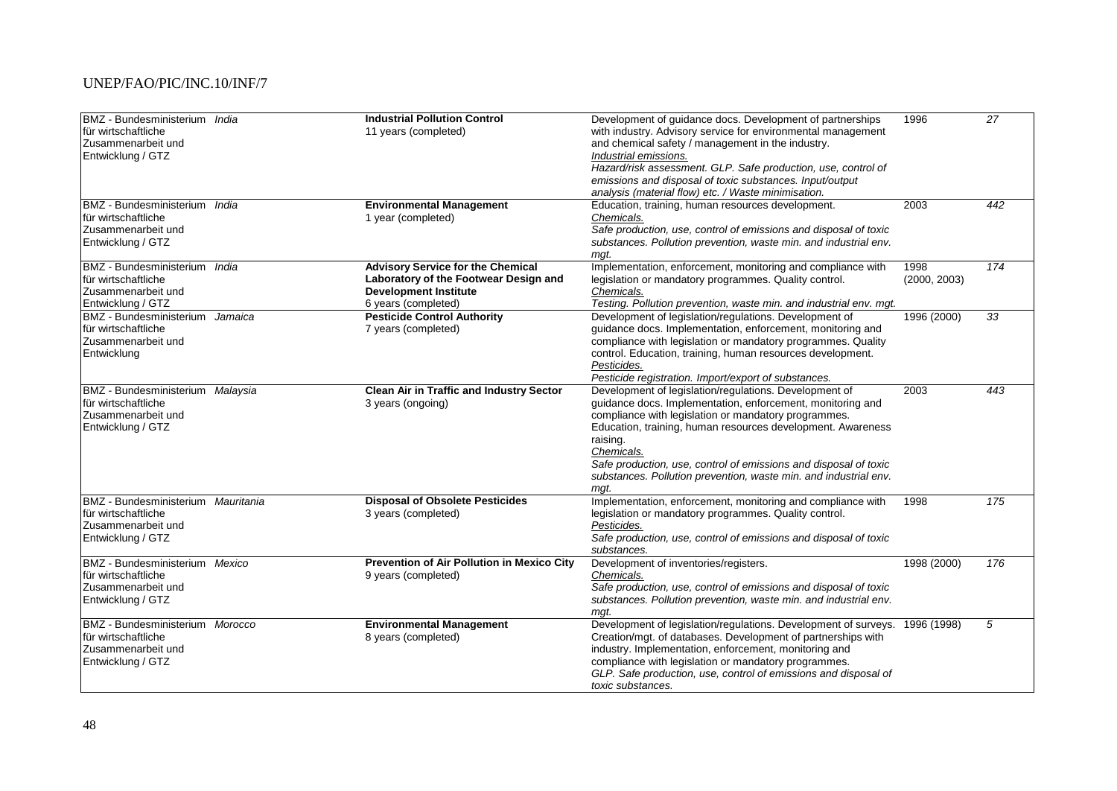| BMZ - Bundesministerium India<br>für wirtschaftliche<br>Zusammenarbeit und<br>Entwicklung / GTZ      |         | <b>Industrial Pollution Control</b><br>11 years (completed)                                                                              | Development of guidance docs. Development of partnerships<br>with industry. Advisory service for environmental management<br>and chemical safety / management in the industry.<br>Industrial emissions.<br>Hazard/risk assessment. GLP. Safe production, use, control of<br>emissions and disposal of toxic substances. Input/output<br>analysis (material flow) etc. / Waste minimisation.                           | 1996                 | $\overline{27}$ |
|------------------------------------------------------------------------------------------------------|---------|------------------------------------------------------------------------------------------------------------------------------------------|-----------------------------------------------------------------------------------------------------------------------------------------------------------------------------------------------------------------------------------------------------------------------------------------------------------------------------------------------------------------------------------------------------------------------|----------------------|-----------------|
| BMZ - Bundesministerium India<br>lfür wirtschaftliche<br>Zusammenarbeit und<br>Entwicklung / GTZ     |         | <b>Environmental Management</b><br>1 year (completed)                                                                                    | Education, training, human resources development.<br>Chemicals.<br>Safe production, use, control of emissions and disposal of toxic<br>substances. Pollution prevention, waste min. and industrial env.<br>mqt.                                                                                                                                                                                                       | 2003                 | 442             |
| BMZ - Bundesministerium India<br>für wirtschaftliche<br>Zusammenarbeit und<br>Entwicklung / GTZ      |         | <b>Advisory Service for the Chemical</b><br>Laboratory of the Footwear Design and<br><b>Development Institute</b><br>6 years (completed) | Implementation, enforcement, monitoring and compliance with<br>legislation or mandatory programmes. Quality control.<br>Chemicals.<br>Testing. Pollution prevention, waste min. and industrial env. mgt.                                                                                                                                                                                                              | 1998<br>(2000, 2003) | 174             |
| <b>BMZ</b> - Bundesministerium<br>für wirtschaftliche<br>Zusammenarbeit und<br>Entwicklung           | Jamaica | <b>Pesticide Control Authority</b><br>7 years (completed)                                                                                | Development of legislation/regulations. Development of<br>guidance docs. Implementation, enforcement, monitoring and<br>compliance with legislation or mandatory programmes. Quality<br>control. Education, training, human resources development.<br>Pesticides.<br>Pesticide registration. Import/export of substances.                                                                                             | 1996 (2000)          | 33              |
| BMZ - Bundesministerium Malaysia<br>für wirtschaftliche<br>Zusammenarbeit und<br>Entwicklung / GTZ   |         | <b>Clean Air in Traffic and Industry Sector</b><br>3 years (ongoing)                                                                     | Development of legislation/regulations. Development of<br>guidance docs. Implementation, enforcement, monitoring and<br>compliance with legislation or mandatory programmes.<br>Education, training, human resources development. Awareness<br>raising.<br>Chemicals.<br>Safe production, use, control of emissions and disposal of toxic<br>substances. Pollution prevention, waste min. and industrial env.<br>mqt. | 2003                 | 443             |
| BMZ - Bundesministerium Mauritania<br>für wirtschaftliche<br>Zusammenarbeit und<br>Entwicklung / GTZ |         | <b>Disposal of Obsolete Pesticides</b><br>3 years (completed)                                                                            | Implementation, enforcement, monitoring and compliance with<br>legislation or mandatory programmes. Quality control.<br>Pesticides.<br>Safe production, use, control of emissions and disposal of toxic<br>substances.                                                                                                                                                                                                | 1998                 | 175             |
| <b>BMZ</b> - Bundesministerium<br>für wirtschaftliche<br>Zusammenarbeit und<br>Entwicklung / GTZ     | Mexico  | Prevention of Air Pollution in Mexico City<br>9 years (completed)                                                                        | Development of inventories/registers.<br>Chemicals.<br>Safe production, use, control of emissions and disposal of toxic<br>substances. Pollution prevention, waste min. and industrial env.<br>mqt.                                                                                                                                                                                                                   | 1998 (2000)          | 176             |
| BMZ - Bundesministerium Morocco<br>lfür wirtschaftliche<br>Zusammenarbeit und<br>Entwicklung / GTZ   |         | <b>Environmental Management</b><br>8 years (completed)                                                                                   | Development of legislation/regulations. Development of surveys. 1996 (1998)<br>Creation/mgt. of databases. Development of partnerships with<br>industry. Implementation, enforcement, monitoring and<br>compliance with legislation or mandatory programmes.<br>GLP. Safe production, use, control of emissions and disposal of<br>toxic substances.                                                                  |                      | 5               |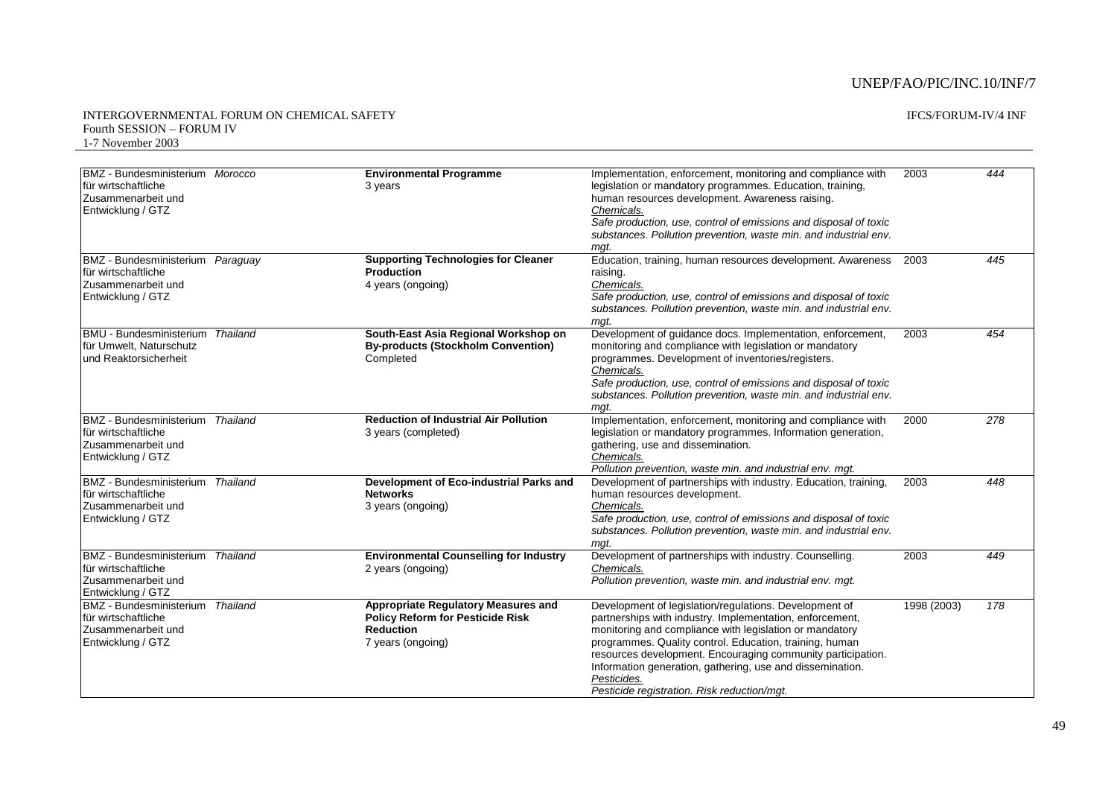| BMZ - Bundesministerium Morocco<br>für wirtschaftliche<br>Zusammenarbeit und<br>Entwicklung / GTZ         |          | <b>Environmental Programme</b><br>3 years                                                                                      | Implementation, enforcement, monitoring and compliance with<br>legislation or mandatory programmes. Education, training,<br>human resources development. Awareness raising.<br>Chemicals.<br>Safe production, use, control of emissions and disposal of toxic<br>substances. Pollution prevention, waste min. and industrial env.<br>mgt.                                                                                          | 2003        | 444 |
|-----------------------------------------------------------------------------------------------------------|----------|--------------------------------------------------------------------------------------------------------------------------------|------------------------------------------------------------------------------------------------------------------------------------------------------------------------------------------------------------------------------------------------------------------------------------------------------------------------------------------------------------------------------------------------------------------------------------|-------------|-----|
| BMZ - Bundesministerium Paraguay<br>für wirtschaftliche<br>Zusammenarbeit und<br>Entwicklung / GTZ        |          | <b>Supporting Technologies for Cleaner</b><br><b>Production</b><br>4 years (ongoing)                                           | Education, training, human resources development. Awareness<br>raising.<br>Chemicals.<br>Safe production, use, control of emissions and disposal of toxic<br>substances. Pollution prevention, waste min. and industrial env.<br>mat.                                                                                                                                                                                              | 2003        | 445 |
| <b>BMU - Bundesministerium</b><br>für Umwelt, Naturschutz<br>und Reaktorsicherheit                        | Thailand | South-East Asia Regional Workshop on<br><b>By-products (Stockholm Convention)</b><br>Completed                                 | Development of guidance docs. Implementation, enforcement,<br>monitoring and compliance with legislation or mandatory<br>programmes. Development of inventories/registers.<br>Chemicals.<br>Safe production, use, control of emissions and disposal of toxic<br>substances. Pollution prevention, waste min. and industrial env.<br>mqt.                                                                                           | 2003        | 454 |
| <b>BMZ</b> - Bundesministerium Thailand<br>für wirtschaftliche<br>Zusammenarbeit und<br>Entwicklung / GTZ |          | <b>Reduction of Industrial Air Pollution</b><br>3 years (completed)                                                            | Implementation, enforcement, monitoring and compliance with<br>legislation or mandatory programmes. Information generation,<br>gathering, use and dissemination.<br>Chemicals.<br>Pollution prevention, waste min. and industrial env. mgt.                                                                                                                                                                                        | 2000        | 278 |
| <b>BMZ</b> - Bundesministerium<br>für wirtschaftliche<br>Zusammenarbeit und<br>Entwicklung / GTZ          | Thailand | Development of Eco-industrial Parks and<br><b>Networks</b><br>3 years (ongoing)                                                | Development of partnerships with industry. Education, training,<br>human resources development.<br>Chemicals.<br>Safe production, use, control of emissions and disposal of toxic<br>substances. Pollution prevention, waste min. and industrial env.<br>mat.                                                                                                                                                                      | 2003        | 448 |
| BMZ - Bundesministerium Thailand<br>für wirtschaftliche<br>Zusammenarbeit und<br>Entwicklung / GTZ        |          | <b>Environmental Counselling for Industry</b><br>2 years (ongoing)                                                             | Development of partnerships with industry. Counselling.<br>Chemicals.<br>Pollution prevention, waste min. and industrial env. mgt.                                                                                                                                                                                                                                                                                                 | 2003        | 449 |
| BMZ - Bundesministerium Thailand<br>für wirtschaftliche<br>Zusammenarbeit und<br>Entwicklung / GTZ        |          | <b>Appropriate Regulatory Measures and</b><br><b>Policy Reform for Pesticide Risk</b><br><b>Reduction</b><br>7 years (ongoing) | Development of legislation/regulations. Development of<br>partnerships with industry. Implementation, enforcement,<br>monitoring and compliance with legislation or mandatory<br>programmes. Quality control. Education, training, human<br>resources development. Encouraging community participation.<br>Information generation, gathering, use and dissemination.<br>Pesticides.<br>Pesticide registration. Risk reduction/mgt. | 1998 (2003) | 178 |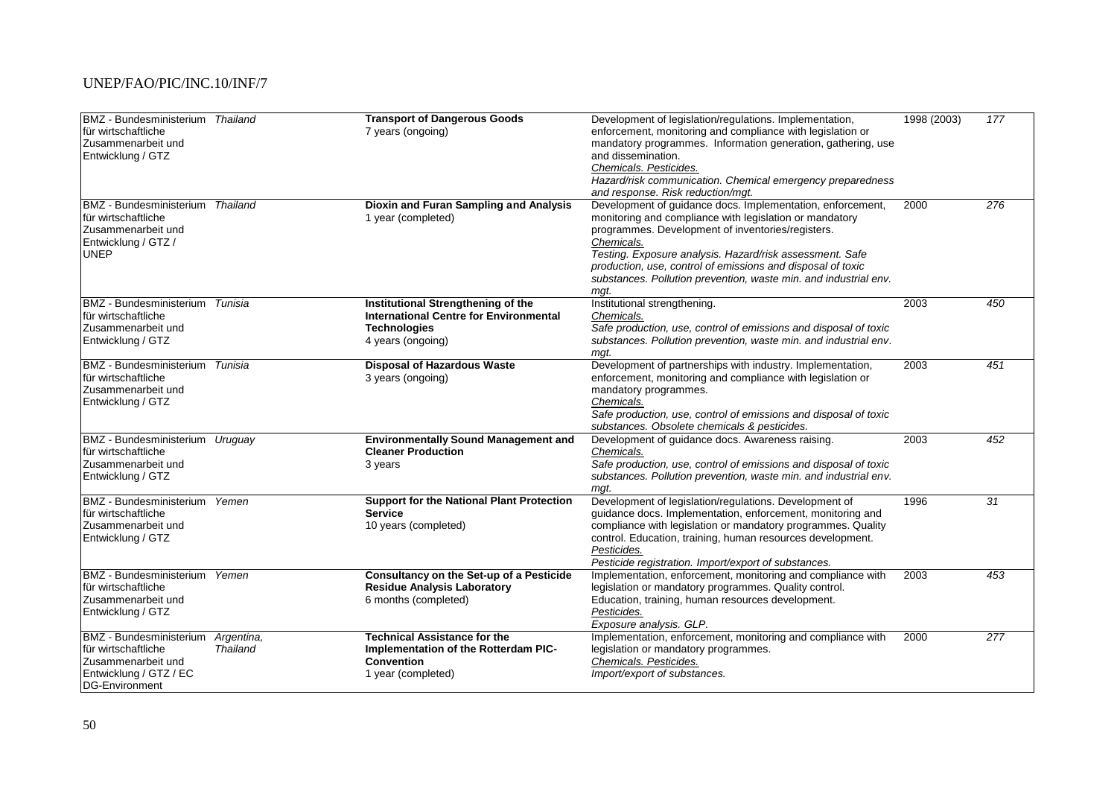| BMZ - Bundesministerium Thailand<br>für wirtschaftliche<br>Zusammenarbeit und<br>Entwicklung / GTZ                      |                               | <b>Transport of Dangerous Goods</b><br>7 years (ongoing)                                                                        | Development of legislation/regulations. Implementation,<br>enforcement, monitoring and compliance with legislation or<br>mandatory programmes. Information generation, gathering, use<br>and dissemination.<br>Chemicals. Pesticides.<br>Hazard/risk communication. Chemical emergency preparedness<br>and response. Risk reduction/mgt.                                                        | 1998 (2003) | 177 |
|-------------------------------------------------------------------------------------------------------------------------|-------------------------------|---------------------------------------------------------------------------------------------------------------------------------|-------------------------------------------------------------------------------------------------------------------------------------------------------------------------------------------------------------------------------------------------------------------------------------------------------------------------------------------------------------------------------------------------|-------------|-----|
| <b>BMZ</b> - Bundesministerium<br>für wirtschaftliche<br>Zusammenarbeit und<br>Entwicklung / GTZ /<br>UNEP              | Thailand                      | Dioxin and Furan Sampling and Analysis<br>1 year (completed)                                                                    | Development of guidance docs. Implementation, enforcement,<br>monitoring and compliance with legislation or mandatory<br>programmes. Development of inventories/registers.<br>Chemicals.<br>Testing. Exposure analysis. Hazard/risk assessment. Safe<br>production, use, control of emissions and disposal of toxic<br>substances. Pollution prevention, waste min. and industrial env.<br>mgt. | 2000        | 276 |
| <b>BMZ</b> - Bundesministerium<br>für wirtschaftliche<br>Zusammenarbeit und<br>Entwicklung / GTZ                        | Tunisia                       | Institutional Strengthening of the<br><b>International Centre for Environmental</b><br><b>Technologies</b><br>4 years (ongoing) | Institutional strengthening.<br>Chemicals.<br>Safe production, use, control of emissions and disposal of toxic<br>substances. Pollution prevention, waste min. and industrial env.<br>mgt.                                                                                                                                                                                                      | 2003        | 450 |
| <b>BMZ</b> - Bundesministerium<br>für wirtschaftliche<br>Zusammenarbeit und<br>Entwicklung / GTZ                        | Tunisia                       | <b>Disposal of Hazardous Waste</b><br>3 years (ongoing)                                                                         | Development of partnerships with industry. Implementation,<br>enforcement, monitoring and compliance with legislation or<br>mandatory programmes.<br>Chemicals.<br>Safe production, use, control of emissions and disposal of toxic<br>substances. Obsolete chemicals & pesticides.                                                                                                             | 2003        | 451 |
| <b>BMZ</b> - Bundesministerium<br>für wirtschaftliche<br>Zusammenarbeit und<br>Entwicklung / GTZ                        | <b>Uruguay</b>                | <b>Environmentally Sound Management and</b><br><b>Cleaner Production</b><br>3 years                                             | Development of guidance docs. Awareness raising.<br>Chemicals.<br>Safe production, use, control of emissions and disposal of toxic<br>substances. Pollution prevention, waste min. and industrial env.<br>mqt.                                                                                                                                                                                  | 2003        | 452 |
| <b>BMZ</b> - Bundesministerium<br>für wirtschaftliche<br>Zusammenarbeit und<br>Entwicklung / GTZ                        | Yemen                         | <b>Support for the National Plant Protection</b><br>Service<br>10 years (completed)                                             | Development of legislation/regulations. Development of<br>guidance docs. Implementation, enforcement, monitoring and<br>compliance with legislation or mandatory programmes. Quality<br>control. Education, training, human resources development.<br>Pesticides.<br>Pesticide registration. Import/export of substances.                                                                       | 1996        | 31  |
| BMZ - Bundesministerium<br>für wirtschaftliche<br>Zusammenarbeit und<br>Entwicklung / GTZ                               | Yemen                         | Consultancy on the Set-up of a Pesticide<br><b>Residue Analysis Laboratory</b><br>6 months (completed)                          | Implementation, enforcement, monitoring and compliance with<br>legislation or mandatory programmes. Quality control.<br>Education, training, human resources development.<br>Pesticides.<br>Exposure analysis. GLP.                                                                                                                                                                             | 2003        | 453 |
| <b>BMZ</b> - Bundesministerium<br>für wirtschaftliche<br>Zusammenarbeit und<br>Entwicklung / GTZ / EC<br>DG-Environment | Argentina,<br><b>Thailand</b> | <b>Technical Assistance for the</b><br>Implementation of the Rotterdam PIC-<br><b>Convention</b><br>1 year (completed)          | Implementation, enforcement, monitoring and compliance with<br>legislation or mandatory programmes.<br>Chemicals. Pesticides.<br>Import/export of substances.                                                                                                                                                                                                                                   | 2000        | 277 |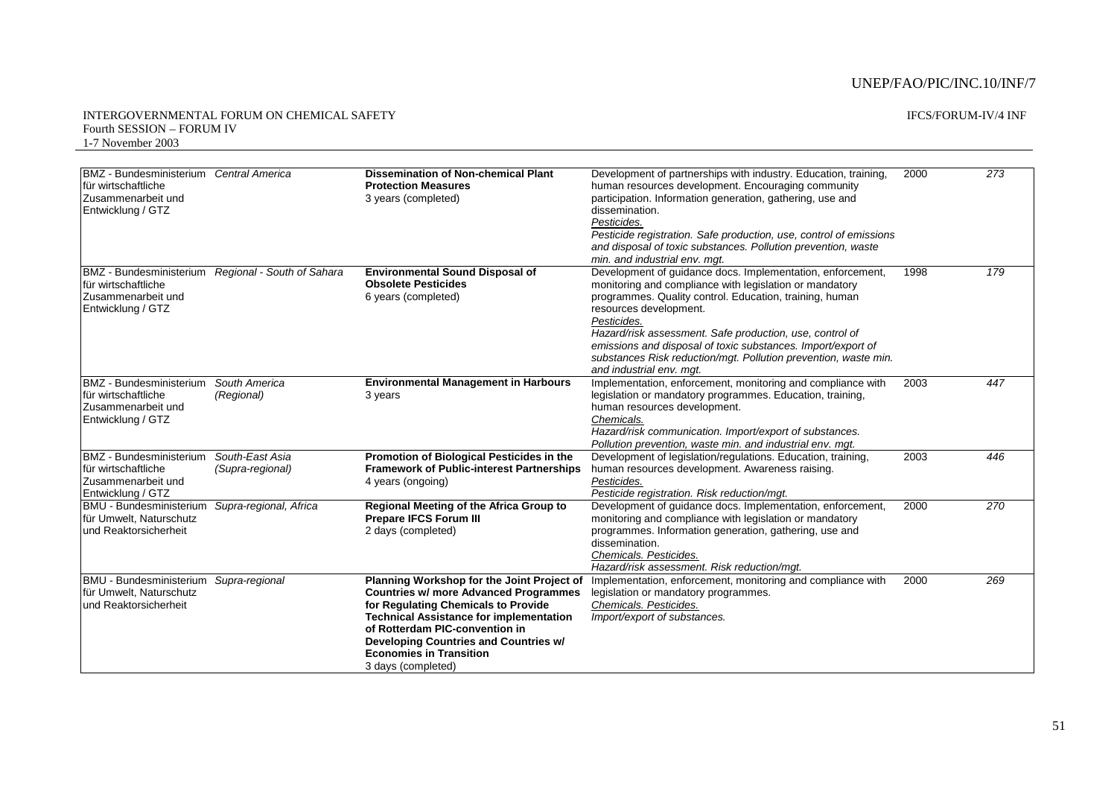| BMZ - Bundesministerium Central America<br>für wirtschaftliche<br>Zusammenarbeit und<br>Entwicklung / GTZ |                                                    | <b>Dissemination of Non-chemical Plant</b><br><b>Protection Measures</b><br>3 years (completed)                                                                                                                                                                                                                        | Development of partnerships with industry. Education, training,<br>human resources development. Encouraging community<br>participation. Information generation, gathering, use and<br>dissemination.<br>Pesticides.<br>Pesticide registration. Safe production, use, control of emissions<br>and disposal of toxic substances. Pollution prevention, waste<br>min. and industrial env. mgt.                                                          | 2000 | 273 |
|-----------------------------------------------------------------------------------------------------------|----------------------------------------------------|------------------------------------------------------------------------------------------------------------------------------------------------------------------------------------------------------------------------------------------------------------------------------------------------------------------------|------------------------------------------------------------------------------------------------------------------------------------------------------------------------------------------------------------------------------------------------------------------------------------------------------------------------------------------------------------------------------------------------------------------------------------------------------|------|-----|
| für wirtschaftliche<br>Zusammenarbeit und<br>Entwicklung / GTZ                                            | BMZ - Bundesministerium Regional - South of Sahara | <b>Environmental Sound Disposal of</b><br><b>Obsolete Pesticides</b><br>6 years (completed)                                                                                                                                                                                                                            | Development of guidance docs. Implementation, enforcement,<br>monitoring and compliance with legislation or mandatory<br>programmes. Quality control. Education, training, human<br>resources development.<br>Pesticides.<br>Hazard/risk assessment. Safe production, use, control of<br>emissions and disposal of toxic substances. Import/export of<br>substances Risk reduction/mgt. Pollution prevention, waste min.<br>and industrial env. mqt. | 1998 | 179 |
| <b>BMZ</b> - Bundesministerium<br>für wirtschaftliche<br>Zusammenarbeit und<br>Entwicklung / GTZ          | South America<br>(Regional)                        | <b>Environmental Management in Harbours</b><br>3 years                                                                                                                                                                                                                                                                 | Implementation, enforcement, monitoring and compliance with<br>legislation or mandatory programmes. Education, training,<br>human resources development.<br>Chemicals.<br>Hazard/risk communication. Import/export of substances.<br>Pollution prevention, waste min. and industrial env. mgt.                                                                                                                                                       | 2003 | 447 |
| <b>BMZ</b> - Bundesministerium<br>für wirtschaftliche<br>Zusammenarbeit und<br>Entwicklung / GTZ          | South-East Asia<br>(Supra-regional)                | Promotion of Biological Pesticides in the<br><b>Framework of Public-interest Partnerships</b><br>4 years (ongoing)                                                                                                                                                                                                     | Development of legislation/regulations. Education, training,<br>human resources development. Awareness raising.<br>Pesticides.<br>Pesticide registration. Risk reduction/mgt.                                                                                                                                                                                                                                                                        | 2003 | 446 |
| <b>BMU - Bundesministerium</b><br>für Umwelt, Naturschutz<br>und Reaktorsicherheit                        | Supra-regional, Africa                             | Regional Meeting of the Africa Group to<br><b>Prepare IFCS Forum III</b><br>2 days (completed)                                                                                                                                                                                                                         | Development of guidance docs. Implementation, enforcement,<br>monitoring and compliance with legislation or mandatory<br>programmes. Information generation, gathering, use and<br>dissemination.<br>Chemicals. Pesticides.<br>Hazard/risk assessment. Risk reduction/mgt.                                                                                                                                                                           | 2000 | 270 |
| <b>BMU - Bundesministerium</b><br>für Umwelt. Naturschutz<br>lund Reaktorsicherheit                       | Supra-regional                                     | Planning Workshop for the Joint Project of<br><b>Countries w/ more Advanced Programmes</b><br>for Regulating Chemicals to Provide<br><b>Technical Assistance for implementation</b><br>of Rotterdam PIC-convention in<br>Developing Countries and Countries w/<br><b>Economies in Transition</b><br>3 days (completed) | Implementation, enforcement, monitoring and compliance with<br>legislation or mandatory programmes.<br>Chemicals. Pesticides.<br>Import/export of substances.                                                                                                                                                                                                                                                                                        | 2000 | 269 |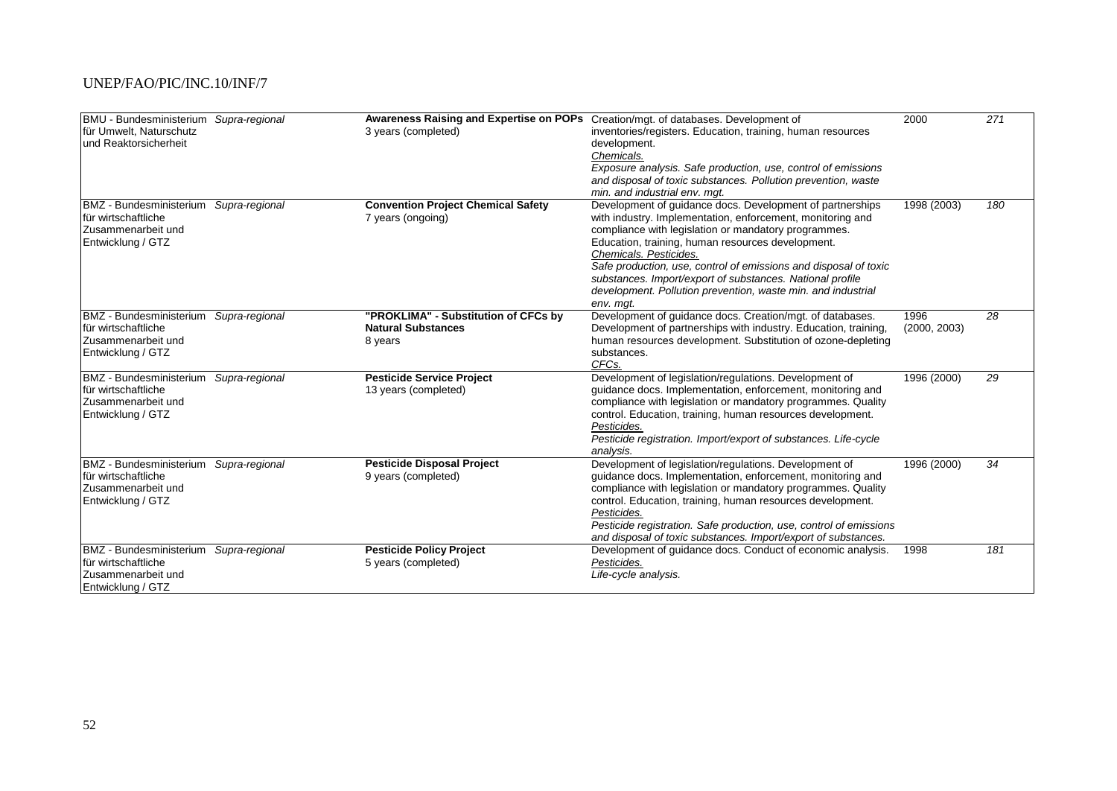| BMU - Bundesministerium Supra-regional |                | Awareness Raising and Expertise on POPs Creation/mgt. of databases. Development of |                                                                    | 2000         | 271 |
|----------------------------------------|----------------|------------------------------------------------------------------------------------|--------------------------------------------------------------------|--------------|-----|
| für Umwelt, Naturschutz                |                | 3 years (completed)                                                                | inventories/registers. Education, training, human resources        |              |     |
| und Reaktorsicherheit                  |                |                                                                                    | development.                                                       |              |     |
|                                        |                |                                                                                    | Chemicals.                                                         |              |     |
|                                        |                |                                                                                    | Exposure analysis. Safe production, use, control of emissions      |              |     |
|                                        |                |                                                                                    | and disposal of toxic substances. Pollution prevention, waste      |              |     |
|                                        |                |                                                                                    | min, and industrial env. mat.                                      |              |     |
| <b>BMZ</b> - Bundesministerium         | Supra-regional | <b>Convention Project Chemical Safety</b>                                          | Development of guidance docs. Development of partnerships          | 1998 (2003)  | 180 |
| für wirtschaftliche                    |                | 7 years (ongoing)                                                                  | with industry. Implementation, enforcement, monitoring and         |              |     |
| Zusammenarbeit und                     |                |                                                                                    | compliance with legislation or mandatory programmes.               |              |     |
| Entwicklung / GTZ                      |                |                                                                                    | Education, training, human resources development.                  |              |     |
|                                        |                |                                                                                    | Chemicals. Pesticides.                                             |              |     |
|                                        |                |                                                                                    | Safe production, use, control of emissions and disposal of toxic   |              |     |
|                                        |                |                                                                                    | substances. Import/export of substances. National profile          |              |     |
|                                        |                |                                                                                    | development. Pollution prevention, waste min. and industrial       |              |     |
|                                        |                |                                                                                    | env. mgt.                                                          |              |     |
| <b>BMZ</b> - Bundesministerium         | Supra-regional | "PROKLIMA" - Substitution of CFCs by                                               | Development of guidance docs. Creation/mgt. of databases.          | 1996         | 28  |
| für wirtschaftliche                    |                | <b>Natural Substances</b>                                                          | Development of partnerships with industry. Education, training,    | (2000, 2003) |     |
| Zusammenarbeit und                     |                | 8 years                                                                            | human resources development. Substitution of ozone-depleting       |              |     |
| Entwicklung / GTZ                      |                |                                                                                    | substances.                                                        |              |     |
|                                        |                |                                                                                    | CFC <sub>s</sub> .                                                 |              |     |
| <b>BMZ</b> - Bundesministerium         | Supra-regional | <b>Pesticide Service Project</b>                                                   | Development of legislation/regulations. Development of             | 1996 (2000)  | 29  |
| für wirtschaftliche                    |                | 13 years (completed)                                                               | guidance docs. Implementation, enforcement, monitoring and         |              |     |
| Zusammenarbeit und                     |                |                                                                                    | compliance with legislation or mandatory programmes. Quality       |              |     |
| Entwicklung / GTZ                      |                |                                                                                    | control. Education, training, human resources development.         |              |     |
|                                        |                |                                                                                    | Pesticides.                                                        |              |     |
|                                        |                |                                                                                    | Pesticide registration. Import/export of substances. Life-cycle    |              |     |
|                                        |                |                                                                                    | analysis.                                                          |              |     |
| <b>BMZ</b> - Bundesministerium         | Supra-regional | <b>Pesticide Disposal Project</b>                                                  | Development of legislation/regulations. Development of             | 1996 (2000)  | 34  |
| für wirtschaftliche                    |                | 9 years (completed)                                                                | guidance docs. Implementation, enforcement, monitoring and         |              |     |
| Zusammenarbeit und                     |                |                                                                                    | compliance with legislation or mandatory programmes. Quality       |              |     |
| Entwicklung / GTZ                      |                |                                                                                    | control. Education, training, human resources development.         |              |     |
|                                        |                |                                                                                    | Pesticides.                                                        |              |     |
|                                        |                |                                                                                    | Pesticide registration. Safe production, use, control of emissions |              |     |
|                                        |                |                                                                                    | and disposal of toxic substances. Import/export of substances.     |              |     |
| <b>BMZ</b> - Bundesministerium         | Supra-regional | <b>Pesticide Policy Project</b>                                                    | Development of guidance docs. Conduct of economic analysis.        | 1998         | 181 |
| für wirtschaftliche                    |                | 5 years (completed)                                                                | Pesticides.                                                        |              |     |
| Zusammenarbeit und                     |                |                                                                                    | Life-cycle analysis.                                               |              |     |
| Entwicklung / GTZ                      |                |                                                                                    |                                                                    |              |     |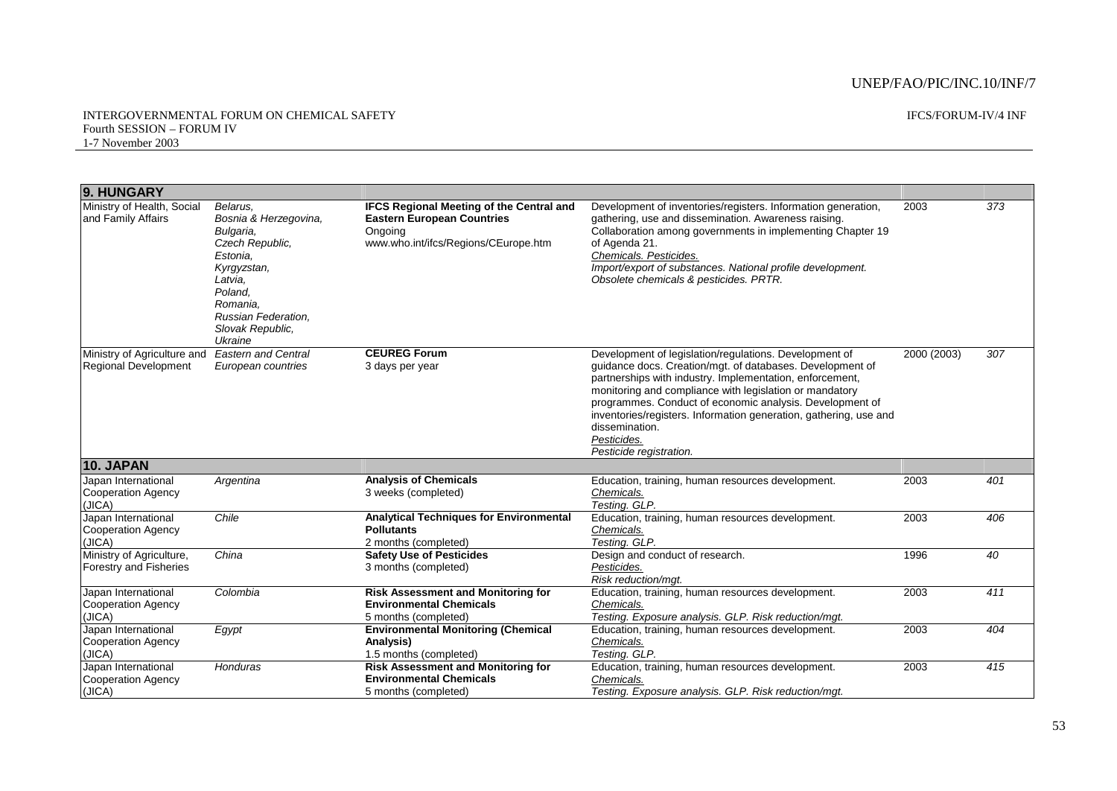#### INTERGOVERNMENTAL FORUM ON CHEMICAL SAFETY Fourth SESSION – FORUM IV 1-7 November 2003

IFCS/FORUM-IV/4 INF

| 9. HUNGARY                                                 |                                                                                                                                                                                      |                                                                                                                                         |                                                                                                                                                                                                                                                                                                                                                                                                                                         |             |     |
|------------------------------------------------------------|--------------------------------------------------------------------------------------------------------------------------------------------------------------------------------------|-----------------------------------------------------------------------------------------------------------------------------------------|-----------------------------------------------------------------------------------------------------------------------------------------------------------------------------------------------------------------------------------------------------------------------------------------------------------------------------------------------------------------------------------------------------------------------------------------|-------------|-----|
| Ministry of Health, Social<br>and Family Affairs           | Belarus.<br>Bosnia & Herzegovina,<br>Bulgaria,<br>Czech Republic.<br>Estonia.<br>Kyrgyzstan,<br>Latvia,<br>Poland,<br>Romania.<br>Russian Federation,<br>Slovak Republic,<br>Ukraine | <b>IFCS Regional Meeting of the Central and</b><br><b>Eastern European Countries</b><br>Ongoing<br>www.who.int/ifcs/Regions/CEurope.htm | Development of inventories/registers. Information generation,<br>gathering, use and dissemination. Awareness raising.<br>Collaboration among governments in implementing Chapter 19<br>of Agenda 21.<br>Chemicals, Pesticides,<br>Import/export of substances. National profile development.<br>Obsolete chemicals & pesticides. PRTR.                                                                                                  | 2003        | 373 |
| Ministry of Agriculture and<br><b>Regional Development</b> | <b>Eastern and Central</b><br>European countries                                                                                                                                     | <b>CEUREG Forum</b><br>3 days per year                                                                                                  | Development of legislation/regulations. Development of<br>guidance docs. Creation/mgt. of databases. Development of<br>partnerships with industry. Implementation, enforcement,<br>monitoring and compliance with legislation or mandatory<br>programmes. Conduct of economic analysis. Development of<br>inventories/registers. Information generation, gathering, use and<br>dissemination.<br>Pesticides.<br>Pesticide registration. | 2000 (2003) | 307 |
| <b>10. JAPAN</b>                                           |                                                                                                                                                                                      |                                                                                                                                         |                                                                                                                                                                                                                                                                                                                                                                                                                                         |             |     |
| Japan International<br>Cooperation Agency<br>(JICA)        | Argentina                                                                                                                                                                            | <b>Analysis of Chemicals</b><br>3 weeks (completed)                                                                                     | Education, training, human resources development.<br>Chemicals.<br>Testing. GLP.                                                                                                                                                                                                                                                                                                                                                        | 2003        | 401 |
| Japan International<br>Cooperation Agency<br>(JICA)        | Chile                                                                                                                                                                                | <b>Analytical Techniques for Environmental</b><br><b>Pollutants</b><br>2 months (completed)                                             | Education, training, human resources development.<br>Chemicals.<br>Testing. GLP.                                                                                                                                                                                                                                                                                                                                                        | 2003        | 406 |
| Ministry of Agriculture,<br><b>Forestry and Fisheries</b>  | China                                                                                                                                                                                | <b>Safety Use of Pesticides</b><br>3 months (completed)                                                                                 | Design and conduct of research.<br>Pesticides.<br>Risk reduction/mgt.                                                                                                                                                                                                                                                                                                                                                                   | 1996        | 40  |
| Japan International<br>Cooperation Agency<br>(JICA)        | Colombia                                                                                                                                                                             | <b>Risk Assessment and Monitoring for</b><br><b>Environmental Chemicals</b><br>5 months (completed)                                     | Education, training, human resources development.<br>Chemicals.<br>Testing. Exposure analysis. GLP. Risk reduction/mgt.                                                                                                                                                                                                                                                                                                                 | 2003        | 411 |
| Japan International<br>Cooperation Agency<br>(JICA)        | Egypt                                                                                                                                                                                | <b>Environmental Monitoring (Chemical</b><br>Analysis)<br>1.5 months (completed)                                                        | Education, training, human resources development.<br>Chemicals.<br>Testing. GLP.                                                                                                                                                                                                                                                                                                                                                        | 2003        | 404 |
| Japan International<br><b>Cooperation Agency</b><br>(JICA) | Honduras                                                                                                                                                                             | <b>Risk Assessment and Monitoring for</b><br><b>Environmental Chemicals</b><br>5 months (completed)                                     | Education, training, human resources development.<br>Chemicals.<br>Testing. Exposure analysis. GLP. Risk reduction/mgt.                                                                                                                                                                                                                                                                                                                 | 2003        | 415 |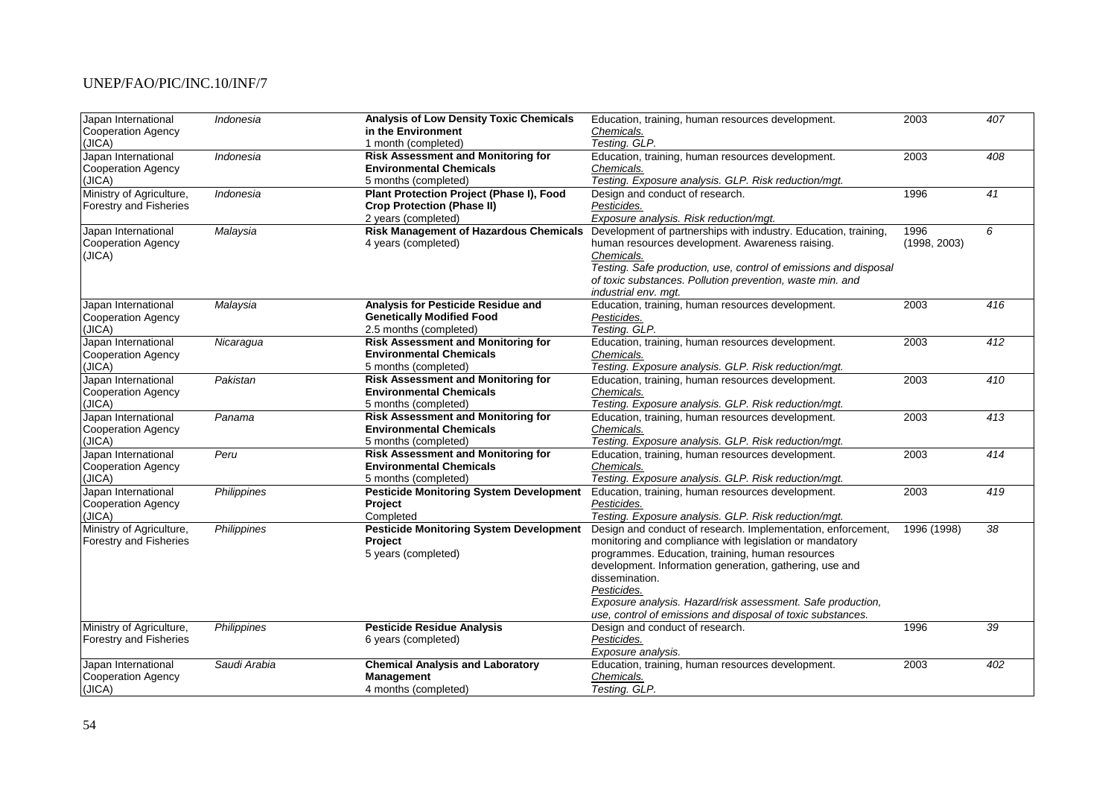| Japan International           | Indonesia    | <b>Analysis of Low Density Toxic Chemicals</b>  | Education, training, human resources development.                | 2003         | 407              |
|-------------------------------|--------------|-------------------------------------------------|------------------------------------------------------------------|--------------|------------------|
| <b>Cooperation Agency</b>     |              | in the Environment                              | Chemicals.                                                       |              |                  |
| (JICA)                        |              | 1 month (completed)                             | Testing. GLP.                                                    |              |                  |
| Japan International           | Indonesia    | <b>Risk Assessment and Monitoring for</b>       | Education, training, human resources development.                | 2003         | 408              |
| Cooperation Agency            |              | <b>Environmental Chemicals</b>                  | Chemicals.                                                       |              |                  |
| (JICA)                        |              | 5 months (completed)                            | Testing. Exposure analysis. GLP. Risk reduction/mgt.             |              |                  |
| Ministry of Agriculture,      | Indonesia    | <b>Plant Protection Project (Phase I), Food</b> | Design and conduct of research.                                  | 1996         | 41               |
| Forestry and Fisheries        |              | <b>Crop Protection (Phase II)</b>               | Pesticides.                                                      |              |                  |
|                               |              | 2 years (completed)                             | Exposure analysis. Risk reduction/mgt.                           |              |                  |
| Japan International           | Malaysia     | <b>Risk Management of Hazardous Chemicals</b>   | Development of partnerships with industry. Education, training,  | 1996         | 6                |
| Cooperation Agency            |              | 4 years (completed)                             | human resources development. Awareness raising.                  | (1998, 2003) |                  |
| (JICA)                        |              |                                                 | Chemicals.                                                       |              |                  |
|                               |              |                                                 | Testing. Safe production, use, control of emissions and disposal |              |                  |
|                               |              |                                                 | of toxic substances. Pollution prevention, waste min. and        |              |                  |
|                               |              |                                                 | industrial env. mgt.                                             |              |                  |
| Japan International           | Malaysia     | Analysis for Pesticide Residue and              | Education, training, human resources development.                | 2003         | $\overline{416}$ |
| <b>Cooperation Agency</b>     |              | <b>Genetically Modified Food</b>                | Pesticides.                                                      |              |                  |
| (JICA)                        |              | 2.5 months (completed)                          | Testing. GLP.                                                    |              |                  |
| Japan International           | Nicaragua    | <b>Risk Assessment and Monitoring for</b>       | Education, training, human resources development.                | 2003         | 412              |
| Cooperation Agency            |              | <b>Environmental Chemicals</b>                  | Chemicals.                                                       |              |                  |
| (JICA)                        |              | 5 months (completed)                            | Testing. Exposure analysis. GLP. Risk reduction/mgt.             |              |                  |
| Japan International           | Pakistan     | <b>Risk Assessment and Monitoring for</b>       | Education, training, human resources development.                | 2003         | 410              |
| Cooperation Agency            |              | <b>Environmental Chemicals</b>                  | Chemicals.                                                       |              |                  |
| (JICA)                        |              | 5 months (completed)                            | Testing. Exposure analysis. GLP. Risk reduction/mgt.             |              |                  |
| Japan International           | Panama       | <b>Risk Assessment and Monitoring for</b>       | Education, training, human resources development.                | 2003         | 413              |
| Cooperation Agency            |              | <b>Environmental Chemicals</b>                  | Chemicals.                                                       |              |                  |
| (JICA)                        |              | 5 months (completed)                            | Testing. Exposure analysis. GLP. Risk reduction/mgt.             |              |                  |
| Japan International           | Peru         | <b>Risk Assessment and Monitoring for</b>       | Education, training, human resources development.                | 2003         | 414              |
| <b>Cooperation Agency</b>     |              | <b>Environmental Chemicals</b>                  | Chemicals.                                                       |              |                  |
| (JICA)                        |              | 5 months (completed)                            | Testing. Exposure analysis. GLP. Risk reduction/mgt.             |              |                  |
| Japan International           | Philippines  | <b>Pesticide Monitoring System Development</b>  | Education, training, human resources development.                | 2003         | 419              |
| <b>Cooperation Agency</b>     |              | Project                                         | Pesticides.                                                      |              |                  |
| (JICA)                        |              | Completed                                       | Testing. Exposure analysis. GLP. Risk reduction/mgt.             |              |                  |
| Ministry of Agriculture,      | Philippines  | <b>Pesticide Monitoring System Development</b>  | Design and conduct of research. Implementation, enforcement,     | 1996 (1998)  | $\overline{38}$  |
| <b>Forestry and Fisheries</b> |              | Project                                         | monitoring and compliance with legislation or mandatory          |              |                  |
|                               |              | 5 years (completed)                             | programmes. Education, training, human resources                 |              |                  |
|                               |              |                                                 | development. Information generation, gathering, use and          |              |                  |
|                               |              |                                                 | dissemination.                                                   |              |                  |
|                               |              |                                                 | Pesticides.                                                      |              |                  |
|                               |              |                                                 | Exposure analysis. Hazard/risk assessment. Safe production,      |              |                  |
|                               |              |                                                 | use, control of emissions and disposal of toxic substances.      |              |                  |
| Ministry of Agriculture,      | Philippines  | <b>Pesticide Residue Analysis</b>               | Design and conduct of research.                                  | 1996         | 39               |
| <b>Forestry and Fisheries</b> |              | 6 years (completed)                             | Pesticides.                                                      |              |                  |
|                               |              |                                                 | Exposure analysis.                                               |              |                  |
| Japan International           | Saudi Arabia | <b>Chemical Analysis and Laboratory</b>         | Education, training, human resources development.                | 2003         | 402              |
| <b>Cooperation Agency</b>     |              | Management                                      | Chemicals.                                                       |              |                  |
| (JICA)                        |              | 4 months (completed)                            | Testing. GLP.                                                    |              |                  |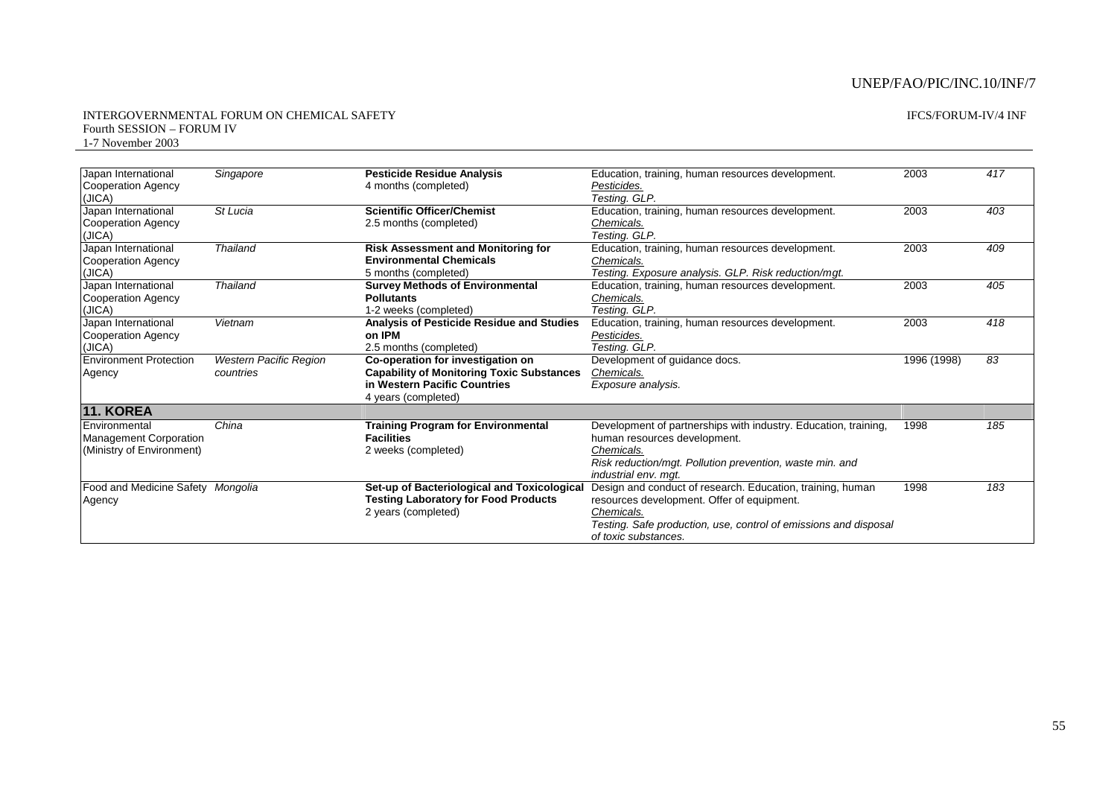#### INTERGOVERNMENTAL FORUM ON CHEMICAL SAFETY Fourth SESSION – FORUM IV 1-7 November 2003

### IFCS/FORUM-IV/4 INF

| Japan International                 | Singapore              | <b>Pesticide Residue Analysis</b>                | Education, training, human resources development.                | 2003        | 417 |
|-------------------------------------|------------------------|--------------------------------------------------|------------------------------------------------------------------|-------------|-----|
| <b>Cooperation Agency</b><br>(JICA) |                        | 4 months (completed)                             | Pesticides.<br>Testing. GLP.                                     |             |     |
| Japan International                 | St Lucia               | <b>Scientific Officer/Chemist</b>                | Education, training, human resources development.                | 2003        | 403 |
| <b>Cooperation Agency</b>           |                        | 2.5 months (completed)                           | Chemicals.                                                       |             |     |
| (JICA)                              |                        |                                                  | Testing. GLP.                                                    |             |     |
| Japan International                 | <b>Thailand</b>        | <b>Risk Assessment and Monitoring for</b>        | Education, training, human resources development.                | 2003        | 409 |
| Cooperation Agency                  |                        | <b>Environmental Chemicals</b>                   | Chemicals.                                                       |             |     |
| (JICA)                              |                        | 5 months (completed)                             | Testing. Exposure analysis. GLP. Risk reduction/mgt.             |             |     |
| Japan International                 | <b>Thailand</b>        | <b>Survey Methods of Environmental</b>           | Education, training, human resources development.                | 2003        | 405 |
| Cooperation Agency                  |                        | <b>Pollutants</b>                                | Chemicals.                                                       |             |     |
| (JICA)                              |                        | 1-2 weeks (completed)                            | Testing. GLP.                                                    |             |     |
| Japan International                 | Vietnam                | Analysis of Pesticide Residue and Studies        | Education, training, human resources development.                | 2003        | 418 |
| Cooperation Agency                  |                        | on IPM                                           | Pesticides.                                                      |             |     |
| (JICA)                              |                        | 2.5 months (completed)                           | Testing. GLP.                                                    |             |     |
| <b>Environment Protection</b>       | Western Pacific Region | Co-operation for investigation on                | Development of guidance docs.                                    | 1996 (1998) | 83  |
| Agency                              | countries              | <b>Capability of Monitoring Toxic Substances</b> | Chemicals.                                                       |             |     |
|                                     |                        | in Western Pacific Countries                     | Exposure analysis.                                               |             |     |
|                                     |                        | 4 years (completed)                              |                                                                  |             |     |
| <b>11. KOREA</b>                    |                        |                                                  |                                                                  |             |     |
| Environmental                       | China                  | <b>Training Program for Environmental</b>        | Development of partnerships with industry. Education, training,  | 1998        | 185 |
| <b>Management Corporation</b>       |                        | <b>Facilities</b>                                | human resources development.                                     |             |     |
| (Ministry of Environment)           |                        | 2 weeks (completed)                              | Chemicals.                                                       |             |     |
|                                     |                        |                                                  | Risk reduction/mgt. Pollution prevention, waste min. and         |             |     |
|                                     |                        |                                                  | industrial env. mat.                                             |             |     |
| Food and Medicine Safety Mongolia   |                        | Set-up of Bacteriological and Toxicological      | Design and conduct of research. Education, training, human       | 1998        | 183 |
| Agency                              |                        | <b>Testing Laboratory for Food Products</b>      | resources development. Offer of equipment.                       |             |     |
|                                     |                        | 2 years (completed)                              | Chemicals.                                                       |             |     |
|                                     |                        |                                                  | Testing. Safe production, use, control of emissions and disposal |             |     |
|                                     |                        |                                                  | of toxic substances.                                             |             |     |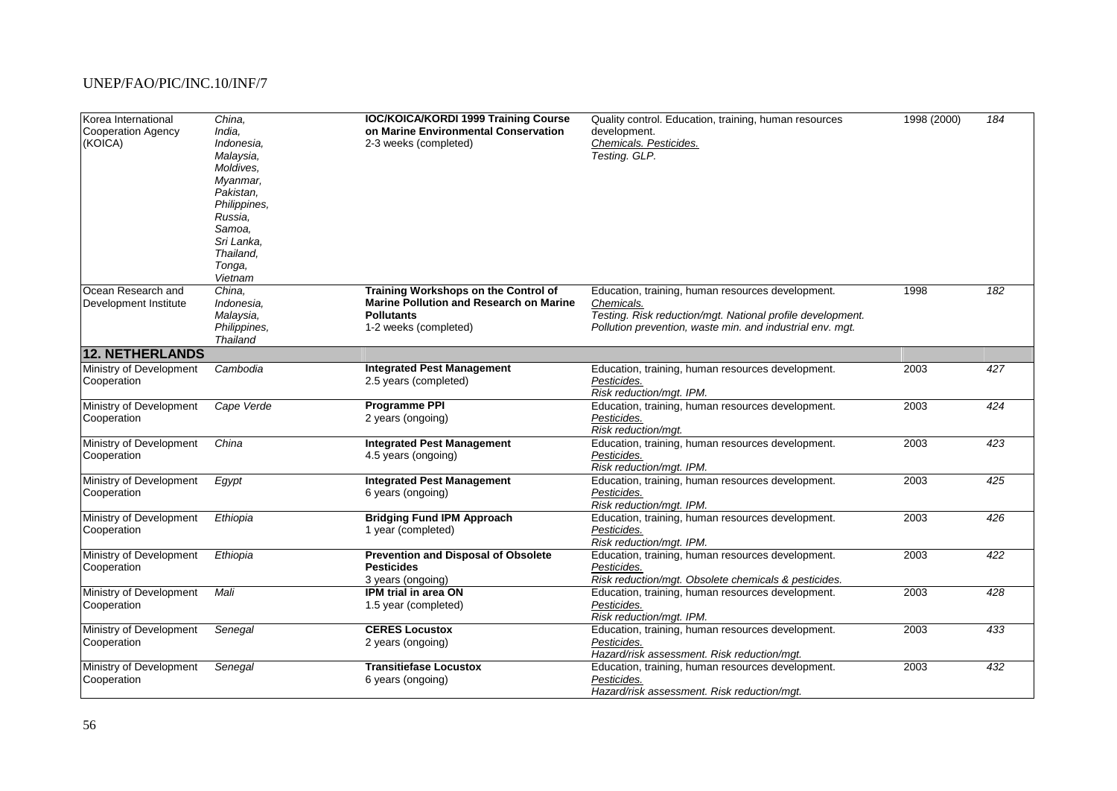| Korea International<br><b>Cooperation Agency</b><br>(KOICA) | China,<br>India,<br>Indonesia,<br>Malaysia,<br>Moldives.<br>Myanmar,<br>Pakistan.<br>Philippines,<br>Russia.<br>Samoa,<br>Sri Lanka,<br>Thailand,<br>Tonga,<br>Vietnam | <b>IOC/KOICA/KORDI 1999 Training Course</b><br>on Marine Environmental Conservation<br>2-3 weeks (completed)                         | Quality control. Education, training, human resources<br>development.<br>Chemicals. Pesticides.<br>Testing. GLP.                                                                           | 1998 (2000) | 184              |
|-------------------------------------------------------------|------------------------------------------------------------------------------------------------------------------------------------------------------------------------|--------------------------------------------------------------------------------------------------------------------------------------|--------------------------------------------------------------------------------------------------------------------------------------------------------------------------------------------|-------------|------------------|
| Ocean Research and<br>Development Institute                 | China,<br>Indonesia,<br>Malaysia,<br>Philippines,<br><b>Thailand</b>                                                                                                   | Training Workshops on the Control of<br><b>Marine Pollution and Research on Marine</b><br><b>Pollutants</b><br>1-2 weeks (completed) | Education, training, human resources development.<br>Chemicals.<br>Testing. Risk reduction/mgt. National profile development.<br>Pollution prevention, waste min. and industrial env. mgt. | 1998        | 182              |
| <b>12. NETHERLANDS</b>                                      |                                                                                                                                                                        |                                                                                                                                      |                                                                                                                                                                                            |             |                  |
| Ministry of Development<br>Cooperation                      | Cambodia                                                                                                                                                               | <b>Integrated Pest Management</b><br>2.5 years (completed)                                                                           | Education, training, human resources development.<br>Pesticides.<br>Risk reduction/mgt. IPM.                                                                                               | 2003        | $\overline{427}$ |
| Ministry of Development<br>Cooperation                      | Cape Verde                                                                                                                                                             | <b>Programme PPI</b><br>2 years (ongoing)                                                                                            | Education, training, human resources development.<br>Pesticides.<br>Risk reduction/mgt.                                                                                                    | 2003        | $\overline{424}$ |
| Ministry of Development<br>Cooperation                      | China                                                                                                                                                                  | <b>Integrated Pest Management</b><br>4.5 years (ongoing)                                                                             | Education, training, human resources development.<br>Pesticides.<br>Risk reduction/mgt. IPM.                                                                                               | 2003        | 423              |
| Ministry of Development<br>Cooperation                      | Egypt                                                                                                                                                                  | <b>Integrated Pest Management</b><br>6 years (ongoing)                                                                               | Education, training, human resources development.<br>Pesticides.<br>Risk reduction/mgt. IPM.                                                                                               | 2003        | 425              |
| Ministry of Development<br>Cooperation                      | Ethiopia                                                                                                                                                               | <b>Bridging Fund IPM Approach</b><br>1 year (completed)                                                                              | Education, training, human resources development.<br>Pesticides.<br>Risk reduction/mgt. IPM.                                                                                               | 2003        | $\overline{426}$ |
| Ministry of Development<br>Cooperation                      | Ethiopia                                                                                                                                                               | <b>Prevention and Disposal of Obsolete</b><br><b>Pesticides</b><br>3 years (ongoing)                                                 | Education, training, human resources development.<br>Pesticides.<br>Risk reduction/mgt. Obsolete chemicals & pesticides.                                                                   | 2003        | $\overline{422}$ |
| Ministry of Development<br>Cooperation                      | Mali                                                                                                                                                                   | IPM trial in area ON<br>1.5 year (completed)                                                                                         | Education, training, human resources development.<br>Pesticides.<br>Risk reduction/mgt. IPM.                                                                                               | 2003        | 428              |
| Ministry of Development<br>Cooperation                      | Senegal                                                                                                                                                                | <b>CERES Locustox</b><br>2 years (ongoing)                                                                                           | Education, training, human resources development.<br>Pesticides.<br>Hazard/risk assessment. Risk reduction/mgt.                                                                            | 2003        | 433              |
| Ministry of Development<br>Cooperation                      | Senegal                                                                                                                                                                | <b>Transitiefase Locustox</b><br>6 years (ongoing)                                                                                   | Education, training, human resources development.<br>Pesticides.<br>Hazard/risk assessment. Risk reduction/mgt.                                                                            | 2003        | 432              |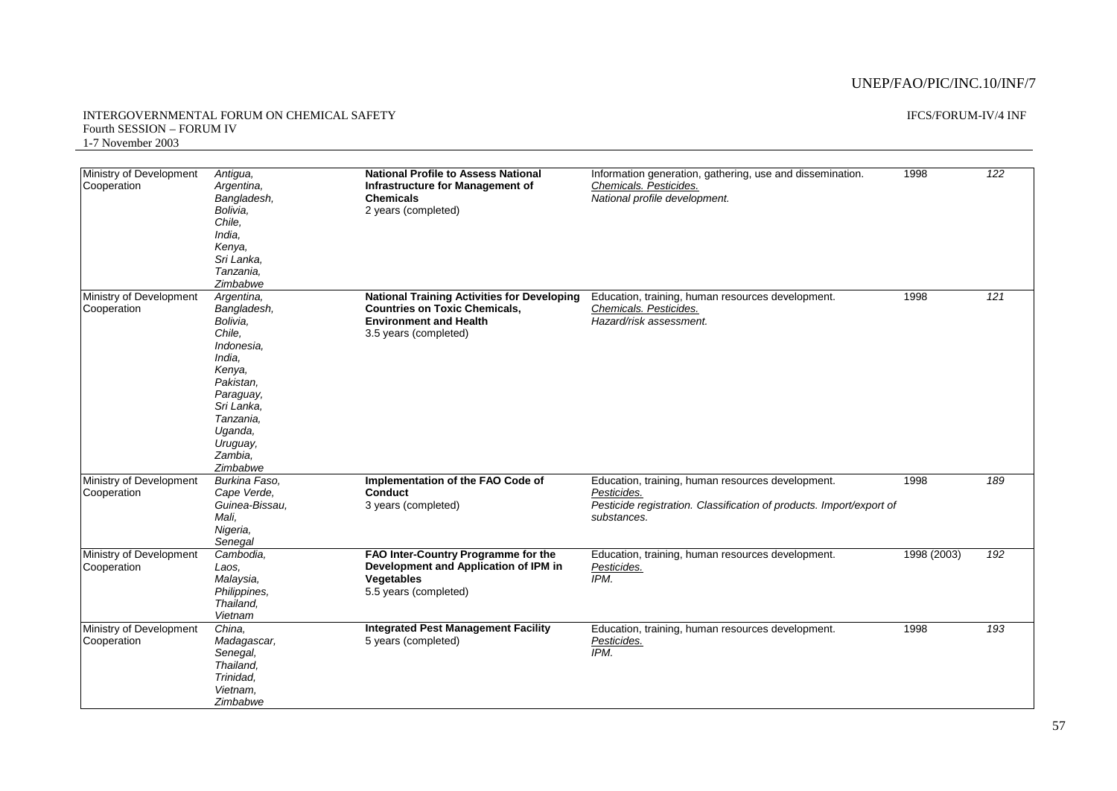#### INTERGOVERNMENTAL FORUM ON CHEMICAL SAFETY Fourth SESSION – FORUM IV 1-7 November 2003

### IFCS/FORUM-IV/4 INF

| Ministry of Development<br>Cooperation | Antigua,<br>Argentina,<br>Bangladesh,<br>Bolivia,<br>Chile.<br>India.<br>Kenya,<br>Sri Lanka,<br>Tanzania,<br>Zimbabwe                                                               | <b>National Profile to Assess National</b><br>Infrastructure for Management of<br><b>Chemicals</b><br>2 years (completed)                            | Information generation, gathering, use and dissemination.<br>Chemicals. Pesticides.<br>National profile development.                                    | 1998        | 122 |
|----------------------------------------|--------------------------------------------------------------------------------------------------------------------------------------------------------------------------------------|------------------------------------------------------------------------------------------------------------------------------------------------------|---------------------------------------------------------------------------------------------------------------------------------------------------------|-------------|-----|
| Ministry of Development<br>Cooperation | Argentina,<br>Bangladesh,<br>Bolivia,<br>Chile.<br>Indonesia.<br>India,<br>Kenya,<br>Pakistan.<br>Paraguay,<br>Sri Lanka,<br>Tanzania,<br>Uganda,<br>Uruguay,<br>Zambia.<br>Zimbabwe | <b>National Training Activities for Developing</b><br><b>Countries on Toxic Chemicals.</b><br><b>Environment and Health</b><br>3.5 years (completed) | Education, training, human resources development.<br>Chemicals. Pesticides.<br>Hazard/risk assessment.                                                  | 1998        | 121 |
| Ministry of Development<br>Cooperation | Burkina Faso.<br>Cape Verde.<br>Guinea-Bissau,<br>Mali.<br>Nigeria,<br>Senegal                                                                                                       | Implementation of the FAO Code of<br>Conduct<br>3 years (completed)                                                                                  | Education, training, human resources development.<br>Pesticides.<br>Pesticide registration. Classification of products. Import/export of<br>substances. | 1998        | 189 |
| Ministry of Development<br>Cooperation | Cambodia.<br>Laos.<br>Malaysia,<br>Philippines,<br>Thailand,<br>Vietnam                                                                                                              | FAO Inter-Country Programme for the<br>Development and Application of IPM in<br>Vegetables<br>5.5 years (completed)                                  | Education, training, human resources development.<br>Pesticides.<br>IPM.                                                                                | 1998 (2003) | 192 |
| Ministry of Development<br>Cooperation | China,<br>Madagascar,<br>Senegal,<br>Thailand,<br>Trinidad.<br>Vietnam.<br>Zimbabwe                                                                                                  | <b>Integrated Pest Management Facility</b><br>5 years (completed)                                                                                    | Education, training, human resources development.<br>Pesticides.<br>IPM.                                                                                | 1998        | 193 |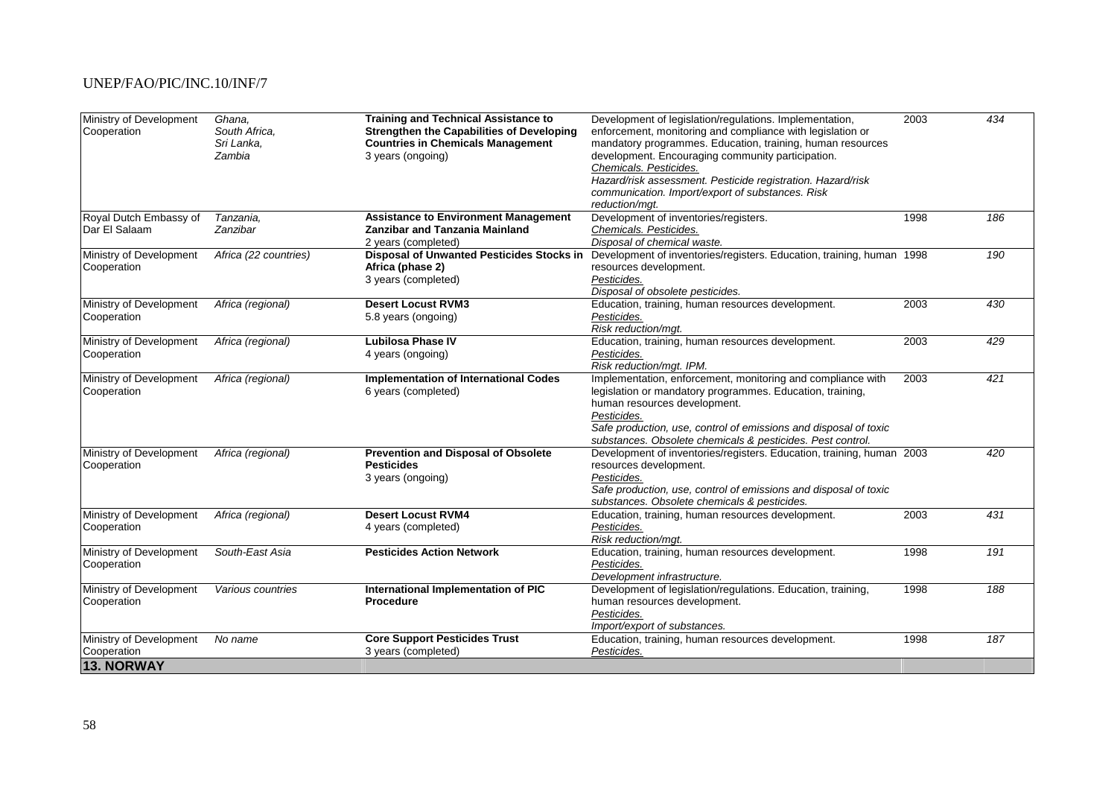| Ministry of Development<br>Cooperation | Ghana,<br>South Africa. | <b>Training and Technical Assistance to</b><br><b>Strengthen the Capabilities of Developing</b> | Development of legislation/regulations. Implementation,<br>enforcement, monitoring and compliance with legislation or | 2003 | 434 |
|----------------------------------------|-------------------------|-------------------------------------------------------------------------------------------------|-----------------------------------------------------------------------------------------------------------------------|------|-----|
|                                        | Sri Lanka,<br>Zambia    | <b>Countries in Chemicals Management</b><br>3 years (ongoing)                                   | mandatory programmes. Education, training, human resources<br>development. Encouraging community participation.       |      |     |
|                                        |                         |                                                                                                 | Chemicals. Pesticides.                                                                                                |      |     |
|                                        |                         |                                                                                                 | Hazard/risk assessment. Pesticide registration. Hazard/risk                                                           |      |     |
|                                        |                         |                                                                                                 | communication. Import/export of substances. Risk                                                                      |      |     |
|                                        |                         |                                                                                                 | reduction/mgt.                                                                                                        |      |     |
| Royal Dutch Embassy of                 | Tanzania,               | <b>Assistance to Environment Management</b>                                                     | Development of inventories/registers.                                                                                 | 1998 | 186 |
| Dar El Salaam                          | Zanzibar                | <b>Zanzibar and Tanzania Mainland</b>                                                           | Chemicals. Pesticides.                                                                                                |      |     |
|                                        |                         | 2 years (completed)                                                                             | Disposal of chemical waste.                                                                                           |      |     |
| Ministry of Development                | Africa (22 countries)   | Disposal of Unwanted Pesticides Stocks in                                                       | Development of inventories/registers. Education, training, human 1998                                                 |      | 190 |
| Cooperation                            |                         | Africa (phase 2)                                                                                | resources development.                                                                                                |      |     |
|                                        |                         | 3 years (completed)                                                                             | Pesticides.                                                                                                           |      |     |
|                                        |                         |                                                                                                 | Disposal of obsolete pesticides.                                                                                      |      |     |
| Ministry of Development                | Africa (regional)       | <b>Desert Locust RVM3</b>                                                                       | Education, training, human resources development.                                                                     | 2003 | 430 |
| Cooperation                            |                         | 5.8 years (ongoing)                                                                             | Pesticides.                                                                                                           |      |     |
|                                        |                         |                                                                                                 | Risk reduction/mgt.                                                                                                   |      |     |
| Ministry of Development                | Africa (regional)       | <b>Lubilosa Phase IV</b>                                                                        | Education, training, human resources development.                                                                     | 2003 | 429 |
| Cooperation                            |                         | 4 years (ongoing)                                                                               | Pesticides.                                                                                                           |      |     |
|                                        |                         |                                                                                                 | Risk reduction/mgt. IPM.                                                                                              |      |     |
| Ministry of Development                | Africa (regional)       | <b>Implementation of International Codes</b>                                                    | Implementation, enforcement, monitoring and compliance with                                                           | 2003 | 421 |
| Cooperation                            |                         | 6 years (completed)                                                                             | legislation or mandatory programmes. Education, training,                                                             |      |     |
|                                        |                         |                                                                                                 | human resources development.                                                                                          |      |     |
|                                        |                         |                                                                                                 | Pesticides.                                                                                                           |      |     |
|                                        |                         |                                                                                                 | Safe production, use, control of emissions and disposal of toxic                                                      |      |     |
|                                        |                         |                                                                                                 | substances. Obsolete chemicals & pesticides. Pest control.                                                            |      |     |
| Ministry of Development                | Africa (regional)       | <b>Prevention and Disposal of Obsolete</b>                                                      | Development of inventories/registers. Education, training, human 2003                                                 |      | 420 |
| Cooperation                            |                         | <b>Pesticides</b>                                                                               | resources development.                                                                                                |      |     |
|                                        |                         | 3 years (ongoing)                                                                               | Pesticides.                                                                                                           |      |     |
|                                        |                         |                                                                                                 | Safe production, use, control of emissions and disposal of toxic                                                      |      |     |
|                                        |                         |                                                                                                 | substances. Obsolete chemicals & pesticides.                                                                          |      |     |
| Ministry of Development                | Africa (regional)       | <b>Desert Locust RVM4</b>                                                                       | Education, training, human resources development.                                                                     | 2003 | 431 |
| Cooperation                            |                         | 4 years (completed)                                                                             | Pesticides.                                                                                                           |      |     |
|                                        |                         |                                                                                                 | Risk reduction/mgt.                                                                                                   |      |     |
| Ministry of Development                | South-East Asia         | <b>Pesticides Action Network</b>                                                                | Education, training, human resources development.                                                                     | 1998 | 191 |
| Cooperation                            |                         |                                                                                                 | Pesticides.                                                                                                           |      |     |
|                                        |                         |                                                                                                 | Development infrastructure.                                                                                           |      |     |
| Ministry of Development                | Various countries       | International Implementation of PIC                                                             | Development of legislation/regulations. Education, training,                                                          | 1998 | 188 |
| Cooperation                            |                         | <b>Procedure</b>                                                                                | human resources development.                                                                                          |      |     |
|                                        |                         |                                                                                                 | Pesticides.                                                                                                           |      |     |
|                                        |                         |                                                                                                 | Import/export of substances.                                                                                          |      |     |
| Ministry of Development                | No name                 | <b>Core Support Pesticides Trust</b>                                                            | Education, training, human resources development.                                                                     | 1998 | 187 |
| Cooperation                            |                         | 3 years (completed)                                                                             | Pesticides.                                                                                                           |      |     |
| <b>13. NORWAY</b>                      |                         |                                                                                                 |                                                                                                                       |      |     |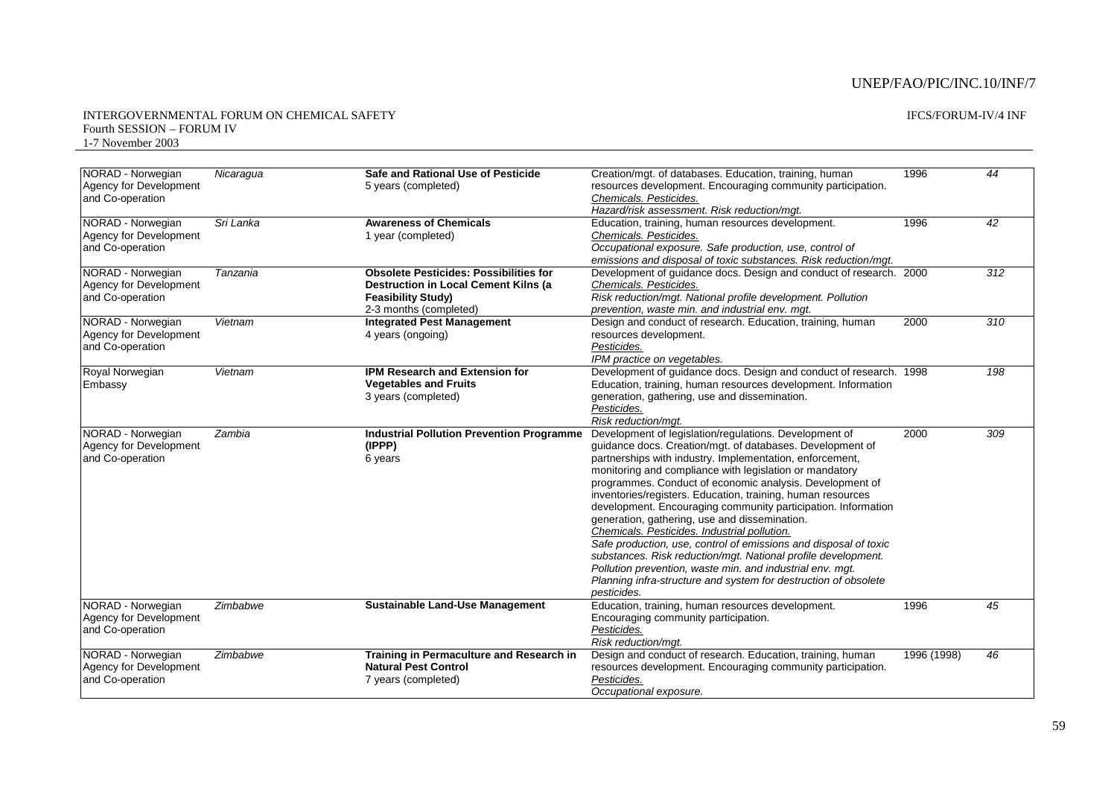| Safe and Rational Use of Pesticide<br>NORAD - Norwegian<br>Creation/mgt. of databases. Education, training, human<br>44<br>Nicaragua<br>1996<br>Agency for Development<br>resources development. Encouraging community participation.<br>5 years (completed)<br>and Co-operation<br>Chemicals. Pesticides.<br>Hazard/risk assessment. Risk reduction/mgt.<br>Sri Lanka<br>1996<br>$\overline{42}$<br>NORAD - Norwegian<br><b>Awareness of Chemicals</b><br>Education, training, human resources development.<br>Agency for Development<br>Chemicals. Pesticides.<br>1 year (completed)<br>Occupational exposure. Safe production, use, control of<br>and Co-operation<br>emissions and disposal of toxic substances. Risk reduction/mgt.<br>Development of guidance docs. Design and conduct of research. 2000<br>NORAD - Norwegian<br><b>Obsolete Pesticides: Possibilities for</b><br>312<br>Tanzania<br>Agency for Development<br>Chemicals. Pesticides.<br><b>Destruction in Local Cement Kilns (a)</b><br><b>Feasibility Study)</b><br>Risk reduction/mgt. National profile development. Pollution<br>and Co-operation<br>2-3 months (completed)<br>prevention, waste min. and industrial env. mgt.<br>NORAD - Norwegian<br><b>Integrated Pest Management</b><br>$\overline{310}$<br>Vietnam<br>Design and conduct of research. Education, training, human<br>2000<br>Agency for Development<br>resources development.<br>4 years (ongoing)<br>and Co-operation<br>Pesticides.<br>IPM practice on vegetables.<br>Royal Norwegian<br><b>IPM Research and Extension for</b><br>Development of guidance docs. Design and conduct of research. 1998<br>198<br>Vietnam<br><b>Vegetables and Fruits</b><br>Education, training, human resources development. Information<br>3 years (completed)<br>generation, gathering, use and dissemination.<br>Pesticides.<br>Risk reduction/mgt.<br>Development of legislation/regulations. Development of<br>309<br>Zambia<br><b>Industrial Pollution Prevention Programme</b><br>2000<br>guidance docs. Creation/mgt. of databases. Development of<br>(IPPP)<br>partnerships with industry. Implementation, enforcement,<br>6 years<br>monitoring and compliance with legislation or mandatory<br>programmes. Conduct of economic analysis. Development of<br>inventories/registers. Education, training, human resources<br>development. Encouraging community participation. Information<br>generation, gathering, use and dissemination.<br>Chemicals. Pesticides. Industrial pollution.<br>Safe production, use, control of emissions and disposal of toxic<br>substances. Risk reduction/mgt. National profile development.<br>Pollution prevention, waste min. and industrial env. mgt.<br>Planning infra-structure and system for destruction of obsolete<br>pesticides.<br>Zimbabwe<br><b>Sustainable Land-Use Management</b><br>Education, training, human resources development.<br>1996<br>45<br>Agency for Development<br>Encouraging community participation.<br>and Co-operation<br>Pesticides.<br>Risk reduction/mgt.<br>Design and conduct of research. Education, training, human<br>NORAD - Norwegian<br>Zimbabwe<br>Training in Permaculture and Research in<br>1996 (1998)<br>46<br><b>Natural Pest Control</b><br>Agency for Development<br>resources development. Encouraging community participation.<br>and Co-operation<br>7 years (completed)<br>Pesticides. |                        |  |                        |  |
|-------------------------------------------------------------------------------------------------------------------------------------------------------------------------------------------------------------------------------------------------------------------------------------------------------------------------------------------------------------------------------------------------------------------------------------------------------------------------------------------------------------------------------------------------------------------------------------------------------------------------------------------------------------------------------------------------------------------------------------------------------------------------------------------------------------------------------------------------------------------------------------------------------------------------------------------------------------------------------------------------------------------------------------------------------------------------------------------------------------------------------------------------------------------------------------------------------------------------------------------------------------------------------------------------------------------------------------------------------------------------------------------------------------------------------------------------------------------------------------------------------------------------------------------------------------------------------------------------------------------------------------------------------------------------------------------------------------------------------------------------------------------------------------------------------------------------------------------------------------------------------------------------------------------------------------------------------------------------------------------------------------------------------------------------------------------------------------------------------------------------------------------------------------------------------------------------------------------------------------------------------------------------------------------------------------------------------------------------------------------------------------------------------------------------------------------------------------------------------------------------------------------------------------------------------------------------------------------------------------------------------------------------------------------------------------------------------------------------------------------------------------------------------------------------------------------------------------------------------------------------------------------------------------------------------------------------------------------------------------------------------------------------------------------------------------------------------------------------------------------------------------------------------------------------------------------------------------------------------------------------------------------------------------------------------------------------------------------------------------------------------------------------------------------------------|------------------------|--|------------------------|--|
|                                                                                                                                                                                                                                                                                                                                                                                                                                                                                                                                                                                                                                                                                                                                                                                                                                                                                                                                                                                                                                                                                                                                                                                                                                                                                                                                                                                                                                                                                                                                                                                                                                                                                                                                                                                                                                                                                                                                                                                                                                                                                                                                                                                                                                                                                                                                                                                                                                                                                                                                                                                                                                                                                                                                                                                                                                                                                                                                                                                                                                                                                                                                                                                                                                                                                                                                                                                                                               |                        |  |                        |  |
|                                                                                                                                                                                                                                                                                                                                                                                                                                                                                                                                                                                                                                                                                                                                                                                                                                                                                                                                                                                                                                                                                                                                                                                                                                                                                                                                                                                                                                                                                                                                                                                                                                                                                                                                                                                                                                                                                                                                                                                                                                                                                                                                                                                                                                                                                                                                                                                                                                                                                                                                                                                                                                                                                                                                                                                                                                                                                                                                                                                                                                                                                                                                                                                                                                                                                                                                                                                                                               |                        |  |                        |  |
|                                                                                                                                                                                                                                                                                                                                                                                                                                                                                                                                                                                                                                                                                                                                                                                                                                                                                                                                                                                                                                                                                                                                                                                                                                                                                                                                                                                                                                                                                                                                                                                                                                                                                                                                                                                                                                                                                                                                                                                                                                                                                                                                                                                                                                                                                                                                                                                                                                                                                                                                                                                                                                                                                                                                                                                                                                                                                                                                                                                                                                                                                                                                                                                                                                                                                                                                                                                                                               |                        |  |                        |  |
|                                                                                                                                                                                                                                                                                                                                                                                                                                                                                                                                                                                                                                                                                                                                                                                                                                                                                                                                                                                                                                                                                                                                                                                                                                                                                                                                                                                                                                                                                                                                                                                                                                                                                                                                                                                                                                                                                                                                                                                                                                                                                                                                                                                                                                                                                                                                                                                                                                                                                                                                                                                                                                                                                                                                                                                                                                                                                                                                                                                                                                                                                                                                                                                                                                                                                                                                                                                                                               |                        |  |                        |  |
|                                                                                                                                                                                                                                                                                                                                                                                                                                                                                                                                                                                                                                                                                                                                                                                                                                                                                                                                                                                                                                                                                                                                                                                                                                                                                                                                                                                                                                                                                                                                                                                                                                                                                                                                                                                                                                                                                                                                                                                                                                                                                                                                                                                                                                                                                                                                                                                                                                                                                                                                                                                                                                                                                                                                                                                                                                                                                                                                                                                                                                                                                                                                                                                                                                                                                                                                                                                                                               |                        |  |                        |  |
|                                                                                                                                                                                                                                                                                                                                                                                                                                                                                                                                                                                                                                                                                                                                                                                                                                                                                                                                                                                                                                                                                                                                                                                                                                                                                                                                                                                                                                                                                                                                                                                                                                                                                                                                                                                                                                                                                                                                                                                                                                                                                                                                                                                                                                                                                                                                                                                                                                                                                                                                                                                                                                                                                                                                                                                                                                                                                                                                                                                                                                                                                                                                                                                                                                                                                                                                                                                                                               |                        |  |                        |  |
|                                                                                                                                                                                                                                                                                                                                                                                                                                                                                                                                                                                                                                                                                                                                                                                                                                                                                                                                                                                                                                                                                                                                                                                                                                                                                                                                                                                                                                                                                                                                                                                                                                                                                                                                                                                                                                                                                                                                                                                                                                                                                                                                                                                                                                                                                                                                                                                                                                                                                                                                                                                                                                                                                                                                                                                                                                                                                                                                                                                                                                                                                                                                                                                                                                                                                                                                                                                                                               |                        |  |                        |  |
|                                                                                                                                                                                                                                                                                                                                                                                                                                                                                                                                                                                                                                                                                                                                                                                                                                                                                                                                                                                                                                                                                                                                                                                                                                                                                                                                                                                                                                                                                                                                                                                                                                                                                                                                                                                                                                                                                                                                                                                                                                                                                                                                                                                                                                                                                                                                                                                                                                                                                                                                                                                                                                                                                                                                                                                                                                                                                                                                                                                                                                                                                                                                                                                                                                                                                                                                                                                                                               |                        |  |                        |  |
|                                                                                                                                                                                                                                                                                                                                                                                                                                                                                                                                                                                                                                                                                                                                                                                                                                                                                                                                                                                                                                                                                                                                                                                                                                                                                                                                                                                                                                                                                                                                                                                                                                                                                                                                                                                                                                                                                                                                                                                                                                                                                                                                                                                                                                                                                                                                                                                                                                                                                                                                                                                                                                                                                                                                                                                                                                                                                                                                                                                                                                                                                                                                                                                                                                                                                                                                                                                                                               |                        |  |                        |  |
|                                                                                                                                                                                                                                                                                                                                                                                                                                                                                                                                                                                                                                                                                                                                                                                                                                                                                                                                                                                                                                                                                                                                                                                                                                                                                                                                                                                                                                                                                                                                                                                                                                                                                                                                                                                                                                                                                                                                                                                                                                                                                                                                                                                                                                                                                                                                                                                                                                                                                                                                                                                                                                                                                                                                                                                                                                                                                                                                                                                                                                                                                                                                                                                                                                                                                                                                                                                                                               |                        |  |                        |  |
|                                                                                                                                                                                                                                                                                                                                                                                                                                                                                                                                                                                                                                                                                                                                                                                                                                                                                                                                                                                                                                                                                                                                                                                                                                                                                                                                                                                                                                                                                                                                                                                                                                                                                                                                                                                                                                                                                                                                                                                                                                                                                                                                                                                                                                                                                                                                                                                                                                                                                                                                                                                                                                                                                                                                                                                                                                                                                                                                                                                                                                                                                                                                                                                                                                                                                                                                                                                                                               |                        |  |                        |  |
|                                                                                                                                                                                                                                                                                                                                                                                                                                                                                                                                                                                                                                                                                                                                                                                                                                                                                                                                                                                                                                                                                                                                                                                                                                                                                                                                                                                                                                                                                                                                                                                                                                                                                                                                                                                                                                                                                                                                                                                                                                                                                                                                                                                                                                                                                                                                                                                                                                                                                                                                                                                                                                                                                                                                                                                                                                                                                                                                                                                                                                                                                                                                                                                                                                                                                                                                                                                                                               |                        |  |                        |  |
|                                                                                                                                                                                                                                                                                                                                                                                                                                                                                                                                                                                                                                                                                                                                                                                                                                                                                                                                                                                                                                                                                                                                                                                                                                                                                                                                                                                                                                                                                                                                                                                                                                                                                                                                                                                                                                                                                                                                                                                                                                                                                                                                                                                                                                                                                                                                                                                                                                                                                                                                                                                                                                                                                                                                                                                                                                                                                                                                                                                                                                                                                                                                                                                                                                                                                                                                                                                                                               |                        |  |                        |  |
|                                                                                                                                                                                                                                                                                                                                                                                                                                                                                                                                                                                                                                                                                                                                                                                                                                                                                                                                                                                                                                                                                                                                                                                                                                                                                                                                                                                                                                                                                                                                                                                                                                                                                                                                                                                                                                                                                                                                                                                                                                                                                                                                                                                                                                                                                                                                                                                                                                                                                                                                                                                                                                                                                                                                                                                                                                                                                                                                                                                                                                                                                                                                                                                                                                                                                                                                                                                                                               |                        |  |                        |  |
|                                                                                                                                                                                                                                                                                                                                                                                                                                                                                                                                                                                                                                                                                                                                                                                                                                                                                                                                                                                                                                                                                                                                                                                                                                                                                                                                                                                                                                                                                                                                                                                                                                                                                                                                                                                                                                                                                                                                                                                                                                                                                                                                                                                                                                                                                                                                                                                                                                                                                                                                                                                                                                                                                                                                                                                                                                                                                                                                                                                                                                                                                                                                                                                                                                                                                                                                                                                                                               |                        |  |                        |  |
|                                                                                                                                                                                                                                                                                                                                                                                                                                                                                                                                                                                                                                                                                                                                                                                                                                                                                                                                                                                                                                                                                                                                                                                                                                                                                                                                                                                                                                                                                                                                                                                                                                                                                                                                                                                                                                                                                                                                                                                                                                                                                                                                                                                                                                                                                                                                                                                                                                                                                                                                                                                                                                                                                                                                                                                                                                                                                                                                                                                                                                                                                                                                                                                                                                                                                                                                                                                                                               |                        |  |                        |  |
|                                                                                                                                                                                                                                                                                                                                                                                                                                                                                                                                                                                                                                                                                                                                                                                                                                                                                                                                                                                                                                                                                                                                                                                                                                                                                                                                                                                                                                                                                                                                                                                                                                                                                                                                                                                                                                                                                                                                                                                                                                                                                                                                                                                                                                                                                                                                                                                                                                                                                                                                                                                                                                                                                                                                                                                                                                                                                                                                                                                                                                                                                                                                                                                                                                                                                                                                                                                                                               |                        |  |                        |  |
|                                                                                                                                                                                                                                                                                                                                                                                                                                                                                                                                                                                                                                                                                                                                                                                                                                                                                                                                                                                                                                                                                                                                                                                                                                                                                                                                                                                                                                                                                                                                                                                                                                                                                                                                                                                                                                                                                                                                                                                                                                                                                                                                                                                                                                                                                                                                                                                                                                                                                                                                                                                                                                                                                                                                                                                                                                                                                                                                                                                                                                                                                                                                                                                                                                                                                                                                                                                                                               | Embassy                |  |                        |  |
|                                                                                                                                                                                                                                                                                                                                                                                                                                                                                                                                                                                                                                                                                                                                                                                                                                                                                                                                                                                                                                                                                                                                                                                                                                                                                                                                                                                                                                                                                                                                                                                                                                                                                                                                                                                                                                                                                                                                                                                                                                                                                                                                                                                                                                                                                                                                                                                                                                                                                                                                                                                                                                                                                                                                                                                                                                                                                                                                                                                                                                                                                                                                                                                                                                                                                                                                                                                                                               |                        |  |                        |  |
|                                                                                                                                                                                                                                                                                                                                                                                                                                                                                                                                                                                                                                                                                                                                                                                                                                                                                                                                                                                                                                                                                                                                                                                                                                                                                                                                                                                                                                                                                                                                                                                                                                                                                                                                                                                                                                                                                                                                                                                                                                                                                                                                                                                                                                                                                                                                                                                                                                                                                                                                                                                                                                                                                                                                                                                                                                                                                                                                                                                                                                                                                                                                                                                                                                                                                                                                                                                                                               |                        |  |                        |  |
|                                                                                                                                                                                                                                                                                                                                                                                                                                                                                                                                                                                                                                                                                                                                                                                                                                                                                                                                                                                                                                                                                                                                                                                                                                                                                                                                                                                                                                                                                                                                                                                                                                                                                                                                                                                                                                                                                                                                                                                                                                                                                                                                                                                                                                                                                                                                                                                                                                                                                                                                                                                                                                                                                                                                                                                                                                                                                                                                                                                                                                                                                                                                                                                                                                                                                                                                                                                                                               |                        |  |                        |  |
|                                                                                                                                                                                                                                                                                                                                                                                                                                                                                                                                                                                                                                                                                                                                                                                                                                                                                                                                                                                                                                                                                                                                                                                                                                                                                                                                                                                                                                                                                                                                                                                                                                                                                                                                                                                                                                                                                                                                                                                                                                                                                                                                                                                                                                                                                                                                                                                                                                                                                                                                                                                                                                                                                                                                                                                                                                                                                                                                                                                                                                                                                                                                                                                                                                                                                                                                                                                                                               | NORAD - Norwegian      |  |                        |  |
|                                                                                                                                                                                                                                                                                                                                                                                                                                                                                                                                                                                                                                                                                                                                                                                                                                                                                                                                                                                                                                                                                                                                                                                                                                                                                                                                                                                                                                                                                                                                                                                                                                                                                                                                                                                                                                                                                                                                                                                                                                                                                                                                                                                                                                                                                                                                                                                                                                                                                                                                                                                                                                                                                                                                                                                                                                                                                                                                                                                                                                                                                                                                                                                                                                                                                                                                                                                                                               | Agency for Development |  |                        |  |
|                                                                                                                                                                                                                                                                                                                                                                                                                                                                                                                                                                                                                                                                                                                                                                                                                                                                                                                                                                                                                                                                                                                                                                                                                                                                                                                                                                                                                                                                                                                                                                                                                                                                                                                                                                                                                                                                                                                                                                                                                                                                                                                                                                                                                                                                                                                                                                                                                                                                                                                                                                                                                                                                                                                                                                                                                                                                                                                                                                                                                                                                                                                                                                                                                                                                                                                                                                                                                               | and Co-operation       |  |                        |  |
|                                                                                                                                                                                                                                                                                                                                                                                                                                                                                                                                                                                                                                                                                                                                                                                                                                                                                                                                                                                                                                                                                                                                                                                                                                                                                                                                                                                                                                                                                                                                                                                                                                                                                                                                                                                                                                                                                                                                                                                                                                                                                                                                                                                                                                                                                                                                                                                                                                                                                                                                                                                                                                                                                                                                                                                                                                                                                                                                                                                                                                                                                                                                                                                                                                                                                                                                                                                                                               |                        |  |                        |  |
|                                                                                                                                                                                                                                                                                                                                                                                                                                                                                                                                                                                                                                                                                                                                                                                                                                                                                                                                                                                                                                                                                                                                                                                                                                                                                                                                                                                                                                                                                                                                                                                                                                                                                                                                                                                                                                                                                                                                                                                                                                                                                                                                                                                                                                                                                                                                                                                                                                                                                                                                                                                                                                                                                                                                                                                                                                                                                                                                                                                                                                                                                                                                                                                                                                                                                                                                                                                                                               |                        |  |                        |  |
|                                                                                                                                                                                                                                                                                                                                                                                                                                                                                                                                                                                                                                                                                                                                                                                                                                                                                                                                                                                                                                                                                                                                                                                                                                                                                                                                                                                                                                                                                                                                                                                                                                                                                                                                                                                                                                                                                                                                                                                                                                                                                                                                                                                                                                                                                                                                                                                                                                                                                                                                                                                                                                                                                                                                                                                                                                                                                                                                                                                                                                                                                                                                                                                                                                                                                                                                                                                                                               |                        |  |                        |  |
|                                                                                                                                                                                                                                                                                                                                                                                                                                                                                                                                                                                                                                                                                                                                                                                                                                                                                                                                                                                                                                                                                                                                                                                                                                                                                                                                                                                                                                                                                                                                                                                                                                                                                                                                                                                                                                                                                                                                                                                                                                                                                                                                                                                                                                                                                                                                                                                                                                                                                                                                                                                                                                                                                                                                                                                                                                                                                                                                                                                                                                                                                                                                                                                                                                                                                                                                                                                                                               |                        |  |                        |  |
|                                                                                                                                                                                                                                                                                                                                                                                                                                                                                                                                                                                                                                                                                                                                                                                                                                                                                                                                                                                                                                                                                                                                                                                                                                                                                                                                                                                                                                                                                                                                                                                                                                                                                                                                                                                                                                                                                                                                                                                                                                                                                                                                                                                                                                                                                                                                                                                                                                                                                                                                                                                                                                                                                                                                                                                                                                                                                                                                                                                                                                                                                                                                                                                                                                                                                                                                                                                                                               |                        |  |                        |  |
|                                                                                                                                                                                                                                                                                                                                                                                                                                                                                                                                                                                                                                                                                                                                                                                                                                                                                                                                                                                                                                                                                                                                                                                                                                                                                                                                                                                                                                                                                                                                                                                                                                                                                                                                                                                                                                                                                                                                                                                                                                                                                                                                                                                                                                                                                                                                                                                                                                                                                                                                                                                                                                                                                                                                                                                                                                                                                                                                                                                                                                                                                                                                                                                                                                                                                                                                                                                                                               |                        |  |                        |  |
|                                                                                                                                                                                                                                                                                                                                                                                                                                                                                                                                                                                                                                                                                                                                                                                                                                                                                                                                                                                                                                                                                                                                                                                                                                                                                                                                                                                                                                                                                                                                                                                                                                                                                                                                                                                                                                                                                                                                                                                                                                                                                                                                                                                                                                                                                                                                                                                                                                                                                                                                                                                                                                                                                                                                                                                                                                                                                                                                                                                                                                                                                                                                                                                                                                                                                                                                                                                                                               |                        |  |                        |  |
|                                                                                                                                                                                                                                                                                                                                                                                                                                                                                                                                                                                                                                                                                                                                                                                                                                                                                                                                                                                                                                                                                                                                                                                                                                                                                                                                                                                                                                                                                                                                                                                                                                                                                                                                                                                                                                                                                                                                                                                                                                                                                                                                                                                                                                                                                                                                                                                                                                                                                                                                                                                                                                                                                                                                                                                                                                                                                                                                                                                                                                                                                                                                                                                                                                                                                                                                                                                                                               |                        |  |                        |  |
|                                                                                                                                                                                                                                                                                                                                                                                                                                                                                                                                                                                                                                                                                                                                                                                                                                                                                                                                                                                                                                                                                                                                                                                                                                                                                                                                                                                                                                                                                                                                                                                                                                                                                                                                                                                                                                                                                                                                                                                                                                                                                                                                                                                                                                                                                                                                                                                                                                                                                                                                                                                                                                                                                                                                                                                                                                                                                                                                                                                                                                                                                                                                                                                                                                                                                                                                                                                                                               |                        |  |                        |  |
|                                                                                                                                                                                                                                                                                                                                                                                                                                                                                                                                                                                                                                                                                                                                                                                                                                                                                                                                                                                                                                                                                                                                                                                                                                                                                                                                                                                                                                                                                                                                                                                                                                                                                                                                                                                                                                                                                                                                                                                                                                                                                                                                                                                                                                                                                                                                                                                                                                                                                                                                                                                                                                                                                                                                                                                                                                                                                                                                                                                                                                                                                                                                                                                                                                                                                                                                                                                                                               |                        |  |                        |  |
|                                                                                                                                                                                                                                                                                                                                                                                                                                                                                                                                                                                                                                                                                                                                                                                                                                                                                                                                                                                                                                                                                                                                                                                                                                                                                                                                                                                                                                                                                                                                                                                                                                                                                                                                                                                                                                                                                                                                                                                                                                                                                                                                                                                                                                                                                                                                                                                                                                                                                                                                                                                                                                                                                                                                                                                                                                                                                                                                                                                                                                                                                                                                                                                                                                                                                                                                                                                                                               |                        |  |                        |  |
|                                                                                                                                                                                                                                                                                                                                                                                                                                                                                                                                                                                                                                                                                                                                                                                                                                                                                                                                                                                                                                                                                                                                                                                                                                                                                                                                                                                                                                                                                                                                                                                                                                                                                                                                                                                                                                                                                                                                                                                                                                                                                                                                                                                                                                                                                                                                                                                                                                                                                                                                                                                                                                                                                                                                                                                                                                                                                                                                                                                                                                                                                                                                                                                                                                                                                                                                                                                                                               | NORAD - Norwegian      |  |                        |  |
|                                                                                                                                                                                                                                                                                                                                                                                                                                                                                                                                                                                                                                                                                                                                                                                                                                                                                                                                                                                                                                                                                                                                                                                                                                                                                                                                                                                                                                                                                                                                                                                                                                                                                                                                                                                                                                                                                                                                                                                                                                                                                                                                                                                                                                                                                                                                                                                                                                                                                                                                                                                                                                                                                                                                                                                                                                                                                                                                                                                                                                                                                                                                                                                                                                                                                                                                                                                                                               |                        |  |                        |  |
|                                                                                                                                                                                                                                                                                                                                                                                                                                                                                                                                                                                                                                                                                                                                                                                                                                                                                                                                                                                                                                                                                                                                                                                                                                                                                                                                                                                                                                                                                                                                                                                                                                                                                                                                                                                                                                                                                                                                                                                                                                                                                                                                                                                                                                                                                                                                                                                                                                                                                                                                                                                                                                                                                                                                                                                                                                                                                                                                                                                                                                                                                                                                                                                                                                                                                                                                                                                                                               |                        |  |                        |  |
|                                                                                                                                                                                                                                                                                                                                                                                                                                                                                                                                                                                                                                                                                                                                                                                                                                                                                                                                                                                                                                                                                                                                                                                                                                                                                                                                                                                                                                                                                                                                                                                                                                                                                                                                                                                                                                                                                                                                                                                                                                                                                                                                                                                                                                                                                                                                                                                                                                                                                                                                                                                                                                                                                                                                                                                                                                                                                                                                                                                                                                                                                                                                                                                                                                                                                                                                                                                                                               |                        |  |                        |  |
|                                                                                                                                                                                                                                                                                                                                                                                                                                                                                                                                                                                                                                                                                                                                                                                                                                                                                                                                                                                                                                                                                                                                                                                                                                                                                                                                                                                                                                                                                                                                                                                                                                                                                                                                                                                                                                                                                                                                                                                                                                                                                                                                                                                                                                                                                                                                                                                                                                                                                                                                                                                                                                                                                                                                                                                                                                                                                                                                                                                                                                                                                                                                                                                                                                                                                                                                                                                                                               |                        |  |                        |  |
|                                                                                                                                                                                                                                                                                                                                                                                                                                                                                                                                                                                                                                                                                                                                                                                                                                                                                                                                                                                                                                                                                                                                                                                                                                                                                                                                                                                                                                                                                                                                                                                                                                                                                                                                                                                                                                                                                                                                                                                                                                                                                                                                                                                                                                                                                                                                                                                                                                                                                                                                                                                                                                                                                                                                                                                                                                                                                                                                                                                                                                                                                                                                                                                                                                                                                                                                                                                                                               |                        |  |                        |  |
|                                                                                                                                                                                                                                                                                                                                                                                                                                                                                                                                                                                                                                                                                                                                                                                                                                                                                                                                                                                                                                                                                                                                                                                                                                                                                                                                                                                                                                                                                                                                                                                                                                                                                                                                                                                                                                                                                                                                                                                                                                                                                                                                                                                                                                                                                                                                                                                                                                                                                                                                                                                                                                                                                                                                                                                                                                                                                                                                                                                                                                                                                                                                                                                                                                                                                                                                                                                                                               |                        |  |                        |  |
|                                                                                                                                                                                                                                                                                                                                                                                                                                                                                                                                                                                                                                                                                                                                                                                                                                                                                                                                                                                                                                                                                                                                                                                                                                                                                                                                                                                                                                                                                                                                                                                                                                                                                                                                                                                                                                                                                                                                                                                                                                                                                                                                                                                                                                                                                                                                                                                                                                                                                                                                                                                                                                                                                                                                                                                                                                                                                                                                                                                                                                                                                                                                                                                                                                                                                                                                                                                                                               |                        |  | Occupational exposure. |  |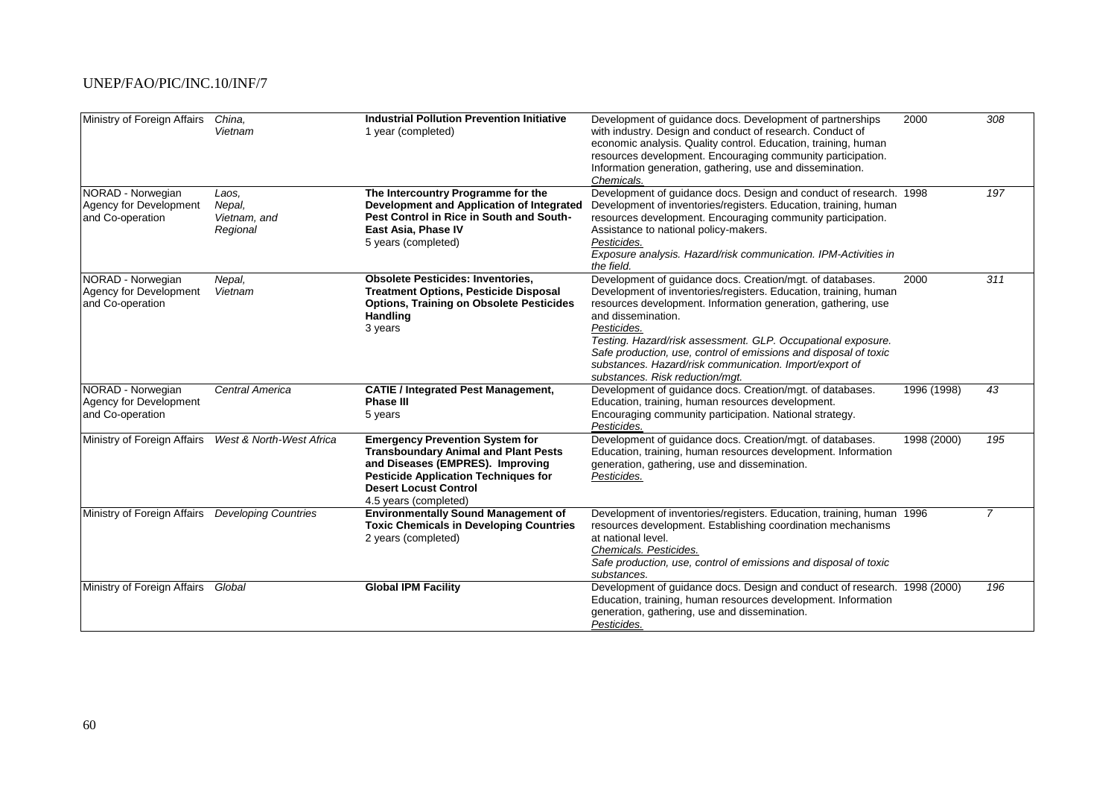| Ministry of Foreign Affairs                                     | China,<br>Vietnam                           | <b>Industrial Pollution Prevention Initiative</b><br>1 year (completed)                                                                                                                                                           | Development of guidance docs. Development of partnerships<br>with industry. Design and conduct of research. Conduct of<br>economic analysis. Quality control. Education, training, human<br>resources development. Encouraging community participation.<br>Information generation, gathering, use and dissemination.<br>Chemicals.                                                                                                                                    | 2000        | 308            |
|-----------------------------------------------------------------|---------------------------------------------|-----------------------------------------------------------------------------------------------------------------------------------------------------------------------------------------------------------------------------------|-----------------------------------------------------------------------------------------------------------------------------------------------------------------------------------------------------------------------------------------------------------------------------------------------------------------------------------------------------------------------------------------------------------------------------------------------------------------------|-------------|----------------|
| NORAD - Norwegian<br>Agency for Development<br>and Co-operation | Laos,<br>Nepal,<br>Vietnam, and<br>Regional | The Intercountry Programme for the<br>Development and Application of Integrated<br>Pest Control in Rice in South and South-<br>East Asia, Phase IV<br>5 years (completed)                                                         | Development of guidance docs. Design and conduct of research. 1998<br>Development of inventories/registers. Education, training, human<br>resources development. Encouraging community participation.<br>Assistance to national policy-makers.<br>Pesticides.<br>Exposure analysis. Hazard/risk communication. IPM-Activities in<br>the field.                                                                                                                        |             | 197            |
| NORAD - Norwegian<br>Agency for Development<br>and Co-operation | Nepal,<br>Vietnam                           | <b>Obsolete Pesticides: Inventories,</b><br><b>Treatment Options, Pesticide Disposal</b><br><b>Options, Training on Obsolete Pesticides</b><br>Handling<br>3 years                                                                | Development of guidance docs. Creation/mgt. of databases.<br>Development of inventories/registers. Education, training, human<br>resources development. Information generation, gathering, use<br>and dissemination.<br>Pesticides.<br>Testing. Hazard/risk assessment. GLP. Occupational exposure.<br>Safe production, use, control of emissions and disposal of toxic<br>substances. Hazard/risk communication. Import/export of<br>substances. Risk reduction/mqt. | 2000        | 311            |
| NORAD - Norwegian<br>Agency for Development<br>and Co-operation | Central America                             | <b>CATIE / Integrated Pest Management,</b><br><b>Phase III</b><br>5 years                                                                                                                                                         | Development of guidance docs. Creation/mgt. of databases.<br>Education, training, human resources development.<br>Encouraging community participation. National strategy.<br>Pesticides.                                                                                                                                                                                                                                                                              | 1996 (1998) | 43             |
| Ministry of Foreign Affairs                                     | West & North-West Africa                    | <b>Emergency Prevention System for</b><br><b>Transboundary Animal and Plant Pests</b><br>and Diseases (EMPRES). Improving<br><b>Pesticide Application Techniques for</b><br><b>Desert Locust Control</b><br>4.5 years (completed) | Development of guidance docs. Creation/mgt. of databases.<br>Education, training, human resources development. Information<br>generation, gathering, use and dissemination.<br>Pesticides.                                                                                                                                                                                                                                                                            | 1998 (2000) | 195            |
| Ministry of Foreign Affairs                                     | <b>Developing Countries</b>                 | <b>Environmentally Sound Management of</b><br><b>Toxic Chemicals in Developing Countries</b><br>2 years (completed)                                                                                                               | Development of inventories/registers. Education, training, human 1996<br>resources development. Establishing coordination mechanisms<br>at national level.<br>Chemicals. Pesticides.<br>Safe production, use, control of emissions and disposal of toxic<br>substances.                                                                                                                                                                                               |             | $\overline{7}$ |
| Ministry of Foreign Affairs                                     | Global                                      | <b>Global IPM Facility</b>                                                                                                                                                                                                        | Development of guidance docs. Design and conduct of research. 1998 (2000)<br>Education, training, human resources development. Information<br>generation, gathering, use and dissemination.<br>Pesticides.                                                                                                                                                                                                                                                            |             | 196            |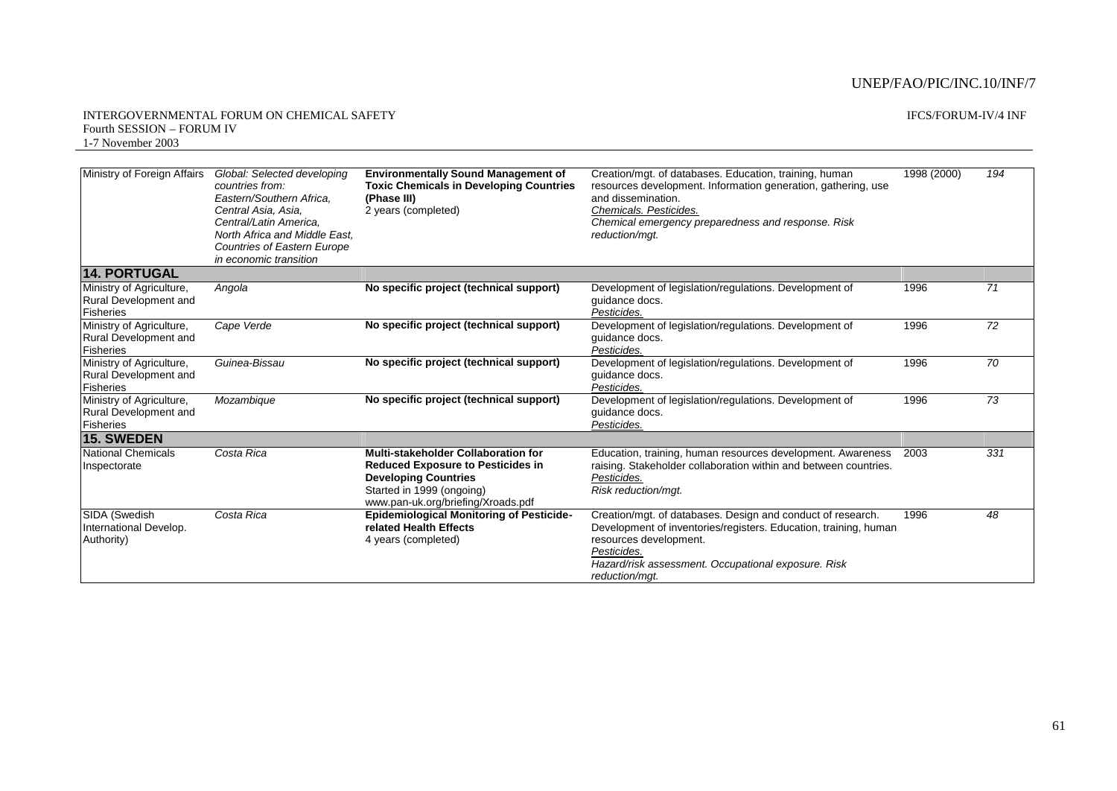| Ministry of Foreign Affairs                                                  | Global: Selected developing<br>countries from:<br>Eastern/Southern Africa.<br>Central Asia, Asia,<br>Central/Latin America.<br>North Africa and Middle East.<br>Countries of Eastern Europe<br>in economic transition | <b>Environmentally Sound Management of</b><br><b>Toxic Chemicals in Developing Countries</b><br>(Phase III)<br>2 years (completed)                                                | Creation/mgt. of databases. Education, training, human<br>resources development. Information generation, gathering, use<br>and dissemination.<br>Chemicals. Pesticides.<br>Chemical emergency preparedness and response. Risk<br>reduction/mgt.   | 1998 (2000) | 194             |
|------------------------------------------------------------------------------|-----------------------------------------------------------------------------------------------------------------------------------------------------------------------------------------------------------------------|-----------------------------------------------------------------------------------------------------------------------------------------------------------------------------------|---------------------------------------------------------------------------------------------------------------------------------------------------------------------------------------------------------------------------------------------------|-------------|-----------------|
| <b>14. PORTUGAL</b>                                                          |                                                                                                                                                                                                                       |                                                                                                                                                                                   |                                                                                                                                                                                                                                                   |             |                 |
| Ministry of Agriculture,<br><b>Rural Development and</b><br><b>Fisheries</b> | Angola                                                                                                                                                                                                                | No specific project (technical support)                                                                                                                                           | Development of legislation/regulations. Development of<br>quidance docs.<br>Pesticides.                                                                                                                                                           | 1996        | 71              |
| Ministry of Agriculture,<br>Rural Development and<br><b>Fisheries</b>        | Cape Verde                                                                                                                                                                                                            | No specific project (technical support)                                                                                                                                           | Development of legislation/regulations. Development of<br>guidance docs.<br>Pesticides.                                                                                                                                                           | 1996        | 72              |
| Ministry of Agriculture,<br>Rural Development and<br>Fisheries               | Guinea-Bissau                                                                                                                                                                                                         | No specific project (technical support)                                                                                                                                           | Development of legislation/regulations. Development of<br>quidance docs.<br>Pesticides.                                                                                                                                                           | 1996        | $\overline{70}$ |
| Ministry of Agriculture,<br>Rural Development and<br>Fisheries               | Mozambique                                                                                                                                                                                                            | No specific project (technical support)                                                                                                                                           | Development of legislation/regulations. Development of<br>quidance docs.<br>Pesticides.                                                                                                                                                           | 1996        | 73              |
| <b>15. SWEDEN</b>                                                            |                                                                                                                                                                                                                       |                                                                                                                                                                                   |                                                                                                                                                                                                                                                   |             |                 |
| <b>National Chemicals</b><br>Inspectorate                                    | Costa Rica                                                                                                                                                                                                            | Multi-stakeholder Collaboration for<br><b>Reduced Exposure to Pesticides in</b><br><b>Developing Countries</b><br>Started in 1999 (ongoing)<br>www.pan-uk.org/briefing/Xroads.pdf | Education, training, human resources development. Awareness<br>raising. Stakeholder collaboration within and between countries.<br>Pesticides.<br>Risk reduction/mgt.                                                                             | 2003        | 331             |
| SIDA (Swedish<br>International Develop.<br>Authority)                        | Costa Rica                                                                                                                                                                                                            | <b>Epidemiological Monitoring of Pesticide-</b><br>related Health Effects<br>4 years (completed)                                                                                  | Creation/mgt. of databases. Design and conduct of research.<br>Development of inventories/registers. Education, training, human<br>resources development.<br>Pesticides.<br>Hazard/risk assessment. Occupational exposure. Risk<br>reduction/mat. | 1996        | 48              |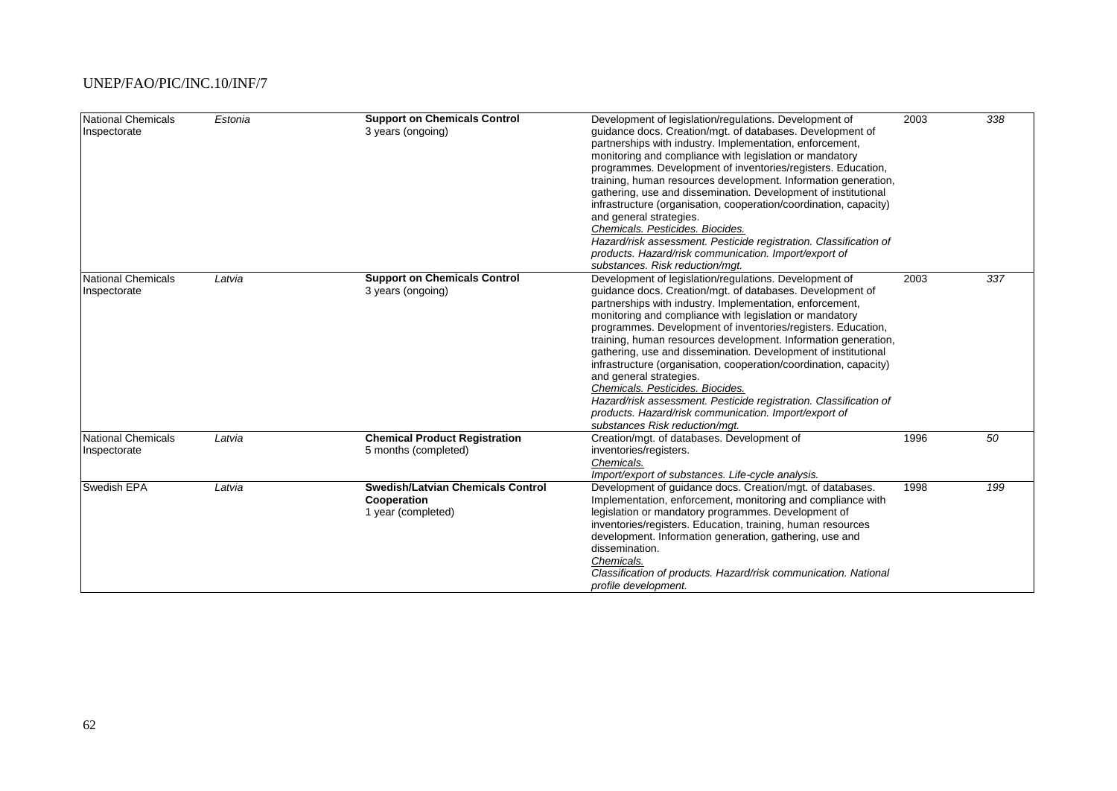| National Chemicals<br>Inspectorate | Estonia | <b>Support on Chemicals Control</b><br>3 years (ongoing)                      | Development of legislation/regulations. Development of<br>guidance docs. Creation/mgt. of databases. Development of<br>partnerships with industry. Implementation, enforcement,<br>monitoring and compliance with legislation or mandatory<br>programmes. Development of inventories/registers. Education,<br>training, human resources development. Information generation,<br>gathering, use and dissemination. Development of institutional<br>infrastructure (organisation, cooperation/coordination, capacity)<br>and general strategies.<br>Chemicals. Pesticides. Biocides.<br>Hazard/risk assessment. Pesticide registration. Classification of<br>products. Hazard/risk communication. Import/export of<br>substances. Risk reduction/mqt. | 2003 | 338 |
|------------------------------------|---------|-------------------------------------------------------------------------------|-----------------------------------------------------------------------------------------------------------------------------------------------------------------------------------------------------------------------------------------------------------------------------------------------------------------------------------------------------------------------------------------------------------------------------------------------------------------------------------------------------------------------------------------------------------------------------------------------------------------------------------------------------------------------------------------------------------------------------------------------------|------|-----|
| National Chemicals<br>Inspectorate | Latvia  | <b>Support on Chemicals Control</b><br>3 years (ongoing)                      | Development of legislation/regulations. Development of<br>guidance docs. Creation/mgt. of databases. Development of<br>partnerships with industry. Implementation, enforcement,<br>monitoring and compliance with legislation or mandatory<br>programmes. Development of inventories/registers. Education,<br>training, human resources development. Information generation,<br>gathering, use and dissemination. Development of institutional<br>infrastructure (organisation, cooperation/coordination, capacity)<br>and general strategies.<br>Chemicals. Pesticides. Biocides.<br>Hazard/risk assessment. Pesticide registration. Classification of<br>products. Hazard/risk communication. Import/export of<br>substances Risk reduction/mgt.  | 2003 | 337 |
| National Chemicals<br>Inspectorate | Latvia  | <b>Chemical Product Registration</b><br>5 months (completed)                  | Creation/mgt. of databases. Development of<br>inventories/registers.<br>Chemicals.<br>Import/export of substances. Life-cycle analysis.                                                                                                                                                                                                                                                                                                                                                                                                                                                                                                                                                                                                             | 1996 | 50  |
| Swedish EPA                        | Latvia  | <b>Swedish/Latvian Chemicals Control</b><br>Cooperation<br>1 year (completed) | Development of guidance docs. Creation/mgt. of databases.<br>Implementation, enforcement, monitoring and compliance with<br>legislation or mandatory programmes. Development of<br>inventories/registers. Education, training, human resources<br>development. Information generation, gathering, use and<br>dissemination.<br>Chemicals.<br>Classification of products. Hazard/risk communication. National<br>profile development.                                                                                                                                                                                                                                                                                                                | 1998 | 199 |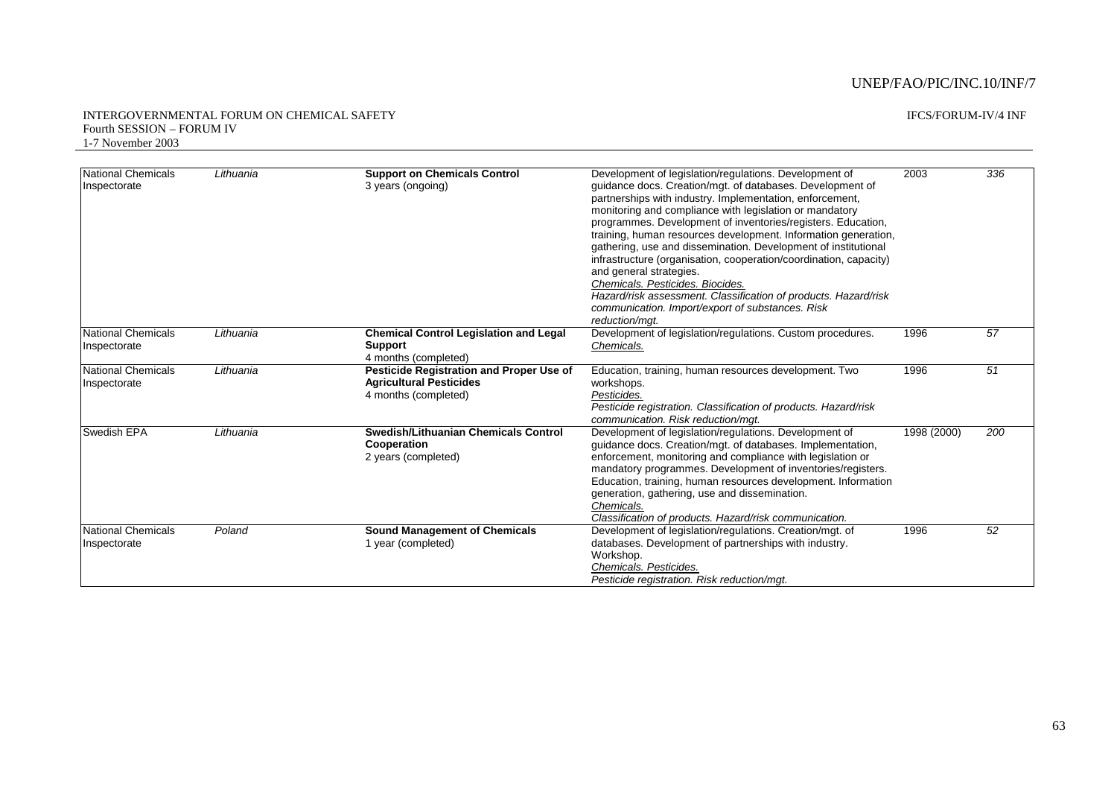| <b>National Chemicals</b><br>Inspectorate | Lithuania | <b>Support on Chemicals Control</b><br>3 years (ongoing)                                                  | Development of legislation/regulations. Development of<br>guidance docs. Creation/mgt. of databases. Development of<br>partnerships with industry. Implementation, enforcement,<br>monitoring and compliance with legislation or mandatory<br>programmes. Development of inventories/registers. Education,<br>training, human resources development. Information generation,<br>gathering, use and dissemination. Development of institutional<br>infrastructure (organisation, cooperation/coordination, capacity)<br>and general strategies.<br>Chemicals. Pesticides. Biocides.<br>Hazard/risk assessment. Classification of products. Hazard/risk<br>communication. Import/export of substances. Risk<br>reduction/mqt. | 2003        | 336 |
|-------------------------------------------|-----------|-----------------------------------------------------------------------------------------------------------|-----------------------------------------------------------------------------------------------------------------------------------------------------------------------------------------------------------------------------------------------------------------------------------------------------------------------------------------------------------------------------------------------------------------------------------------------------------------------------------------------------------------------------------------------------------------------------------------------------------------------------------------------------------------------------------------------------------------------------|-------------|-----|
| <b>National Chemicals</b><br>Inspectorate | Lithuania | <b>Chemical Control Legislation and Legal</b><br><b>Support</b><br>4 months (completed)                   | Development of legislation/regulations. Custom procedures.<br>Chemicals.                                                                                                                                                                                                                                                                                                                                                                                                                                                                                                                                                                                                                                                    | 1996        | 57  |
| <b>National Chemicals</b><br>Inspectorate | Lithuania | <b>Pesticide Registration and Proper Use of</b><br><b>Agricultural Pesticides</b><br>4 months (completed) | Education, training, human resources development. Two<br>workshops.<br>Pesticides.<br>Pesticide registration. Classification of products. Hazard/risk<br>communication. Risk reduction/mat.                                                                                                                                                                                                                                                                                                                                                                                                                                                                                                                                 | 1996        | 51  |
| <b>Swedish EPA</b>                        | Lithuania | Swedish/Lithuanian Chemicals Control<br>Cooperation<br>2 years (completed)                                | Development of legislation/regulations. Development of<br>quidance docs. Creation/mgt. of databases. Implementation,<br>enforcement, monitoring and compliance with legislation or<br>mandatory programmes. Development of inventories/registers.<br>Education, training, human resources development. Information<br>generation, gathering, use and dissemination.<br>Chemicals.<br>Classification of products. Hazard/risk communication.                                                                                                                                                                                                                                                                                 | 1998 (2000) | 200 |
| <b>National Chemicals</b><br>Inspectorate | Poland    | <b>Sound Management of Chemicals</b><br>1 year (completed)                                                | Development of legislation/regulations. Creation/mgt. of<br>databases. Development of partnerships with industry.<br>Workshop.<br>Chemicals. Pesticides.<br>Pesticide registration. Risk reduction/mgt.                                                                                                                                                                                                                                                                                                                                                                                                                                                                                                                     | 1996        | 52  |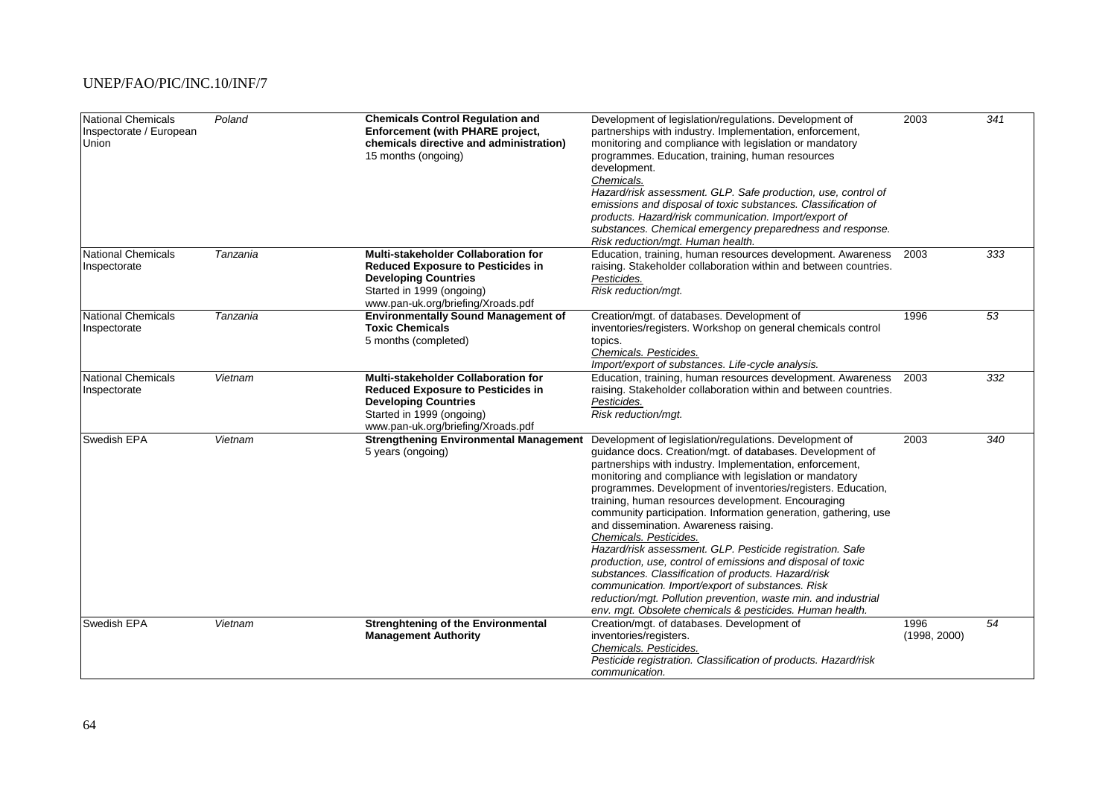| National Chemicals<br>Inspectorate / European<br><b>Union</b> | Poland   | <b>Chemicals Control Regulation and</b><br><b>Enforcement (with PHARE project,</b><br>chemicals directive and administration)<br>15 months (ongoing)                                     | Development of legislation/regulations. Development of<br>partnerships with industry. Implementation, enforcement,<br>monitoring and compliance with legislation or mandatory<br>programmes. Education, training, human resources<br>development.<br>Chemicals.<br>Hazard/risk assessment. GLP. Safe production, use, control of<br>emissions and disposal of toxic substances. Classification of<br>products. Hazard/risk communication. Import/export of<br>substances. Chemical emergency preparedness and response.<br>Risk reduction/mgt. Human health.                                                                                                                                                                                                                                                                                                                | 2003                 | $\overline{341}$ |
|---------------------------------------------------------------|----------|------------------------------------------------------------------------------------------------------------------------------------------------------------------------------------------|-----------------------------------------------------------------------------------------------------------------------------------------------------------------------------------------------------------------------------------------------------------------------------------------------------------------------------------------------------------------------------------------------------------------------------------------------------------------------------------------------------------------------------------------------------------------------------------------------------------------------------------------------------------------------------------------------------------------------------------------------------------------------------------------------------------------------------------------------------------------------------|----------------------|------------------|
| National Chemicals<br>Inspectorate                            | Tanzania | <b>Multi-stakeholder Collaboration for</b><br><b>Reduced Exposure to Pesticides in</b><br><b>Developing Countries</b><br>Started in 1999 (ongoing)<br>www.pan-uk.org/briefing/Xroads.pdf | Education, training, human resources development. Awareness<br>raising. Stakeholder collaboration within and between countries.<br>Pesticides.<br>Risk reduction/mgt.                                                                                                                                                                                                                                                                                                                                                                                                                                                                                                                                                                                                                                                                                                       | 2003                 | 333              |
| <b>National Chemicals</b><br>Inspectorate                     | Tanzania | <b>Environmentally Sound Management of</b><br><b>Toxic Chemicals</b><br>5 months (completed)                                                                                             | Creation/mgt. of databases. Development of<br>inventories/registers. Workshop on general chemicals control<br>topics.<br>Chemicals. Pesticides.<br>Import/export of substances. Life-cycle analysis.                                                                                                                                                                                                                                                                                                                                                                                                                                                                                                                                                                                                                                                                        | 1996                 | 53               |
| National Chemicals<br>Inspectorate                            | Vietnam  | Multi-stakeholder Collaboration for<br><b>Reduced Exposure to Pesticides in</b><br><b>Developing Countries</b><br>Started in 1999 (ongoing)<br>www.pan-uk.org/briefing/Xroads.pdf        | Education, training, human resources development. Awareness<br>raising. Stakeholder collaboration within and between countries.<br>Pesticides.<br>Risk reduction/mgt.                                                                                                                                                                                                                                                                                                                                                                                                                                                                                                                                                                                                                                                                                                       | 2003                 | 332              |
| Swedish EPA                                                   | Vietnam  | <b>Strengthening Environmental Management</b><br>5 years (ongoing)                                                                                                                       | Development of legislation/regulations. Development of<br>guidance docs. Creation/mgt. of databases. Development of<br>partnerships with industry. Implementation, enforcement,<br>monitoring and compliance with legislation or mandatory<br>programmes. Development of inventories/registers. Education,<br>training, human resources development. Encouraging<br>community participation. Information generation, gathering, use<br>and dissemination. Awareness raising.<br>Chemicals. Pesticides.<br>Hazard/risk assessment. GLP. Pesticide registration. Safe<br>production, use, control of emissions and disposal of toxic<br>substances. Classification of products. Hazard/risk<br>communication. Import/export of substances. Risk<br>reduction/mgt. Pollution prevention, waste min. and industrial<br>env. mgt. Obsolete chemicals & pesticides. Human health. | 2003                 | 340              |
| <b>Swedish EPA</b>                                            | Vietnam  | <b>Strenghtening of the Environmental</b><br><b>Management Authority</b>                                                                                                                 | Creation/mgt. of databases. Development of<br>inventories/registers.<br>Chemicals. Pesticides.<br>Pesticide registration. Classification of products. Hazard/risk<br>communication.                                                                                                                                                                                                                                                                                                                                                                                                                                                                                                                                                                                                                                                                                         | 1996<br>(1998, 2000) | 54               |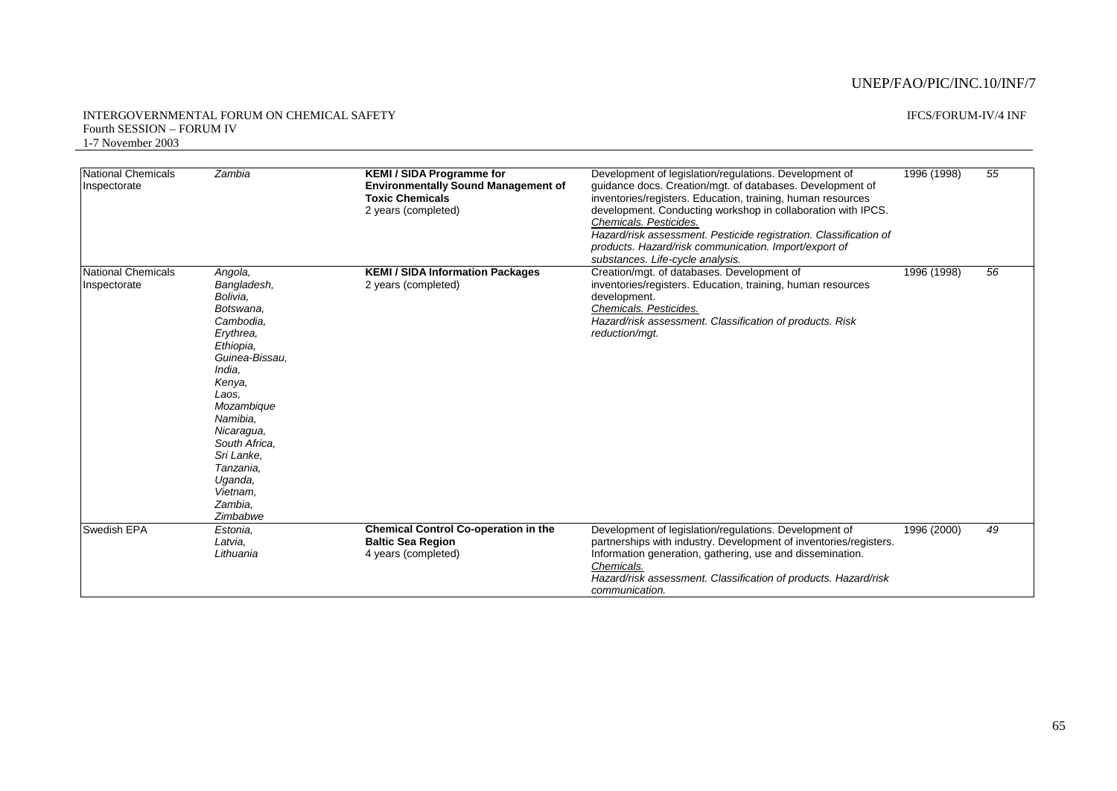| National Chemicals<br>Inspectorate | Zambia                                                                                                                                                                                                                                                                  | <b>KEMI / SIDA Programme for</b><br><b>Environmentally Sound Management of</b><br><b>Toxic Chemicals</b><br>2 years (completed) | Development of legislation/regulations. Development of<br>guidance docs. Creation/mgt. of databases. Development of<br>inventories/registers. Education, training, human resources<br>development. Conducting workshop in collaboration with IPCS.<br>Chemicals. Pesticides.<br>Hazard/risk assessment. Pesticide registration. Classification of<br>products. Hazard/risk communication. Import/export of<br>substances. Life-cycle analysis. | 1996 (1998) | 55 |
|------------------------------------|-------------------------------------------------------------------------------------------------------------------------------------------------------------------------------------------------------------------------------------------------------------------------|---------------------------------------------------------------------------------------------------------------------------------|------------------------------------------------------------------------------------------------------------------------------------------------------------------------------------------------------------------------------------------------------------------------------------------------------------------------------------------------------------------------------------------------------------------------------------------------|-------------|----|
| National Chemicals<br>Inspectorate | Angola,<br>Bangladesh,<br>Bolivia.<br>Botswana,<br>Cambodia,<br>Erythrea,<br>Ethiopia.<br>Guinea-Bissau.<br>India.<br>Kenya,<br>Laos.<br>Mozambique<br>Namibia.<br>Nicaragua,<br>South Africa.<br>Sri Lanke,<br>Tanzania,<br>Uganda,<br>Vietnam.<br>Zambia.<br>Zimbabwe | <b>KEMI / SIDA Information Packages</b><br>2 years (completed)                                                                  | Creation/mgt. of databases. Development of<br>inventories/registers. Education, training, human resources<br>development.<br>Chemicals. Pesticides.<br>Hazard/risk assessment. Classification of products. Risk<br>reduction/mqt.                                                                                                                                                                                                              | 1996 (1998) | 56 |
| Swedish EPA                        | Estonia.<br>Latvia,<br>Lithuania                                                                                                                                                                                                                                        | <b>Chemical Control Co-operation in the</b><br><b>Baltic Sea Region</b><br>4 years (completed)                                  | Development of legislation/regulations. Development of<br>partnerships with industry. Development of inventories/registers.<br>Information generation, gathering, use and dissemination.<br>Chemicals.<br>Hazard/risk assessment. Classification of products. Hazard/risk<br>communication.                                                                                                                                                    | 1996 (2000) | 49 |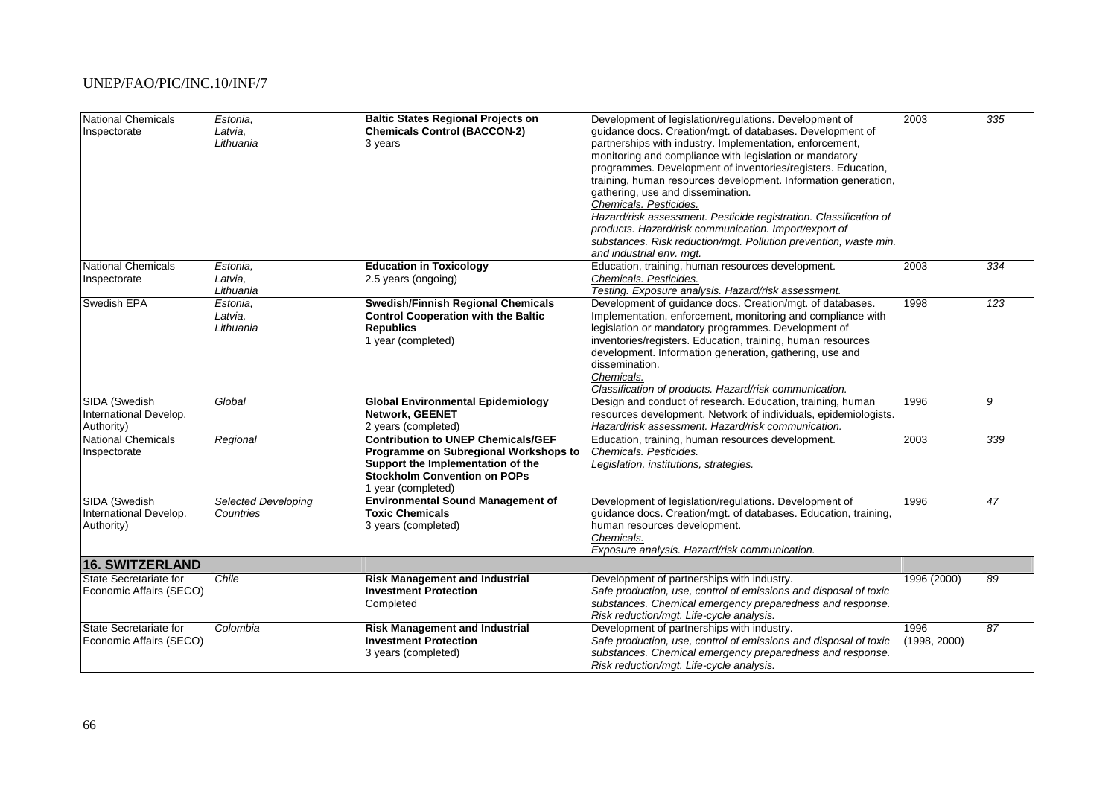| <b>National Chemicals</b><br>Inspectorate             | Estonia,<br>Latvia,<br>Lithuania        | <b>Baltic States Regional Projects on</b><br><b>Chemicals Control (BACCON-2)</b><br>3 years                                                                                          | Development of legislation/regulations. Development of<br>guidance docs. Creation/mgt. of databases. Development of<br>partnerships with industry. Implementation, enforcement,<br>monitoring and compliance with legislation or mandatory<br>programmes. Development of inventories/registers. Education,<br>training, human resources development. Information generation,<br>gathering, use and dissemination.<br>Chemicals. Pesticides.<br>Hazard/risk assessment. Pesticide registration. Classification of<br>products. Hazard/risk communication. Import/export of<br>substances. Risk reduction/mgt. Pollution prevention, waste min.<br>and industrial env. mgt. | 2003                 | 335             |
|-------------------------------------------------------|-----------------------------------------|--------------------------------------------------------------------------------------------------------------------------------------------------------------------------------------|---------------------------------------------------------------------------------------------------------------------------------------------------------------------------------------------------------------------------------------------------------------------------------------------------------------------------------------------------------------------------------------------------------------------------------------------------------------------------------------------------------------------------------------------------------------------------------------------------------------------------------------------------------------------------|----------------------|-----------------|
| <b>National Chemicals</b><br>Inspectorate             | Estonia.<br>Latvia,<br>Lithuania        | <b>Education in Toxicology</b><br>2.5 years (ongoing)                                                                                                                                | Education, training, human resources development.<br>Chemicals. Pesticides.<br>Testing. Exposure analysis. Hazard/risk assessment.                                                                                                                                                                                                                                                                                                                                                                                                                                                                                                                                        | 2003                 | 334             |
| Swedish EPA                                           | Estonia.<br>Latvia,<br>Lithuania        | Swedish/Finnish Regional Chemicals<br><b>Control Cooperation with the Baltic</b><br><b>Republics</b><br>1 year (completed)                                                           | Development of guidance docs. Creation/mgt. of databases.<br>Implementation, enforcement, monitoring and compliance with<br>legislation or mandatory programmes. Development of<br>inventories/registers. Education, training, human resources<br>development. Information generation, gathering, use and<br>dissemination.<br>Chemicals.<br>Classification of products. Hazard/risk communication.                                                                                                                                                                                                                                                                       | 1998                 | 123             |
| SIDA (Swedish<br>International Develop.<br>Authority) | Global                                  | <b>Global Environmental Epidemiology</b><br>Network, GEENET<br>2 years (completed)                                                                                                   | Design and conduct of research. Education, training, human<br>resources development. Network of individuals, epidemiologists.<br>Hazard/risk assessment. Hazard/risk communication.                                                                                                                                                                                                                                                                                                                                                                                                                                                                                       | 1996                 | 9               |
| <b>National Chemicals</b><br>Inspectorate             | Regional                                | <b>Contribution to UNEP Chemicals/GEF</b><br>Programme on Subregional Workshops to<br>Support the Implementation of the<br><b>Stockholm Convention on POPs</b><br>1 year (completed) | Education, training, human resources development.<br>Chemicals. Pesticides.<br>Legislation, institutions, strategies.                                                                                                                                                                                                                                                                                                                                                                                                                                                                                                                                                     | 2003                 | 339             |
| SIDA (Swedish<br>International Develop.<br>Authority) | <b>Selected Developing</b><br>Countries | <b>Environmental Sound Management of</b><br><b>Toxic Chemicals</b><br>3 years (completed)                                                                                            | Development of legislation/regulations. Development of<br>guidance docs. Creation/mgt. of databases. Education, training,<br>human resources development.<br>Chemicals.<br>Exposure analysis. Hazard/risk communication.                                                                                                                                                                                                                                                                                                                                                                                                                                                  | 1996                 | $\overline{47}$ |
| <b>16. SWITZERLAND</b>                                |                                         |                                                                                                                                                                                      |                                                                                                                                                                                                                                                                                                                                                                                                                                                                                                                                                                                                                                                                           |                      |                 |
| State Secretariate for<br>Economic Affairs (SECO)     | Chile                                   | <b>Risk Management and Industrial</b><br><b>Investment Protection</b><br>Completed                                                                                                   | Development of partnerships with industry.<br>Safe production, use, control of emissions and disposal of toxic<br>substances. Chemical emergency preparedness and response.<br>Risk reduction/mgt. Life-cycle analysis.                                                                                                                                                                                                                                                                                                                                                                                                                                                   | 1996 (2000)          | 89              |
| State Secretariate for<br>Economic Affairs (SECO)     | Colombia                                | <b>Risk Management and Industrial</b><br><b>Investment Protection</b><br>3 years (completed)                                                                                         | Development of partnerships with industry.<br>Safe production, use, control of emissions and disposal of toxic<br>substances. Chemical emergency preparedness and response.<br>Risk reduction/mgt. Life-cycle analysis.                                                                                                                                                                                                                                                                                                                                                                                                                                                   | 1996<br>(1998, 2000) | 87              |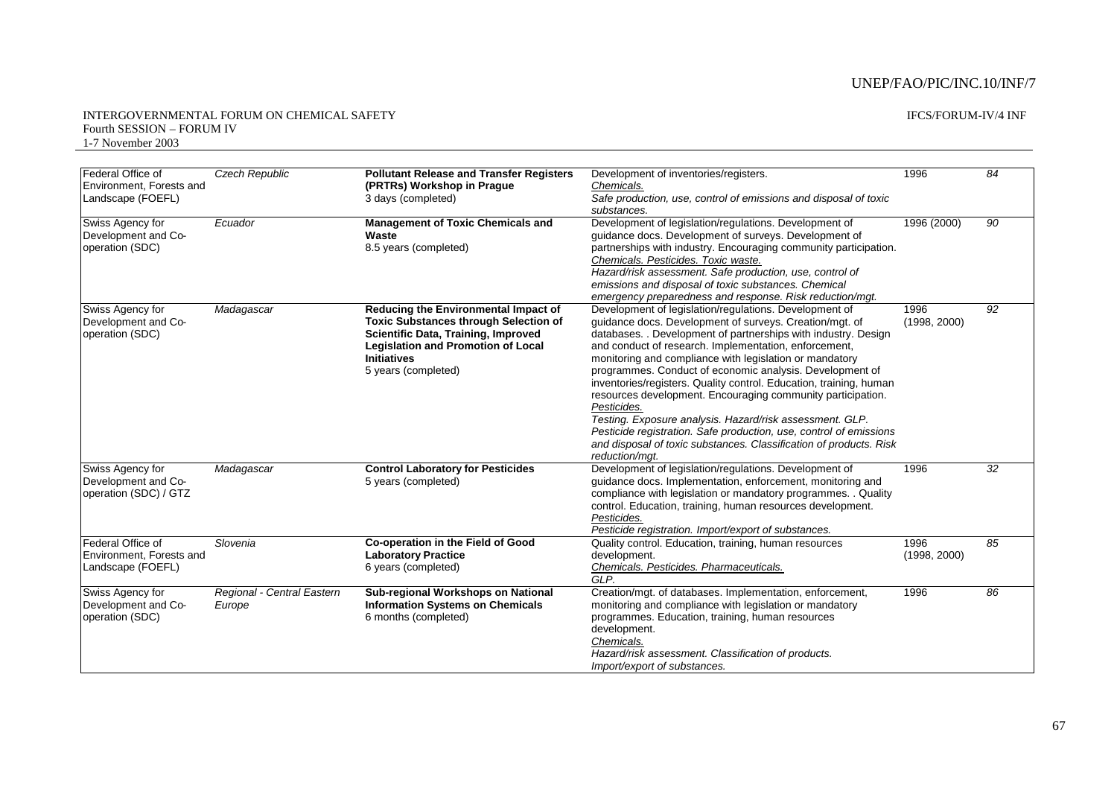#### IFCS/FORUM-IV/4 INF

| Federal Office of<br>Environment, Forests and<br>Landscape (FOEFL) | <b>Czech Republic</b>                | <b>Pollutant Release and Transfer Registers</b><br>(PRTRs) Workshop in Prague<br>3 days (completed)                                                                                                                   | Development of inventories/registers.<br>Chemicals.<br>Safe production, use, control of emissions and disposal of toxic<br>substances.                                                                                                                                                                                                                                                                                                                                                                                                                                                                                                                                                                                                            | 1996                 | 84              |
|--------------------------------------------------------------------|--------------------------------------|-----------------------------------------------------------------------------------------------------------------------------------------------------------------------------------------------------------------------|---------------------------------------------------------------------------------------------------------------------------------------------------------------------------------------------------------------------------------------------------------------------------------------------------------------------------------------------------------------------------------------------------------------------------------------------------------------------------------------------------------------------------------------------------------------------------------------------------------------------------------------------------------------------------------------------------------------------------------------------------|----------------------|-----------------|
| Swiss Agency for<br>Development and Co-<br>operation (SDC)         | Ecuador                              | <b>Management of Toxic Chemicals and</b><br>Waste<br>8.5 years (completed)                                                                                                                                            | Development of legislation/regulations. Development of<br>quidance docs. Development of surveys. Development of<br>partnerships with industry. Encouraging community participation.<br>Chemicals. Pesticides. Toxic waste.<br>Hazard/risk assessment. Safe production, use, control of<br>emissions and disposal of toxic substances. Chemical<br>emergency preparedness and response. Risk reduction/mgt.                                                                                                                                                                                                                                                                                                                                        | 1996 (2000)          | 90              |
| Swiss Agency for<br>Development and Co-<br>operation (SDC)         | Madagascar                           | Reducing the Environmental Impact of<br><b>Toxic Substances through Selection of</b><br>Scientific Data, Training, Improved<br><b>Legislation and Promotion of Local</b><br><b>Initiatives</b><br>5 years (completed) | Development of legislation/regulations. Development of<br>quidance docs. Development of surveys. Creation/mgt. of<br>databases. . Development of partnerships with industry. Design<br>and conduct of research. Implementation, enforcement,<br>monitoring and compliance with legislation or mandatory<br>programmes. Conduct of economic analysis. Development of<br>inventories/registers. Quality control. Education, training, human<br>resources development. Encouraging community participation.<br>Pesticides.<br>Testing. Exposure analysis. Hazard/risk assessment. GLP.<br>Pesticide registration. Safe production, use, control of emissions<br>and disposal of toxic substances. Classification of products. Risk<br>reduction/mqt. | 1996<br>(1998, 2000) | 92              |
| Swiss Agency for<br>Development and Co-<br>operation (SDC) / GTZ   | Madagascar                           | <b>Control Laboratory for Pesticides</b><br>5 years (completed)                                                                                                                                                       | Development of legislation/regulations. Development of<br>quidance docs. Implementation, enforcement, monitoring and<br>compliance with legislation or mandatory programmes. Quality<br>control. Education, training, human resources development.<br>Pesticides.<br>Pesticide registration. Import/export of substances.                                                                                                                                                                                                                                                                                                                                                                                                                         | 1996                 | $\overline{32}$ |
| Federal Office of<br>Environment, Forests and<br>Landscape (FOEFL) | Slovenia                             | Co-operation in the Field of Good<br><b>Laboratory Practice</b><br>6 years (completed)                                                                                                                                | Quality control. Education, training, human resources<br>development.<br>Chemicals. Pesticides. Pharmaceuticals.<br>GLP.                                                                                                                                                                                                                                                                                                                                                                                                                                                                                                                                                                                                                          | 1996<br>(1998, 2000) | 85              |
| Swiss Agency for<br>Development and Co-<br>operation (SDC)         | Regional - Central Eastern<br>Europe | Sub-regional Workshops on National<br><b>Information Systems on Chemicals</b><br>6 months (completed)                                                                                                                 | Creation/mgt. of databases. Implementation, enforcement,<br>monitoring and compliance with legislation or mandatory<br>programmes. Education, training, human resources<br>development.<br>Chemicals.<br>Hazard/risk assessment. Classification of products.<br>Import/export of substances.                                                                                                                                                                                                                                                                                                                                                                                                                                                      | 1996                 | 86              |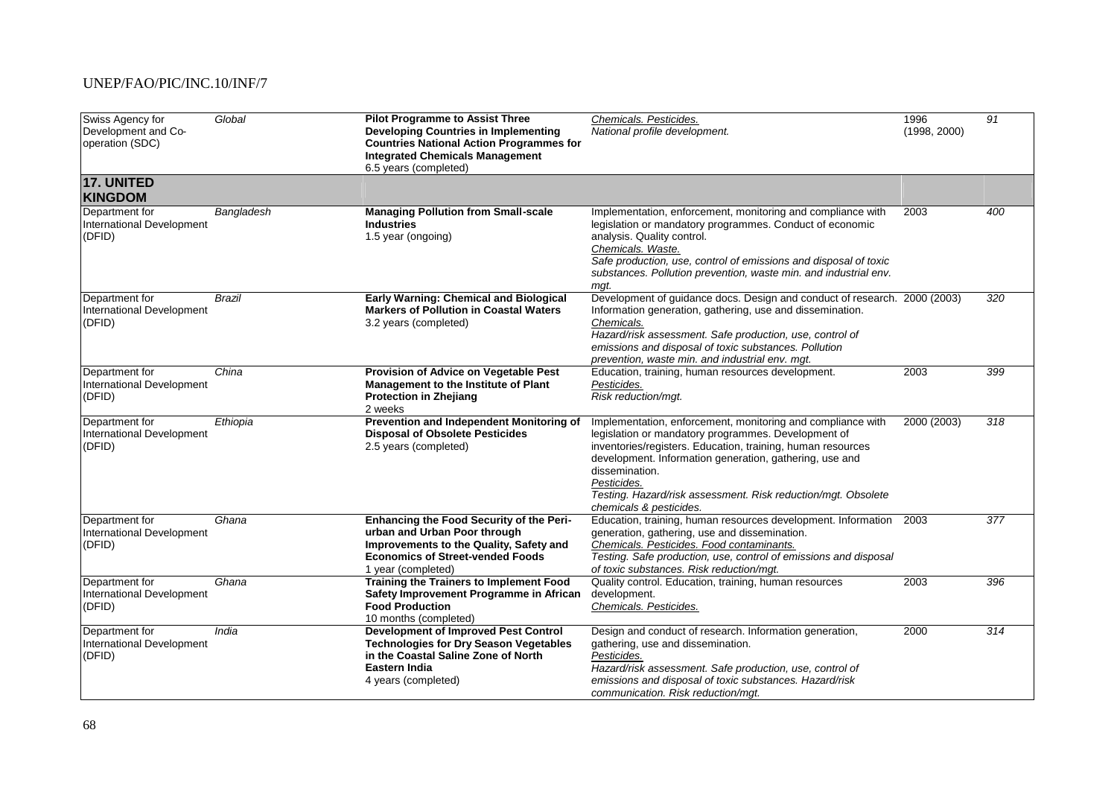| Swiss Agency for<br>Development and Co-<br>operation (SDC) | Global     | <b>Pilot Programme to Assist Three</b><br><b>Developing Countries in Implementing</b><br><b>Countries National Action Programmes for</b><br><b>Integrated Chemicals Management</b><br>6.5 years (completed) | Chemicals. Pesticides.<br>National profile development.                                                                                                                                                                                                                                                                                                                   | 1996<br>(1998, 2000) | $\overline{91}$ |
|------------------------------------------------------------|------------|-------------------------------------------------------------------------------------------------------------------------------------------------------------------------------------------------------------|---------------------------------------------------------------------------------------------------------------------------------------------------------------------------------------------------------------------------------------------------------------------------------------------------------------------------------------------------------------------------|----------------------|-----------------|
| <b>17. UNITED</b><br><b>KINGDOM</b>                        |            |                                                                                                                                                                                                             |                                                                                                                                                                                                                                                                                                                                                                           |                      |                 |
| Department for<br>International Development<br>(DFID)      | Bangladesh | <b>Managing Pollution from Small-scale</b><br><b>Industries</b><br>1.5 year (ongoing)                                                                                                                       | Implementation, enforcement, monitoring and compliance with<br>legislation or mandatory programmes. Conduct of economic<br>analysis. Quality control.<br>Chemicals. Waste.<br>Safe production, use, control of emissions and disposal of toxic<br>substances. Pollution prevention, waste min. and industrial env.<br>mqt.                                                | 2003                 | 400             |
| Department for<br>International Development<br>(DFID)      | Brazil     | <b>Early Warning: Chemical and Biological</b><br><b>Markers of Pollution in Coastal Waters</b><br>3.2 years (completed)                                                                                     | Development of guidance docs. Design and conduct of research. 2000 (2003)<br>Information generation, gathering, use and dissemination.<br>Chemicals.<br>Hazard/risk assessment. Safe production, use, control of<br>emissions and disposal of toxic substances. Pollution<br>prevention, waste min. and industrial env. mgt.                                              |                      | 320             |
| Department for<br>International Development<br>(DFID)      | China      | Provision of Advice on Vegetable Pest<br>Management to the Institute of Plant<br><b>Protection in Zhejiang</b><br>2 weeks                                                                                   | Education, training, human resources development.<br>Pesticides.<br>Risk reduction/mgt.                                                                                                                                                                                                                                                                                   | 2003                 | 399             |
| Department for<br>International Development<br>(DFID)      | Ethiopia   | Prevention and Independent Monitoring of<br><b>Disposal of Obsolete Pesticides</b><br>2.5 years (completed)                                                                                                 | Implementation, enforcement, monitoring and compliance with<br>legislation or mandatory programmes. Development of<br>inventories/registers. Education, training, human resources<br>development. Information generation, gathering, use and<br>dissemination.<br>Pesticides.<br>Testing. Hazard/risk assessment. Risk reduction/mgt. Obsolete<br>chemicals & pesticides. | 2000 (2003)          | 318             |
| Department for<br>International Development<br>(DFID)      | Ghana      | Enhancing the Food Security of the Peri-<br>urban and Urban Poor through<br>Improvements to the Quality, Safety and<br><b>Economics of Street-vended Foods</b><br>1 year (completed)                        | Education, training, human resources development. Information 2003<br>generation, gathering, use and dissemination.<br>Chemicals. Pesticides. Food contaminants.<br>Testing. Safe production, use, control of emissions and disposal<br>of toxic substances. Risk reduction/mgt.                                                                                          |                      | 377             |
| Department for<br>International Development<br>(DFID)      | Ghana      | <b>Training the Trainers to Implement Food</b><br>Safety Improvement Programme in African<br><b>Food Production</b><br>10 months (completed)                                                                | Quality control. Education, training, human resources<br>development.<br>Chemicals. Pesticides.                                                                                                                                                                                                                                                                           | 2003                 | 396             |
| Department for<br>International Development<br>(DFID)      | India      | <b>Development of Improved Pest Control</b><br><b>Technologies for Dry Season Vegetables</b><br>in the Coastal Saline Zone of North<br><b>Eastern India</b><br>4 years (completed)                          | Design and conduct of research. Information generation,<br>gathering, use and dissemination.<br>Pesticides.<br>Hazard/risk assessment. Safe production, use, control of<br>emissions and disposal of toxic substances. Hazard/risk<br>communication. Risk reduction/mgt.                                                                                                  | 2000                 | 314             |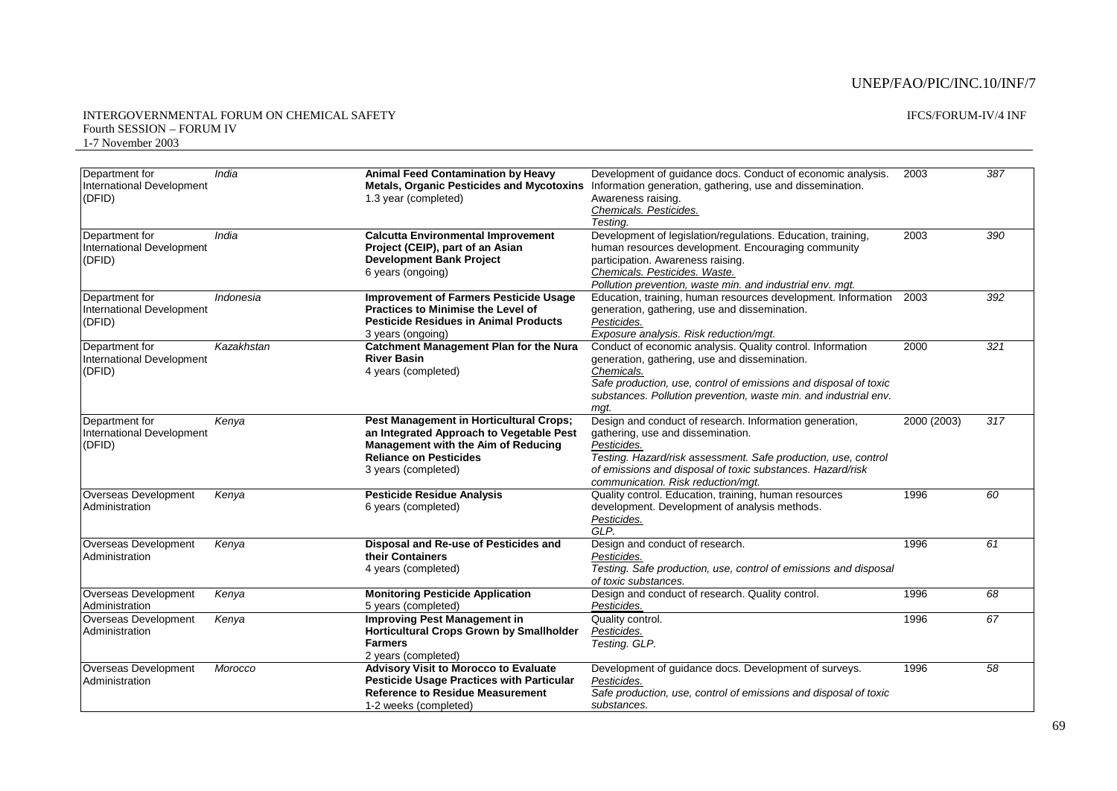| Department for<br>International Development<br>(DFID) | India      | <b>Animal Feed Contamination by Heavy</b><br><b>Metals, Organic Pesticides and Mycotoxins</b><br>1.3 year (completed)                                                                     | Development of guidance docs. Conduct of economic analysis.<br>Information generation, gathering, use and dissemination.<br>Awareness raising.<br>Chemicals. Pesticides.<br>Testing.                                                                                              | 2003        | 387              |
|-------------------------------------------------------|------------|-------------------------------------------------------------------------------------------------------------------------------------------------------------------------------------------|-----------------------------------------------------------------------------------------------------------------------------------------------------------------------------------------------------------------------------------------------------------------------------------|-------------|------------------|
| Department for<br>International Development<br>(DFID) | India      | <b>Calcutta Environmental Improvement</b><br>Project (CEIP), part of an Asian<br><b>Development Bank Project</b><br>6 years (ongoing)                                                     | Development of legislation/regulations. Education, training,<br>human resources development. Encouraging community<br>participation. Awareness raising.<br>Chemicals. Pesticides. Waste.<br>Pollution prevention, waste min. and industrial env. mgt.                             | 2003        | 390              |
| Department for<br>International Development<br>(DFID) | Indonesia  | <b>Improvement of Farmers Pesticide Usage</b><br><b>Practices to Minimise the Level of</b><br><b>Pesticide Residues in Animal Products</b><br>3 years (ongoing)                           | Education, training, human resources development. Information<br>generation, gathering, use and dissemination.<br>Pesticides.<br>Exposure analysis. Risk reduction/mgt.                                                                                                           | 2003        | 392              |
| Department for<br>International Development<br>(DFID) | Kazakhstan | <b>Catchment Management Plan for the Nura</b><br><b>River Basin</b><br>4 years (completed)                                                                                                | Conduct of economic analysis. Quality control. Information<br>generation, gathering, use and dissemination.<br>Chemicals.<br>Safe production, use, control of emissions and disposal of toxic<br>substances. Pollution prevention, waste min. and industrial env.<br>mat.         | 2000        | $\overline{321}$ |
| Department for<br>International Development<br>(DFID) | Kenya      | <b>Pest Management in Horticultural Crops;</b><br>an Integrated Approach to Vegetable Pest<br>Management with the Aim of Reducing<br><b>Reliance on Pesticides</b><br>3 years (completed) | Design and conduct of research. Information generation,<br>gathering, use and dissemination.<br>Pesticides.<br>Testing. Hazard/risk assessment. Safe production, use, control<br>of emissions and disposal of toxic substances. Hazard/risk<br>communication. Risk reduction/mgt. | 2000 (2003) | 317              |
| Overseas Development<br>Administration                | Kenya      | <b>Pesticide Residue Analysis</b><br>6 years (completed)                                                                                                                                  | Quality control. Education, training, human resources<br>development. Development of analysis methods.<br>Pesticides.<br>GLP.                                                                                                                                                     | 1996        | 60               |
| Overseas Development<br>Administration                | Kenya      | Disposal and Re-use of Pesticides and<br>their Containers<br>4 years (completed)                                                                                                          | Design and conduct of research.<br>Pesticides.<br>Testing. Safe production, use, control of emissions and disposal<br>of toxic substances.                                                                                                                                        | 1996        | 61               |
| Overseas Development<br>Administration                | Kenya      | <b>Monitoring Pesticide Application</b><br>5 years (completed)                                                                                                                            | Design and conduct of research. Quality control.<br>Pesticides.                                                                                                                                                                                                                   | 1996        | 68               |
| Overseas Development<br>Administration                | Kenya      | <b>Improving Pest Management in</b><br><b>Horticultural Crops Grown by Smallholder</b><br><b>Farmers</b><br>2 years (completed)                                                           | Quality control.<br>Pesticides.<br>Testing. GLP.                                                                                                                                                                                                                                  | 1996        | 67               |
| Overseas Development<br>Administration                | Morocco    | Advisory Visit to Morocco to Evaluate<br><b>Pesticide Usage Practices with Particular</b><br><b>Reference to Residue Measurement</b><br>1-2 weeks (completed)                             | Development of guidance docs. Development of surveys.<br>Pesticides.<br>Safe production, use, control of emissions and disposal of toxic<br>substances.                                                                                                                           | 1996        | 58               |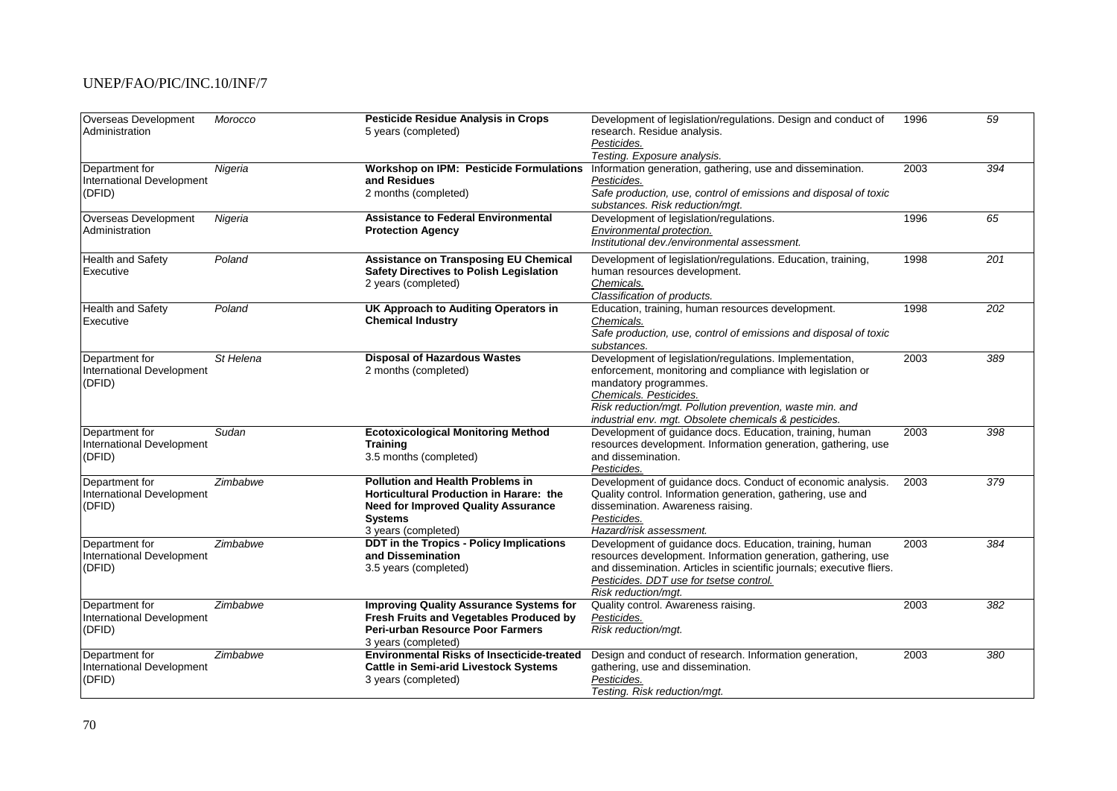| Overseas Development<br>Administration                | Morocco   | <b>Pesticide Residue Analysis in Crops</b><br>5 years (completed)                                                                                                         | Development of legislation/regulations. Design and conduct of<br>research. Residue analysis.<br>Pesticides.<br>Testing. Exposure analysis.                                                                                                                                                    | 1996 | 59               |
|-------------------------------------------------------|-----------|---------------------------------------------------------------------------------------------------------------------------------------------------------------------------|-----------------------------------------------------------------------------------------------------------------------------------------------------------------------------------------------------------------------------------------------------------------------------------------------|------|------------------|
| Department for<br>International Development<br>(DFID) | Nigeria   | <b>Workshop on IPM: Pesticide Formulations</b><br>and Residues<br>2 months (completed)                                                                                    | Information generation, gathering, use and dissemination.<br>Pesticides.<br>Safe production, use, control of emissions and disposal of toxic<br>substances. Risk reduction/mqt.                                                                                                               | 2003 | 394              |
| Overseas Development<br>Administration                | Nigeria   | <b>Assistance to Federal Environmental</b><br><b>Protection Agency</b>                                                                                                    | Development of legislation/regulations.<br>Environmental protection.<br>Institutional dev./environmental assessment.                                                                                                                                                                          | 1996 | 65               |
| <b>Health and Safety</b><br>Executive                 | Poland    | <b>Assistance on Transposing EU Chemical</b><br><b>Safety Directives to Polish Legislation</b><br>2 years (completed)                                                     | Development of legislation/regulations. Education, training,<br>human resources development.<br>Chemicals.<br>Classification of products.                                                                                                                                                     | 1998 | $\overline{201}$ |
| <b>Health and Safety</b><br>Executive                 | Poland    | UK Approach to Auditing Operators in<br><b>Chemical Industry</b>                                                                                                          | Education, training, human resources development.<br>Chemicals.<br>Safe production, use, control of emissions and disposal of toxic<br>substances.                                                                                                                                            | 1998 | 202              |
| Department for<br>International Development<br>(DFID) | St Helena | <b>Disposal of Hazardous Wastes</b><br>2 months (completed)                                                                                                               | Development of legislation/regulations. Implementation,<br>enforcement, monitoring and compliance with legislation or<br>mandatory programmes.<br>Chemicals. Pesticides.<br>Risk reduction/mgt. Pollution prevention, waste min. and<br>industrial env. mgt. Obsolete chemicals & pesticides. | 2003 | 389              |
| Department for<br>International Development<br>(DFID) | Sudan     | <b>Ecotoxicological Monitoring Method</b><br><b>Training</b><br>3.5 months (completed)                                                                                    | Development of quidance docs. Education, training, human<br>resources development. Information generation, gathering, use<br>and dissemination.<br>Pesticides.                                                                                                                                | 2003 | 398              |
| Department for<br>International Development<br>(DFID) | Zimbabwe  | <b>Pollution and Health Problems in</b><br><b>Horticultural Production in Harare: the</b><br><b>Need for Improved Quality Assurance</b><br>Systems<br>3 years (completed) | Development of guidance docs. Conduct of economic analysis.<br>Quality control. Information generation, gathering, use and<br>dissemination. Awareness raising.<br>Pesticides.<br>Hazard/risk assessment.                                                                                     | 2003 | 379              |
| Department for<br>International Development<br>(DFID) | Zimbabwe  | DDT in the Tropics - Policy Implications<br>and Dissemination<br>3.5 years (completed)                                                                                    | Development of guidance docs. Education, training, human<br>resources development. Information generation, gathering, use<br>and dissemination. Articles in scientific journals; executive fliers.<br>Pesticides. DDT use for tsetse control.<br>Risk reduction/mgt.                          | 2003 | 384              |
| Department for<br>International Development<br>(DFID) | Zimbabwe  | <b>Improving Quality Assurance Systems for</b><br><b>Fresh Fruits and Vegetables Produced by</b><br>Peri-urban Resource Poor Farmers<br>3 years (completed)               | Quality control. Awareness raising.<br>Pesticides.<br>Risk reduction/mgt.                                                                                                                                                                                                                     | 2003 | 382              |
| Department for<br>International Development<br>(DFID) | Zimbabwe  | <b>Environmental Risks of Insecticide-treated</b><br><b>Cattle in Semi-arid Livestock Systems</b><br>3 years (completed)                                                  | Design and conduct of research. Information generation,<br>gathering, use and dissemination.<br>Pesticides.<br>Testing. Risk reduction/mgt.                                                                                                                                                   | 2003 | 380              |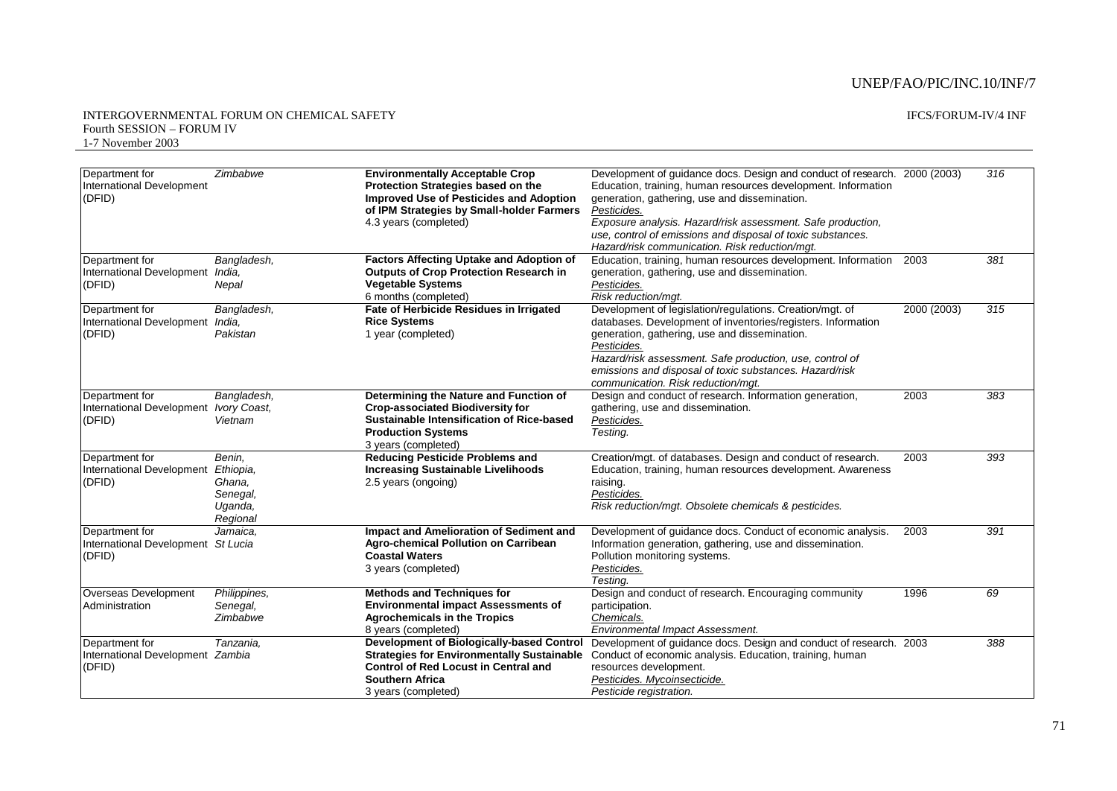| Department for<br>International Development<br>(DFID) | Zimbabwe     | <b>Environmentally Acceptable Crop</b><br>Protection Strategies based on the<br><b>Improved Use of Pesticides and Adoption</b><br>of IPM Strategies by Small-holder Farmers<br>4.3 years (completed) | Development of guidance docs. Design and conduct of research. 2000 (2003)<br>Education, training, human resources development. Information<br>generation, gathering, use and dissemination.<br>Pesticides.<br>Exposure analysis. Hazard/risk assessment. Safe production,<br>use, control of emissions and disposal of toxic substances.<br>Hazard/risk communication. Risk reduction/mqt. |             | 316 |
|-------------------------------------------------------|--------------|------------------------------------------------------------------------------------------------------------------------------------------------------------------------------------------------------|--------------------------------------------------------------------------------------------------------------------------------------------------------------------------------------------------------------------------------------------------------------------------------------------------------------------------------------------------------------------------------------------|-------------|-----|
| Department for                                        | Bangladesh,  | <b>Factors Affecting Uptake and Adoption of</b>                                                                                                                                                      | Education, training, human resources development. Information                                                                                                                                                                                                                                                                                                                              | 2003        | 381 |
| International Development                             | India.       | <b>Outputs of Crop Protection Research in</b>                                                                                                                                                        | generation, gathering, use and dissemination.                                                                                                                                                                                                                                                                                                                                              |             |     |
| (DFID)                                                | Nepal        | <b>Vegetable Systems</b>                                                                                                                                                                             | Pesticides.                                                                                                                                                                                                                                                                                                                                                                                |             |     |
|                                                       |              | 6 months (completed)                                                                                                                                                                                 | Risk reduction/mgt.                                                                                                                                                                                                                                                                                                                                                                        |             |     |
| Department for                                        | Bangladesh,  | Fate of Herbicide Residues in Irrigated                                                                                                                                                              | Development of legislation/regulations. Creation/mgt. of                                                                                                                                                                                                                                                                                                                                   | 2000 (2003) | 315 |
| International Development                             | India.       | <b>Rice Systems</b>                                                                                                                                                                                  | databases. Development of inventories/registers. Information                                                                                                                                                                                                                                                                                                                               |             |     |
| (DFID)                                                | Pakistan     | 1 year (completed)                                                                                                                                                                                   | generation, gathering, use and dissemination.                                                                                                                                                                                                                                                                                                                                              |             |     |
|                                                       |              |                                                                                                                                                                                                      | Pesticides.                                                                                                                                                                                                                                                                                                                                                                                |             |     |
|                                                       |              |                                                                                                                                                                                                      | Hazard/risk assessment. Safe production, use, control of                                                                                                                                                                                                                                                                                                                                   |             |     |
|                                                       |              |                                                                                                                                                                                                      | emissions and disposal of toxic substances. Hazard/risk                                                                                                                                                                                                                                                                                                                                    |             |     |
|                                                       |              |                                                                                                                                                                                                      | communication. Risk reduction/mgt.                                                                                                                                                                                                                                                                                                                                                         |             |     |
| Department for                                        | Bangladesh,  | Determining the Nature and Function of                                                                                                                                                               | Design and conduct of research. Information generation,                                                                                                                                                                                                                                                                                                                                    | 2003        | 383 |
| International Development                             | Ivory Coast, | <b>Crop-associated Biodiversity for</b>                                                                                                                                                              | gathering, use and dissemination.                                                                                                                                                                                                                                                                                                                                                          |             |     |
| (DFID)                                                | Vietnam      | Sustainable Intensification of Rice-based                                                                                                                                                            | Pesticides.                                                                                                                                                                                                                                                                                                                                                                                |             |     |
|                                                       |              | <b>Production Systems</b>                                                                                                                                                                            | Testing.                                                                                                                                                                                                                                                                                                                                                                                   |             |     |
|                                                       |              | 3 years (completed)                                                                                                                                                                                  |                                                                                                                                                                                                                                                                                                                                                                                            |             |     |
| Department for                                        | Benin,       | <b>Reducing Pesticide Problems and</b>                                                                                                                                                               | Creation/mgt. of databases. Design and conduct of research.                                                                                                                                                                                                                                                                                                                                | 2003        | 393 |
| International Development                             | Ethiopia,    | <b>Increasing Sustainable Livelihoods</b>                                                                                                                                                            | Education, training, human resources development. Awareness                                                                                                                                                                                                                                                                                                                                |             |     |
| (DFID)                                                | Ghana.       | 2.5 years (ongoing)                                                                                                                                                                                  | raising.                                                                                                                                                                                                                                                                                                                                                                                   |             |     |
|                                                       | Senegal,     |                                                                                                                                                                                                      | Pesticides.                                                                                                                                                                                                                                                                                                                                                                                |             |     |
|                                                       | Uganda,      |                                                                                                                                                                                                      | Risk reduction/mgt. Obsolete chemicals & pesticides.                                                                                                                                                                                                                                                                                                                                       |             |     |
|                                                       | Regional     |                                                                                                                                                                                                      |                                                                                                                                                                                                                                                                                                                                                                                            |             |     |
| Department for                                        | Jamaica.     | Impact and Amelioration of Sediment and                                                                                                                                                              | Development of guidance docs. Conduct of economic analysis.                                                                                                                                                                                                                                                                                                                                | 2003        | 391 |
| International Development St Lucia                    |              | Agro-chemical Pollution on Carribean                                                                                                                                                                 | Information generation, gathering, use and dissemination.                                                                                                                                                                                                                                                                                                                                  |             |     |
| (DFID)                                                |              | <b>Coastal Waters</b>                                                                                                                                                                                | Pollution monitoring systems.                                                                                                                                                                                                                                                                                                                                                              |             |     |
|                                                       |              | 3 years (completed)                                                                                                                                                                                  | Pesticides.                                                                                                                                                                                                                                                                                                                                                                                |             |     |
|                                                       |              |                                                                                                                                                                                                      | Testing.                                                                                                                                                                                                                                                                                                                                                                                   |             |     |
| Overseas Development                                  | Philippines, | <b>Methods and Techniques for</b>                                                                                                                                                                    | Design and conduct of research. Encouraging community                                                                                                                                                                                                                                                                                                                                      | 1996        | 69  |
| Administration                                        | Senegal,     | <b>Environmental impact Assessments of</b>                                                                                                                                                           | participation.                                                                                                                                                                                                                                                                                                                                                                             |             |     |
|                                                       | Zimbabwe     | <b>Agrochemicals in the Tropics</b>                                                                                                                                                                  | Chemicals.                                                                                                                                                                                                                                                                                                                                                                                 |             |     |
|                                                       |              | 8 years (completed)                                                                                                                                                                                  | Environmental Impact Assessment.                                                                                                                                                                                                                                                                                                                                                           |             |     |
| Department for                                        | Tanzania,    | Development of Biologically-based Control                                                                                                                                                            | Development of guidance docs. Design and conduct of research. 2003                                                                                                                                                                                                                                                                                                                         |             | 388 |
| International Development Zambia                      |              |                                                                                                                                                                                                      | Strategies for Environmentally Sustainable Conduct of economic analysis. Education, training, human                                                                                                                                                                                                                                                                                        |             |     |
| (DFID)                                                |              | <b>Control of Red Locust in Central and</b>                                                                                                                                                          | resources development.                                                                                                                                                                                                                                                                                                                                                                     |             |     |
|                                                       |              | <b>Southern Africa</b>                                                                                                                                                                               | Pesticides. Mycoinsecticide.                                                                                                                                                                                                                                                                                                                                                               |             |     |
|                                                       |              | 3 years (completed)                                                                                                                                                                                  | Pesticide registration.                                                                                                                                                                                                                                                                                                                                                                    |             |     |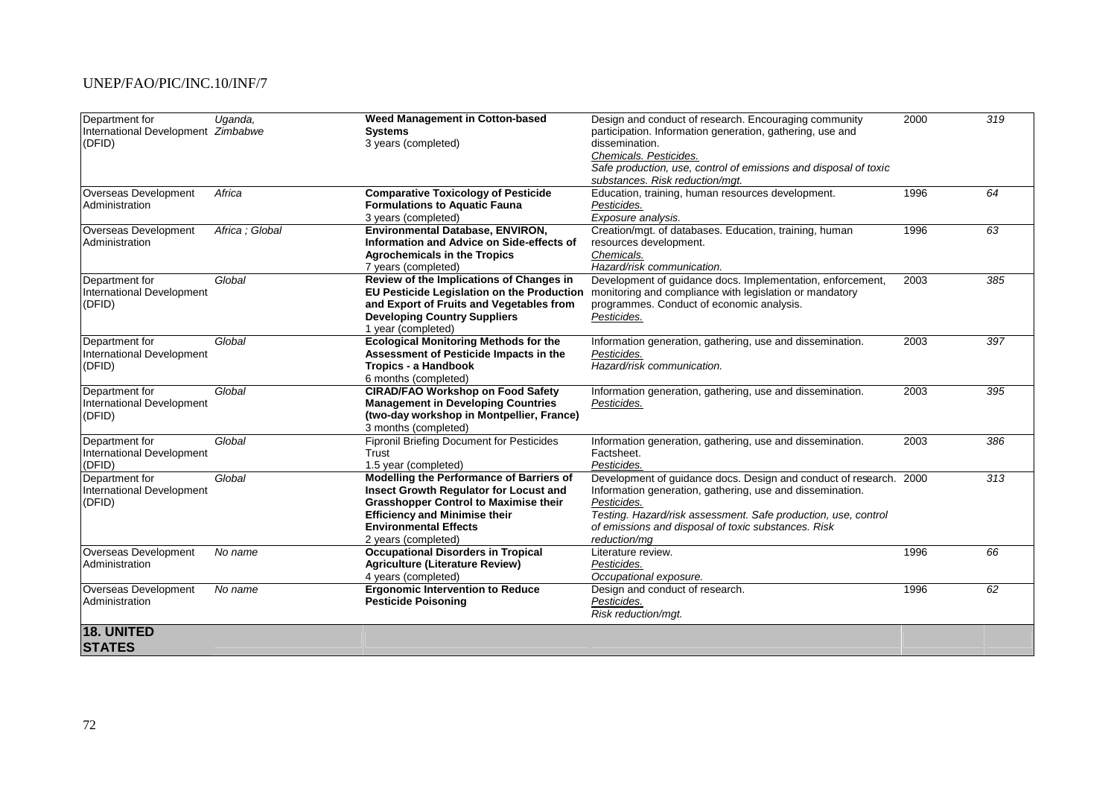| Department for                     | Uganda,         | <b>Weed Management in Cotton-based</b>           | Design and conduct of research. Encouraging community              | 2000 | 319              |
|------------------------------------|-----------------|--------------------------------------------------|--------------------------------------------------------------------|------|------------------|
| International Development Zimbabwe |                 | <b>Systems</b>                                   | participation. Information generation, gathering, use and          |      |                  |
| (DFID)                             |                 | 3 years (completed)                              | dissemination.                                                     |      |                  |
|                                    |                 |                                                  | Chemicals. Pesticides.                                             |      |                  |
|                                    |                 |                                                  | Safe production, use, control of emissions and disposal of toxic   |      |                  |
|                                    |                 |                                                  | substances. Risk reduction/mgt.                                    |      |                  |
| Overseas Development               | Africa          | <b>Comparative Toxicology of Pesticide</b>       | Education, training, human resources development.                  | 1996 | 64               |
| Administration                     |                 | <b>Formulations to Aquatic Fauna</b>             | Pesticides.                                                        |      |                  |
|                                    |                 | 3 years (completed)                              | Exposure analysis.                                                 |      |                  |
| Overseas Development               | Africa : Global | Environmental Database, ENVIRON,                 | Creation/mgt. of databases. Education, training, human             | 1996 | 63               |
| Administration                     |                 | Information and Advice on Side-effects of        | resources development.                                             |      |                  |
|                                    |                 | <b>Agrochemicals in the Tropics</b>              | Chemicals.                                                         |      |                  |
|                                    |                 | 7 years (completed)                              | Hazard/risk communication.                                         |      |                  |
| Department for                     | Global          | Review of the Implications of Changes in         | Development of quidance docs. Implementation, enforcement,         | 2003 | 385              |
| International Development          |                 | EU Pesticide Legislation on the Production       | monitoring and compliance with legislation or mandatory            |      |                  |
| (DFID)                             |                 | and Export of Fruits and Vegetables from         | programmes. Conduct of economic analysis.                          |      |                  |
|                                    |                 | <b>Developing Country Suppliers</b>              | Pesticides.                                                        |      |                  |
|                                    |                 | 1 year (completed)                               |                                                                    |      |                  |
| Department for                     | Global          | <b>Ecological Monitoring Methods for the</b>     | Information generation, gathering, use and dissemination.          | 2003 | 397              |
| International Development          |                 | Assessment of Pesticide Impacts in the           | Pesticides.                                                        |      |                  |
| (DFID)                             |                 | Tropics - a Handbook                             | Hazard/risk communication.                                         |      |                  |
|                                    |                 | 6 months (completed)                             |                                                                    |      |                  |
| Department for                     | Global          | <b>CIRAD/FAO Workshop on Food Safety</b>         | Information generation, gathering, use and dissemination.          | 2003 | 395              |
| International Development          |                 | <b>Management in Developing Countries</b>        | Pesticides.                                                        |      |                  |
| (DFID)                             |                 | (two-day workshop in Montpellier, France)        |                                                                    |      |                  |
|                                    |                 | 3 months (completed)                             |                                                                    |      |                  |
| Department for                     | Global          | <b>Fipronil Briefing Document for Pesticides</b> | Information generation, gathering, use and dissemination.          | 2003 | 386              |
| International Development          |                 | Trust                                            | Factsheet.                                                         |      |                  |
| (DFID)                             |                 | 1.5 year (completed)                             | Pesticides.                                                        |      |                  |
| Department for                     | Global          | Modelling the Performance of Barriers of         | Development of guidance docs. Design and conduct of research. 2000 |      | $\overline{313}$ |
| International Development          |                 | Insect Growth Regulator for Locust and           | Information generation, gathering, use and dissemination.          |      |                  |
| (DFID)                             |                 | <b>Grasshopper Control to Maximise their</b>     | Pesticides.                                                        |      |                  |
|                                    |                 | <b>Efficiency and Minimise their</b>             | Testing. Hazard/risk assessment. Safe production, use, control     |      |                  |
|                                    |                 | <b>Environmental Effects</b>                     | of emissions and disposal of toxic substances. Risk                |      |                  |
|                                    |                 | 2 years (completed)                              | reduction/mq                                                       |      |                  |
| Overseas Development               | No name         | <b>Occupational Disorders in Tropical</b>        | Literature review.                                                 | 1996 | 66               |
| Administration                     |                 | <b>Agriculture (Literature Review)</b>           | Pesticides.                                                        |      |                  |
|                                    |                 | 4 years (completed)                              | Occupational exposure.                                             |      |                  |
| Overseas Development               | No name         | <b>Ergonomic Intervention to Reduce</b>          | Design and conduct of research.                                    | 1996 | 62               |
| Administration                     |                 | <b>Pesticide Poisoning</b>                       | Pesticides.                                                        |      |                  |
|                                    |                 |                                                  | Risk reduction/mgt.                                                |      |                  |
| 18. UNITED                         |                 |                                                  |                                                                    |      |                  |
| <b>STATES</b>                      |                 |                                                  |                                                                    |      |                  |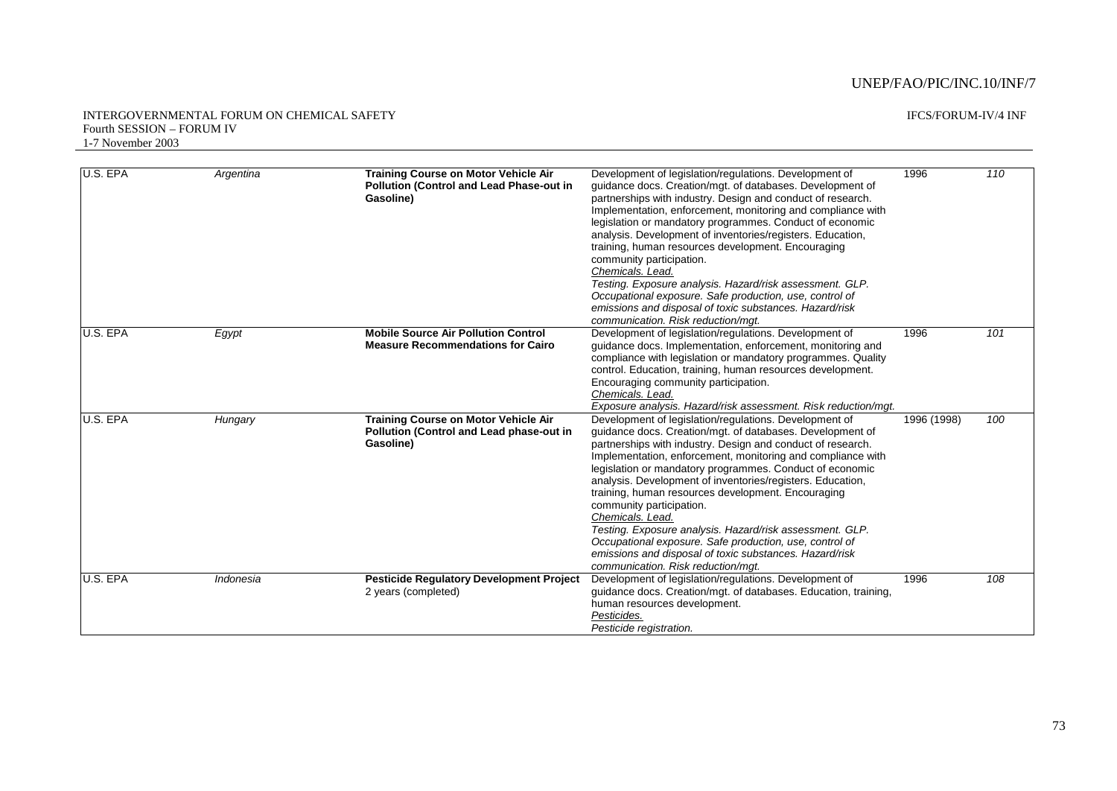#### INTERGOVERNMENTAL FORUM ON CHEMICAL SAFETY Fourth SESSION – FORUM IV 1-7 November 2003

| U.S. EPA | Argentina | <b>Training Course on Motor Vehicle Air</b><br><b>Pollution (Control and Lead Phase-out in</b><br>Gasoline) | Development of legislation/regulations. Development of<br>guidance docs. Creation/mgt. of databases. Development of<br>partnerships with industry. Design and conduct of research.<br>Implementation, enforcement, monitoring and compliance with<br>legislation or mandatory programmes. Conduct of economic<br>analysis. Development of inventories/registers. Education,<br>training, human resources development. Encouraging<br>community participation.<br>Chemicals. Lead.<br>Testing. Exposure analysis. Hazard/risk assessment. GLP.<br>Occupational exposure. Safe production, use, control of<br>emissions and disposal of toxic substances. Hazard/risk<br>communication. Risk reduction/mgt. | 1996        | 110 |
|----------|-----------|-------------------------------------------------------------------------------------------------------------|-----------------------------------------------------------------------------------------------------------------------------------------------------------------------------------------------------------------------------------------------------------------------------------------------------------------------------------------------------------------------------------------------------------------------------------------------------------------------------------------------------------------------------------------------------------------------------------------------------------------------------------------------------------------------------------------------------------|-------------|-----|
| U.S. EPA | Egypt     | <b>Mobile Source Air Pollution Control</b><br><b>Measure Recommendations for Cairo</b>                      | Development of legislation/regulations. Development of<br>guidance docs. Implementation, enforcement, monitoring and<br>compliance with legislation or mandatory programmes. Quality<br>control. Education, training, human resources development.<br>Encouraging community participation.<br>Chemicals, Lead.<br>Exposure analysis. Hazard/risk assessment. Risk reduction/mgt.                                                                                                                                                                                                                                                                                                                          | 1996        | 101 |
| U.S. EPA | Hungary   | Training Course on Motor Vehicle Air<br>Pollution (Control and Lead phase-out in<br>Gasoline)               | Development of legislation/regulations. Development of<br>guidance docs. Creation/mgt. of databases. Development of<br>partnerships with industry. Design and conduct of research.<br>Implementation, enforcement, monitoring and compliance with<br>legislation or mandatory programmes. Conduct of economic<br>analysis. Development of inventories/registers. Education,<br>training, human resources development. Encouraging<br>community participation.<br>Chemicals, Lead.<br>Testing. Exposure analysis. Hazard/risk assessment. GLP.<br>Occupational exposure. Safe production, use, control of<br>emissions and disposal of toxic substances. Hazard/risk<br>communication. Risk reduction/mqt. | 1996 (1998) | 100 |
| U.S. EPA | Indonesia | <b>Pesticide Regulatory Development Project</b><br>2 years (completed)                                      | Development of legislation/regulations. Development of<br>guidance docs. Creation/mgt. of databases. Education, training,<br>human resources development.<br>Pesticides.<br>Pesticide registration.                                                                                                                                                                                                                                                                                                                                                                                                                                                                                                       | 1996        | 108 |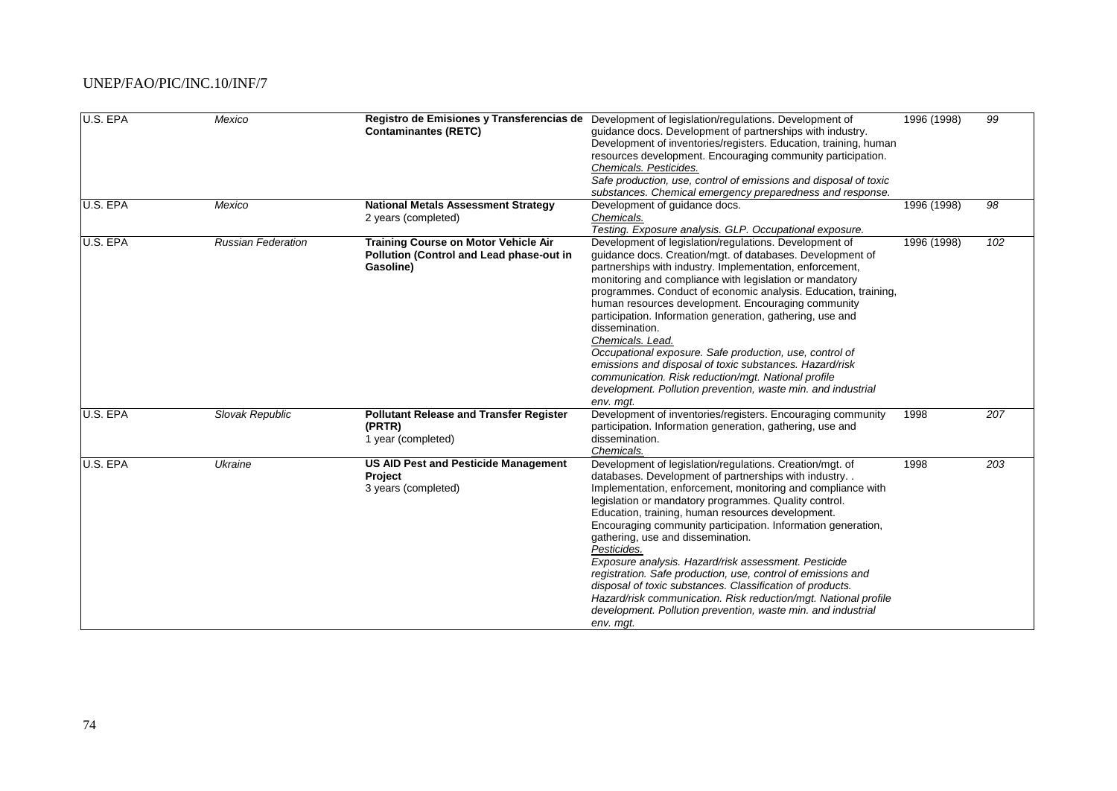| U.S. EPA | Mexico                    | <b>Contaminantes (RETC)</b>                                                                   | Registro de Emisiones y Transferencias de Development of legislation/regulations. Development of<br>guidance docs. Development of partnerships with industry.<br>Development of inventories/registers. Education, training, human<br>resources development. Encouraging community participation.<br>Chemicals. Pesticides.<br>Safe production, use, control of emissions and disposal of toxic<br>substances. Chemical emergency preparedness and response.                                                                                                                                                                                                                                                                                            | 1996 (1998) | 99  |
|----------|---------------------------|-----------------------------------------------------------------------------------------------|--------------------------------------------------------------------------------------------------------------------------------------------------------------------------------------------------------------------------------------------------------------------------------------------------------------------------------------------------------------------------------------------------------------------------------------------------------------------------------------------------------------------------------------------------------------------------------------------------------------------------------------------------------------------------------------------------------------------------------------------------------|-------------|-----|
| U.S. EPA | Mexico                    | <b>National Metals Assessment Strategy</b><br>2 years (completed)                             | Development of guidance docs.<br>Chemicals.<br>Testing. Exposure analysis. GLP. Occupational exposure.                                                                                                                                                                                                                                                                                                                                                                                                                                                                                                                                                                                                                                                 | 1996 (1998) | 98  |
| U.S. EPA | <b>Russian Federation</b> | Training Course on Motor Vehicle Air<br>Pollution (Control and Lead phase-out in<br>Gasoline) | Development of legislation/regulations. Development of<br>guidance docs. Creation/mgt. of databases. Development of<br>partnerships with industry. Implementation, enforcement,<br>monitoring and compliance with legislation or mandatory<br>programmes. Conduct of economic analysis. Education, training,<br>human resources development. Encouraging community<br>participation. Information generation, gathering, use and<br>dissemination.<br>Chemicals. Lead.<br>Occupational exposure. Safe production, use, control of<br>emissions and disposal of toxic substances. Hazard/risk<br>communication. Risk reduction/mgt. National profile<br>development. Pollution prevention, waste min. and industrial<br>env. mgt.                        | 1996 (1998) | 102 |
| U.S. EPA | Slovak Republic           | <b>Pollutant Release and Transfer Register</b><br>(PRTR)<br>1 year (completed)                | Development of inventories/registers. Encouraging community<br>participation. Information generation, gathering, use and<br>dissemination.<br>Chemicals.                                                                                                                                                                                                                                                                                                                                                                                                                                                                                                                                                                                               | 1998        | 207 |
| U.S. EPA | Ukraine                   | <b>US AID Pest and Pesticide Management</b><br>Project<br>3 years (completed)                 | Development of legislation/regulations. Creation/mgt. of<br>databases. Development of partnerships with industry<br>Implementation, enforcement, monitoring and compliance with<br>legislation or mandatory programmes. Quality control.<br>Education, training, human resources development.<br>Encouraging community participation. Information generation,<br>gathering, use and dissemination.<br>Pesticides.<br>Exposure analysis. Hazard/risk assessment. Pesticide<br>registration. Safe production, use, control of emissions and<br>disposal of toxic substances. Classification of products.<br>Hazard/risk communication. Risk reduction/mgt. National profile<br>development. Pollution prevention, waste min. and industrial<br>env. mgt. | 1998        | 203 |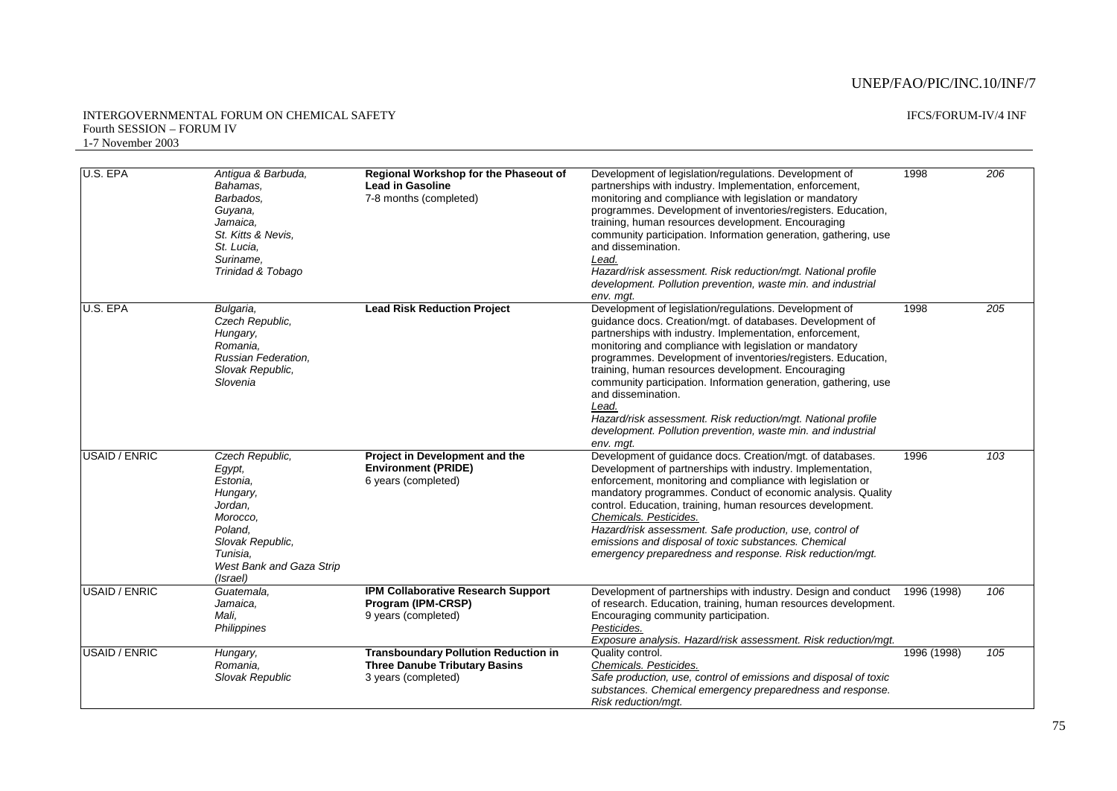#### INTERGOVERNMENTAL FORUM ON CHEMICAL SAFETY Fourth SESSION – FORUM IV 1-7 November 2003

| U.S. EPA             | Antigua & Barbuda,<br>Bahamas.<br>Barbados.<br>Guyana,                                                                                                      | Regional Workshop for the Phaseout of<br><b>Lead in Gasoline</b><br>7-8 months (completed)                 | Development of legislation/regulations. Development of<br>partnerships with industry. Implementation, enforcement,<br>monitoring and compliance with legislation or mandatory<br>programmes. Development of inventories/registers. Education,                                                                                                                                                                                                                                                                                                                                                                   | 1998        | 206 |
|----------------------|-------------------------------------------------------------------------------------------------------------------------------------------------------------|------------------------------------------------------------------------------------------------------------|-----------------------------------------------------------------------------------------------------------------------------------------------------------------------------------------------------------------------------------------------------------------------------------------------------------------------------------------------------------------------------------------------------------------------------------------------------------------------------------------------------------------------------------------------------------------------------------------------------------------|-------------|-----|
|                      | Jamaica.<br>St. Kitts & Nevis.<br>St. Lucia,<br>Suriname.<br>Trinidad & Tobago                                                                              |                                                                                                            | training, human resources development. Encouraging<br>community participation. Information generation, gathering, use<br>and dissemination.<br>Lead.<br>Hazard/risk assessment. Risk reduction/mgt. National profile<br>development. Pollution prevention, waste min. and industrial<br>env. mgt.                                                                                                                                                                                                                                                                                                               |             |     |
| U.S. EPA             | Bulgaria,<br>Czech Republic,<br>Hungary,<br>Romania.<br>Russian Federation,<br>Slovak Republic,<br>Slovenia                                                 | <b>Lead Risk Reduction Project</b>                                                                         | Development of legislation/regulations. Development of<br>guidance docs. Creation/mgt. of databases. Development of<br>partnerships with industry. Implementation, enforcement,<br>monitoring and compliance with legislation or mandatory<br>programmes. Development of inventories/registers. Education,<br>training, human resources development. Encouraging<br>community participation. Information generation, gathering, use<br>and dissemination.<br>Lead.<br>Hazard/risk assessment. Risk reduction/mgt. National profile<br>development. Pollution prevention, waste min. and industrial<br>env. mqt. | 1998        | 205 |
| <b>USAID / ENRIC</b> | Czech Republic.<br>Egypt,<br>Estonia,<br>Hungary,<br>Jordan,<br>Morocco.<br>Poland.<br>Slovak Republic,<br>Tunisia.<br>West Bank and Gaza Strip<br>(Israel) | Project in Development and the<br><b>Environment (PRIDE)</b><br>6 years (completed)                        | Development of guidance docs. Creation/mgt. of databases.<br>Development of partnerships with industry. Implementation,<br>enforcement, monitoring and compliance with legislation or<br>mandatory programmes. Conduct of economic analysis. Quality<br>control. Education, training, human resources development.<br>Chemicals. Pesticides.<br>Hazard/risk assessment. Safe production, use, control of<br>emissions and disposal of toxic substances. Chemical<br>emergency preparedness and response. Risk reduction/mgt.                                                                                    | 1996        | 103 |
| USAID / ENRIC        | Guatemala,<br>Jamaica,<br>Mali,<br>Philippines                                                                                                              | <b>IPM Collaborative Research Support</b><br>Program (IPM-CRSP)<br>9 years (completed)                     | Development of partnerships with industry. Design and conduct<br>of research. Education, training, human resources development.<br>Encouraging community participation.<br>Pesticides.<br>Exposure analysis. Hazard/risk assessment. Risk reduction/mgt.                                                                                                                                                                                                                                                                                                                                                        | 1996 (1998) | 106 |
| <b>USAID / ENRIC</b> | Hungary,<br>Romania,<br>Slovak Republic                                                                                                                     | <b>Transboundary Pollution Reduction in</b><br><b>Three Danube Tributary Basins</b><br>3 years (completed) | Quality control.<br>Chemicals. Pesticides.<br>Safe production, use, control of emissions and disposal of toxic<br>substances. Chemical emergency preparedness and response.<br>Risk reduction/mat.                                                                                                                                                                                                                                                                                                                                                                                                              | 1996 (1998) | 105 |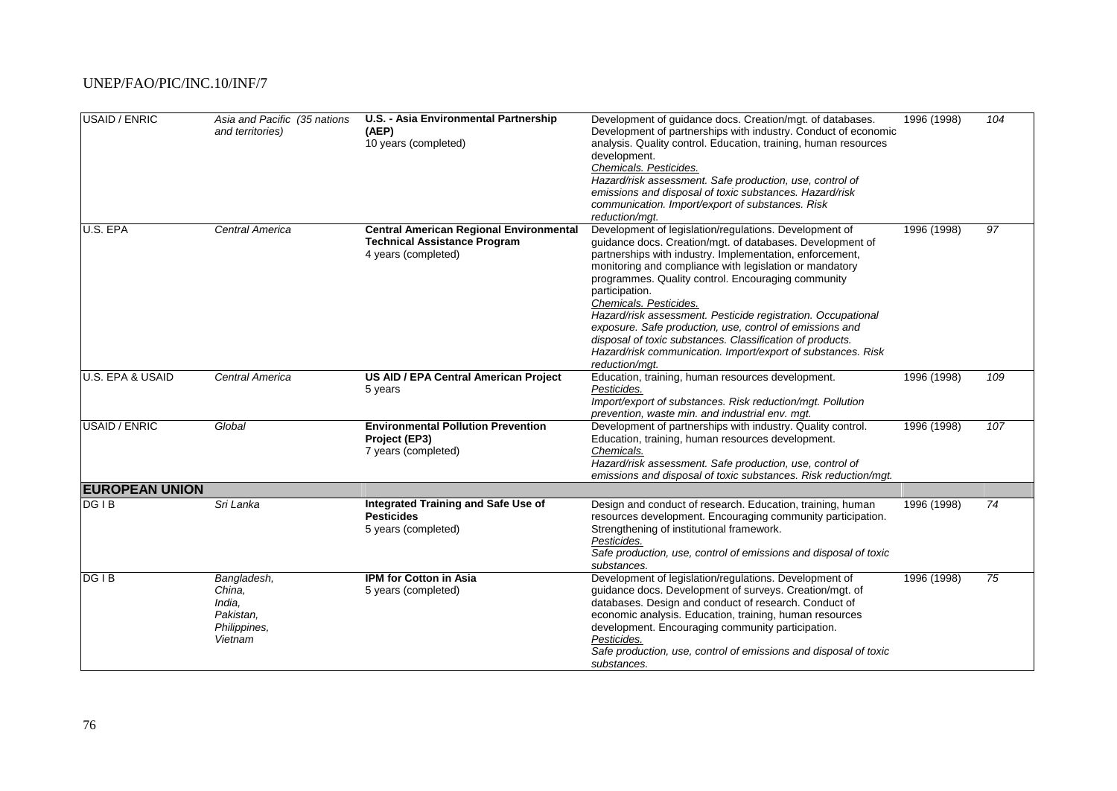| USAID / ENRIC         | Asia and Pacific (35 nations<br>and territories)                        | U.S. - Asia Environmental Partnership<br>(AEP)<br>10 years (completed)                                       | Development of guidance docs. Creation/mgt. of databases.<br>Development of partnerships with industry. Conduct of economic<br>analysis. Quality control. Education, training, human resources<br>development.<br>Chemicals. Pesticides.<br>Hazard/risk assessment. Safe production, use, control of<br>emissions and disposal of toxic substances. Hazard/risk<br>communication. Import/export of substances. Risk<br>reduction/mat.                                                                                                                                                                                   | 1996 (1998) | 104             |
|-----------------------|-------------------------------------------------------------------------|--------------------------------------------------------------------------------------------------------------|-------------------------------------------------------------------------------------------------------------------------------------------------------------------------------------------------------------------------------------------------------------------------------------------------------------------------------------------------------------------------------------------------------------------------------------------------------------------------------------------------------------------------------------------------------------------------------------------------------------------------|-------------|-----------------|
| U.S. EPA              | Central America                                                         | <b>Central American Regional Environmental</b><br><b>Technical Assistance Program</b><br>4 years (completed) | Development of legislation/regulations. Development of<br>guidance docs. Creation/mgt. of databases. Development of<br>partnerships with industry. Implementation, enforcement,<br>monitoring and compliance with legislation or mandatory<br>programmes. Quality control. Encouraging community<br>participation.<br>Chemicals. Pesticides.<br>Hazard/risk assessment. Pesticide registration. Occupational<br>exposure. Safe production, use, control of emissions and<br>disposal of toxic substances. Classification of products.<br>Hazard/risk communication. Import/export of substances. Risk<br>reduction/mqt. | 1996 (1998) | $\overline{97}$ |
| U.S. EPA & USAID      | Central America                                                         | US AID / EPA Central American Project<br>5 years                                                             | Education, training, human resources development.<br>Pesticides.<br>Import/export of substances. Risk reduction/mgt. Pollution<br>prevention, waste min. and industrial env. mgt.                                                                                                                                                                                                                                                                                                                                                                                                                                       | 1996 (1998) | 109             |
| USAID / ENRIC         | Global                                                                  | <b>Environmental Pollution Prevention</b><br>Project (EP3)<br>7 years (completed)                            | Development of partnerships with industry. Quality control.<br>Education, training, human resources development.<br>Chemicals.<br>Hazard/risk assessment. Safe production, use, control of<br>emissions and disposal of toxic substances. Risk reduction/mgt.                                                                                                                                                                                                                                                                                                                                                           | 1996 (1998) | 107             |
| <b>EUROPEAN UNION</b> |                                                                         |                                                                                                              |                                                                                                                                                                                                                                                                                                                                                                                                                                                                                                                                                                                                                         |             |                 |
| DG <sub>IB</sub>      | Sri Lanka                                                               | Integrated Training and Safe Use of<br><b>Pesticides</b><br>5 years (completed)                              | Design and conduct of research. Education, training, human<br>resources development. Encouraging community participation.<br>Strengthening of institutional framework.<br>Pesticides.<br>Safe production, use, control of emissions and disposal of toxic<br>substances.                                                                                                                                                                                                                                                                                                                                                | 1996 (1998) | 74              |
| DG <sub>IB</sub>      | Bangladesh,<br>China,<br>India.<br>Pakistan,<br>Philippines,<br>Vietnam | <b>IPM for Cotton in Asia</b><br>5 years (completed)                                                         | Development of legislation/regulations. Development of<br>guidance docs. Development of surveys. Creation/mgt. of<br>databases. Design and conduct of research. Conduct of<br>economic analysis. Education, training, human resources<br>development. Encouraging community participation.<br>Pesticides.<br>Safe production, use, control of emissions and disposal of toxic<br>substances.                                                                                                                                                                                                                            | 1996 (1998) | 75              |